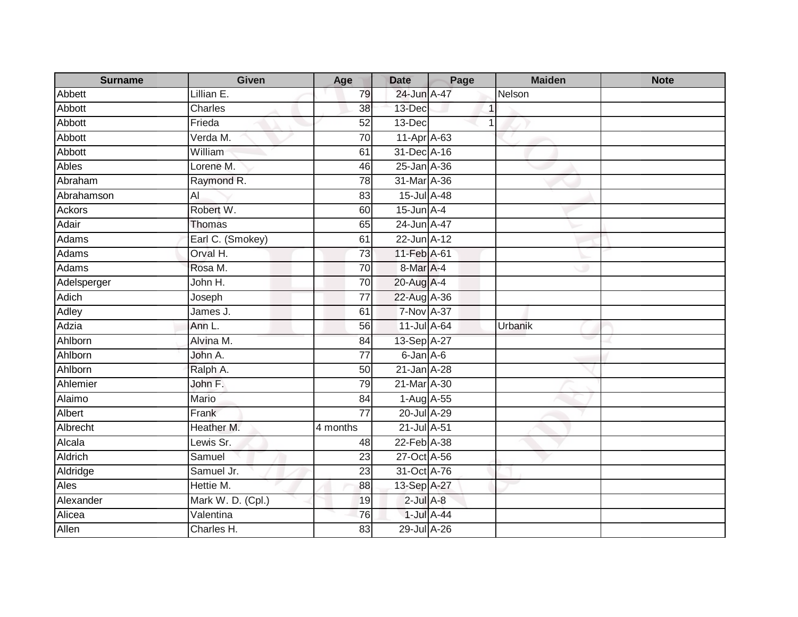| <b>Surname</b> | Given             | Age             | <b>Date</b>       | Page       | <b>Maiden</b> | <b>Note</b> |
|----------------|-------------------|-----------------|-------------------|------------|---------------|-------------|
| Abbett         | Lillian E.        | 79              | 24-Jun A-47       |            | Nelson        |             |
| Abbott         | Charles           | 38              | 13-Dec            |            |               |             |
| Abbott         | Frieda            | 52              | 13-Dec            |            |               |             |
| Abbott         | Verda M.          | 70              | 11-Apr A-63       |            |               |             |
| Abbott         | William           | 61              | 31-Dec A-16       |            |               |             |
| Ables          | Lorene M.         | 46              | 25-Jan A-36       |            |               |             |
| Abraham        | Raymond R.        | 78              | 31-Mar A-36       |            |               |             |
| Abrahamson     | $\overline{AI}$   | 83              | 15-Jul A-48       |            |               |             |
| <b>Ackors</b>  | Robert W.         | 60              | $15$ -Jun $A-4$   |            |               |             |
| Adair          | Thomas            | 65              | 24-Jun A-47       |            |               |             |
| Adams          | Earl C. (Smokey)  | 61              | 22-Jun A-12       |            |               |             |
| Adams          | Orval H.          | 73              | 11-Feb A-61       |            |               |             |
| Adams          | Rosa M.           | 70              | 8-Mar A-4         |            |               |             |
| Adelsperger    | John H.           | 70              | 20-Aug A-4        |            |               |             |
| Adich          | Joseph            | 77              | 22-Aug A-36       |            |               |             |
| <b>Adley</b>   | James J.          | 61              | <b>7-Nov A-37</b> |            |               |             |
| Adzia          | Ann L.            | 56              | 11-Jul A-64       |            | Urbanik       |             |
| Ahlborn        | Alvina M.         | 84              | 13-Sep A-27       |            |               |             |
| Ahlborn        | John A.           | $\overline{77}$ | 6-Jan A-6         |            |               |             |
| Ahlborn        | Ralph A.          | 50              | 21-Jan A-28       |            |               |             |
| Ahlemier       | John F.           | 79              | 21-Mar A-30       |            |               |             |
| Alaimo         | Mario             | 84              | $1-Aug$ A-55      |            |               |             |
| Albert         | Frank             | $\overline{77}$ | 20-Jul A-29       |            |               |             |
| Albrecht       | Heather M.        | 4 months        | 21-Jul A-51       |            |               |             |
| Alcala         | Lewis Sr.         | 48              | 22-Feb A-38       |            |               |             |
| Aldrich        | Samuel            | $\overline{23}$ | 27-Oct A-56       |            |               |             |
| Aldridge       | Samuel Jr.        | 23              | 31-Oct A-76       |            |               |             |
| <b>Ales</b>    | Hettie M.         | 88              | 13-Sep A-27       |            |               |             |
| Alexander      | Mark W. D. (Cpl.) | 19              | $2$ -Jul $A-8$    |            |               |             |
| Alicea         | Valentina         | 76              |                   | 1-Jul A-44 |               |             |
| Allen          | Charles H.        | 83              | 29-Jul A-26       |            |               |             |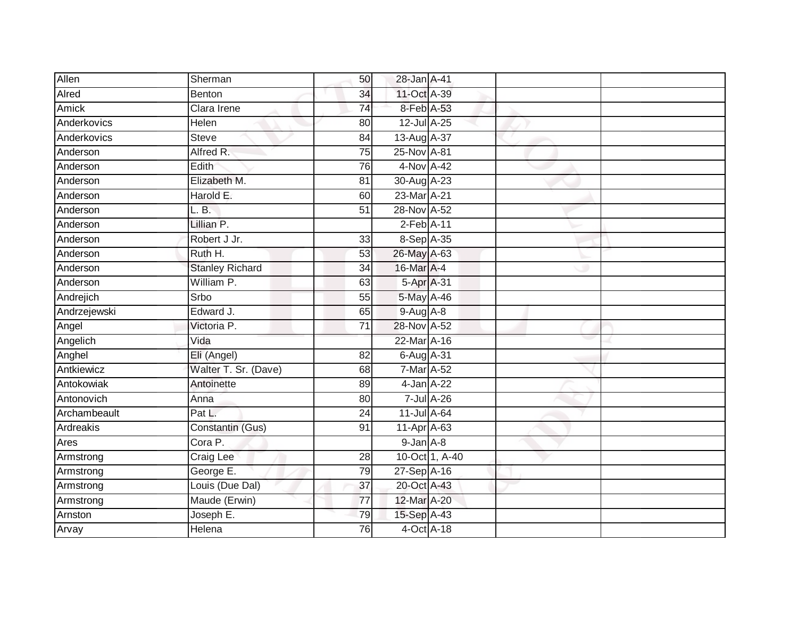| Allen        | Sherman                | 50              | 28-Jan A-41      |                |  |
|--------------|------------------------|-----------------|------------------|----------------|--|
| Alred        | <b>Benton</b>          | 34              | 11-Oct A-39      |                |  |
| Amick        | Clara Irene            | 74              | 8-Feb A-53       |                |  |
| Anderkovics  | Helen                  | 80              | 12-Jul A-25      |                |  |
| Anderkovics  | <b>Steve</b>           | $\overline{84}$ | 13-Aug A-37      |                |  |
| Anderson     | Alfred R.              | $\overline{75}$ | 25-Nov A-81      |                |  |
| Anderson     | Edith                  | 76              | 4-Nov A-42       |                |  |
| Anderson     | Elizabeth M.           | 81              | 30-Aug A-23      |                |  |
| Anderson     | Harold E.              | 60              | 23-Mar A-21      |                |  |
| Anderson     | L. B.                  | $\overline{51}$ | 28-Nov A-52      |                |  |
| Anderson     | Lillian P.             |                 | $2$ -Feb $A-11$  |                |  |
| Anderson     | Robert J Jr.           | 33              | 8-Sep A-35       |                |  |
| Anderson     | Ruth H.                | 53              | 26-May A-63      |                |  |
| Anderson     | <b>Stanley Richard</b> | 34              | 16-Mar A-4       |                |  |
| Anderson     | William P.             | 63              | 5-Apr A-31       |                |  |
| Andrejich    | Srbo                   | 55              | 5-May A-46       |                |  |
| Andrzejewski | Edward J.              | 65              | $9$ -Aug $A$ -8  |                |  |
| Angel        | Victoria P.            | 71              | 28-Nov A-52      |                |  |
| Angelich     | $\overline{V}$ ida     |                 | 22-Mar A-16      |                |  |
| Anghel       | Eli (Angel)            | 82              | 6-Aug A-31       |                |  |
| Antkiewicz   | Walter T. Sr. (Dave)   | 68              | 7-Mar A-52       |                |  |
| Antokowiak   | Antoinette             | 89              | 4-Jan A-22       |                |  |
| Antonovich   | Anna                   | 80              | $7$ -Jul $A$ -26 |                |  |
| Archambeault | Pat L.                 | 24              | 11-Jul A-64      |                |  |
| Ardreakis    | Constantin (Gus)       | 91              | $11-Apr$ A-63    |                |  |
| Ares         | Cora P.                |                 | $9$ -Jan $A$ -8  |                |  |
| Armstrong    | Craig Lee              | 28              |                  | 10-Oct 1, A-40 |  |
| Armstrong    | George E.              | 79              | 27-Sep A-16      |                |  |
| Armstrong    | Louis (Due Dal)        | 37              | 20-Oct A-43      |                |  |
| Armstrong    | Maude (Erwin)          | 77              | 12-Mar A-20      |                |  |
| Arnston      | Joseph E.              | 79              | 15-Sep A-43      |                |  |
| Arvay        | Helena                 | 76              | 4-Oct A-18       |                |  |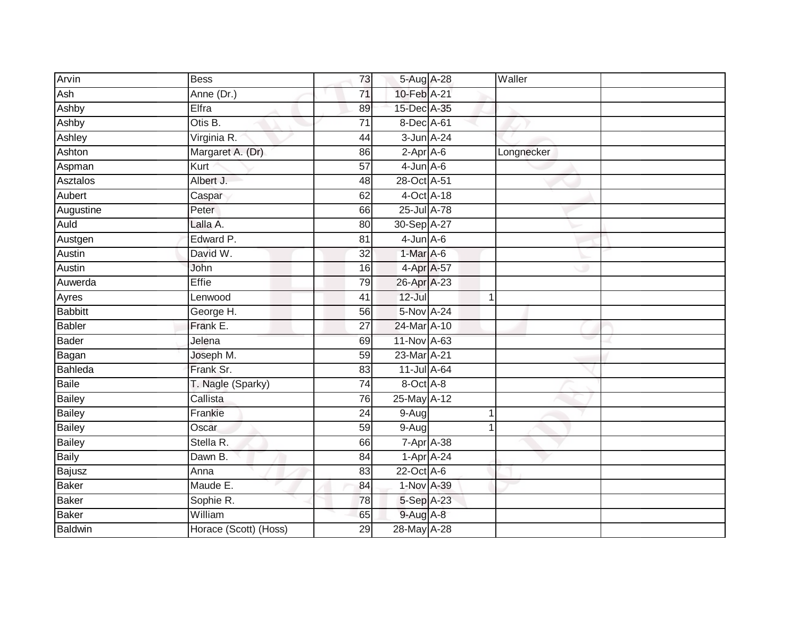| Arvin          | <b>Bess</b>           | 73              | 5-Aug A-28         | Waller      |  |
|----------------|-----------------------|-----------------|--------------------|-------------|--|
| Ash            | Anne (Dr.)            | 71              | 10-Feb A-21        |             |  |
| Ashby          | Elfra                 | 89              | 15-Dec A-35        |             |  |
| Ashby          | Otis B.               | $\overline{71}$ | 8-Dec A-61         |             |  |
| Ashley         | Virginia R.           | 44              | 3-Jun A-24         |             |  |
| Ashton         | Margaret A. (Dr)      | 86              | 2-Apr A-6          | Longnecker  |  |
| Aspman         | Kurt                  | 57              | $4$ -Jun $A$ -6    |             |  |
| Asztalos       | Albert J.             | 48              | 28-Oct A-51        |             |  |
| Aubert         | Caspar                | 62              | 4-Oct A-18         |             |  |
| Augustine      | Peter                 | 66              | 25-Jul A-78        |             |  |
| Auld           | Lalla A.              | 80              | 30-Sep A-27        |             |  |
| Austgen        | Edward P.             | 81              | $4$ -Jun $A$ -6    |             |  |
| Austin         | David W.              | 32              | $1-Mar$ A-6        |             |  |
| Austin         | John                  | 16              | 4-Apr A-57         |             |  |
| Auwerda        | Effie                 | 79              | 26-Apr A-23        |             |  |
| Ayres          | Lenwood               | 41              | 12-Jul             | $\mathbf 1$ |  |
| <b>Babbitt</b> | George H.             | 56              | 5-Nov A-24         |             |  |
| <b>Babler</b>  | Frank E.              | 27              | 24-Mar A-10        |             |  |
| <b>Bader</b>   | Jelena                | 69              | 11-Nov A-63        |             |  |
| Bagan          | Joseph M.             | 59              | 23-Mar A-21        |             |  |
| Bahleda        | Frank Sr.             | 83              | 11-Jul A-64        |             |  |
| <b>Baile</b>   | T. Nagle (Sparky)     | $\overline{74}$ | $8$ -Oct $A$ -8    |             |  |
| <b>Bailey</b>  | Callista              | 76              | 25-May A-12        |             |  |
| <b>Bailey</b>  | Frankie               | 24              | $9-Aug$            | $\mathbf 1$ |  |
| <b>Bailey</b>  | Oscar                 | 59              | $9-Aug$            |             |  |
| <b>Bailey</b>  | Stella R.             | 66              | $7 - Apr$ $A - 38$ |             |  |
| <b>Baily</b>   | Dawn B.               | 84              | $1-Apr$ A-24       |             |  |
| Bajusz         | Anna                  | 83              | $22$ -Oct A-6      |             |  |
| <b>Baker</b>   | Maude E.              | 84              | 1-Nov A-39         |             |  |
| <b>Baker</b>   | Sophie R.             | 78              | 5-Sep A-23         |             |  |
| <b>Baker</b>   | William               | 65              | 9-Aug A-8          |             |  |
| <b>Baldwin</b> | Horace (Scott) (Hoss) | $\overline{29}$ | 28-May A-28        |             |  |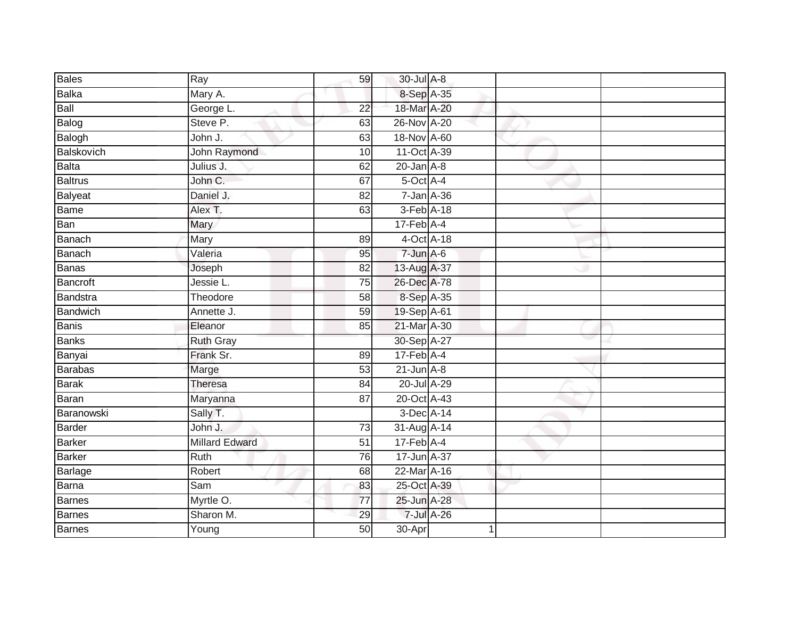| <b>Bales</b>   | $\overline{Ray}$ | 59              | 30-Jul A-8                  |   |  |
|----------------|------------------|-----------------|-----------------------------|---|--|
| Balka          | Mary A.          |                 | 8-Sep A-35                  |   |  |
| Ball           | George L.        | $\overline{22}$ | 18-Mar A-20                 |   |  |
| Balog          | Steve P.         | 63              | 26-Nov A-20                 |   |  |
| Balogh         | John J.          | 63              | 18-Nov A-60                 |   |  |
| Balskovich     | John Raymond     | 10              | 11-Oct A-39                 |   |  |
| Balta          | Julius J.        | 62              | $20$ -Jan $A-8$             |   |  |
| <b>Baltrus</b> | John C.          | 67              | 5-Oct A-4                   |   |  |
| Balyeat        | Daniel J.        | 82              | $7 - Jan A - 36$            |   |  |
| Bame           | Alex T.          | 63              | 3-Feb A-18                  |   |  |
| Ban            | Mary             |                 | $17$ -Feb $\overline{A-4}$  |   |  |
| Banach         | Mary             | 89              | 4-Oct A-18                  |   |  |
| Banach         | Valeria          | 95              | $7 - Jun$ A-6               |   |  |
| Banas          | Joseph           | 82              | 13-Aug A-37                 |   |  |
| Bancroft       | Jessie L.        | $\overline{75}$ | 26-Dec A-78                 |   |  |
| Bandstra       | Theodore         | 58              | 8-Sep A-35                  |   |  |
| Bandwich       | Annette J.       | 59              | 19-Sep A-61                 |   |  |
| Banis          | Eleanor          | 85              | 21-Mar A-30                 |   |  |
| Banks          | <b>Ruth Gray</b> |                 | 30-Sep A-27                 |   |  |
| Banyai         | Frank Sr.        | 89              | $17$ -Feb $\overline{A}$ -4 |   |  |
| Barabas        | Marge            | 53              | $21$ -Jun $A-8$             |   |  |
| Barak          | <b>Theresa</b>   | 84              | 20-Jul A-29                 |   |  |
| Baran          | Maryanna         | 87              | 20-Oct A-43                 |   |  |
| Baranowski     | Sally T.         |                 | 3-Dec A-14                  |   |  |
| Barder         | John J.          | 73              | 31-Aug A-14                 |   |  |
| <b>Barker</b>  | Millard Edward   | 51              | $17$ -Feb $\overline{A-4}$  |   |  |
| Barker         | Ruth             | 76              | 17-Jun A-37                 |   |  |
| <b>Barlage</b> | Robert           | 68              | 22-Mar A-16                 |   |  |
| Barna          | Sam              | 83              | 25-Oct A-39                 |   |  |
| Barnes         | Myrtle O.        | $\overline{77}$ | 25-Jun A-28                 |   |  |
| Barnes         | Sharon M.        | 29              | 7-Jul A-26                  |   |  |
| <b>Barnes</b>  | Young            | 50              | 30-Apr                      | 1 |  |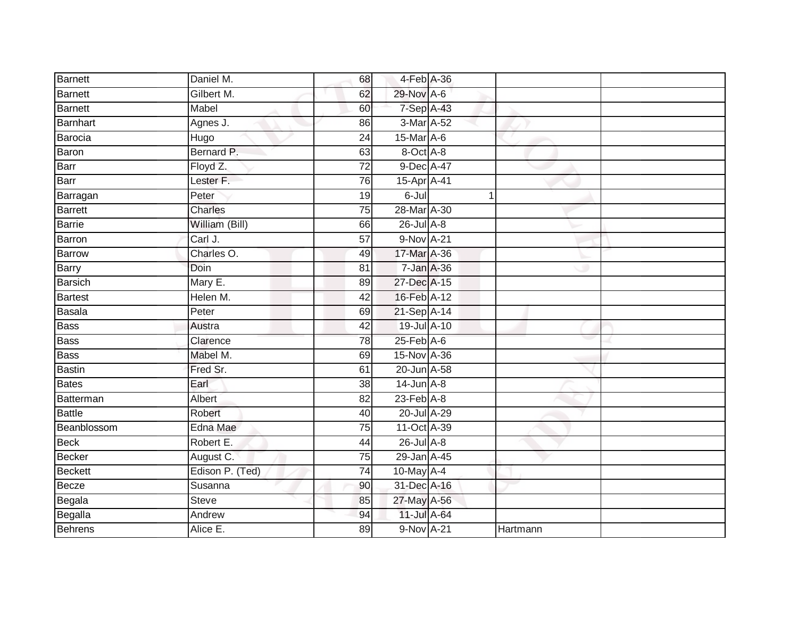| <b>Barnett</b> | Daniel M.       | 68              | 4-Feb A-36                  |          |  |
|----------------|-----------------|-----------------|-----------------------------|----------|--|
| Barnett        | Gilbert M.      | 62              | 29-Nov A-6                  |          |  |
| Barnett        | Mabel           | 60              | $7-Sep$ A-43                |          |  |
| Barnhart       | Agnes J.        | 86              | 3-Mar A-52                  |          |  |
| Barocia        | Hugo            | $\overline{24}$ | $15$ -Mar $\overline{A}$ -6 |          |  |
| Baron          | Bernard P.      | 63              | 8-Oct A-8                   |          |  |
| Barr           | Floyd Z.        | $\overline{72}$ | 9-Dec A-47                  |          |  |
| Barr           | Lester F.       | 76              | 15-Apr A-41                 |          |  |
| Barragan       | Peter           | 19              | 6-Jul                       |          |  |
| Barrett        | Charles         | 75              | 28-Mar A-30                 |          |  |
| Barrie         | William (Bill)  | 66              | $26$ -Jul $A-8$             |          |  |
| Barron         | Carl J.         | $\overline{57}$ | 9-Nov A-21                  |          |  |
| Barrow         | Charles O.      | 49              | 17-Mar A-36                 |          |  |
| Barry          | Doin            | 81              | 7-Jan A-36                  |          |  |
| <b>Barsich</b> | Mary E.         | 89              | 27-Dec A-15                 |          |  |
| <b>Bartest</b> | Helen M.        | $\overline{42}$ | 16-Feb A-12                 |          |  |
| Basala         | Peter           | 69              | 21-Sep A-14                 |          |  |
| <b>Bass</b>    | Austra          | 42              | 19-Jul A-10                 |          |  |
| Bass           | Clarence        | 78              | $25$ -Feb $A$ -6            |          |  |
| <b>Bass</b>    | Mabel M.        | 69              | 15-Nov A-36                 |          |  |
| <b>Bastin</b>  | Fred Sr.        | 61              | 20-Jun A-58                 |          |  |
| Bates          | Earl            | 38              | $14$ -Jun $A-8$             |          |  |
| Batterman      | Albert          | 82              | $23$ -Feb $A-8$             |          |  |
| Battle         | Robert          | 40              | 20-Jul A-29                 |          |  |
| Beanblossom    | Edna Mae        | 75              | 11-Oct A-39                 |          |  |
| <b>Beck</b>    | Robert E.       | 44              | 26-Jul A-8                  |          |  |
| <b>Becker</b>  | August C.       | 75              | 29-Jan A-45                 |          |  |
| <b>Beckett</b> | Edison P. (Ted) | 74              | 10-May A-4                  |          |  |
| Becze          | Susanna         | 90              | 31-Dec A-16                 |          |  |
| Begala         | <b>Steve</b>    | 85              | 27-May A-56                 |          |  |
| Begalla        | Andrew          | 94              | 11-Jul A-64                 |          |  |
| <b>Behrens</b> | Alice E.        | 89              | 9-Nov A-21                  | Hartmann |  |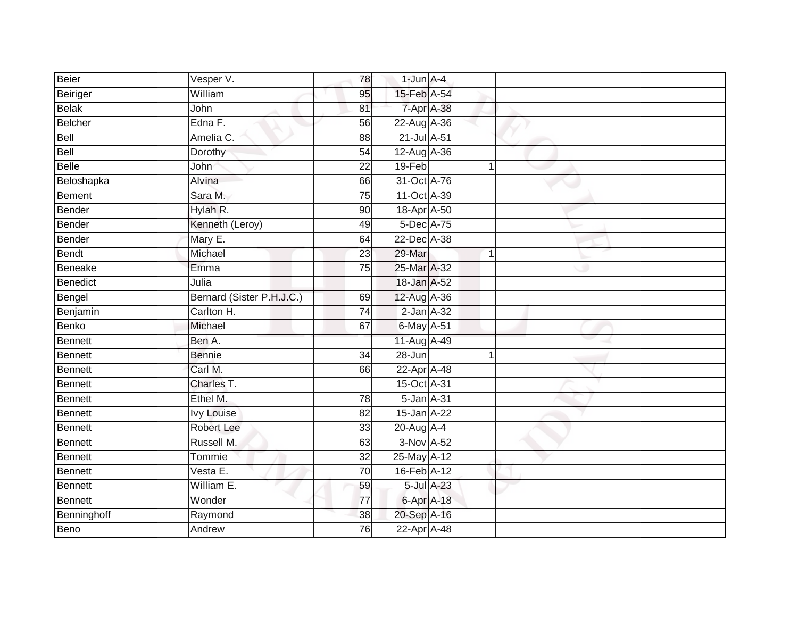| Beier          | Vesper V.                 | 78              | $1$ -Jun $A-4$     |            |   |  |
|----------------|---------------------------|-----------------|--------------------|------------|---|--|
| Beiriger       | William                   | 95              | 15-Feb A-54        |            |   |  |
| Belak          | John                      | 81              | 7-Apr A-38         |            |   |  |
| Belcher        | Edna F.                   | 56              | 22-Aug A-36        |            |   |  |
| Bell           | Amelia C.                 | $\overline{88}$ | 21-Jul A-51        |            |   |  |
| Bell           | Dorothy                   | 54              | 12-Aug A-36        |            |   |  |
| <b>Belle</b>   | John                      | $\overline{22}$ | 19-Feb             |            | 1 |  |
| Beloshapka     | Alvina                    | 66              | 31-Oct A-76        |            |   |  |
| <b>Bement</b>  | Sara M.                   | $\overline{75}$ | 11-Oct A-39        |            |   |  |
| Bender         | Hylah R.                  | 90              | 18-Apr A-50        |            |   |  |
| Bender         | Kenneth (Leroy)           | 49              | 5-Dec A-75         |            |   |  |
| Bender         | Mary E.                   | 64              | 22-Dec A-38        |            |   |  |
| Bendt          | Michael                   | 23              | 29-Mar             |            | 1 |  |
| Beneake        | Emma                      | 75              | 25-Mar A-32        |            |   |  |
| Benedict       | Julia                     |                 | 18-Jan A-52        |            |   |  |
| Bengel         | Bernard (Sister P.H.J.C.) | 69              | 12-Aug A-36        |            |   |  |
| Benjamin       | Carlton H.                | $\overline{74}$ | $2$ -Jan $A-32$    |            |   |  |
| Benko          | Michael                   | 67              | 6-May A-51         |            |   |  |
| Bennett        | Ben A.                    |                 | 11-Aug A-49        |            |   |  |
| Bennett        | <b>Bennie</b>             | $\overline{34}$ | $28 - Jun$         |            | 1 |  |
| Bennett        | Carl M.                   | 66              | 22-Apr A-48        |            |   |  |
| Bennett        | Charles T.                |                 | 15-Oct A-31        |            |   |  |
| Bennett        | Ethel M.                  | 78              | 5-Jan A-31         |            |   |  |
| Bennett        | <b>Ivy Louise</b>         | 82              | 15-Jan A-22        |            |   |  |
| Bennett        | Robert Lee                | 33              | $20$ -Aug $A$ -4   |            |   |  |
| Bennett        | Russell M.                | 63              | $3-Nov A-52$       |            |   |  |
| Bennett        | Tommie                    | $\overline{32}$ | 25-May A-12        |            |   |  |
| Bennett        | Vesta E.                  | $\overline{70}$ | 16-Feb A-12        |            |   |  |
| <b>Bennett</b> | William E.                | 59              |                    | 5-Jul A-23 |   |  |
| <b>Bennett</b> | Wonder                    | $\overline{77}$ | $6 - Apr$ $A - 18$ |            |   |  |
| Benninghoff    | Raymond                   | 38              | 20-Sep A-16        |            |   |  |
| <b>Beno</b>    | Andrew                    | 76              | 22-Apr A-48        |            |   |  |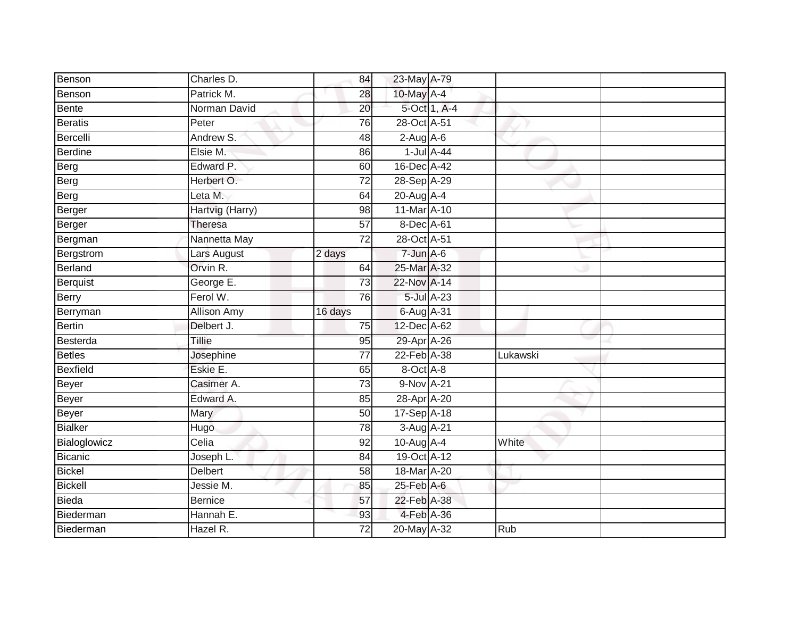| Benson          | Charles D.         | 84              | 23-May A-79      |                  |            |  |
|-----------------|--------------------|-----------------|------------------|------------------|------------|--|
| Benson          | Patrick M.         | 28              | 10-May A-4       |                  |            |  |
| Bente           | Norman David       | $\overline{20}$ |                  | 5-Oct 1, A-4     |            |  |
| <b>Beratis</b>  | Peter              | 76              | 28-Oct A-51      |                  |            |  |
| Bercelli        | Andrew S.          | 48              | $2$ -Aug A-6     |                  |            |  |
| Berdine         | Elsie M.           | 86              |                  | $1$ -Jul $A$ -44 |            |  |
| Berg            | Edward P.          | 60              | 16-Dec A-42      |                  |            |  |
| Berg            | Herbert O.         | $\overline{72}$ | 28-Sep A-29      |                  |            |  |
| Berg            | Leta M.            | 64              | 20-Aug A-4       |                  |            |  |
| Berger          | Hartvig (Harry)    | 98              | 11-Mar A-10      |                  |            |  |
| Berger          | Theresa            | 57              | 8-Dec A-61       |                  |            |  |
| Bergman         | Nannetta May       | $\overline{72}$ | 28-Oct A-51      |                  |            |  |
| Bergstrom       | Lars August        | 2 days          | 7-Jun A-6        |                  |            |  |
| Berland         | Orvin R.           | 64              | 25-Mar A-32      |                  |            |  |
| Berquist        | George E.          | 73              | 22-Nov A-14      |                  |            |  |
| Berry           | Ferol W.           | 76              |                  | 5-Jul A-23       |            |  |
| Berryman        | <b>Allison Amy</b> | 16 days         | 6-Aug A-31       |                  |            |  |
| Bertin          | Delbert J.         | 75              | 12-Dec A-62      |                  |            |  |
| Besterda        | Tillie             | 95              | 29-Apr A-26      |                  |            |  |
| Betles          | Josephine          | $\overline{77}$ | 22-Feb A-38      |                  | Lukawski   |  |
| <b>Bexfield</b> | Eskie E.           | 65              | 8-Oct A-8        |                  |            |  |
| Beyer           | Casimer A.         | 73              | 9-Nov A-21       |                  |            |  |
| Beyer           | Edward A.          | 85              | 28-Apr A-20      |                  |            |  |
| Beyer           | Mary               | 50              | 17-Sep A-18      |                  |            |  |
| Bialker         | Hugo               | 78              | 3-Aug A-21       |                  |            |  |
| Bialoglowicz    | Celia              | 92              | $10$ -Aug A-4    |                  | White      |  |
| <b>Bicanic</b>  | Joseph L.          | $\overline{84}$ | 19-Oct A-12      |                  |            |  |
| <b>Bickel</b>   | <b>Delbert</b>     | 58              | 18-Mar A-20      |                  |            |  |
| Bickell         | Jessie M.          | 85              | $25$ -Feb $A$ -6 |                  |            |  |
| Bieda           | <b>Bernice</b>     | 57              | 22-Feb A-38      |                  |            |  |
| Biederman       | Hannah E.          | 93              |                  | 4-Feb A-36       |            |  |
| Biederman       | Hazel R.           | $\overline{72}$ | 20-May A-32      |                  | <b>Rub</b> |  |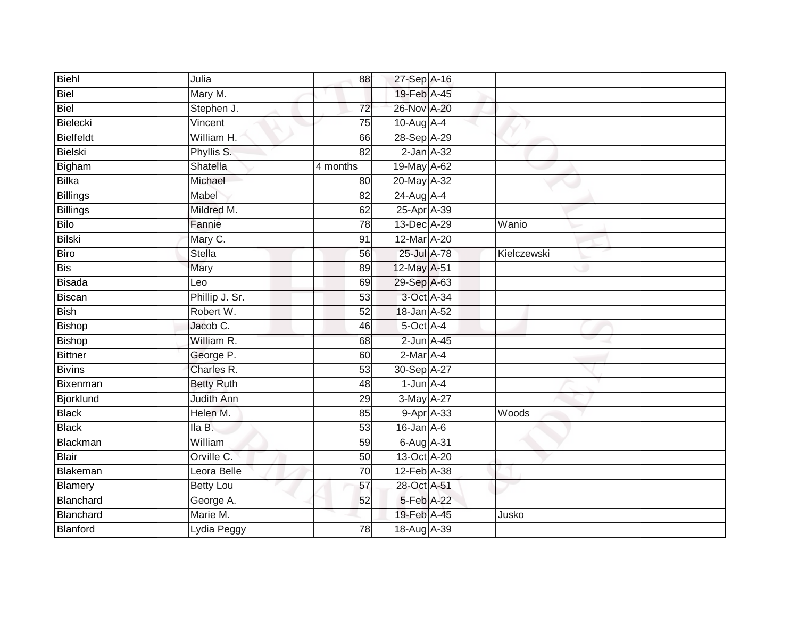| Biehl            | Julia             | 88              | 27-Sep A-16      |             |  |
|------------------|-------------------|-----------------|------------------|-------------|--|
| Biel             | Mary M.           |                 | 19-Feb A-45      |             |  |
| Biel             | Stephen J.        | 72              | 26-Nov A-20      |             |  |
| Bielecki         | Vincent           | 75              | 10-Aug A-4       |             |  |
| <b>Bielfeldt</b> | William H.        | 66              | 28-Sep A-29      |             |  |
| Bielski          | Phyllis S.        | 82              | $2$ -Jan $A-32$  |             |  |
| Bigham           | Shatella          | 4 months        | 19-May A-62      |             |  |
| <b>Bilka</b>     | Michael           | 80              | 20-May A-32      |             |  |
| <b>Billings</b>  | Mabel             | 82              | 24-Aug A-4       |             |  |
| <b>Billings</b>  | Mildred M.        | 62              | 25-Apr A-39      |             |  |
| <b>Bilo</b>      | Fannie            | 78              | 13-Dec A-29      | Wanio       |  |
| <b>Bilski</b>    | Mary C.           | 91              | 12-Mar A-20      |             |  |
| <b>Biro</b>      | Stella            | 56              | 25-Jul A-78      | Kielczewski |  |
| <b>Bis</b>       | Mary              | 89              | 12-May A-51      |             |  |
| <b>Bisada</b>    | Leo               | 69              | 29-Sep A-63      |             |  |
| <b>Biscan</b>    | Phillip J. Sr.    | $\overline{53}$ | 3-Oct A-34       |             |  |
| <b>Bish</b>      | Robert W.         | 52              | 18-Jan A-52      |             |  |
| <b>Bishop</b>    | Jacob C.          | 46              | 5-Oct A-4        |             |  |
| <b>Bishop</b>    | William R.        | 68              | $2$ -Jun $A-45$  |             |  |
| <b>Bittner</b>   | George P.         | 60              | 2-Mar A-4        |             |  |
| <b>Bivins</b>    | Charles R.        | 53              | 30-Sep A-27      |             |  |
| Bixenman         | <b>Betty Ruth</b> | $\overline{48}$ | $1$ -Jun $A-4$   |             |  |
| Bjorklund        | <b>Judith Ann</b> | 29              | 3-May A-27       |             |  |
| <b>Black</b>     | Helen M.          | 85              | 9-Apr A-33       | Woods       |  |
| <b>Black</b>     | Ila B.            | 53              | $16$ -Jan $A$ -6 |             |  |
| <b>Blackman</b>  | William           | 59              | 6-Aug A-31       |             |  |
| <b>Blair</b>     | Orville C.        | 50              | 13-Oct A-20      |             |  |
| Blakeman         | Leora Belle       | 70              | 12-Feb A-38      |             |  |
| Blamery          | <b>Betty Lou</b>  | 57              | 28-Oct A-51      |             |  |
| Blanchard        | George A.         | 52              | 5-Feb A-22       |             |  |
| Blanchard        | Marie M.          |                 | 19-Feb A-45      | Jusko       |  |
| Blanford         | Lydia Peggy       | 78              | 18-Aug A-39      |             |  |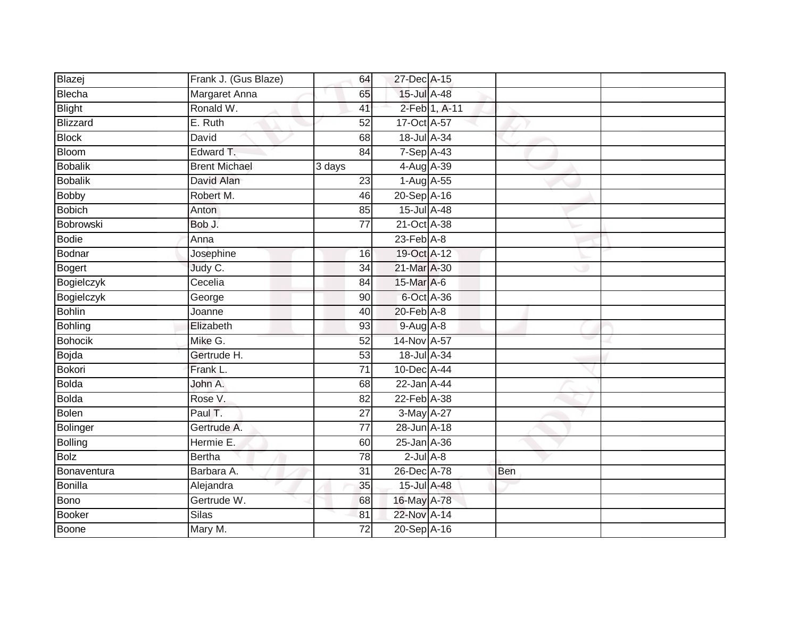| Blazej            | Frank J. (Gus Blaze) | 64              | 27-Dec A-15                  |               |     |  |
|-------------------|----------------------|-----------------|------------------------------|---------------|-----|--|
| Blecha            | Margaret Anna        | 65              | 15-Jul A-48                  |               |     |  |
| <b>Blight</b>     | Ronald W.            | 41              |                              | 2-Feb 1, A-11 |     |  |
| Blizzard          | E. Ruth              | 52              | $17$ -Oct $\overline{A}$ -57 |               |     |  |
| <b>Block</b>      | David                | 68              | 18-Jul A-34                  |               |     |  |
| Bloom             | Edward T.            | 84              | 7-Sep A-43                   |               |     |  |
| Bobalik           | <b>Brent Michael</b> | 3 days          | 4-Aug A-39                   |               |     |  |
| <b>Bobalik</b>    | David Alan           | 23              | 1-Aug A-55                   |               |     |  |
| <b>Bobby</b>      | Robert M.            | 46              | 20-Sep A-16                  |               |     |  |
| <b>Bobich</b>     | Anton                | 85              | 15-Jul A-48                  |               |     |  |
| Bobrowski         | Bob J.               | 77              | 21-Oct A-38                  |               |     |  |
| Bodie             | Anna                 |                 | $23$ -Feb $A-8$              |               |     |  |
| Bodnar            | Josephine            | 16              | 19-Oct A-12                  |               |     |  |
| Bogert            | Judy C.              | 34              | 21-Mar A-30                  |               |     |  |
| <b>Bogielczyk</b> | Cecelia              | 84              | 15-Mar A-6                   |               |     |  |
| Bogielczyk        | George               | 90              | 6-Oct A-36                   |               |     |  |
| <b>Bohlin</b>     | Joanne               | 40              | 20-Feb A-8                   |               |     |  |
| <b>Bohling</b>    | Elizabeth            | 93              | $9-Aug$ $A-8$                |               |     |  |
| <b>Bohocik</b>    | Mike G.              | 52              | 14-Nov A-57                  |               |     |  |
| Bojda             | Gertrude H.          | 53              | 18-Jul A-34                  |               |     |  |
| <b>Bokori</b>     | Frank L.             | 71              | 10-Dec A-44                  |               |     |  |
| <b>Bolda</b>      | John A.              | 68              | 22-Jan A-44                  |               |     |  |
| Bolda             | Rose V.              | 82              | 22-Feb A-38                  |               |     |  |
| Bolen             | Paul T.              | 27              | 3-May A-27                   |               |     |  |
| Bolinger          | Gertrude A.          | $\overline{77}$ | 28-Jun A-18                  |               |     |  |
| <b>Bolling</b>    | Hermie E.            | 60              | 25-Jan A-36                  |               |     |  |
| <b>Bolz</b>       | <b>Bertha</b>        | $\overline{78}$ | $2$ -Jul $A-8$               |               |     |  |
| Bonaventura       | Barbara A.           | 31              | 26-Dec A-78                  |               | Ben |  |
| Bonilla           | Alejandra            | 35              | 15-Jul A-48                  |               |     |  |
| <b>Bono</b>       | Gertrude W.          | 68              | 16-May A-78                  |               |     |  |
| Booker            | Silas                | 81              | 22-Nov A-14                  |               |     |  |
| <b>Boone</b>      | Mary M.              | 72              | 20-Sep A-16                  |               |     |  |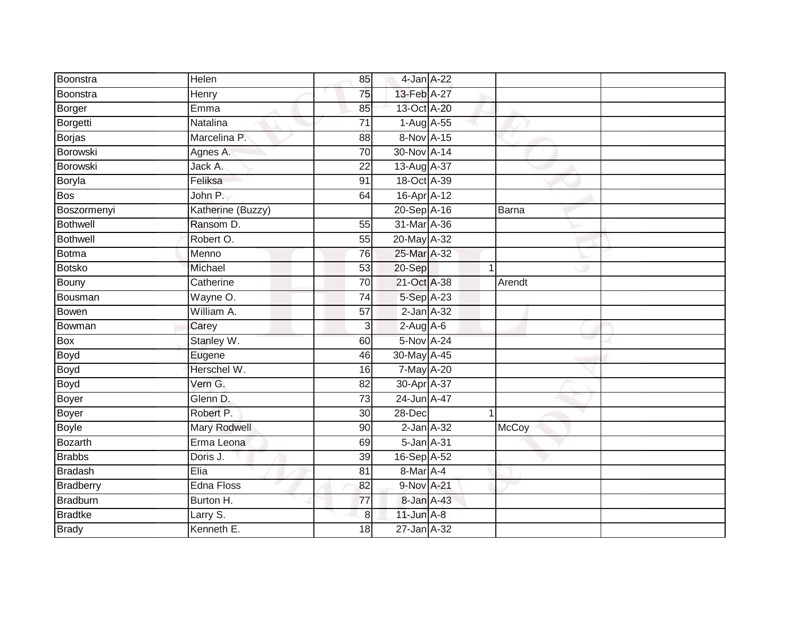| Boonstra         | Helen             | 85              | 4-Jan A-22      |        |  |
|------------------|-------------------|-----------------|-----------------|--------|--|
| Boonstra         | Henry             | 75              | 13-Feb A-27     |        |  |
| Borger           | Emma              | 85              | 13-Oct A-20     |        |  |
| Borgetti         | Natalina          | $\overline{71}$ | 1-Aug A-55      |        |  |
| <b>Borjas</b>    | Marcelina P.      | $\overline{88}$ | 8-Nov A-15      |        |  |
| Borowski         | Agnes A.          | $\overline{70}$ | 30-Nov A-14     |        |  |
| Borowski         | Jack A.           | 22              | 13-Aug A-37     |        |  |
| <b>Boryla</b>    | Feliksa           | 91              | 18-Oct A-39     |        |  |
| Bos              | John P.           | 64              | 16-Apr A-12     |        |  |
| Boszormenyi      | Katherine (Buzzy) |                 | 20-Sep A-16     | Barna  |  |
| Bothwell         | Ransom D.         | 55              | 31-Mar A-36     |        |  |
| Bothwell         | Robert O.         | 55              | 20-May A-32     |        |  |
| <b>Botma</b>     | Menno             | 76              | 25-Mar A-32     |        |  |
| <b>Botsko</b>    | Michael           | 53              | 20-Sep          | 1      |  |
| Bouny            | Catherine         | 70              | 21-Oct A-38     | Arendt |  |
| Bousman          | Wayne O.          | 74              | 5-Sep A-23      |        |  |
| Bowen            | William A.        | $\overline{57}$ | $2$ -Jan $A-32$ |        |  |
| Bowman           | Carey             | 3               | $2-Aug$ A-6     |        |  |
| Box              | Stanley W.        | 60              | 5-Nov A-24      |        |  |
| Boyd             | Eugene            | 46              | 30-May A-45     |        |  |
| Boyd             | Herschel W.       | 16              | 7-May A-20      |        |  |
| Boyd             | Vern G.           | $\overline{82}$ | 30-Apr A-37     |        |  |
| Boyer            | Glenn D.          | 73              | 24-Jun A-47     |        |  |
| <b>Boyer</b>     | Robert P.         | 30 <sup>1</sup> | 28-Dec          |        |  |
| <b>Boyle</b>     | Mary Rodwell      | 90              | $2$ -Jan $A-32$ | McCoy  |  |
| <b>Bozarth</b>   | Erma Leona        | 69              | 5-Jan A-31      |        |  |
| <b>Brabbs</b>    | Doris J.          | 39              | 16-Sep A-52     |        |  |
| <b>Bradash</b>   | Elia              | 81              | 8-Mar A-4       |        |  |
| <b>Bradberry</b> | Edna Floss        | 82              | 9-Nov A-21      |        |  |
| Bradburn         | Burton H.         | 77              | 8-Jan A-43      |        |  |
| <b>Bradtke</b>   | Larry S.          | 8               | $11$ -Jun $A-8$ |        |  |
| <b>Brady</b>     | Kenneth E.        | 18              | 27-Jan A-32     |        |  |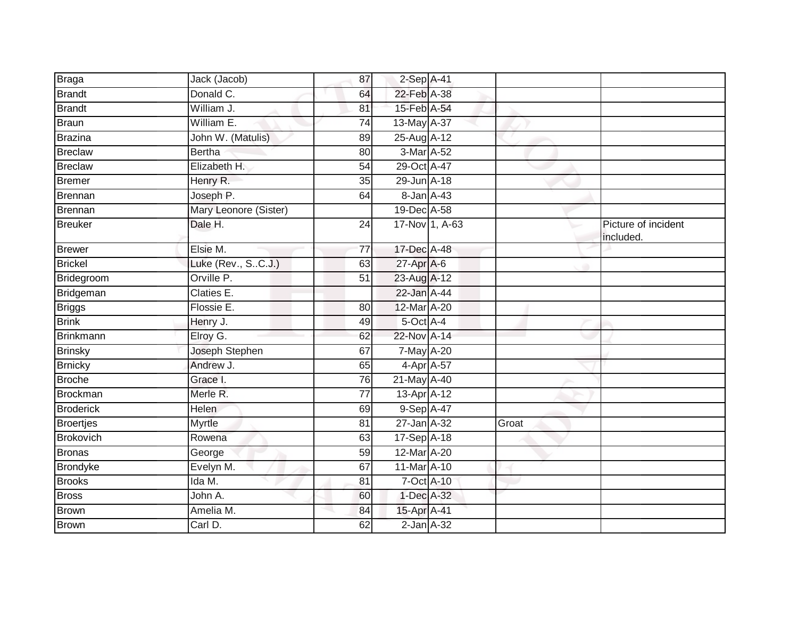| <b>Braga</b>     | Jack (Jacob)          | 87              | 2-Sep A-41        |                |       |                                  |
|------------------|-----------------------|-----------------|-------------------|----------------|-------|----------------------------------|
| <b>Brandt</b>    | Donald C.             | 64              | 22-Feb A-38       |                |       |                                  |
| <b>Brandt</b>    | William J.            | 81              | 15-Feb A-54       |                |       |                                  |
| Braun            | William E.            | 74              | 13-May A-37       |                |       |                                  |
| Brazina          | John W. (Matulis)     | 89              | 25-Aug A-12       |                |       |                                  |
| Breclaw          | <b>Bertha</b>         | 80              | 3-Mar A-52        |                |       |                                  |
| Breclaw          | Elizabeth H.          | 54              | 29-Oct A-47       |                |       |                                  |
| Bremer           | Henry R.              | 35              | 29-Jun A-18       |                |       |                                  |
| Brennan          | Joseph P.             | 64              | 8-Jan A-43        |                |       |                                  |
| Brennan          | Mary Leonore (Sister) |                 | 19-Dec A-58       |                |       |                                  |
| Breuker          | Dale H.               | $\overline{24}$ |                   | 17-Nov 1, A-63 |       | Picture of incident<br>included. |
| Brewer           | Elsie M.              | $\overline{77}$ | 17-Dec A-48       |                |       |                                  |
| Brickel          | Luke (Rev., SC.J.)    | 63              | $27$ -Apr $A$ -6  |                |       |                                  |
| Bridegroom       | Orville P.            | 51              | 23-Aug A-12       |                |       |                                  |
| Bridgeman        | Claties E.            |                 | 22-Jan A-44       |                |       |                                  |
| <b>Briggs</b>    | Flossie E.            | 80              | 12-Mar A-20       |                |       |                                  |
| <b>Brink</b>     | Henry J.              | 49              | $5$ -Oct $A$ -4   |                |       |                                  |
| <b>Brinkmann</b> | Elroy G.              | 62              | 22-Nov A-14       |                |       |                                  |
| <b>Brinsky</b>   | Joseph Stephen        | 67              | 7-May A-20        |                |       |                                  |
| <b>Brnicky</b>   | Andrew J.             | 65              | 4-Apr A-57        |                |       |                                  |
| Broche           | Grace I.              | 76              | 21-May A-40       |                |       |                                  |
| Brockman         | Merle R.              | $\overline{77}$ | $13$ -Apr $A$ -12 |                |       |                                  |
| <b>Broderick</b> | <b>Helen</b>          | 69              | 9-Sep A-47        |                |       |                                  |
| Broertjes        | <b>Myrtle</b>         | 81              | 27-Jan A-32       |                | Groat |                                  |
| <b>Brokovich</b> | Rowena                | 63              | 17-Sep A-18       |                |       |                                  |
| <b>Bronas</b>    | George                | 59              | 12-Mar A-20       |                |       |                                  |
| Brondyke         | Evelyn M.             | 67              | 11-Mar A-10       |                |       |                                  |
| <b>Brooks</b>    | Ida M.                | 81              | 7-Oct A-10        |                |       |                                  |
| <b>Bross</b>     | John A.               | 60              | 1-Dec A-32        |                |       |                                  |
| Brown            | Amelia M.             | 84              | 15-Apr A-41       |                |       |                                  |
| <b>Brown</b>     | Carl D.               | 62              | $2$ -Jan $A$ -32  |                |       |                                  |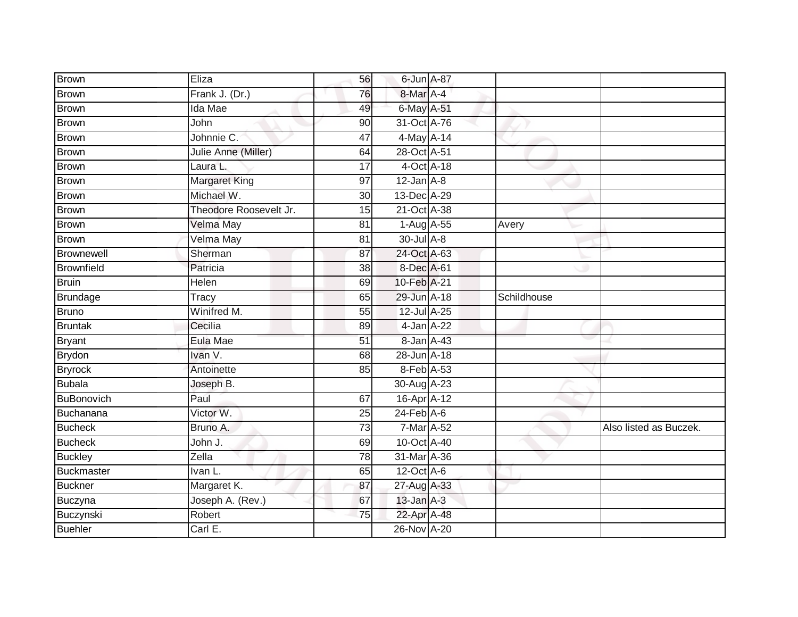| Brown             | Eliza                  | 56              | 6-Jun A-87       |             |                        |
|-------------------|------------------------|-----------------|------------------|-------------|------------------------|
| <b>Brown</b>      | Frank J. (Dr.)         | 76              | 8-Mar A-4        |             |                        |
| <b>Brown</b>      | Ida Mae                | 49              | 6-May A-51       |             |                        |
| <b>Brown</b>      | John                   | 90              | 31-Oct A-76      |             |                        |
| <b>Brown</b>      | Johnnie C.             | 47              | 4-May A-14       |             |                        |
| <b>Brown</b>      | Julie Anne (Miller)    | 64              | 28-Oct A-51      |             |                        |
| <b>Brown</b>      | Laura L.               | 17              | 4-Oct A-18       |             |                        |
| <b>Brown</b>      | <b>Margaret King</b>   | 97              | $12$ -Jan $A-8$  |             |                        |
| <b>Brown</b>      | Michael W.             | 30              | 13-Dec A-29      |             |                        |
| <b>Brown</b>      | Theodore Roosevelt Jr. | 15              | 21-Oct A-38      |             |                        |
| <b>Brown</b>      | <b>Velma May</b>       | 81              | $1-Aug$ $A-55$   | Avery       |                        |
| <b>Brown</b>      | Velma May              | 81              | 30-Jul A-8       |             |                        |
| Brownewell        | Sherman                | 87              | 24-Oct A-63      |             |                        |
| <b>Brownfield</b> | Patricia               | 38              | 8-Dec A-61       |             |                        |
| <b>Bruin</b>      | Helen                  | 69              | 10-Feb A-21      |             |                        |
| Brundage          | Tracy                  | 65              | 29-Jun A-18      | Schildhouse |                        |
| <b>Bruno</b>      | Winifred M.            | $\overline{55}$ | 12-Jul A-25      |             |                        |
| <b>Bruntak</b>    | Cecilia                | 89              | 4-Jan A-22       |             |                        |
| <b>Bryant</b>     | Eula Mae               | 51              | 8-Jan A-43       |             |                        |
| <b>Brydon</b>     | Ivan V.                | 68              | 28-Jun A-18      |             |                        |
| <b>Bryrock</b>    | Antoinette             | 85              | 8-Feb A-53       |             |                        |
| <b>Bubala</b>     | Joseph B.              |                 | 30-Aug A-23      |             |                        |
| <b>BuBonovich</b> | Paul                   | 67              | 16-Apr A-12      |             |                        |
| Buchanana         | Victor W.              | 25              | $24$ -Feb $A$ -6 |             |                        |
| <b>Bucheck</b>    | Bruno A.               | 73              | 7-Mar A-52       |             | Also listed as Buczek. |
| <b>Bucheck</b>    | John J.                | 69              | 10-Oct A-40      |             |                        |
| <b>Buckley</b>    | Zella                  | 78              | 31-Mar A-36      |             |                        |
| <b>Buckmaster</b> | Ivan L.                | 65              | $12$ -Oct $A$ -6 |             |                        |
| <b>Buckner</b>    | Margaret K.            | 87              | 27-Aug A-33      |             |                        |
| Buczyna           | Joseph A. (Rev.)       | 67              | $13$ -Jan $A-3$  |             |                        |
| Buczynski         | Robert                 | 75              | 22-Apr A-48      |             |                        |
| <b>Buehler</b>    | Carl E.                |                 | 26-Nov A-20      |             |                        |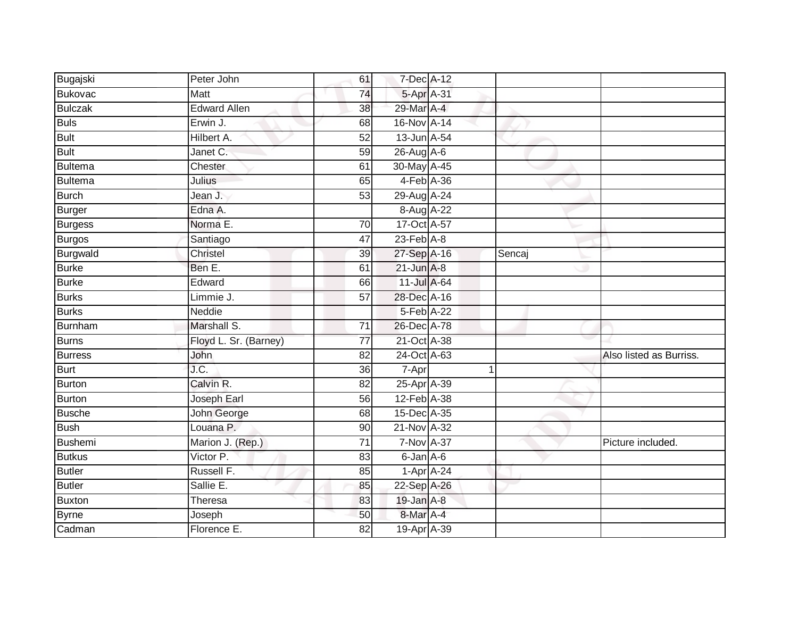| Bugajski       | Peter John            | 61              | 7-Dec A-12        |        |                         |
|----------------|-----------------------|-----------------|-------------------|--------|-------------------------|
| <b>Bukovac</b> | Matt                  | 74              | 5-Apr A-31        |        |                         |
| <b>Bulczak</b> | <b>Edward Allen</b>   | 38              | 29-Mar A-4        |        |                         |
| <b>Buls</b>    | Erwin J.              | 68              | 16-Nov A-14       |        |                         |
| <b>Bult</b>    | Hilbert A.            | 52              | 13-Jun A-54       |        |                         |
| <b>Bult</b>    | Janet C.              | 59              | 26-Aug A-6        |        |                         |
| Bultema        | Chester               | 61              | 30-May A-45       |        |                         |
| Bultema        | Julius                | 65              | 4-Feb A-36        |        |                         |
| Burch          | Jean J.               | 53              | 29-Aug A-24       |        |                         |
| <b>Burger</b>  | Edna A.               |                 | 8-Aug A-22        |        |                         |
| <b>Burgess</b> | Norma E.              | 70              | 17-Oct A-57       |        |                         |
| Burgos         | Santiago              | $\overline{47}$ | $23$ -Feb $A-8$   |        |                         |
| Burgwald       | Christel              | 39              | 27-Sep A-16       | Sencaj |                         |
| <b>Burke</b>   | Ben E.                | 61              | $21$ -Jun $A-8$   |        |                         |
| <b>Burke</b>   | Edward                | 66              | 11-Jul A-64       |        |                         |
| Burks          | Limmie J.             | 57              | 28-Dec A-16       |        |                         |
| <b>Burks</b>   | Neddie                |                 | 5-Feb A-22        |        |                         |
| <b>Burnham</b> | Marshall S.           | 71              | 26-Dec A-78       |        |                         |
| <b>Burns</b>   | Floyd L. Sr. (Barney) | $\overline{77}$ | 21-Oct A-38       |        |                         |
| <b>Burress</b> | John                  | 82              | 24-Oct A-63       |        | Also listed as Burriss. |
| <b>Burt</b>    | J.C.                  | 36              | 7-Apr             |        |                         |
| Burton         | Calvin R.             | 82              | 25-Apr A-39       |        |                         |
| <b>Burton</b>  | Joseph Earl           | 56              | 12-Feb A-38       |        |                         |
| <b>Busche</b>  | John George           | 68              | 15-Dec A-35       |        |                         |
| <b>Bush</b>    | Louana P.             | 90              | 21-Nov A-32       |        |                         |
| Bushemi        | Marion J. (Rep.)      | $\overline{71}$ | <b>7-Nov A-37</b> |        | Picture included.       |
| <b>Butkus</b>  | Victor P.             | 83              | 6-Jan A-6         |        |                         |
| <b>Butler</b>  | Russell F.            | 85              | $1-Apr$ A-24      |        |                         |
| Butler         | Sallie E.             | 85              | 22-Sep A-26       |        |                         |
| Buxton         | Theresa               | 83              | 19-Jan A-8        |        |                         |
| <b>Byrne</b>   | Joseph                | 50              | 8-Mar A-4         |        |                         |
| Cadman         | Florence E.           | 82              | 19-Apr A-39       |        |                         |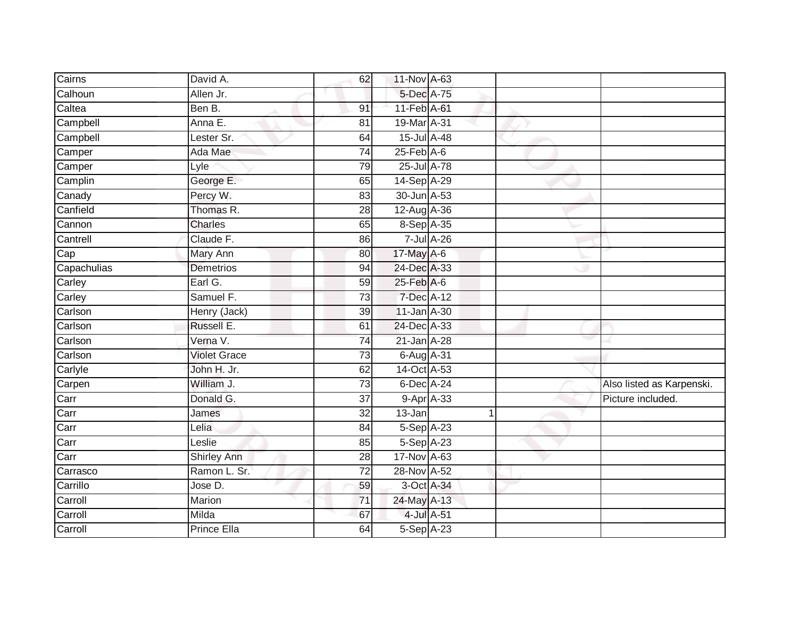| Cairns      | David A.            | 62              | 11-Nov A-63                 |                    |                           |
|-------------|---------------------|-----------------|-----------------------------|--------------------|---------------------------|
| Calhoun     | Allen Jr.           |                 | 5-Dec A-75                  |                    |                           |
| Caltea      | Ben B.              | 91              | 11-Feb A-61                 |                    |                           |
| Campbell    | Anna E.             | 81              | 19-Mar A-31                 |                    |                           |
| Campbell    | Lester Sr.          | 64              | 15-Jul A-48                 |                    |                           |
| Camper      | Ada Mae             | 74              | $25$ -Feb $A$ -6            |                    |                           |
| Camper      | Lyle                | 79              | $25$ -Jul $A-78$            |                    |                           |
| Camplin     | George E.           | 65              | 14-Sep A-29                 |                    |                           |
| Canady      | Percy W.            | 83              | 30-Jun A-53                 |                    |                           |
| Canfield    | Thomas R.           | $\overline{28}$ | 12-Aug A-36                 |                    |                           |
| Cannon      | Charles             | 65              | 8-Sep A-35                  |                    |                           |
| Cantrell    | Claude F.           | 86              |                             | $7 -$ Jul $A - 26$ |                           |
| Cap         | <b>Mary Ann</b>     | 80              | 17-May A-6                  |                    |                           |
| Capachulias | <b>Demetrios</b>    | 94              | 24-Dec A-33                 |                    |                           |
| Carley      | Earl G.             | 59              | $25$ -Feb $\overline{A}$ -6 |                    |                           |
| Carley      | Samuel F.           | 73              | 7-Dec A-12                  |                    |                           |
| Carlson     | Henry (Jack)        | 39              | 11-Jan A-30                 |                    |                           |
| Carlson     | Russell E.          | 61              | 24-Dec A-33                 |                    |                           |
| Carlson     | Verna V.            | 74              | $21 - Jan$ $A-28$           |                    |                           |
| Carlson     | <b>Violet Grace</b> | $\overline{73}$ | 6-Aug A-31                  |                    |                           |
| Carlyle     | John H. Jr.         | 62              | 14-Oct A-53                 |                    |                           |
| Carpen      | William J.          | 73              | 6-Dec A-24                  |                    | Also listed as Karpenski. |
| Carr        | Donald G.           | 37              |                             | $9 - Apr$ $A - 33$ | Picture included.         |
| Carr        | James               | 32              | 13-Jan                      |                    |                           |
| Carr        | Lelia               | 84              | 5-Sep A-23                  |                    |                           |
| Carr        | Leslie              | 85              | $5-Sep$ A-23                |                    |                           |
| Carr        | <b>Shirley Ann</b>  | $\overline{28}$ | 17-Nov A-63                 |                    |                           |
| Carrasco    | Ramon L. Sr.        | 72              | 28-Nov A-52                 |                    |                           |
| Carrillo    | Jose D.             | 59              |                             | 3-Oct A-34         |                           |
| Carroll     | Marion              | 71              | 24-May A-13                 |                    |                           |
| Carroll     | Milda               | 67              |                             | 4-Jul A-51         |                           |
| Carroll     | <b>Prince Ella</b>  | 64              | 5-Sep A-23                  |                    |                           |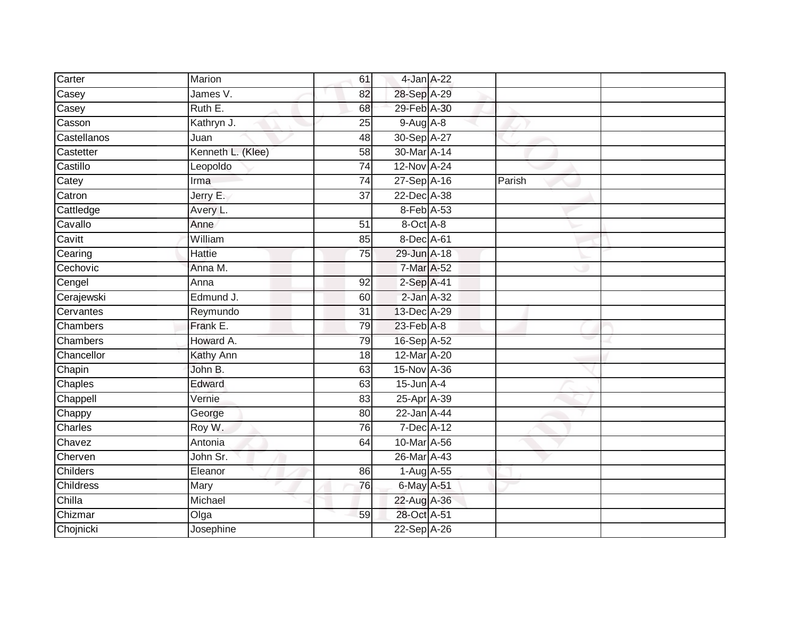| Carter           | Marion            | 61              | 4-Jan A-22      |        |  |
|------------------|-------------------|-----------------|-----------------|--------|--|
| Casey            | James V.          | 82              | 28-Sep A-29     |        |  |
| Casey            | Ruth E.           | 68              | 29-Feb A-30     |        |  |
| Casson           | Kathryn J.        | 25              | $9-Aug$ $A-8$   |        |  |
| Castellanos      | Juan              | 48              | 30-Sep A-27     |        |  |
| Castetter        | Kenneth L. (Klee) | 58              | 30-Mar A-14     |        |  |
| Castillo         | Leopoldo          | $\overline{74}$ | 12-Nov A-24     |        |  |
| Catey            | Irma              | 74              | 27-Sep A-16     | Parish |  |
| Catron           | Jerry E.          | $\overline{37}$ | 22-Dec A-38     |        |  |
| Cattledge        | Avery L.          |                 | 8-Feb A-53      |        |  |
| Cavallo          | Anne              | 51              | 8-Oct A-8       |        |  |
| Cavitt           | William           | 85              | 8-Dec A-61      |        |  |
| Cearing          | <b>Hattie</b>     | 75              | 29-Jun A-18     |        |  |
| Cechovic         | Anna M.           |                 | 7-Mar A-52      |        |  |
| Cengel           | Anna              | 92              | 2-Sep A-41      |        |  |
| Cerajewski       | Edmund J.         | 60              | 2-Jan A-32      |        |  |
| Cervantes        | Reymundo          | $\overline{31}$ | 13-Dec A-29     |        |  |
| Chambers         | Frank E.          | 79              | 23-Feb A-8      |        |  |
| Chambers         | Howard A.         | 79              | 16-Sep A-52     |        |  |
| Chancellor       | Kathy Ann         | $\overline{18}$ | 12-Mar A-20     |        |  |
| Chapin           | John B.           | 63              | 15-Nov A-36     |        |  |
| Chaples          | Edward            | 63              | $15$ -Jun $A-4$ |        |  |
| Chappell         | Vernie            | 83              | 25-Apr A-39     |        |  |
| Chappy           | George            | 80              | 22-Jan A-44     |        |  |
| Charles          | Roy W.            | 76              | 7-Dec A-12      |        |  |
| Chavez           | Antonia           | 64              | 10-Mar A-56     |        |  |
| Cherven          | John Sr.          |                 | 26-Mar A-43     |        |  |
| <b>Childers</b>  | Eleanor           | 86              | 1-Aug A-55      |        |  |
| <b>Childress</b> | Mary              | 76              | 6-May A-51      |        |  |
| Chilla           | Michael           |                 | 22-Aug A-36     |        |  |
| Chizmar          | Olga              | 59              | 28-Oct A-51     |        |  |
| Chojnicki        | Josephine         |                 | 22-Sep A-26     |        |  |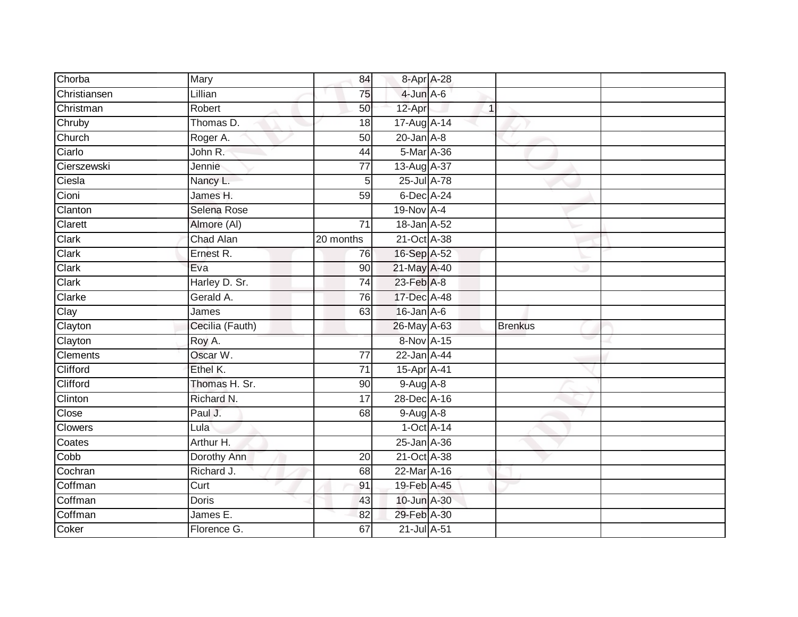| Chorba       | Mary            | 84              | 8-Apr A-28       |              |                |  |
|--------------|-----------------|-----------------|------------------|--------------|----------------|--|
| Christiansen | Lillian         | 75              | $4$ -Jun $A$ -6  |              |                |  |
| Christman    | Robert          | 50              | 12-Apr           | $\mathbf{1}$ |                |  |
| Chruby       | Thomas D.       | 18              | 17-Aug A-14      |              |                |  |
| Church       | Roger A.        | $\overline{50}$ | $20$ -Jan $A-8$  |              |                |  |
| Ciarlo       | John R.         | 44              | 5-Mar A-36       |              |                |  |
| Cierszewski  | Jennie          | 77              | $13-Aug$ $A-37$  |              |                |  |
| Ciesla       | Nancy L.        | 5               | 25-Jul A-78      |              |                |  |
| Cioni        | James H.        | 59              | $6$ -Dec $A$ -24 |              |                |  |
| Clanton      | Selena Rose     |                 | 19-Nov A-4       |              |                |  |
| Clarett      | Almore (AI)     | 71              | 18-Jan A-52      |              |                |  |
| Clark        | Chad Alan       | 20 months       | 21-Oct A-38      |              |                |  |
| Clark        | Ernest R.       | 76              | 16-Sep A-52      |              |                |  |
| Clark        | Eva             | 90              | 21-May A-40      |              |                |  |
| Clark        | Harley D. Sr.   | $\overline{74}$ | 23-Feb A-8       |              |                |  |
| Clarke       | Gerald A.       | 76              | 17-Dec A-48      |              |                |  |
| Clay         | James           | 63              | 16-Jan A-6       |              |                |  |
| Clayton      | Cecilia (Fauth) |                 | 26-May A-63      |              | <b>Brenkus</b> |  |
| Clayton      | Roy A.          |                 | 8-Nov A-15       |              |                |  |
| Clements     | Oscar W.        | 77              | 22-Jan A-44      |              |                |  |
| Clifford     | Ethel K.        | 71              | 15-Apr A-41      |              |                |  |
| Clifford     | Thomas H. Sr.   | 90              | 9-Aug A-8        |              |                |  |
| Clinton      | Richard N.      | 17              | 28-Dec A-16      |              |                |  |
| Close        | Paul J.         | 68              | $9-Aug$ A-8      |              |                |  |
| Clowers      | Lula            |                 | 1-Oct A-14       |              |                |  |
| Coates       | Arthur H.       |                 | 25-Jan A-36      |              |                |  |
| Cobb         | Dorothy Ann     | 20              | 21-Oct A-38      |              |                |  |
| Cochran      | Richard J.      | 68              | 22-Mar A-16      |              |                |  |
| Coffman      | Curt            | 91              | 19-Feb A-45      |              |                |  |
| Coffman      | <b>Doris</b>    | 43              | 10-Jun A-30      |              |                |  |
| Coffman      | James E.        | 82              | 29-Feb A-30      |              |                |  |
| Coker        | Florence G.     | 67              | 21-Jul A-51      |              |                |  |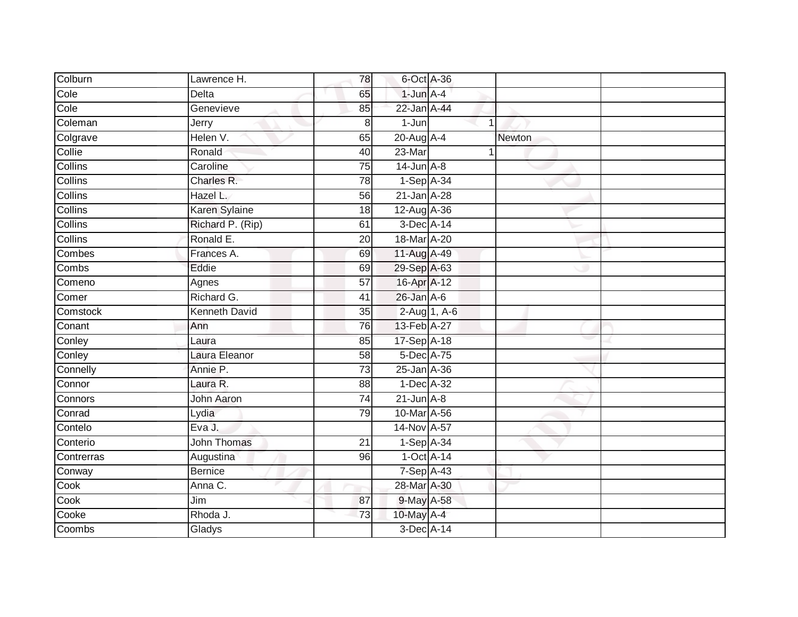| Colburn        | Lawrence H.          | 78              | 6-Oct A-36       |                |               |  |
|----------------|----------------------|-----------------|------------------|----------------|---------------|--|
| Cole           | <b>Delta</b>         | 65              | $1$ -Jun $A-4$   |                |               |  |
| Cole           | Genevieve            | 85              | 22-Jan A-44      |                |               |  |
| Coleman        | Jerry                | 8               | $1-Jun$          | $\mathbf 1$    |               |  |
| Colgrave       | Helen V.             | 65              | $20$ -Aug $A$ -4 |                | <b>Newton</b> |  |
| Collie         | Ronald               | 40              | $23$ -Mar        | $\overline{1}$ |               |  |
| Collins        | Caroline             | $\overline{75}$ | $14$ -Jun $A-8$  |                |               |  |
| Collins        | Charles R.           | 78              | $1-Sep$ A-34     |                |               |  |
| <b>Collins</b> | Hazel L.             | 56              | 21-Jan A-28      |                |               |  |
| Collins        | Karen Sylaine        | 18              | 12-Aug A-36      |                |               |  |
| Collins        | Richard P. (Rip)     | 61              | $3$ -Dec $A$ -14 |                |               |  |
| Collins        | Ronald E.            | 20              | 18-Mar A-20      |                |               |  |
| Combes         | Frances A.           | 69              | 11-Aug A-49      |                |               |  |
| Combs          | Eddie                | 69              | 29-Sep A-63      |                |               |  |
| Comeno         | Agnes                | $\overline{57}$ | 16-Apr A-12      |                |               |  |
| Comer          | Richard G.           | 41              | $26$ -Jan $A-6$  |                |               |  |
| Comstock       | <b>Kenneth David</b> | $\overline{35}$ | 2-Aug 1, A-6     |                |               |  |
| Conant         | Ann                  | 76              | 13-Feb A-27      |                |               |  |
| Conley         | Laura                | 85              | 17-Sep A-18      |                |               |  |
| Conley         | Laura Eleanor        | 58              | 5-Dec A-75       |                |               |  |
| Connelly       | Annie P.             | $\overline{73}$ | 25-Jan A-36      |                |               |  |
| Connor         | Laura R.             | 88              | 1-Dec A-32       |                |               |  |
| Connors        | <b>John Aaron</b>    | 74              | $21$ -Jun $A-8$  |                |               |  |
| Conrad         | Lydia                | 79              | 10-Mar A-56      |                |               |  |
| Contelo        | Eva J.               |                 | 14-Nov A-57      |                |               |  |
| Conterio       | John Thomas          | 21              | $1-SepA-34$      |                |               |  |
| Contrerras     | Augustina            | 96              | 1-Oct A-14       |                |               |  |
| Conway         | <b>Bernice</b>       |                 | 7-Sep A-43       |                |               |  |
| Cook           | Anna C.              |                 | 28-Mar A-30      |                |               |  |
| Cook           | Jim                  | 87              | 9-May A-58       |                |               |  |
| Cooke          | Rhoda J.             | 73              | 10-May A-4       |                |               |  |
| Coombs         | Gladys               |                 | 3-Dec A-14       |                |               |  |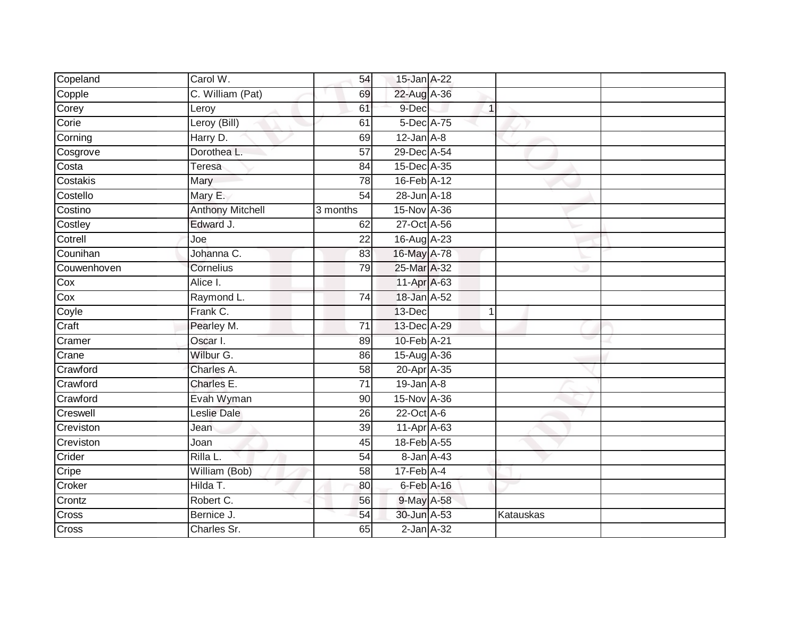| Copeland                  | Carol W.                | 54                   | 15-Jan A-22                 |              |           |  |
|---------------------------|-------------------------|----------------------|-----------------------------|--------------|-----------|--|
| Copple                    | C. William (Pat)        | 69                   | 22-Aug A-36                 |              |           |  |
| Corey                     | Leroy                   | 61                   | 9-Dec                       | $\mathbf{1}$ |           |  |
| Corie                     | Leroy (Bill)            | 61                   | 5-Dec A-75                  |              |           |  |
| Corning                   | Harry D.                | 69                   | $12$ -Jan $A-8$             |              |           |  |
| Cosgrove                  | Dorothea L.             | 57                   | 29-Dec A-54                 |              |           |  |
| Costa                     | <b>Teresa</b>           | 84                   | 15-Dec A-35                 |              |           |  |
| Costakis                  | Mary                    | 78                   | 16-Feb A-12                 |              |           |  |
| Costello                  | Mary E.                 | 54                   | 28-Jun A-18                 |              |           |  |
| Costino                   | <b>Anthony Mitchell</b> | $\frac{1}{3}$ months | 15-Nov A-36                 |              |           |  |
| Costley                   | Edward J.               | 62                   | 27-Oct A-56                 |              |           |  |
| Cotrell                   | Joe                     | $\overline{22}$      | 16-Aug A-23                 |              |           |  |
| Counihan                  | Johanna C.              | 83                   | 16-May A-78                 |              |           |  |
| Couwenhoven               | Cornelius               | 79                   | 25-Mar A-32                 |              |           |  |
| Cox                       | Alice I.                |                      | 11-Apr A-63                 |              |           |  |
| Cox                       | Raymond L.              | 74                   | 18-Jan A-52                 |              |           |  |
| Coyle                     | Frank C.                |                      | 13-Dec                      | $\mathbf{1}$ |           |  |
| Craft                     | Pearley M.              | $\overline{71}$      | 13-Dec A-29                 |              |           |  |
| Cramer                    | Oscar I.                | 89                   | 10-Feb A-21                 |              |           |  |
| Crane                     | Wilbur G.               | 86                   | 15-Aug A-36                 |              |           |  |
| Crawford                  | Charles A.              | 58                   | 20-Apr A-35                 |              |           |  |
| Crawford                  | Charles E.              | $\overline{71}$      | $19$ -Jan $A-8$             |              |           |  |
| Crawford                  | Evah Wyman              | 90                   | 15-Nov A-36                 |              |           |  |
| Creswell                  | Leslie Dale             | 26                   | 22-Oct A-6                  |              |           |  |
| Creviston                 | Jean                    | $\overline{39}$      | 11-Apr A-63                 |              |           |  |
| Creviston                 | Joan                    | 45                   | 18-Feb A-55                 |              |           |  |
| Crider                    | Rilla L.                | 54                   | 8-Jan A-43                  |              |           |  |
| $\overline{\text{Cripe}}$ | William (Bob)           | 58                   | $17$ -Feb $\overline{A}$ -4 |              |           |  |
| Croker                    | Hilda T.                | 80                   | $6$ -Feb $A$ -16            |              |           |  |
| Crontz                    | Robert C.               | 56                   | 9-May A-58                  |              |           |  |
| Cross                     | Bernice J.              | 54                   | 30-Jun A-53                 |              | Katauskas |  |
| Cross                     | Charles Sr.             | 65                   | $2$ -Jan $A-32$             |              |           |  |
|                           |                         |                      |                             |              |           |  |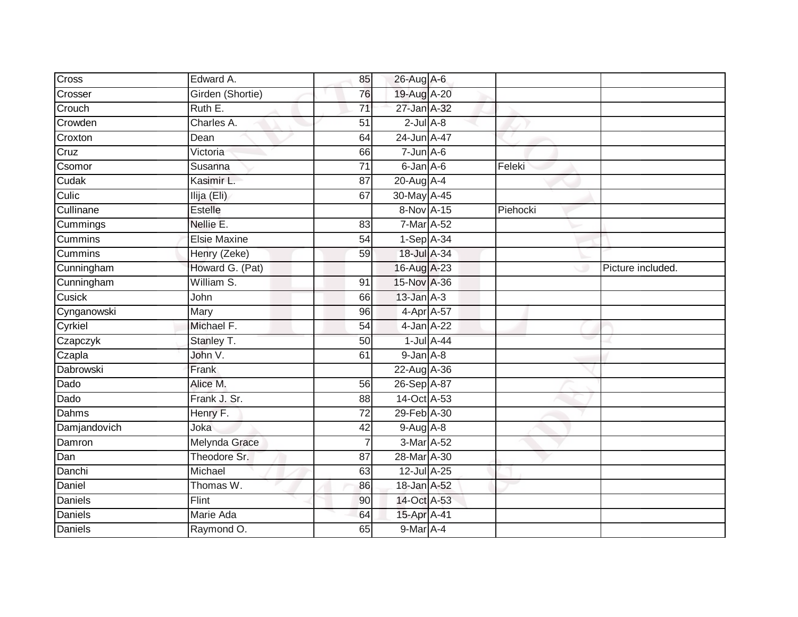| Cross          | Edward A.           | 85              | 26-Aug A-6      |            |          |                   |
|----------------|---------------------|-----------------|-----------------|------------|----------|-------------------|
| Crosser        | Girden (Shortie)    | 76              | 19-Aug A-20     |            |          |                   |
| Crouch         | Ruth E.             | $\overline{71}$ | 27-Jan A-32     |            |          |                   |
| Crowden        | Charles A.          | 51              | $2$ -Jul $A-8$  |            |          |                   |
| Croxton        | Dean                | 64              | 24-Jun A-47     |            |          |                   |
| Cruz           | Victoria            | 66              | $7 - Jun$ A-6   |            |          |                   |
| Csomor         | Susanna             | $\overline{71}$ | 6-Jan A-6       |            | Feleki   |                   |
| Cudak          | Kasimir L.          | 87              | 20-Aug A-4      |            |          |                   |
| Culic          | Ilija (Eli)         | 67              | 30-May A-45     |            |          |                   |
| Cullinane      | Estelle             |                 | 8-Nov A-15      |            | Piehocki |                   |
| Cummings       | Nellie E.           | 83              | $7$ -Mar A-52   |            |          |                   |
| <b>Cummins</b> | <b>Elsie Maxine</b> | 54              | $1-Sep$ A-34    |            |          |                   |
| Cummins        | Henry (Zeke)        | 59              | 18-Jul A-34     |            |          |                   |
| Cunningham     | Howard G. (Pat)     |                 | 16-Aug A-23     |            |          | Picture included. |
| Cunningham     | William S.          | 91              | 15-Nov A-36     |            |          |                   |
| Cusick         | John                | 66              | $13$ -Jan $A-3$ |            |          |                   |
| Cynganowski    | Mary                | 96              | 4-Apr A-57      |            |          |                   |
| Cyrkiel        | Michael F.          | 54              | 4-Jan A-22      |            |          |                   |
| Czapczyk       | Stanley T.          | 50              |                 | 1-Jul A-44 |          |                   |
| Czapla         | John V.             | 61              | $9$ -Jan $A$ -8 |            |          |                   |
| Dabrowski      | Frank               |                 | 22-Aug A-36     |            |          |                   |
| Dado           | Alice M.            | 56              | 26-Sep A-87     |            |          |                   |
| Dado           | Frank J. Sr.        | 88              | 14-Oct A-53     |            |          |                   |
| Dahms          | Henry F.            | 72              | 29-Feb A-30     |            |          |                   |
| Damjandovich   | Joka                | 42              | $9-Aug$ A-8     |            |          |                   |
| Damron         | Melynda Grace       | 7               | 3-Mar A-52      |            |          |                   |
| Dan            | Theodore Sr.        | 87              | 28-Mar A-30     |            |          |                   |
| Danchi         | Michael             | 63              | 12-Jul A-25     |            |          |                   |
| Daniel         | Thomas W.           | 86              | 18-Jan A-52     |            |          |                   |
| Daniels        | <b>Flint</b>        | 90              | 14-Oct A-53     |            |          |                   |
| Daniels        | Marie Ada           | 64              | 15-Apr A-41     |            |          |                   |
| <b>Daniels</b> | Raymond O.          | 65              | 9-Mar A-4       |            |          |                   |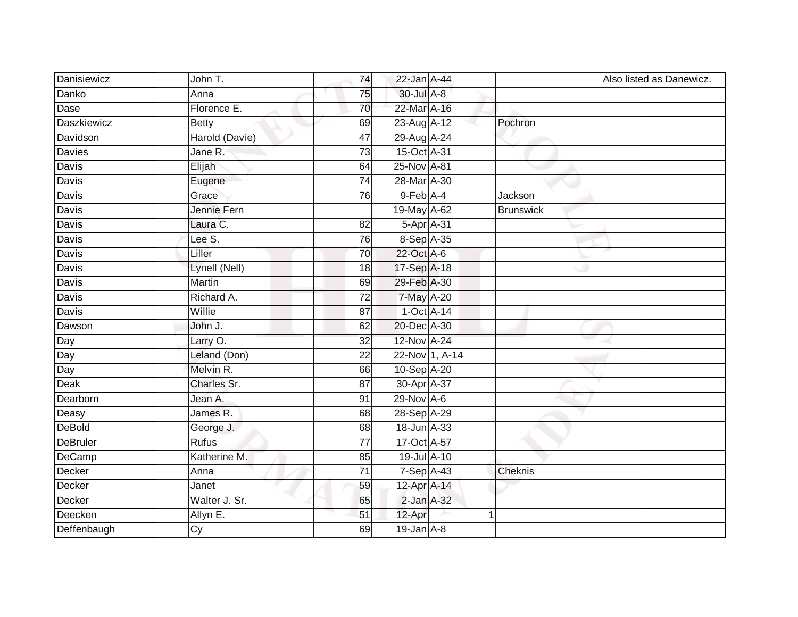| Danisiewicz     | John T.         | 74              | 22-Jan A-44       |                |                  | Also listed as Danewicz. |
|-----------------|-----------------|-----------------|-------------------|----------------|------------------|--------------------------|
| Danko           | Anna            | 75              | 30-Jul A-8        |                |                  |                          |
| Dase            | Florence E.     | 70              | 22-Mar A-16       |                |                  |                          |
| Daszkiewicz     | <b>Betty</b>    | 69              | 23-Aug A-12       |                | Pochron          |                          |
| Davidson        | Harold (Davie)  | 47              | 29-Aug A-24       |                |                  |                          |
| <b>Davies</b>   | Jane R.         | $\overline{73}$ | 15-Oct A-31       |                |                  |                          |
| Davis           | Elijah          | 64              | 25-Nov A-81       |                |                  |                          |
| Davis           | Eugene          | 74              | 28-Mar A-30       |                |                  |                          |
| Davis           | Grace           | 76              | 9-Feb A-4         |                | Jackson          |                          |
| Davis           | Jennie Fern     |                 | 19-May A-62       |                | <b>Brunswick</b> |                          |
| Davis           | Laura C.        | 82              | 5-Apr A-31        |                |                  |                          |
| Davis           | Lee S.          | 76              | 8-Sep A-35        |                |                  |                          |
| Davis           | Liller          | 70              | 22-Oct A-6        |                |                  |                          |
| Davis           | Lynell (Nell)   | 18              | 17-Sep A-18       |                |                  |                          |
| <b>Davis</b>    | <b>Martin</b>   | 69              | 29-Feb A-30       |                |                  |                          |
| Davis           | Richard A.      | 72              | 7-May A-20        |                |                  |                          |
| Davis           | Willie          | 87              | $1-Oct$ $A-14$    |                |                  |                          |
| Dawson          | John J.         | 62              | 20-Dec A-30       |                |                  |                          |
| Day             | Larry O.        | 32              | 12-Nov A-24       |                |                  |                          |
| Day             | Leland (Don)    | 22              |                   | 22-Nov 1, A-14 |                  |                          |
| Day             | Melvin R.       | 66              | 10-Sep A-20       |                |                  |                          |
| Deak            | Charles Sr.     | $\overline{87}$ | 30-Apr A-37       |                |                  |                          |
| Dearborn        | Jean A.         | 91              | $29-Nov$ A-6      |                |                  |                          |
| Deasy           | James R.        | 68              | 28-Sep A-29       |                |                  |                          |
| <b>DeBold</b>   | George J.       | 68              | 18-Jun A-33       |                |                  |                          |
| <b>DeBruler</b> | <b>Rufus</b>    | 77              | 17-Oct A-57       |                |                  |                          |
| DeCamp          | Katherine M.    | 85              | 19-Jul A-10       |                |                  |                          |
| Decker          | Anna            | $\overline{71}$ | 7-Sep A-43        |                | Cheknis          |                          |
| Decker          | Janet           | 59              | $12$ -Apr $A$ -14 |                |                  |                          |
| Decker          | Walter J. Sr.   | 65              | 2-Jan A-32        |                |                  |                          |
| Deecken         | Allyn E.        | 51              | 12-Apr            | 1              |                  |                          |
| Deffenbaugh     | $\overline{Cy}$ | 69              | $19$ -Jan $A-8$   |                |                  |                          |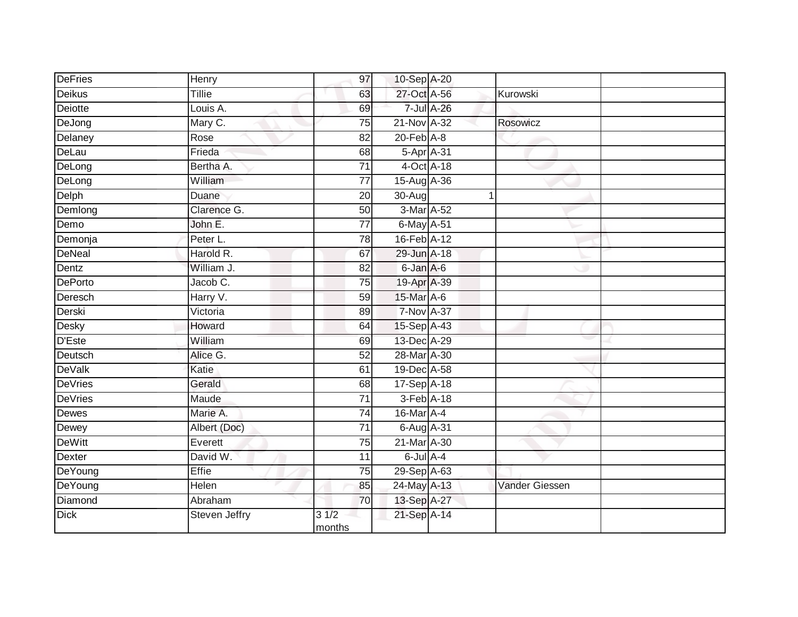| <b>DeFries</b> | Henry         | 97                        | 10-Sep A-20                 |                       |  |
|----------------|---------------|---------------------------|-----------------------------|-----------------------|--|
| <b>Deikus</b>  | Tillie        | 63                        | 27-Oct A-56                 | Kurowski              |  |
| Deiotte        | Louis A.      | 69                        | 7-Jul A-26                  |                       |  |
| DeJong         | Mary C.       | 75                        | 21-Nov A-32                 | Rosowicz              |  |
| Delaney        | Rose          | $\overline{82}$           | $20$ -Feb $A-8$             |                       |  |
| DeLau          | Frieda        | 68                        | 5-Apr A-31                  |                       |  |
| DeLong         | Bertha A.     | 71                        | $4$ -Oct $\overline{A}$ -18 |                       |  |
| DeLong         | William       | 77                        | 15-Aug A-36                 |                       |  |
| Delph          | Duane         | 20                        | 30-Aug                      |                       |  |
| Demlong        | Clarence G.   | 50                        | 3-Mar A-52                  |                       |  |
| Demo           | John E.       | $\overline{77}$           | 6-May A-51                  |                       |  |
| Demonja        | Peter L.      | 78                        | 16-Feb A-12                 |                       |  |
| <b>DeNeal</b>  | Harold R.     | 67                        | 29-Jun A-18                 |                       |  |
| Dentz          | William J.    | 82                        | 6-Jan A-6                   |                       |  |
| <b>DePorto</b> | Jacob C.      | $\overline{75}$           | 19-Apr A-39                 |                       |  |
| Deresch        | Harry V.      | 59                        | 15-Mar A-6                  |                       |  |
| Derski         | Victoria      | 89                        | 7-Nov A-37                  |                       |  |
| Desky          | Howard        | 64                        | $15-Sep$ A-43               |                       |  |
| <b>D'Este</b>  | William       | 69                        | 13-Dec A-29                 |                       |  |
| Deutsch        | Alice G.      | 52                        | 28-Mar A-30                 |                       |  |
| <b>DeValk</b>  | Katie         | 61                        | 19-Dec A-58                 |                       |  |
| <b>DeVries</b> | Gerald        | 68                        | 17-Sep A-18                 |                       |  |
| <b>DeVries</b> | Maude         | 71                        | 3-Feb A-18                  |                       |  |
| Dewes          | Marie A.      | $\overline{74}$           | 16-Mar A-4                  |                       |  |
| Dewey          | Albert (Doc)  | $\overline{71}$           | 6-Aug A-31                  |                       |  |
| <b>DeWitt</b>  | Everett       | 75                        | 21-Mar A-30                 |                       |  |
| <b>Dexter</b>  | David W.      | 11                        | $6$ -Jul $A$ -4             |                       |  |
| DeYoung        | Effie         | 75                        | 29-Sep A-63                 |                       |  |
| DeYoung        | <b>Helen</b>  | 85                        | 24-May A-13                 | <b>Vander Giessen</b> |  |
| Diamond        | Abraham       | 70                        | 13-Sep A-27                 |                       |  |
| <b>Dick</b>    | Steven Jeffry | $3 \frac{1}{2}$<br>months | 21-Sep A-14                 |                       |  |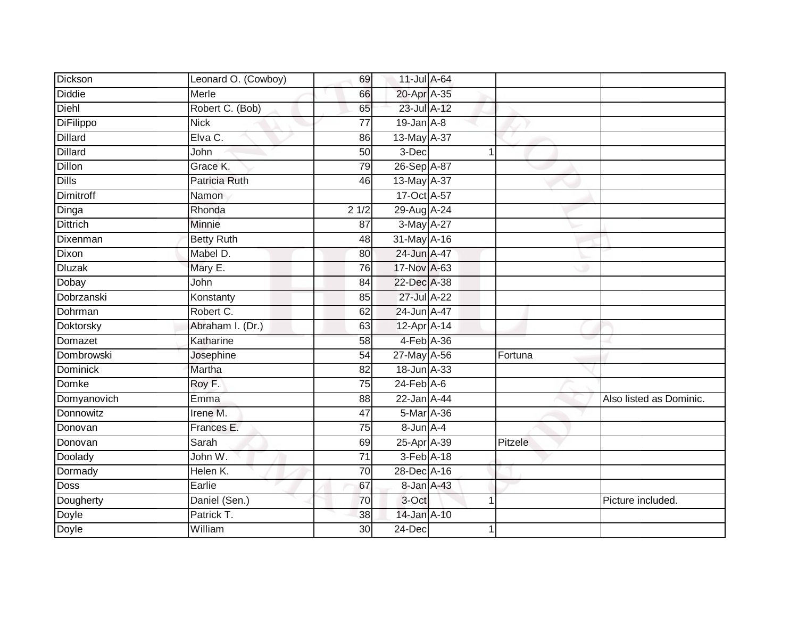| <b>Dickson</b>  | Leonard O. (Cowboy)  | 69              | 11-Jul A-64      |                |         |                         |
|-----------------|----------------------|-----------------|------------------|----------------|---------|-------------------------|
| Diddie          | Merle                | 66              | 20-Apr A-35      |                |         |                         |
| Diehl           | Robert C. (Bob)      | 65              | 23-Jul A-12      |                |         |                         |
| DiFilippo       | <b>Nick</b>          | 77              | $19$ -Jan $A-8$  |                |         |                         |
| <b>Dillard</b>  | Elva C.              | 86              | 13-May A-37      |                |         |                         |
| <b>Dillard</b>  | John                 | 50              | 3-Dec            | $\mathbf{1}$   |         |                         |
| Dillon          | Grace K.             | 79              | 26-Sep A-87      |                |         |                         |
| <b>Dills</b>    | <b>Patricia Ruth</b> | 46              | 13-May A-37      |                |         |                         |
| Dimitroff       | Namon                |                 | 17-Oct A-57      |                |         |                         |
| Dinga           | Rhonda               | 21/2            | 29-Aug A-24      |                |         |                         |
| <b>Dittrich</b> | Minnie               | 87              | 3-May A-27       |                |         |                         |
| Dixenman        | <b>Betty Ruth</b>    | 48              | 31-May A-16      |                |         |                         |
| Dixon           | Mabel D.             | 80              | 24-Jun A-47      |                |         |                         |
| <b>Dluzak</b>   | Mary E.              | 76              | 17-Nov A-63      |                |         |                         |
| Dobay           | John                 | $\overline{84}$ | 22-Dec A-38      |                |         |                         |
| Dobrzanski      | Konstanty            | 85              | 27-Jul A-22      |                |         |                         |
| Dohrman         | Robert C.            | 62              | 24-Jun A-47      |                |         |                         |
| Doktorsky       | Abraham I. (Dr.)     | 63              | 12-Apr A-14      |                |         |                         |
| Domazet         | Katharine            | 58              | 4-Feb A-36       |                |         |                         |
| Dombrowski      | Josephine            | 54              | 27-May A-56      |                | Fortuna |                         |
| <b>Dominick</b> | Martha               | 82              | 18-Jun A-33      |                |         |                         |
| Domke           | Roy F.               | $\overline{75}$ | $24$ -Feb $A$ -6 |                |         |                         |
| Domyanovich     | Emma                 | 88              | 22-Jan A-44      |                |         | Also listed as Dominic. |
| Donnowitz       | Irene M.             | 47              | 5-Mar A-36       |                |         |                         |
| Donovan         | Frances E.           | 75              | $8$ -Jun $A$ -4  |                |         |                         |
| Donovan         | Sarah                | 69              | 25-Apr A-39      |                | Pitzele |                         |
| Doolady         | John W.              | $\overline{71}$ | 3-Feb A-18       |                |         |                         |
| Dormady         | Helen K.             | 70              | 28-Dec A-16      |                |         |                         |
| Doss            | Earlie               | 67              | 8-Jan A-43       |                |         |                         |
| Dougherty       | Daniel (Sen.)        | 70              | 3-Oct            | $\overline{1}$ |         | Picture included.       |
| Doyle           | Patrick T.           | 38              | 14-Jan A-10      |                |         |                         |
| Doyle           | William              | $\overline{30}$ | 24-Dec           | 1              |         |                         |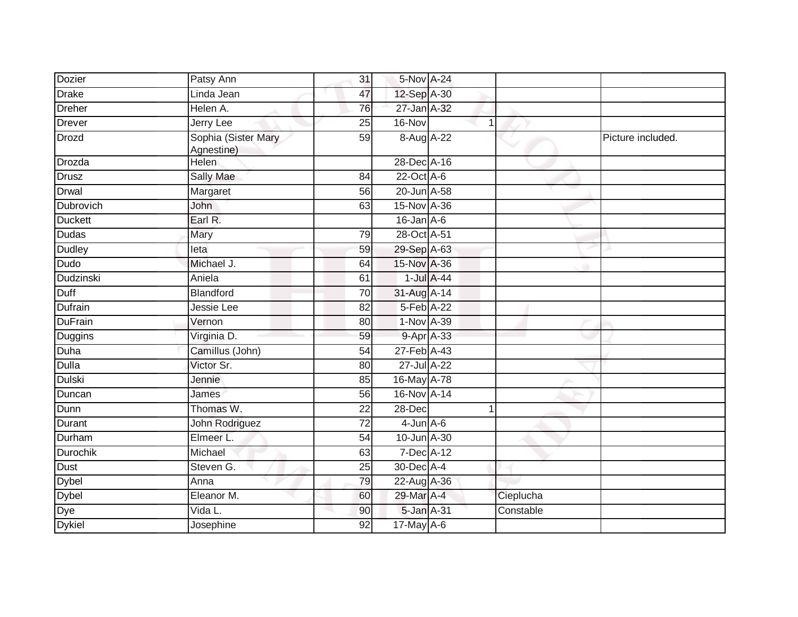| Dozier         | Patsy Ann                         | 31              | 5-Nov A-24       |             |           |                   |
|----------------|-----------------------------------|-----------------|------------------|-------------|-----------|-------------------|
| <b>Drake</b>   | Linda Jean                        | 47              | 12-Sep A-30      |             |           |                   |
| <b>Dreher</b>  | Helen A.                          | 76              | 27-Jan A-32      |             |           |                   |
| <b>Drever</b>  | Jerry Lee                         | 25              | $16-Nov$         | $\mathbf 1$ |           |                   |
| <b>Drozd</b>   | Sophia (Sister Mary<br>Agnestine) | 59              | 8-Aug A-22       |             |           | Picture included. |
| Drozda         | <b>Helen</b>                      |                 | 28-Dec A-16      |             |           |                   |
| <b>Drusz</b>   | <b>Sally Mae</b>                  | 84              | 22-Oct A-6       |             |           |                   |
| Drwal          | Margaret                          | $\overline{56}$ | 20-Jun A-58      |             |           |                   |
| Dubrovich      | John                              | 63              | 15-Nov A-36      |             |           |                   |
| <b>Duckett</b> | Earl R.                           |                 | $16$ -Jan $A$ -6 |             |           |                   |
| <b>Dudas</b>   | Mary                              | 79              | 28-Oct A-51      |             |           |                   |
| <b>Dudley</b>  | leta                              | 59              | 29-Sep A-63      |             |           |                   |
| Dudo           | Michael J.                        | 64              | 15-Nov A-36      |             |           |                   |
| Dudzinski      | Aniela                            | 61              | $1$ -Jul $A$ -44 |             |           |                   |
| Duff           | Blandford                         | 70              | 31-Aug A-14      |             |           |                   |
| Dufrain        | Jessie Lee                        | 82              | 5-Feb A-22       |             |           |                   |
| <b>DuFrain</b> | Vernon                            | 80              | 1-Nov A-39       |             |           |                   |
| Duggins        | Virginia D.                       | 59              | 9-Apr A-33       |             |           |                   |
| Duha           | Camillus (John)                   | 54              | 27-Feb A-43      |             |           |                   |
| <b>Dulla</b>   | Victor Sr.                        | 80              | 27-Jul A-22      |             |           |                   |
| <b>Dulski</b>  | Jennie                            | 85              | 16-May A-78      |             |           |                   |
| Duncan         | James                             | 56              | 16-Nov A-14      |             |           |                   |
| Dunn           | Thomas W.                         | 22              | 28-Dec           | 1           |           |                   |
| Durant         | John Rodriguez                    | 72              | $4$ -Jun $A$ -6  |             |           |                   |
| Durham         | Elmeer L.                         | $\overline{54}$ | 10-Jun A-30      |             |           |                   |
| Durochik       | Michael                           | 63              | 7-Dec A-12       |             |           |                   |
| <b>Dust</b>    | Steven G.                         | $\overline{25}$ | 30-Dec A-4       |             |           |                   |
| Dybel          | Anna                              | 79              | 22-Aug A-36      |             |           |                   |
| <b>Dybel</b>   | Eleanor M.                        | 60              | 29-Mar A-4       |             | Cieplucha |                   |
| Dye            | $\overline{V}$ ida L.             | 90              | 5-Jan A-31       |             | Constable |                   |
| Dykiel         | Josephine                         | 92              | 17-May A-6       |             |           |                   |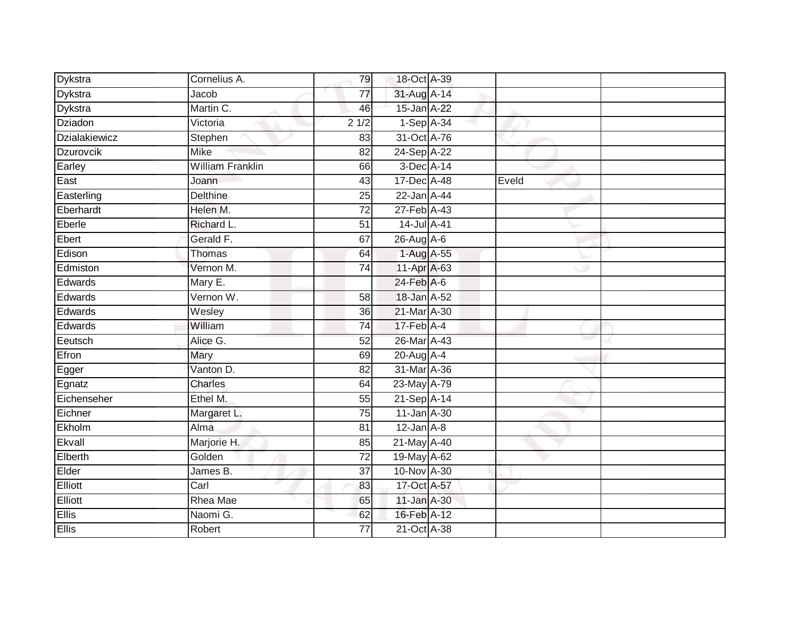| Dykstra              | Cornelius A.            | 79              | 18-Oct A-39                |       |  |
|----------------------|-------------------------|-----------------|----------------------------|-------|--|
| Dykstra              | Jacob                   | 77              | 31-Aug A-14                |       |  |
| <b>Dykstra</b>       | Martin C.               | 46              | 15-Jan A-22                |       |  |
| <b>Dziadon</b>       | Victoria                | 21/2            | 1-Sep A-34                 |       |  |
| <b>Dzialakiewicz</b> | Stephen                 | 83              | 31-Oct A-76                |       |  |
| Dzurovcik            | <b>Mike</b>             | 82              | 24-Sep A-22                |       |  |
| Earley               | <b>William Franklin</b> | 66              | 3-Dec A-14                 |       |  |
| East                 | Joann                   | 43              | 17-Dec A-48                | Eveld |  |
| Easterling           | <b>Delthine</b>         | 25              | 22-Jan A-44                |       |  |
| Eberhardt            | Helen M.                | 72              | 27-Feb A-43                |       |  |
| Eberle               | Richard L.              | 51              | 14-Jul A-41                |       |  |
| Ebert                | Gerald F.               | 67              | $26$ -Aug $A$ -6           |       |  |
| Edison               | Thomas                  | 64              | 1-Aug A-55                 |       |  |
| Edmiston             | Vernon M.               | 74              | $11-AprA-63$               |       |  |
| Edwards              | Mary E.                 |                 | 24-Feb A-6                 |       |  |
| Edwards              | Vernon W.               | 58              | 18-Jan A-52                |       |  |
| Edwards              | Wesley                  | $\overline{36}$ | 21-Mar A-30                |       |  |
| Edwards              | William                 | 74              | $17$ -Feb $\overline{A-4}$ |       |  |
| Eeutsch              | Alice G.                | 52              | 26-Mar A-43                |       |  |
| Efron                | Mary                    | 69              | 20-Aug A-4                 |       |  |
| Egger                | Vanton D.               | 82              | 31-Mar A-36                |       |  |
| Egnatz               | Charles                 | 64              | 23-May A-79                |       |  |
| Eichenseher          | Ethel M.                | 55              | 21-Sep A-14                |       |  |
| Eichner              | Margaret L.             | 75              | 11-Jan A-30                |       |  |
| Ekholm               | Alma                    | 81              | $12$ -Jan $A-8$            |       |  |
| Ekvall               | Marjorie H.             | 85              | 21-May A-40                |       |  |
| Elberth              | Golden                  | $\overline{72}$ | 19-May A-62                |       |  |
| Elder                | James B.                | 37              | 10-Nov A-30                |       |  |
| Elliott              | Carl                    | 83              | 17-Oct A-57                |       |  |
| Elliott              | <b>Rhea Mae</b>         | 65              | 11-Jan A-30                |       |  |
| Ellis                | Naomi G.                | 62              | 16-Feb A-12                |       |  |
| <b>Ellis</b>         | Robert                  | $\overline{77}$ | 21-Oct A-38                |       |  |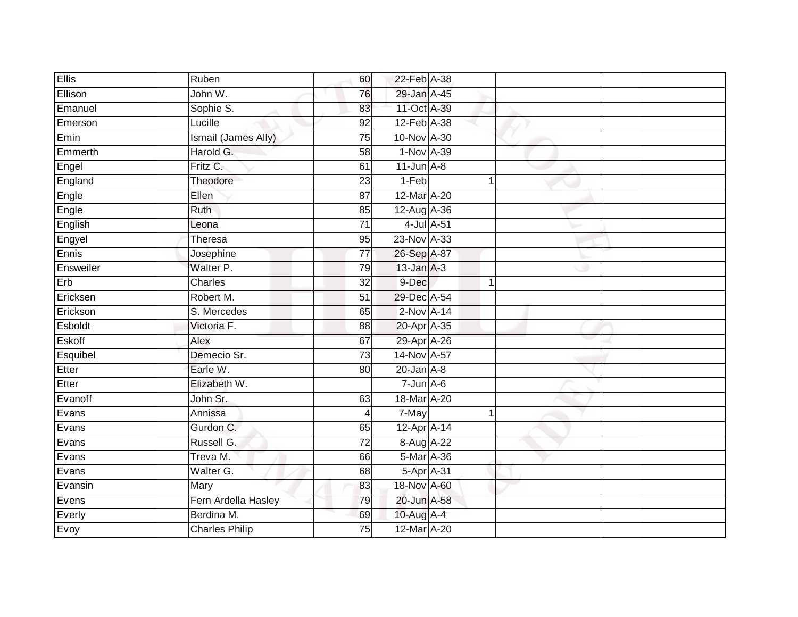| <b>Ellis</b> | Ruben                 | 60              | 22-Feb A-38     |  |  |
|--------------|-----------------------|-----------------|-----------------|--|--|
| Ellison      | John W.               | 76              | 29-Jan A-45     |  |  |
| Emanuel      | Sophie S.             | 83              | 11-Oct A-39     |  |  |
| Emerson      | Lucille               | 92              | 12-Feb A-38     |  |  |
| Emin         | Ismail (James Ally)   | 75              | 10-Nov A-30     |  |  |
| Emmerth      | Harold G.             | 58              | 1-Nov A-39      |  |  |
| Engel        | Fritz C.              | 61              | $11$ -Jun $A-8$ |  |  |
| England      | Theodore              | 23              | 1-Feb           |  |  |
| Engle        | Ellen                 | 87              | 12-Mar A-20     |  |  |
| Engle        | Ruth                  | 85              | 12-Aug A-36     |  |  |
| English      | Leona                 | $\overline{71}$ | 4-Jul A-51      |  |  |
| Engyel       | Theresa               | 95              | 23-Nov A-33     |  |  |
| Ennis        | Josephine             | $\overline{77}$ | 26-Sep A-87     |  |  |
| Ensweiler    | Walter P.             | 79              | $13$ -Jan $A-3$ |  |  |
| Erb          | Charles               | $\overline{32}$ | 9-Dec           |  |  |
| Ericksen     | Robert M.             | 51              | 29-Dec A-54     |  |  |
| Erickson     | S. Mercedes           | 65              | $2$ -Nov $A-14$ |  |  |
| Esboldt      | Victoria F.           | 88              | 20-Apr A-35     |  |  |
| Eskoff       | Alex                  | 67              | 29-Apr A-26     |  |  |
| Esquibel     | Demecio Sr.           | 73              | 14-Nov A-57     |  |  |
| Etter        | Earle W.              | 80              | $20$ -Jan $A-8$ |  |  |
| Etter        | Elizabeth W.          |                 | $7 - Jun A - 6$ |  |  |
| Evanoff      | John Sr.              | 63              | 18-Mar A-20     |  |  |
| Evans        | Annissa               | $\overline{4}$  | 7-May           |  |  |
| Evans        | Gurdon C.             | 65              | 12-Apr A-14     |  |  |
| Evans        | Russell G.            | $\overline{72}$ | 8-Aug A-22      |  |  |
| Evans        | Treva M.              | 66              | 5-Mar A-36      |  |  |
| Evans        | Walter G.             | 68              | 5-Apr A-31      |  |  |
| Evansin      | Mary                  | 83              | 18-Nov A-60     |  |  |
| Evens        | Fern Ardella Hasley   | 79              | 20-Jun A-58     |  |  |
| Everly       | Berdina M.            | 69              | 10-Aug $A-4$    |  |  |
| Evoy         | <b>Charles Philip</b> | 75              | 12-Mar A-20     |  |  |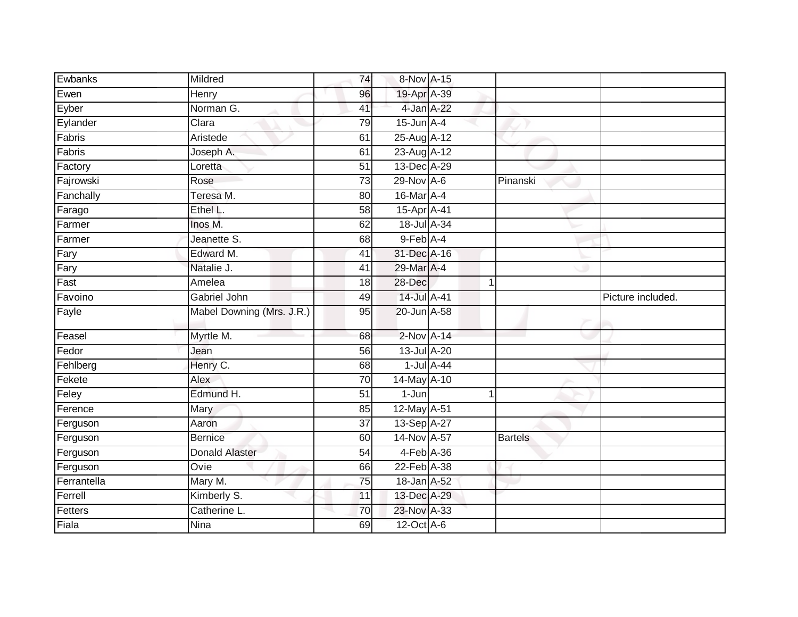| Ewbanks     | Mildred                   | 74              | 8-Nov A-15                 |                      |                |                   |
|-------------|---------------------------|-----------------|----------------------------|----------------------|----------------|-------------------|
| Ewen        | Henry                     | 96              | 19-Apr A-39                |                      |                |                   |
| Eyber       | Norman G.                 | 41              | 4-Jan A-22                 |                      |                |                   |
| Eylander    | Clara                     | 79              | $15$ -Jun $A$ -4           |                      |                |                   |
| Fabris      | Aristede                  | 61              | 25-Aug A-12                |                      |                |                   |
| Fabris      | Joseph A.                 | 61              | 23-Aug A-12                |                      |                |                   |
| Factory     | Loretta                   | 51              | 13-Dec A-29                |                      |                |                   |
| Fajrowski   | Rose                      | 73              | 29-Nov A-6                 |                      | Pinanski       |                   |
| Fanchally   | Teresa M.                 | 80              | 16-Mar A-4                 |                      |                |                   |
| Farago      | Ethel L.                  | $\overline{58}$ | 15-Apr A-41                |                      |                |                   |
| Farmer      | Inos M.                   | 62              | 18-Jul A-34                |                      |                |                   |
| Farmer      | Jeanette S.               | 68              | $9$ -Feb $\overline{A}$ -4 |                      |                |                   |
| Fary        | Edward M.                 | 41              | 31-Dec A-16                |                      |                |                   |
| Fary        | Natalie J.                | 41              | 29-Mar A-4                 |                      |                |                   |
| Fast        | Amelea                    | 18              | 28-Dec                     | -1                   |                |                   |
| Favoino     | Gabriel John              | 49              | 14-Jul A-41                |                      |                | Picture included. |
| Fayle       | Mabel Downing (Mrs. J.R.) | 95              | 20-Jun A-58                |                      |                |                   |
| Feasel      | Myrtle M.                 | 68              | 2-Nov A-14                 |                      |                |                   |
| Fedor       | Jean                      | 56              | 13-Jul A-20                |                      |                |                   |
| Fehlberg    | Henry C.                  | 68              | $1$ -Jul $A$ -44           |                      |                |                   |
| Fekete      | Alex                      | 70              | 14-May A-10                |                      |                |                   |
| Feley       | Edmund H.                 | $\overline{51}$ | $1-Jun$                    | $\blacktriangleleft$ |                |                   |
| Ference     | Mary                      | 85              | 12-May A-51                |                      |                |                   |
| Ferguson    | Aaron                     | 37              | 13-Sep A-27                |                      |                |                   |
| Ferguson    | <b>Bernice</b>            | 60              | 14-Nov A-57                |                      | <b>Bartels</b> |                   |
| Ferguson    | <b>Donald Alaster</b>     | 54              | 4-Feb A-36                 |                      |                |                   |
| Ferguson    | Ovie                      | 66              | 22-Feb A-38                |                      |                |                   |
| Ferrantella | Mary M.                   | 75              | 18-Jan A-52                |                      |                |                   |
| Ferrell     | Kimberly S.               | 11              | 13-Dec A-29                |                      |                |                   |
| Fetters     | Catherine L.              | 70              | 23-Nov A-33                |                      |                |                   |
| Fiala       | <b>Nina</b>               | 69              | 12-Oct A-6                 |                      |                |                   |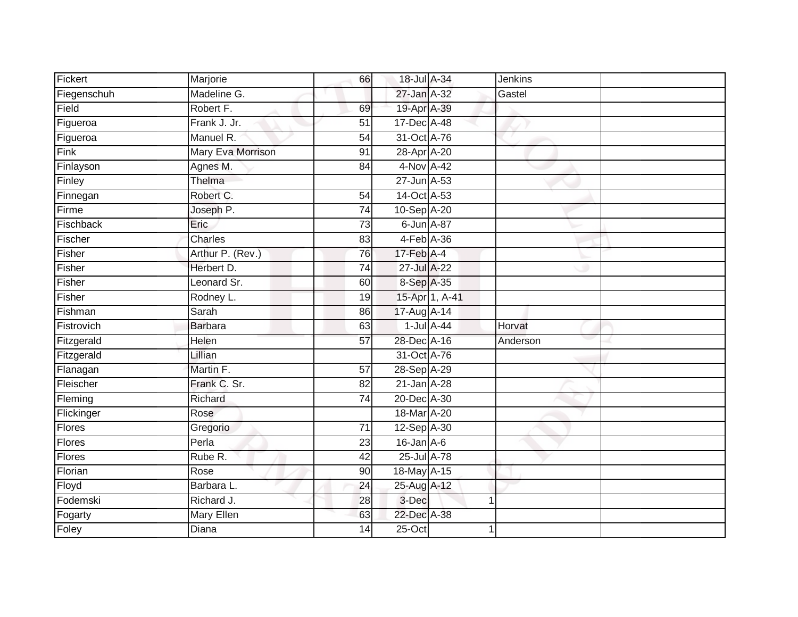| Fickert     | Marjorie          | 66              | 18-Jul A-34      |                  | <b>Jenkins</b> |  |
|-------------|-------------------|-----------------|------------------|------------------|----------------|--|
| Fiegenschuh | Madeline G.       |                 | 27-Jan A-32      |                  | Gastel         |  |
| Field       | Robert F.         | 69              | 19-Apr A-39      |                  |                |  |
| Figueroa    | Frank J. Jr.      | 51              | 17-Dec A-48      |                  |                |  |
| Figueroa    | Manuel R.         | $\overline{54}$ | 31-Oct A-76      |                  |                |  |
| Fink        | Mary Eva Morrison | 91              | 28-Apr A-20      |                  |                |  |
| Finlayson   | Agnes M.          | 84              | 4-Nov A-42       |                  |                |  |
| Finley      | Thelma            |                 | 27-Jun A-53      |                  |                |  |
| Finnegan    | Robert C.         | 54              | 14-Oct A-53      |                  |                |  |
| Firme       | Joseph P.         | 74              | 10-Sep A-20      |                  |                |  |
| Fischback   | Eric              | 73              | 6-Jun A-87       |                  |                |  |
| Fischer     | Charles           | 83              | $4-Feb$ $A-36$   |                  |                |  |
| Fisher      | Arthur P. (Rev.)  | 76              | $17$ -Feb $A$ -4 |                  |                |  |
| Fisher      | Herbert D.        | 74              | 27-Jul A-22      |                  |                |  |
| Fisher      | Leonard Sr.       | 60              | 8-Sep A-35       |                  |                |  |
| Fisher      | Rodney L.         | 19              |                  | 15-Apr 1, A-41   |                |  |
| Fishman     | Sarah             | 86              | 17-Aug A-14      |                  |                |  |
| Fistrovich  | <b>Barbara</b>    | 63              |                  | $1$ -Jul $A$ -44 | Horvat         |  |
| Fitzgerald  | Helen             | 57              | 28-Dec A-16      |                  | Anderson       |  |
| Fitzgerald  | Lillian           |                 | 31-Oct A-76      |                  |                |  |
| Flanagan    | Martin F.         | $\overline{57}$ | 28-Sep A-29      |                  |                |  |
| Fleischer   | Frank C. Sr.      | 82              | 21-Jan A-28      |                  |                |  |
| Fleming     | Richard           | 74              | 20-Dec A-30      |                  |                |  |
| Flickinger  | Rose              |                 | 18-Mar A-20      |                  |                |  |
| Flores      | Gregorio          | 71              | 12-Sep A-30      |                  |                |  |
| Flores      | Perla             | 23              | $16$ -Jan $A-6$  |                  |                |  |
| Flores      | Rube R.           | 42              | 25-Jul A-78      |                  |                |  |
| Florian     | Rose              | 90              | 18-May A-15      |                  |                |  |
| Floyd       | Barbara L.        | 24              | 25-Aug A-12      |                  |                |  |
| Fodemski    | Richard J.        | 28              | 3-Dec            |                  | $\mathbf{1}$   |  |
| Fogarty     | <b>Mary Ellen</b> | 63              | 22-Dec A-38      |                  |                |  |
| Foley       | <b>Diana</b>      | $\overline{14}$ | $25$ -Oct        |                  | 1              |  |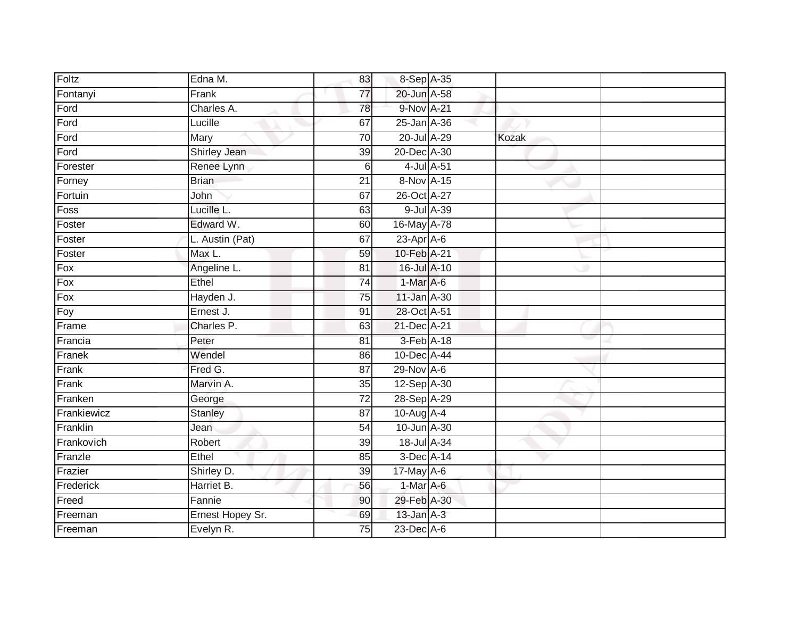| Foltz       | Edna M.          | 83              | 8-Sep A-35       |            |       |  |
|-------------|------------------|-----------------|------------------|------------|-------|--|
| Fontanyi    | Frank            | $\overline{77}$ | 20-Jun A-58      |            |       |  |
| Ford        | Charles A.       | 78              | 9-Nov A-21       |            |       |  |
| Ford        | Lucille          | 67              | 25-Jan A-36      |            |       |  |
| Ford        | Mary             | $\overline{70}$ | 20-Jul A-29      |            | Kozak |  |
| Ford        | Shirley Jean     | 39              | 20-Dec A-30      |            |       |  |
| Forester    | Renee Lynn       | $\,6$           |                  | 4-Jul A-51 |       |  |
| Forney      | <b>Brian</b>     | 21              | 8-Nov A-15       |            |       |  |
| Fortuin     | John             | 67              | 26-Oct A-27      |            |       |  |
| Foss        | Lucille L.       | 63              |                  | 9-Jul A-39 |       |  |
| Foster      | Edward W.        | 60              | 16-May A-78      |            |       |  |
| Foster      | L. Austin (Pat)  | 67              | $23$ -Apr $A$ -6 |            |       |  |
| Foster      | Max L.           | 59              | 10-Feb A-21      |            |       |  |
| Fox         | Angeline L.      | 81              | 16-Jul A-10      |            |       |  |
| $F$ ox      | Ethel            | $\overline{74}$ | 1-Mar A-6        |            |       |  |
| Fox         | Hayden J.        | 75              | 11-Jan A-30      |            |       |  |
| Foy         | Ernest J.        | 91              | 28-Oct A-51      |            |       |  |
| Frame       | Charles P.       | 63              | 21-Dec A-21      |            |       |  |
| Francia     | Peter            | 81              | 3-Feb A-18       |            |       |  |
| Franek      | Wendel           | 86              | 10-Dec A-44      |            |       |  |
| Frank       | Fred G.          | 87              | 29-Nov A-6       |            |       |  |
| Frank       | Marvin A.        | 35              | 12-Sep A-30      |            |       |  |
| Franken     | George           | 72              | 28-Sep A-29      |            |       |  |
| Frankiewicz | <b>Stanley</b>   | 87              | 10-Aug A-4       |            |       |  |
| Franklin    | Jean             | 54              | 10-Jun A-30      |            |       |  |
| Frankovich  | Robert           | 39              | 18-Jul A-34      |            |       |  |
| Franzle     | Ethel            | 85              | 3-Dec A-14       |            |       |  |
| Frazier     | Shirley D.       | 39              | 17-May A-6       |            |       |  |
| Frederick   | Harriet B.       | 56              | 1-Mar A-6        |            |       |  |
| Freed       | Fannie           | 90              | 29-Feb A-30      |            |       |  |
| Freeman     | Ernest Hopey Sr. | 69              | $13$ -Jan $A-3$  |            |       |  |
| Freeman     | Evelyn R.        | 75              | 23-Dec A-6       |            |       |  |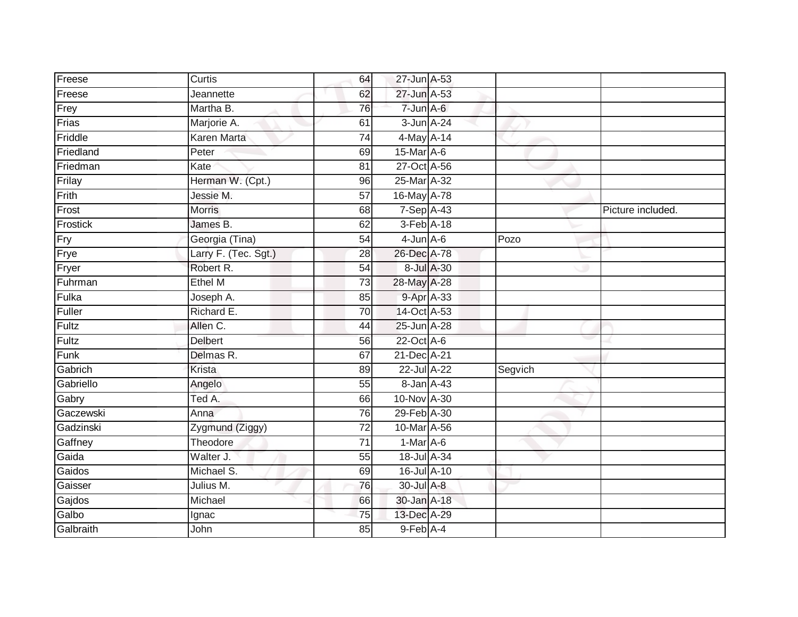| Freese    | Curtis               | 64              | 27-Jun A-53     |            |         |                   |
|-----------|----------------------|-----------------|-----------------|------------|---------|-------------------|
| Freese    | Jeannette            | 62              | 27-Jun A-53     |            |         |                   |
| Frey      | Martha B.            | 76              | 7-Jun A-6       |            |         |                   |
| Frias     | Marjorie A.          | 61              | 3-Jun A-24      |            |         |                   |
| Friddle   | <b>Karen Marta</b>   | $\overline{74}$ | 4-May A-14      |            |         |                   |
| Friedland | Peter                | 69              | 15-Mar A-6      |            |         |                   |
| Friedman  | Kate                 | 81              | 27-Oct A-56     |            |         |                   |
| Frilay    | Herman W. (Cpt.)     | 96              | 25-Mar A-32     |            |         |                   |
| Frith     | Jessie M.            | $\overline{57}$ | 16-May A-78     |            |         |                   |
| Frost     | <b>Morris</b>        | 68              | $7-Sep$ A-43    |            |         | Picture included. |
| Frostick  | James B.             | 62              | 3-Feb A-18      |            |         |                   |
| Fry       | Georgia (Tina)       | 54              | $4$ -Jun $A$ -6 |            | Pozo    |                   |
| Frye      | Larry F. (Tec. Sgt.) | 28              | 26-Dec A-78     |            |         |                   |
| Fryer     | Robert R.            | 54              |                 | 8-Jul A-30 |         |                   |
| Fuhrman   | Ethel M              | $\overline{73}$ | 28-May A-28     |            |         |                   |
| Fulka     | Joseph A.            | 85              |                 | 9-Apr A-33 |         |                   |
| Fuller    | Richard E.           | 70              | 14-Oct A-53     |            |         |                   |
| Fultz     | Allen C.             | 44              | 25-Jun A-28     |            |         |                   |
| Fultz     | <b>Delbert</b>       | 56              | 22-Oct A-6      |            |         |                   |
| Funk      | Delmas R.            | 67              | 21-Dec A-21     |            |         |                   |
| Gabrich   | Krista               | 89              | 22-Jul A-22     |            | Segvich |                   |
| Gabriello | Angelo               | 55              | 8-Jan A-43      |            |         |                   |
| Gabry     | Ted A.               | 66              | 10-Nov A-30     |            |         |                   |
| Gaczewski | Anna                 | 76              | 29-Feb A-30     |            |         |                   |
| Gadzinski | Zygmund (Ziggy)      | 72              | 10-Mar A-56     |            |         |                   |
| Gaffney   | Theodore             | $\overline{71}$ | 1-Mar A-6       |            |         |                   |
| Gaida     | Walter J.            | 55              | 18-Jul A-34     |            |         |                   |
| Gaidos    | Michael S.           | 69              | 16-Jul A-10     |            |         |                   |
| Gaisser   | Julius M.            | 76              | 30-Jul A-8      |            |         |                   |
| Gajdos    | Michael              | 66              | 30-Jan A-18     |            |         |                   |
| Galbo     | Ignac                | 75              | 13-Dec A-29     |            |         |                   |
| Galbraith | John                 | 85              | 9-Feb A-4       |            |         |                   |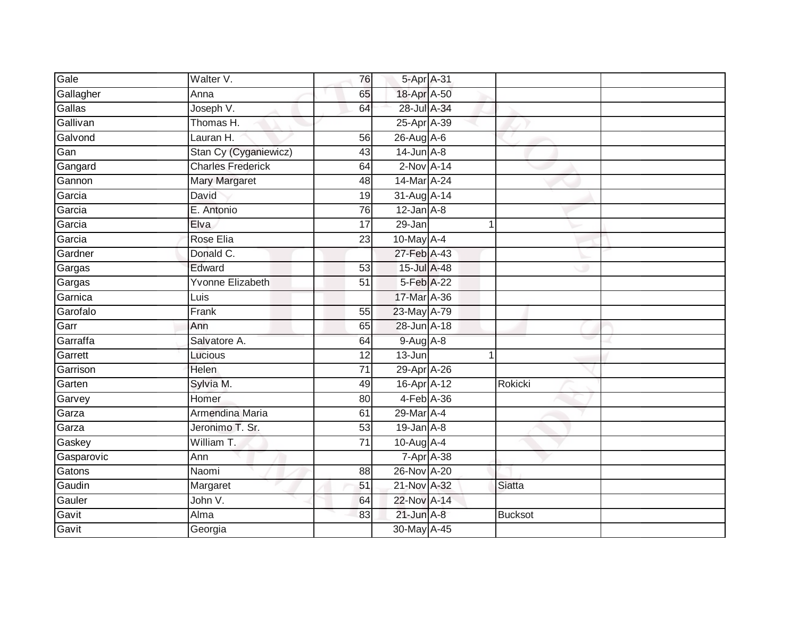| Gale       | Walter V.                | 76              | 5-Apr A-31         |   |                |  |
|------------|--------------------------|-----------------|--------------------|---|----------------|--|
| Gallagher  | Anna                     | 65              | 18-Apr A-50        |   |                |  |
| Gallas     | Joseph V.                | 64              | 28-Jul A-34        |   |                |  |
| Gallivan   | Thomas H.                |                 | 25-Apr A-39        |   |                |  |
| Galvond    | Lauran H.                | 56              | 26-Aug A-6         |   |                |  |
| Gan        | Stan Cy (Cyganiewicz)    | 43              | $14$ -Jun $A-8$    |   |                |  |
| Gangard    | <b>Charles Frederick</b> | 64              | $2-Nov$ A-14       |   |                |  |
| Gannon     | Mary Margaret            | 48              | 14-Mar A-24        |   |                |  |
| Garcia     | David                    | 19              | 31-Aug A-14        |   |                |  |
| Garcia     | E. Antonio               | 76              | $12$ -Jan $A-8$    |   |                |  |
| Garcia     | Elva                     | $\overline{17}$ | 29-Jan             | 1 |                |  |
| Garcia     | Rose Elia                | 23              | 10-May A-4         |   |                |  |
| Gardner    | Donald C.                |                 | 27-Feb A-43        |   |                |  |
| Gargas     | Edward                   | 53              | 15-Jul A-48        |   |                |  |
| Gargas     | Yvonne Elizabeth         | 51              | 5-Feb A-22         |   |                |  |
| Garnica    | Luis                     |                 | 17-Mar A-36        |   |                |  |
| Garofalo   | Frank                    | $\overline{55}$ | 23-May A-79        |   |                |  |
| Garr       | Ann                      | 65              | 28-Jun A-18        |   |                |  |
| Garraffa   | Salvatore A.             | 64              | 9-Aug A-8          |   |                |  |
| Garrett    | Lucious                  | 12              | $13 - Jun$         |   |                |  |
| Garrison   | <b>Helen</b>             | 71              | 29-Apr A-26        |   |                |  |
| Garten     | Sylvia M.                | 49              | 16-Apr A-12        |   | Rokicki        |  |
| Garvey     | Homer                    | 80              | $4-Feb$ $A-36$     |   |                |  |
| Garza      | Armendina Maria          | 61              | 29-Mar A-4         |   |                |  |
| Garza      | Jeronimo T. Sr.          | $\overline{53}$ | $19$ -Jan $A-8$    |   |                |  |
| Gaskey     | William T.               | 71              | $10-Auq$ A-4       |   |                |  |
| Gasparovic | Ann                      |                 | $7 - Apr$ $A - 38$ |   |                |  |
| Gatons     | Naomi                    | 88              | 26-Nov A-20        |   |                |  |
| Gaudin     | Margaret                 | 51              | 21-Nov A-32        |   | <b>Siatta</b>  |  |
| Gauler     | John V.                  | 64              | 22-Nov A-14        |   |                |  |
| Gavit      | Alma                     | 83              | $21$ -Jun $A-8$    |   | <b>Bucksot</b> |  |
| Gavit      | Georgia                  |                 | 30-May A-45        |   |                |  |
|            |                          |                 |                    |   |                |  |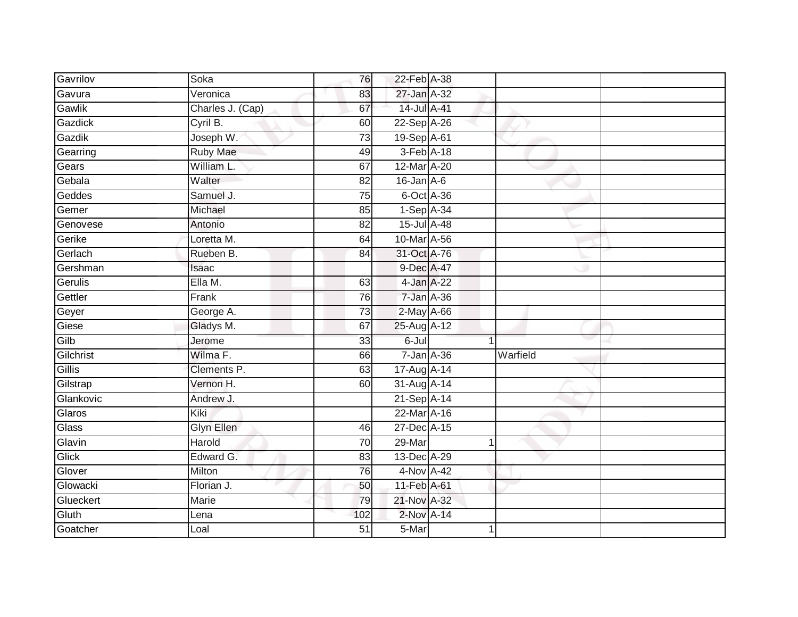| Gavrilov  | Soka             | 76              | 22-Feb A-38      |          |  |
|-----------|------------------|-----------------|------------------|----------|--|
| Gavura    | Veronica         | 83              | 27-Jan A-32      |          |  |
| Gawlik    | Charles J. (Cap) | 67              | 14-Jul A-41      |          |  |
| Gazdick   | Cyril B.         | 60              | 22-Sep A-26      |          |  |
| Gazdik    | Joseph W.        | $\overline{73}$ | 19-Sep A-61      |          |  |
| Gearring  | <b>Ruby Mae</b>  | 49              | $3-Feb$ A-18     |          |  |
| Gears     | William L.       | 67              | 12-Mar A-20      |          |  |
| Gebala    | Walter           | 82              | $16$ -Jan $A$ -6 |          |  |
| Geddes    | Samuel J.        | 75              | 6-Oct A-36       |          |  |
| Gemer     | Michael          | 85              | $1-Sep$ A-34     |          |  |
| Genovese  | Antonio          | 82              | 15-Jul A-48      |          |  |
| Gerike    | Loretta M.       | 64              | 10-Mar A-56      |          |  |
| Gerlach   | Rueben B.        | 84              | 31-Oct A-76      |          |  |
| Gershman  | Isaac            |                 | 9-Dec A-47       |          |  |
| Gerulis   | Ella M.          | 63              | 4-Jan A-22       |          |  |
| Gettler   | Frank            | 76              | 7-Jan A-36       |          |  |
| Geyer     | George A.        | $\overline{73}$ | $2$ -May $A$ -66 |          |  |
| Giese     | Gladys M.        | 67              | 25-Aug A-12      |          |  |
| Gilb      | Jerome           | 33              | 6-Jul            |          |  |
| Gilchrist | Wilma F.         | 66              | 7-Jan A-36       | Warfield |  |
| Gillis    | Clements P.      | 63              | 17-Aug A-14      |          |  |
| Gilstrap  | Vernon H.        | 60              | 31-Aug A-14      |          |  |
| Glankovic | Andrew J.        |                 | 21-Sep A-14      |          |  |
| Glaros    | Kiki             |                 | 22-Mar A-16      |          |  |
| Glass     | Glyn Ellen       | 46              | 27-Dec A-15      |          |  |
| Glavin    | Harold           | 70              | $29-Mar$         |          |  |
| Glick     | Edward G.        | 83              | 13-Dec A-29      |          |  |
| Glover    | Milton           | 76              | 4-Nov A-42       |          |  |
| Glowacki  | Florian J.       | 50              | 11-Feb A-61      |          |  |
| Glueckert | Marie            | 79              | 21-Nov A-32      |          |  |
| Gluth     | Lena             | 102             | 2-Nov A-14       |          |  |
| Goatcher  | Loal             | $\overline{51}$ | 5-Mar            |          |  |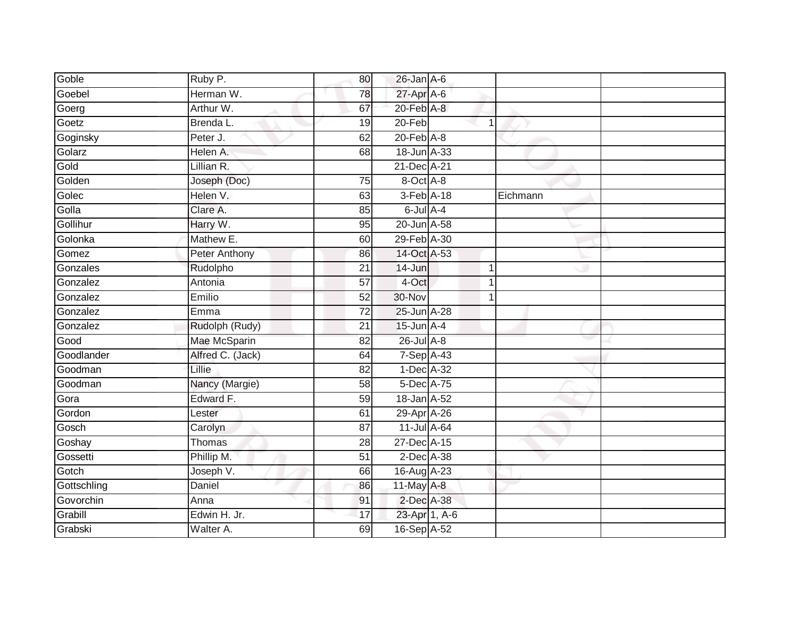| Goble       | Ruby P.          | 80              | $26$ -Jan $A$ -6            |   |              |
|-------------|------------------|-----------------|-----------------------------|---|--------------|
| Goebel      | Herman W.        | 78              | $27$ -Apr $\overline{A}$ -6 |   |              |
| Goerg       | Arthur W.        | 67              | 20-Feb A-8                  |   |              |
| Goetz       | Brenda L.        | 19              | 20-Feb                      | 1 |              |
| Goginsky    | Peter J.         | 62              | $20$ -Feb $A-8$             |   |              |
| Golarz      | Helen A.         | 68              | 18-Jun A-33                 |   |              |
| Gold        | Lillian R.       |                 | 21-Dec A-21                 |   |              |
| Golden      | Joseph (Doc)     | 75              | 8-Oct A-8                   |   |              |
| Golec       | Helen V.         | 63              | 3-Feb A-18                  |   | Eichmann     |
| Golla       | Clare A.         | 85              | $6$ -Jul $A-4$              |   |              |
| Gollihur    | Harry W.         | 95              | 20-Jun A-58                 |   |              |
| Golonka     | Mathew E.        | 60              | 29-Feb A-30                 |   |              |
| Gomez       | Peter Anthony    | 86              | 14-Oct A-53                 |   |              |
| Gonzales    | Rudolpho         | 21              | 14-Jun                      | 1 |              |
| Gonzalez    | Antonia          | $\overline{57}$ | 4-Oct                       |   | $\mathbf{1}$ |
| Gonzalez    | Emilio           | 52              | 30-Nov                      |   |              |
| Gonzalez    | Emma             | 72              | 25-Jun A-28                 |   |              |
| Gonzalez    | Rudolph (Rudy)   | 21              | $15$ -Jun $A-4$             |   |              |
| Good        | Mae McSparin     | 82              | 26-Jul A-8                  |   |              |
| Goodlander  | Alfred C. (Jack) | 64              | $7-Sep$ A-43                |   |              |
| Goodman     | Lillie           | 82              | 1-Dec A-32                  |   |              |
| Goodman     | Nancy (Margie)   | $\overline{58}$ | 5-Dec A-75                  |   |              |
| Gora        | Edward F.        | 59              | 18-Jan A-52                 |   |              |
| Gordon      | Lester           | 61              | 29-Apr A-26                 |   |              |
| Gosch       | Carolyn          | 87              | 11-Jul A-64                 |   |              |
| Goshay      | Thomas           | 28              | 27-Dec A-15                 |   |              |
| Gossetti    | Phillip M.       | $\overline{51}$ | $2$ -Dec $A$ -38            |   |              |
| Gotch       | Joseph V.        | 66              | 16-Aug A-23                 |   |              |
| Gottschling | Daniel           | 86              | 11-May A-8                  |   |              |
| Govorchin   | Anna             | 91              | 2-Dec A-38                  |   |              |
| Grabill     | Edwin H. Jr.     | 17              | 23-Apr 1, A-6               |   |              |
| Grabski     | Walter A.        | 69              | 16-Sep A-52                 |   |              |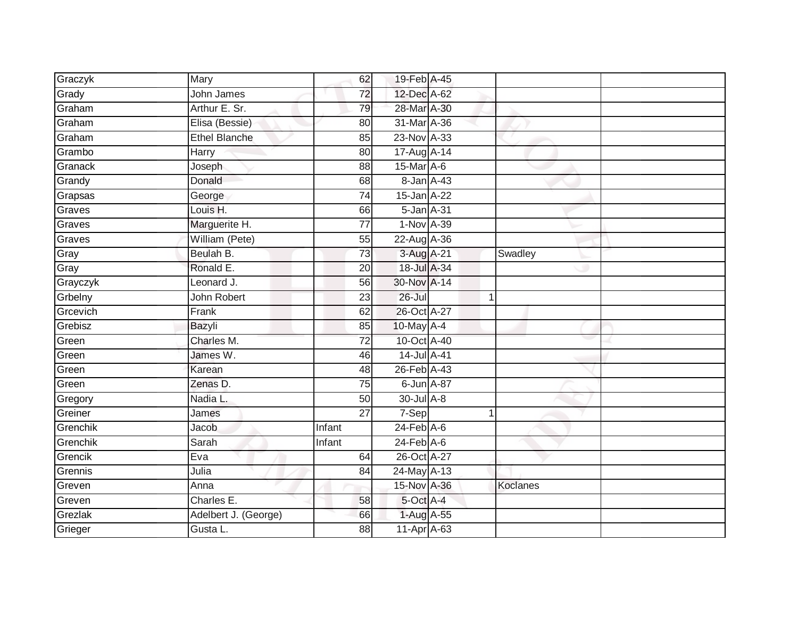| Graczyk  | Mary                 | 62              | 19-Feb A-45      |                |          |  |
|----------|----------------------|-----------------|------------------|----------------|----------|--|
| Grady    | John James           | 72              | 12-Dec A-62      |                |          |  |
| Graham   | Arthur E. Sr.        | 79              | 28-Mar A-30      |                |          |  |
| Graham   | Elisa (Bessie)       | 80              | 31-Mar A-36      |                |          |  |
| Graham   | <b>Ethel Blanche</b> | 85              | 23-Nov A-33      |                |          |  |
| Grambo   | Harry                | 80              | 17-Aug A-14      |                |          |  |
| Granack  | Joseph               | 88              | 15-Mar A-6       |                |          |  |
| Grandy   | Donald               | 68              | 8-Jan A-43       |                |          |  |
| Grapsas  | George               | 74              | 15-Jan A-22      |                |          |  |
| Graves   | Louis H.             | 66              | 5-Jan A-31       |                |          |  |
| Graves   | Marguerite H.        | 77              | 1-Nov A-39       |                |          |  |
| Graves   | William (Pete)       | 55              | 22-Aug A-36      |                |          |  |
| Gray     | Beulah B.            | 73              | 3-Aug A-21       |                | Swadley  |  |
| Gray     | Ronald E.            | 20              | 18-Jul A-34      |                |          |  |
| Grayczyk | Leonard J.           | $\overline{56}$ | 30-Nov A-14      |                |          |  |
| Grbelny  | John Robert          | 23              | $26 -$ Jul       | -1             |          |  |
| Grcevich | Frank                | 62              | 26-Oct A-27      |                |          |  |
| Grebisz  | Bazyli               | 85              | 10-May A-4       |                |          |  |
| Green    | Charles M.           | 72              | 10-Oct A-40      |                |          |  |
| Green    | James W.             | 46              | 14-Jul A-41      |                |          |  |
| Green    | Karean               | 48              | 26-Feb A-43      |                |          |  |
| Green    | Zenas D.             | $\overline{75}$ | 6-Jun A-87       |                |          |  |
| Gregory  | Nadia L.             | 50              | 30-Jul A-8       |                |          |  |
| Greiner  | James                | $\overline{27}$ | 7-Sep            | $\overline{1}$ |          |  |
| Grenchik | Jacob                | Infant          | $24$ -Feb $A$ -6 |                |          |  |
| Grenchik | Sarah                | Infant          | $24$ -Feb $A$ -6 |                |          |  |
| Grencik  | Eva                  | 64              | 26-Oct A-27      |                |          |  |
| Grennis  | Julia                | 84              | 24-May A-13      |                |          |  |
| Greven   | Anna                 |                 | 15-Nov A-36      |                | Koclanes |  |
| Greven   | Charles E.           | 58              | 5-Oct A-4        |                |          |  |
| Grezlak  | Adelbert J. (George) | 66              | $1-Aug$ $A-55$   |                |          |  |
| Grieger  | Gusta L.             | 88              | 11-Apr A-63      |                |          |  |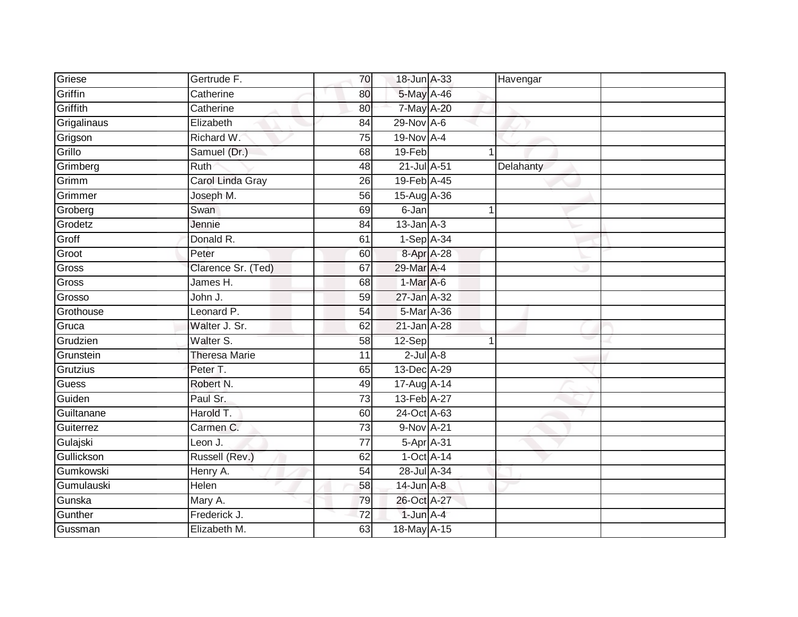| Griese      | Gertrude F.          | 70              | 18-Jun A-33     | Havengar     |  |
|-------------|----------------------|-----------------|-----------------|--------------|--|
| Griffin     | Catherine            | 80              | 5-May A-46      |              |  |
| Griffith    | Catherine            | 80              | 7-May A-20      |              |  |
| Grigalinaus | Elizabeth            | 84              | 29-Nov A-6      |              |  |
| Grigson     | Richard W.           | $\overline{75}$ | 19-Nov A-4      |              |  |
| Grillo      | Samuel (Dr.)         | 68              | 19-Feb          | $\mathbf{1}$ |  |
| Grimberg    | Ruth                 | 48              | 21-Jul A-51     | Delahanty    |  |
| Grimm       | Carol Linda Gray     | 26              | 19-Feb A-45     |              |  |
| Grimmer     | Joseph M.            | 56              | 15-Aug A-36     |              |  |
| Groberg     | Swan                 | 69              | 6-Jan           |              |  |
| Grodetz     | Jennie               | 84              | $13$ -Jan $A-3$ |              |  |
| Groff       | Donald R.            | 61              | 1-Sep A-34      |              |  |
| Groot       | Peter                | 60              | 8-Apr A-28      |              |  |
| Gross       | Clarence Sr. (Ted)   | 67              | 29-Mar A-4      |              |  |
| Gross       | James H.             | 68              | 1-Mar A-6       |              |  |
| Grosso      | John J.              | 59              | 27-Jan A-32     |              |  |
| Grothouse   | Leonard P.           | 54              | 5-Mar A-36      |              |  |
| Gruca       | Walter J. Sr.        | 62              | 21-Jan A-28     |              |  |
| Grudzien    | Walter S.            | 58              | 12-Sep          |              |  |
| Grunstein   | <b>Theresa Marie</b> | 11              | $2$ -Jul $A-8$  |              |  |
| Grutzius    | Peter T.             | 65              | 13-Dec A-29     |              |  |
| Guess       | Robert N.            | 49              | 17-Aug A-14     |              |  |
| Guiden      | Paul Sr.             | 73              | 13-Feb A-27     |              |  |
| Guiltanane  | Harold T.            | 60              | 24-Oct A-63     |              |  |
| Guiterrez   | Carmen C.            | 73              | $9-Nov$ A-21    |              |  |
| Gulajski    | Leon J.              | 77              | 5-Apr A-31      |              |  |
| Gullickson  | Russell (Rev.)       | 62              | $1-Oct$ A-14    |              |  |
| Gumkowski   | Henry A.             | 54              | 28-Jul A-34     |              |  |
| Gumulauski  | Helen                | 58              | 14-Jun A-8      |              |  |
| Gunska      | Mary A.              | 79              | 26-Oct A-27     |              |  |
| Gunther     | Frederick J.         | 72              | $1$ -Jun $A-4$  |              |  |
| Gussman     | Elizabeth M.         | 63              | 18-May A-15     |              |  |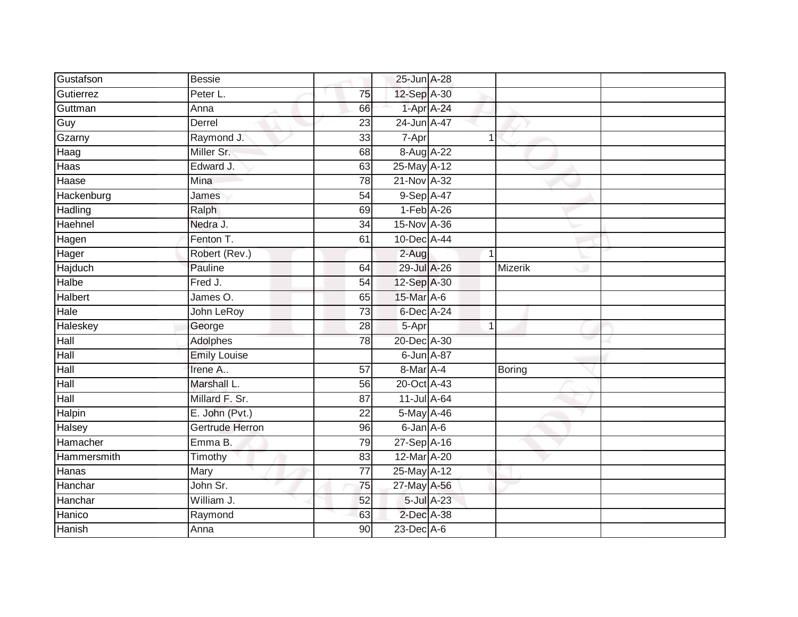| Gustafson    | <b>Bessie</b>       |                 | 25-Jun A-28     |         |  |
|--------------|---------------------|-----------------|-----------------|---------|--|
| Gutierrez    | Peter L.            | 75              | 12-Sep A-30     |         |  |
| Guttman      | Anna                | 66              | 1-Apr A-24      |         |  |
| Guy          | Derrel              | 23              | 24-Jun A-47     |         |  |
| Gzarny       | Raymond J.          | $\overline{33}$ | 7-Apr           | 1       |  |
| Haag         | Miller Sr.          | 68              | 8-Aug A-22      |         |  |
| Haas         | Edward J.           | 63              | 25-May A-12     |         |  |
| Haase        | Mina                | 78              | 21-Nov A-32     |         |  |
| Hackenburg   | James               | 54              | 9-Sep A-47      |         |  |
| Hadling      | Ralph               | 69              | $1-Feb$ A-26    |         |  |
| Haehnel      | Nedra J.            | 34              | 15-Nov A-36     |         |  |
| Hagen        | Fenton T.           | 61              | 10-Dec A-44     |         |  |
| Hager        | Robert (Rev.)       |                 | $2-Aug$         | 1       |  |
| Hajduch      | Pauline             | 64              | 29-Jul A-26     | Mizerik |  |
| <b>Halbe</b> | Fred J.             | $\overline{54}$ | 12-Sep A-30     |         |  |
| Halbert      | James O.            | 65              | 15-Mar A-6      |         |  |
| Hale         | John LeRoy          | 73              | 6-Dec A-24      |         |  |
| Haleskey     | George              | 28              | 5-Apr           | 1       |  |
| Hall         | Adolphes            | 78              | 20-Dec A-30     |         |  |
| Hall         | <b>Emily Louise</b> |                 | 6-Jun A-87      |         |  |
| Hall         | Irene A             | 57              | 8-Mar A-4       | Boring  |  |
| Hall         | Marshall L.         | 56              | 20-Oct A-43     |         |  |
| Hall         | Millard F. Sr.      | $\overline{87}$ | 11-Jul A-64     |         |  |
| Halpin       | E. John (Pvt.)      | 22              | 5-May A-46      |         |  |
| Halsey       | Gertrude Herron     | 96              | $6$ -Jan $A$ -6 |         |  |
| Hamacher     | Emma B.             | 79              | 27-Sep A-16     |         |  |
| Hammersmith  | Timothy             | 83              | 12-Mar A-20     |         |  |
| Hanas        | Mary                | 77              | 25-May A-12     |         |  |
| Hanchar      | John Sr.            | 75              | 27-May A-56     |         |  |
| Hanchar      | William J.          | 52              | 5-Jul A-23      |         |  |
| Hanico       | Raymond             | 63              | 2-Dec A-38      |         |  |
| Hanish       | Anna                | $\overline{90}$ | 23-Dec A-6      |         |  |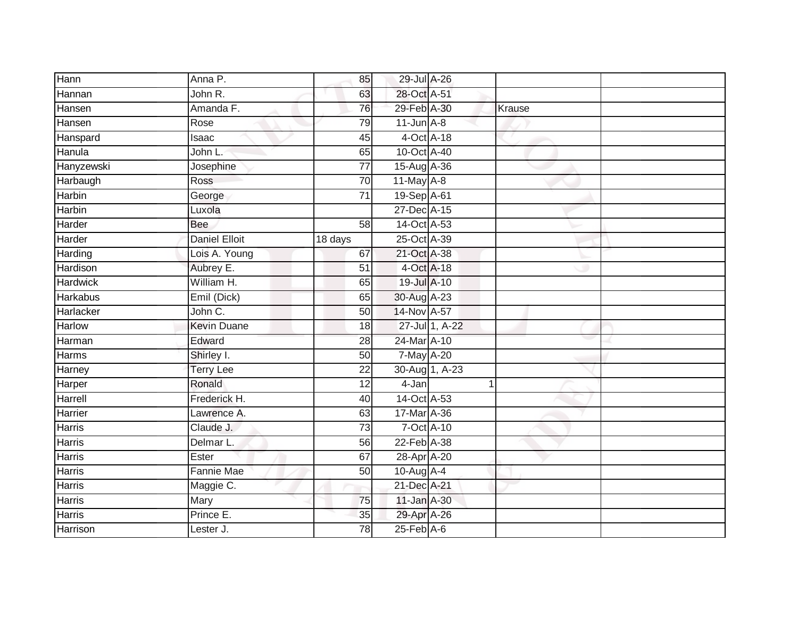| Hann            | Anna P.              | 85              | 29-Jul A-26      |                |        |  |
|-----------------|----------------------|-----------------|------------------|----------------|--------|--|
| Hannan          | John R.              | 63              | 28-Oct A-51      |                |        |  |
| Hansen          | Amanda F.            | 76              | 29-Feb A-30      |                | Krause |  |
| Hansen          | Rose                 | 79              | $11$ -Jun $A-8$  |                |        |  |
| Hanspard        | Isaac                | 45              |                  | 4-Oct A-18     |        |  |
| Hanula          | John L.              | 65              | 10-Oct A-40      |                |        |  |
| Hanyzewski      | Josephine            | $\overline{77}$ | 15-Aug A-36      |                |        |  |
| Harbaugh        | <b>Ross</b>          | 70              | $11$ -May $A-8$  |                |        |  |
| Harbin          | George               | $\overline{71}$ | 19-Sep A-61      |                |        |  |
| <b>Harbin</b>   | Luxola               |                 | 27-Dec A-15      |                |        |  |
| Harder          | Bee                  | 58              | 14-Oct A-53      |                |        |  |
| Harder          | <b>Daniel Elloit</b> | 18 days         | 25-Oct A-39      |                |        |  |
| Harding         | Lois A. Young        | 67              | 21-Oct A-38      |                |        |  |
| Hardison        | Aubrey E.            | $\overline{51}$ |                  | 4-Oct A-18     |        |  |
| <b>Hardwick</b> | William H.           | 65              | 19-Jul A-10      |                |        |  |
| <b>Harkabus</b> | Emil (Dick)          | 65              | 30-Aug A-23      |                |        |  |
| Harlacker       | John C.              | 50              | 14-Nov A-57      |                |        |  |
| Harlow          | <b>Kevin Duane</b>   | 18              |                  | 27-Jul 1, A-22 |        |  |
| Harman          | Edward               | 28              | 24-Mar A-10      |                |        |  |
| <b>Harms</b>    | Shirley I.           | 50              | 7-May A-20       |                |        |  |
| Harney          | <b>Terry Lee</b>     | 22              |                  | 30-Aug 1, A-23 |        |  |
| Harper          | Ronald               | 12              | 4-Jan            | 1              |        |  |
| Harrell         | Frederick H.         | 40              | 14-Oct A-53      |                |        |  |
| Harrier         | Lawrence A.          | 63              | 17-Mar A-36      |                |        |  |
| <b>Harris</b>   | Claude J.            | 73              |                  | 7-Oct A-10     |        |  |
| <b>Harris</b>   | Delmar L.            | 56              | $22-Feb$ $A-38$  |                |        |  |
| <b>Harris</b>   | Ester                | 67              | 28-Apr A-20      |                |        |  |
| Harris          | Fannie Mae           | 50              | 10-Aug A-4       |                |        |  |
| <b>Harris</b>   | Maggie C.            |                 | 21-Dec A-21      |                |        |  |
| Harris          | Mary                 | 75              | 11-Jan A-30      |                |        |  |
| Harris          | Prince E.            | 35              | 29-Apr A-26      |                |        |  |
| Harrison        | Lester J.            | 78              | $25$ -Feb $A$ -6 |                |        |  |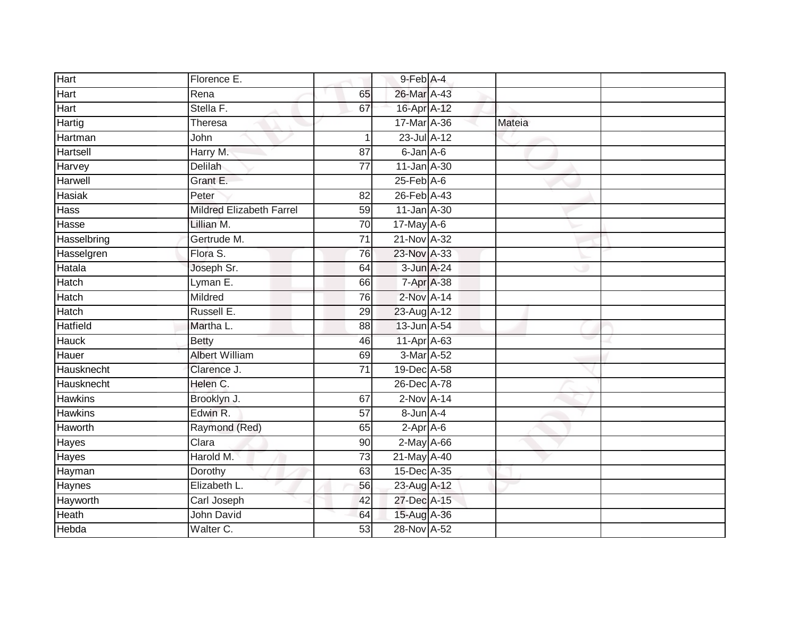| Hart            | Florence E.                     |                 | 9-Feb A-4        |        |  |
|-----------------|---------------------------------|-----------------|------------------|--------|--|
| Hart            | Rena                            | 65              | 26-Mar A-43      |        |  |
| Hart            | Stella F.                       | 67              | 16-Apr A-12      |        |  |
| Hartig          | Theresa                         |                 | 17-Mar A-36      | Mateia |  |
| Hartman         | John                            | $\mathbf 1$     | 23-Jul A-12      |        |  |
| <b>Hartsell</b> | Harry M.                        | 87              | 6-Jan A-6        |        |  |
| Harvey          | Delilah                         | $\overline{77}$ | 11-Jan A-30      |        |  |
| Harwell         | Grant E.                        |                 | $25$ -Feb $A$ -6 |        |  |
| <b>Hasiak</b>   | Peter                           | 82              | 26-Feb A-43      |        |  |
| <b>Hass</b>     | <b>Mildred Elizabeth Farrel</b> | 59              | 11-Jan A-30      |        |  |
| Hasse           | Lillian M.                      | 70              | 17-May A-6       |        |  |
| Hasselbring     | Gertrude M.                     | 71              | 21-Nov A-32      |        |  |
| Hasselgren      | Flora S.                        | 76              | 23-Nov A-33      |        |  |
| Hatala          | Joseph Sr.                      | 64              | 3-Jun A-24       |        |  |
| <b>Hatch</b>    | Lyman E.                        | 66              | 7-Apr A-38       |        |  |
| Hatch           | Mildred                         | 76              | 2-Nov A-14       |        |  |
| Hatch           | Russell E.                      | 29              | 23-Aug A-12      |        |  |
| <b>Hatfield</b> | Martha L.                       | 88              | 13-Jun A-54      |        |  |
| <b>Hauck</b>    | <b>Betty</b>                    | 46              | 11-Apr A-63      |        |  |
| Hauer           | <b>Albert William</b>           | 69              | 3-Mar A-52       |        |  |
| Hausknecht      | Clarence J.                     | 71              | 19-Dec A-58      |        |  |
| Hausknecht      | Helen C.                        |                 | 26-Dec A-78      |        |  |
| <b>Hawkins</b>  | Brooklyn J.                     | 67              | $2-Nov$ A-14     |        |  |
| <b>Hawkins</b>  | Edwin R.                        | 57              | 8-Jun A-4        |        |  |
| Haworth         | Raymond (Red)                   | 65              | $2-Apr$ $A-6$    |        |  |
| Hayes           | Clara                           | 90              | $2$ -May $A$ -66 |        |  |
| Hayes           | Harold M.                       | 73              | 21-May A-40      |        |  |
| Hayman          | Dorothy                         | 63              | 15-Dec A-35      |        |  |
| Haynes          | Elizabeth L.                    | 56              | 23-Aug A-12      |        |  |
| Hayworth        | Carl Joseph                     | 42              | 27-Dec A-15      |        |  |
| Heath           | John David                      | 64              | 15-Aug A-36      |        |  |
| Hebda           | Walter C.                       | 53              | 28-Nov A-52      |        |  |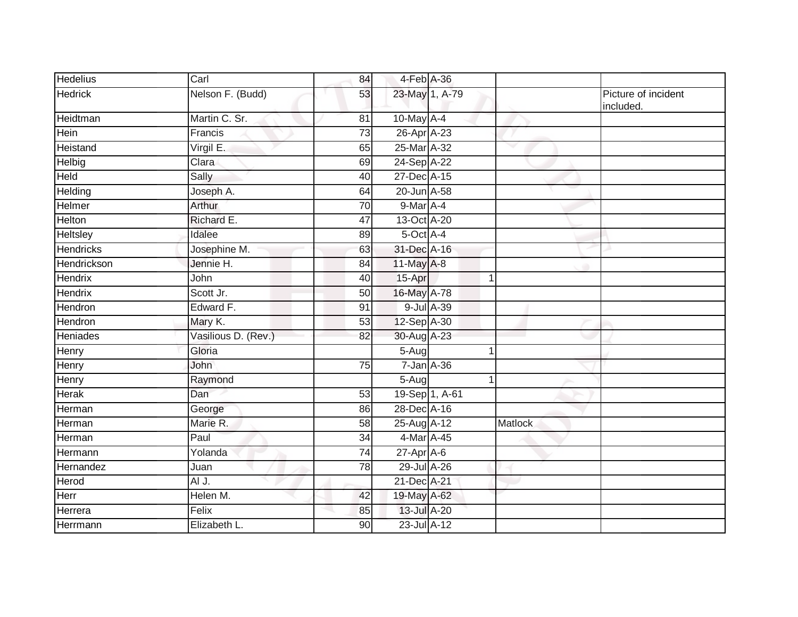| <b>Hedelius</b>  | Carl                | 84              | 4-Feb A-36          |         |                                  |
|------------------|---------------------|-----------------|---------------------|---------|----------------------------------|
| <b>Hedrick</b>   | Nelson F. (Budd)    | 53              | 23-May 1, A-79      |         | Picture of incident<br>included. |
| Heidtman         | Martin C. Sr.       | 81              | 10-May A-4          |         |                                  |
| Hein             | Francis             | 73              | 26-Apr A-23         |         |                                  |
| Heistand         | Virgil E.           | 65              | 25-Mar A-32         | v       |                                  |
| Helbig           | Clara               | 69              | 24-Sep A-22         |         |                                  |
| Held             | Sally               | 40              | 27-Dec A-15         |         |                                  |
| Helding          | Joseph A.           | 64              | 20-Jun A-58         |         |                                  |
| Helmer           | Arthur              | 70              | 9-Mar A-4           |         |                                  |
| Helton           | Richard E.          | 47              | 13-Oct A-20         |         |                                  |
| Heltsley         | Idalee              | 89              | 5-Oct A-4           |         |                                  |
| <b>Hendricks</b> | Josephine M.        | 63              | 31-Dec A-16         |         |                                  |
| Hendrickson      | Jennie H.           | 84              | 11-May A-8          |         |                                  |
| Hendrix          | John                | 40              | 15-Apr              | 1       |                                  |
| <b>Hendrix</b>   | Scott Jr.           | 50              | 16-May A-78         |         |                                  |
| Hendron          | Edward F.           | 91              | 9-Jul A-39          |         |                                  |
| Hendron          | Mary K.             | 53              | 12-Sep A-30         |         |                                  |
| <b>Heniades</b>  | Vasilious D. (Rev.) | 82              | 30-Aug A-23         |         |                                  |
| Henry            | Gloria              |                 | $\overline{5}$ -Aug |         |                                  |
| Henry            | John                | $\overline{75}$ | 7-Jan A-36          |         |                                  |
| Henry            | Raymond             |                 | 5-Aug               | 1       |                                  |
| Herak            | Dan                 | 53              | 19-Sep 1, A-61      |         |                                  |
| Herman           | George              | 86              | 28-Dec A-16         |         |                                  |
| Herman           | Marie R.            | 58              | 25-Aug A-12         | Matlock |                                  |
| Herman           | Paul                | $\overline{34}$ | 4-Mar A-45          |         |                                  |
| Hermann          | Yolanda             | 74              | $27$ -Apr $A$ -6    |         |                                  |
| Hernandez        | Juan                | 78              | 29-Jul A-26         |         |                                  |
| Herod            | AI J.               |                 | 21-Dec A-21         |         |                                  |
| Herr             | Helen M.            | 42              | 19-May A-62         |         |                                  |
| Herrera          | Felix               | 85              | 13-Jul A-20         |         |                                  |
| Herrmann         | Elizabeth L.        | 90              | 23-Jul A-12         |         |                                  |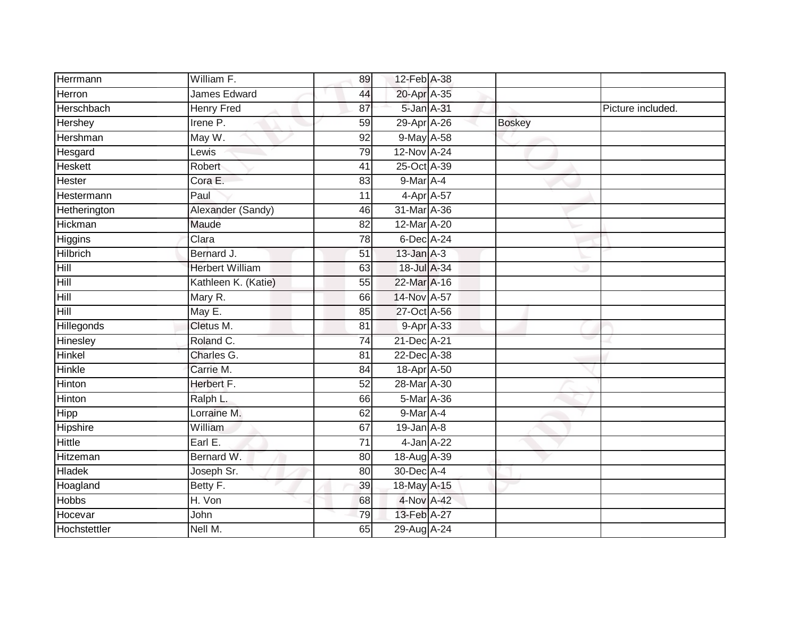| Herrmann        | William F.             | 89              | 12-Feb A-38                  |               |                   |
|-----------------|------------------------|-----------------|------------------------------|---------------|-------------------|
| Herron          | <b>James Edward</b>    | 44              | 20-Apr A-35                  |               |                   |
| Herschbach      | <b>Henry Fred</b>      | 87              | 5-Jan A-31                   |               | Picture included. |
| Hershey         | Irene P.               | 59              | 29-Apr A-26                  | <b>Boskey</b> |                   |
| Hershman        | May W.                 | 92              | 9-May A-58                   |               |                   |
| Hesgard         | Lewis                  | 79              | 12-Nov A-24                  |               |                   |
| Heskett         | Robert                 | 41              | 25-Oct A-39                  |               |                   |
| Hester          | Cora E.                | 83              | 9-Mar A-4                    |               |                   |
| Hestermann      | Paul                   | 11              | 4-Apr A-57                   |               |                   |
| Hetherington    | Alexander (Sandy)      | 46              | 31-Mar A-36                  |               |                   |
| Hickman         | Maude                  | 82              | $12$ -Mar $\overline{A}$ -20 |               |                   |
| Higgins         | Clara                  | 78              | 6-Dec A-24                   |               |                   |
| <b>Hilbrich</b> | Bernard J.             | 51              | $13$ -Jan $A-3$              |               |                   |
| Hill            | <b>Herbert William</b> | 63              | 18-Jul A-34                  |               |                   |
| Hill            | Kathleen K. (Katie)    | 55              | 22-Mar A-16                  |               |                   |
| Hill            | Mary R.                | 66              | 14-Nov A-57                  |               |                   |
| Hill            | May E.                 | 85              | 27-Oct A-56                  |               |                   |
| Hillegonds      | Cletus M.              | 81              | 9-Apr A-33                   |               |                   |
| Hinesley        | Roland C.              | $\overline{74}$ | 21-Dec A-21                  |               |                   |
| Hinkel          | Charles G.             | 81              | 22-Dec A-38                  |               |                   |
| <b>Hinkle</b>   | Carrie M.              | 84              | 18-Apr A-50                  |               |                   |
| Hinton          | Herbert F.             | 52              | 28-Mar A-30                  |               |                   |
| Hinton          | Ralph L.               | 66              | $5-Mar A-36$                 |               |                   |
| Hipp            | Lorraine M.            | 62              | $9$ -Mar $A$ -4              |               |                   |
| Hipshire        | William                | 67              | $19$ -Jan $A$ -8             |               |                   |
| <b>Hittle</b>   | Earl E.                | 71              | 4-Jan A-22                   |               |                   |
| <b>Hitzeman</b> | Bernard W.             | 80              | 18-Aug A-39                  |               |                   |
| <b>Hladek</b>   | Joseph Sr.             | 80              | 30-Dec A-4                   |               |                   |
| Hoagland        | Betty F.               | 39              | 18-May A-15                  |               |                   |
| <b>Hobbs</b>    | H. Von                 | 68              | 4-Nov A-42                   |               |                   |
| Hocevar         | John                   | 79              | 13-Feb A-27                  |               |                   |
| Hochstettler    | Nell M.                | 65              | 29-Aug A-24                  |               |                   |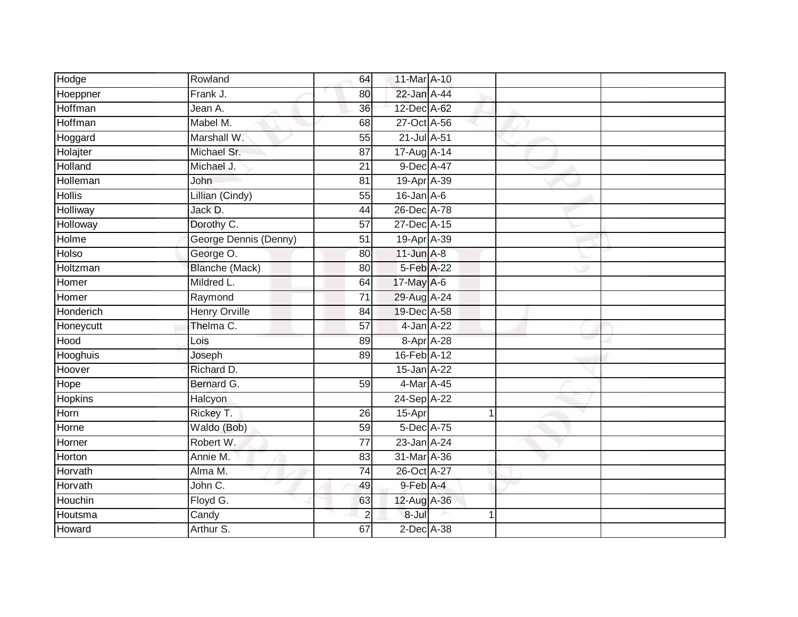| Hodge           | Rowland               | 64              | 11-Mar A-10      |   |  |
|-----------------|-----------------------|-----------------|------------------|---|--|
| Hoeppner        | Frank J.              | 80              | 22-Jan A-44      |   |  |
| Hoffman         | Jean A.               | $\overline{36}$ | 12-Dec A-62      |   |  |
| Hoffman         | Mabel M.              | 68              | 27-Oct A-56      |   |  |
| Hoggard         | Marshall W.           | $\overline{55}$ | 21-Jul A-51      |   |  |
| Holajter        | Michael Sr.           | 87              | 17-Aug A-14      |   |  |
| Holland         | Michael J.            | 21              | 9-Dec A-47       |   |  |
| Holleman        | John                  | 81              | 19-Apr A-39      |   |  |
| <b>Hollis</b>   | Lillian (Cindy)       | 55              | $16$ -Jan $A$ -6 |   |  |
| <b>Holliway</b> | Jack D.               | 44              | 26-Dec A-78      |   |  |
| Holloway        | Dorothy C.            | $\overline{57}$ | 27-Dec A-15      |   |  |
| Holme           | George Dennis (Denny) | 51              | 19-Apr A-39      |   |  |
| Holso           | George O.             | 80              | $11$ -Jun $A-8$  |   |  |
| Holtzman        | <b>Blanche (Mack)</b> | 80              | 5-Feb A-22       |   |  |
| Homer           | Mildred L.            | 64              | 17-May A-6       |   |  |
| Homer           | Raymond               | $\overline{71}$ | 29-Aug A-24      |   |  |
| Honderich       | <b>Henry Orville</b>  | $\overline{84}$ | 19-Dec A-58      |   |  |
| Honeycutt       | Thelma C.             | 57              | $4$ -Jan $A-22$  |   |  |
| Hood            | Lois                  | 89              | 8-Apr A-28       |   |  |
| Hooghuis        | Joseph                | 89              | 16-Feb A-12      |   |  |
| Hoover          | Richard D.            |                 | 15-Jan A-22      |   |  |
| Hope            | Bernard G.            | 59              | 4-Mar A-45       |   |  |
| <b>Hopkins</b>  | Halcyon               |                 | 24-Sep A-22      |   |  |
| Horn            | Rickey T.             | 26              | 15-Apr           |   |  |
| Horne           | Waldo (Bob)           | 59              | 5-Dec A-75       |   |  |
| Horner          | Robert W.             | $\overline{77}$ | 23-Jan A-24      |   |  |
| Horton          | Annie M.              | 83              | 31-Mar A-36      |   |  |
| Horvath         | Alma M.               | 74              | 26-Oct A-27      |   |  |
| Horvath         | John C.               | 49              | $9$ -Feb $A$ -4  |   |  |
| Houchin         | Floyd G.              | 63              | 12-Aug A-36      |   |  |
| Houtsma         | Candy                 | $\mathbf 2$     | 8-Jul            | 4 |  |
| Howard          | Arthur S.             | 67              | $2$ -Dec $A$ -38 |   |  |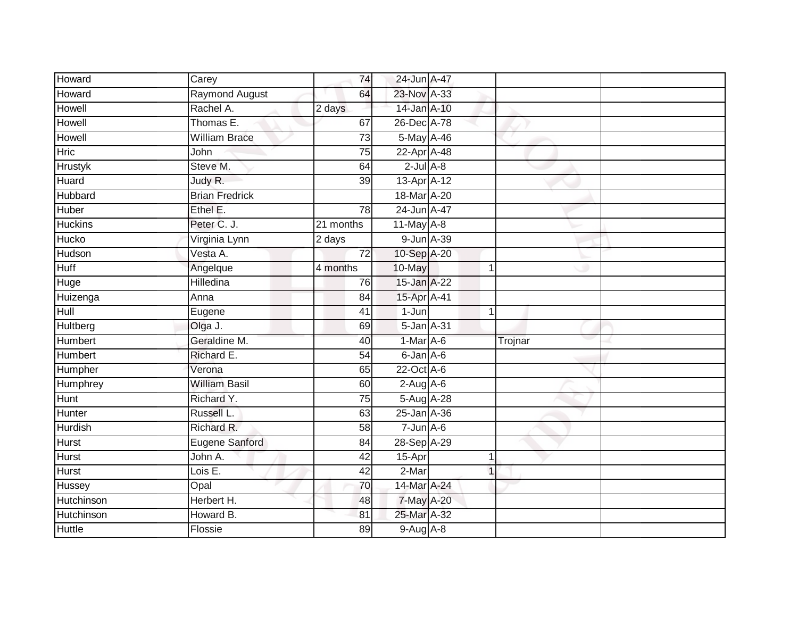| Howard         | Carey                 | 74              | 24-Jun A-47      |                |  |
|----------------|-----------------------|-----------------|------------------|----------------|--|
| Howard         | Raymond August        | 64              | 23-Nov A-33      |                |  |
| <b>Howell</b>  | Rachel A.             | 2 days          | 14-Jan A-10      |                |  |
| Howell         | Thomas E.             | 67              | 26-Dec A-78      |                |  |
| Howell         | <b>William Brace</b>  | $\overline{73}$ | 5-May A-46       |                |  |
| <b>Hric</b>    | John                  | 75              | 22-Apr A-48      |                |  |
| <b>Hrustyk</b> | Steve M.              | 64              | $2$ -Jul $A-8$   |                |  |
| Huard          | Judy R.               | 39              | 13-Apr A-12      |                |  |
| Hubbard        | <b>Brian Fredrick</b> |                 | 18-Mar A-20      |                |  |
| <b>Huber</b>   | Ethel E.              | $\overline{78}$ | 24-Jun A-47      |                |  |
| <b>Huckins</b> | Peter C. J.           | 21 months       | $11$ -May $A-8$  |                |  |
| Hucko          | Virginia Lynn         | 2 days          | 9-Jun A-39       |                |  |
| Hudson         | Vesta A.              | 72              | 10-Sep A-20      |                |  |
| <b>Huff</b>    | Angelque              | 4 months        | 10-May           |                |  |
| Huge           | Hilledina             | 76              | 15-Jan A-22      |                |  |
| Huizenga       | Anna                  | 84              | 15-Apr A-41      |                |  |
| Hull           | Eugene                | $\overline{41}$ | $1 - Jun$        | $\overline{1}$ |  |
| Hultberg       | Olga J.               | 69              | $5 - Jan A - 31$ |                |  |
| Humbert        | Geraldine M.          | 40              | 1-Mar A-6        | Trojnar        |  |
| <b>Humbert</b> | Richard E.            | 54              | 6-Jan A-6        |                |  |
| Humpher        | Verona                | 65              | $22$ -Oct $A-6$  |                |  |
| Humphrey       | <b>William Basil</b>  | 60              | $2-Aug$ A-6      |                |  |
| <b>Hunt</b>    | Richard Y.            | 75              | 5-Aug A-28       |                |  |
| Hunter         | Russell L.            | 63              | 25-Jan A-36      |                |  |
| Hurdish        | Richard R.            | 58              | $7 - Jun$ A-6    |                |  |
| <b>Hurst</b>   | Eugene Sanford        | 84              | 28-Sep A-29      |                |  |
| <b>Hurst</b>   | John A.               | 42              | $15-Apr$         | 1              |  |
| <b>Hurst</b>   | Lois E.               | 42              | 2-Mar            |                |  |
| Hussey         | Opal                  | 70              | 14-Mar A-24      |                |  |
| Hutchinson     | Herbert H.            | 48              | 7-May A-20       |                |  |
| Hutchinson     | Howard B.             | 81              | 25-Mar A-32      |                |  |
| <b>Huttle</b>  | Flossie               | 89              | $9-Aug$ $A-8$    |                |  |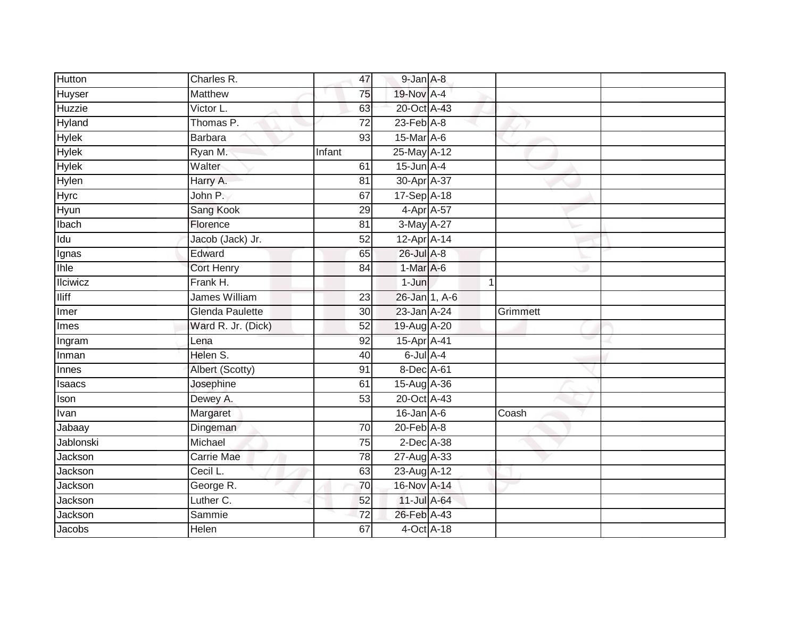| <b>Hutton</b>   | Charles R.             | 47              | 9-Jan A-8        |             |          |
|-----------------|------------------------|-----------------|------------------|-------------|----------|
| Huyser          | <b>Matthew</b>         | 75              | 19-Nov A-4       |             |          |
| Huzzie          | Victor L.              | 63              | 20-Oct A-43      |             |          |
| Hyland          | Thomas P.              | 72              | $23$ -Feb $A-8$  |             |          |
| <b>Hylek</b>    | Barbara                | $\overline{93}$ | 15-Mar A-6       |             |          |
| <b>Hylek</b>    | Ryan M.                | Infant          | 25-May A-12      |             |          |
| <b>Hylek</b>    | Walter                 | 61              | $15$ -Jun $A$ -4 |             |          |
| Hylen           | Harry A.               | 81              | 30-Apr A-37      |             |          |
| Hyrc            | John P.                | 67              | 17-Sep A-18      |             |          |
| Hyun            | Sang Kook              | 29              | 4-Apr A-57       |             |          |
| Ibach           | Florence               | 81              | 3-May A-27       |             |          |
| Idu             | Jacob (Jack) Jr.       | 52              | 12-Apr A-14      |             |          |
| Ignas           | Edward                 | 65              | 26-Jul A-8       |             |          |
| <b>Ihle</b>     | <b>Cort Henry</b>      | 84              | $1-Mar A-6$      |             |          |
| <b>Ilciwicz</b> | Frank H.               |                 | 1-Jun            | $\mathbf 1$ |          |
| <b>Iliff</b>    | James William          | 23              | 26-Jan 1, A-6    |             |          |
| Imer            | <b>Glenda Paulette</b> | $\overline{30}$ | 23-Jan A-24      |             | Grimmett |
| Imes            | Ward R. Jr. (Dick)     | 52              | 19-Aug A-20      |             |          |
| Ingram          | Lena                   | 92              | 15-Apr A-41      |             |          |
| Inman           | Helen S.               | 40              | $6$ -Jul $A$ -4  |             |          |
| Innes           | Albert (Scotty)        | 91              | 8-Dec A-61       |             |          |
| Isaacs          | Josephine              | 61              | 15-Aug A-36      |             |          |
| Ison            | Dewey A.               | 53              | 20-Oct A-43      |             |          |
| Ivan            | Margaret               |                 | $16$ -Jan $A-6$  |             | Coash    |
| Jabaay          | Dingeman               | 70              | $20$ -Feb $A$ -8 |             |          |
| Jablonski       | Michael                | 75              | $2$ -Dec $A$ -38 |             |          |
| Jackson         | <b>Carrie Mae</b>      | 78              | 27-Aug A-33      |             |          |
| Jackson         | Cecil L.               | 63              | 23-Aug A-12      |             |          |
| Jackson         | George R.              | 70              | 16-Nov A-14      |             |          |
| Jackson         | Luther C.              | 52              | 11-Jul A-64      |             |          |
| Jackson         | Sammie                 | $\overline{72}$ | 26-Feb A-43      |             |          |
| Jacobs          | Helen                  | 67              | 4-Oct A-18       |             |          |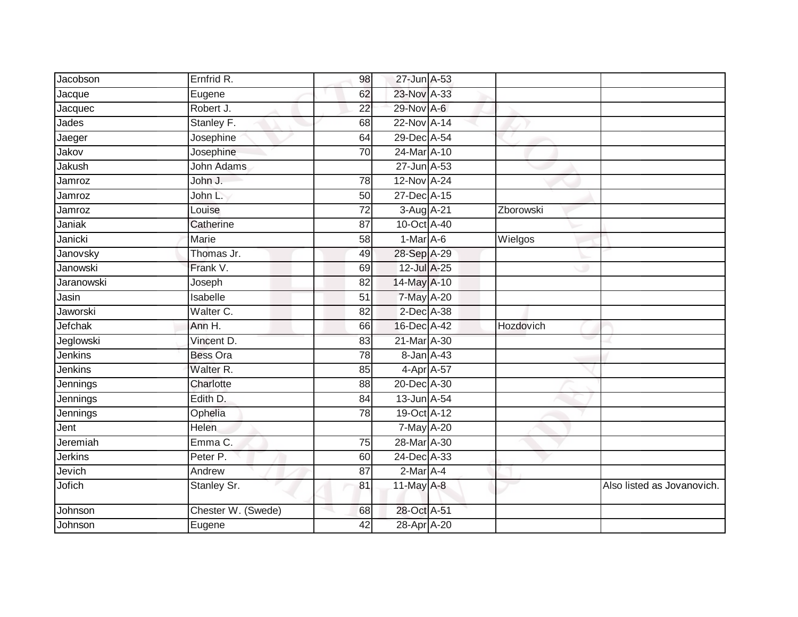| Ernfrid R.         | 98              |  |                                                                                                                                                                                                                                                                                                                                                                                                                                                                            |                            |
|--------------------|-----------------|--|----------------------------------------------------------------------------------------------------------------------------------------------------------------------------------------------------------------------------------------------------------------------------------------------------------------------------------------------------------------------------------------------------------------------------------------------------------------------------|----------------------------|
| Eugene             | 62              |  |                                                                                                                                                                                                                                                                                                                                                                                                                                                                            |                            |
| Robert J.          | 22              |  |                                                                                                                                                                                                                                                                                                                                                                                                                                                                            |                            |
| Stanley F.         | 68              |  |                                                                                                                                                                                                                                                                                                                                                                                                                                                                            |                            |
| Josephine          | 64              |  |                                                                                                                                                                                                                                                                                                                                                                                                                                                                            |                            |
| Josephine          | 70              |  |                                                                                                                                                                                                                                                                                                                                                                                                                                                                            |                            |
| <b>John Adams</b>  |                 |  |                                                                                                                                                                                                                                                                                                                                                                                                                                                                            |                            |
| John J.            | $\overline{78}$ |  |                                                                                                                                                                                                                                                                                                                                                                                                                                                                            |                            |
| John L.            | 50              |  |                                                                                                                                                                                                                                                                                                                                                                                                                                                                            |                            |
| Louise             | $\overline{72}$ |  | Zborowski                                                                                                                                                                                                                                                                                                                                                                                                                                                                  |                            |
| Catherine          | 87              |  |                                                                                                                                                                                                                                                                                                                                                                                                                                                                            |                            |
| Marie              | 58              |  | Wielgos                                                                                                                                                                                                                                                                                                                                                                                                                                                                    |                            |
| Thomas Jr.         | 49              |  |                                                                                                                                                                                                                                                                                                                                                                                                                                                                            |                            |
| Frank V.           | 69              |  |                                                                                                                                                                                                                                                                                                                                                                                                                                                                            |                            |
| Joseph             | 82              |  |                                                                                                                                                                                                                                                                                                                                                                                                                                                                            |                            |
| Isabelle           | 51              |  |                                                                                                                                                                                                                                                                                                                                                                                                                                                                            |                            |
| Walter C.          | $\overline{82}$ |  |                                                                                                                                                                                                                                                                                                                                                                                                                                                                            |                            |
| Ann H.             | 66              |  | Hozdovich                                                                                                                                                                                                                                                                                                                                                                                                                                                                  |                            |
| Vincent D.         | 83              |  |                                                                                                                                                                                                                                                                                                                                                                                                                                                                            |                            |
| <b>Bess Ora</b>    | 78              |  |                                                                                                                                                                                                                                                                                                                                                                                                                                                                            |                            |
| Walter R.          | 85              |  |                                                                                                                                                                                                                                                                                                                                                                                                                                                                            |                            |
| Charlotte          | $\overline{88}$ |  |                                                                                                                                                                                                                                                                                                                                                                                                                                                                            |                            |
| Edith D.           | 84              |  |                                                                                                                                                                                                                                                                                                                                                                                                                                                                            |                            |
| Ophelia            | 78              |  |                                                                                                                                                                                                                                                                                                                                                                                                                                                                            |                            |
| Helen              |                 |  |                                                                                                                                                                                                                                                                                                                                                                                                                                                                            |                            |
| Emma C.            | 75              |  |                                                                                                                                                                                                                                                                                                                                                                                                                                                                            |                            |
| Peter P.           | 60              |  |                                                                                                                                                                                                                                                                                                                                                                                                                                                                            |                            |
| Andrew             | 87              |  |                                                                                                                                                                                                                                                                                                                                                                                                                                                                            |                            |
| Stanley Sr.        | 81              |  |                                                                                                                                                                                                                                                                                                                                                                                                                                                                            | Also listed as Jovanovich. |
| Chester W. (Swede) | 68              |  |                                                                                                                                                                                                                                                                                                                                                                                                                                                                            |                            |
| Eugene             | 42              |  |                                                                                                                                                                                                                                                                                                                                                                                                                                                                            |                            |
|                    |                 |  | 27-Jun A-53<br>23-Nov A-33<br>29-Nov A-6<br>$22$ -Nov A-14<br>29-Dec A-54<br>24-Mar A-10<br>27-Jun A-53<br>12-Nov A-24<br>27-Dec A-15<br>3-Aug A-21<br>10-Oct A-40<br>1-Mar A-6<br>28-Sep A-29<br>12-Jul A-25<br>14-May A-10<br>7-May A-20<br>$2$ -Dec $A$ -38<br>16-Dec A-42<br>21-Mar A-30<br>8-Jan A-43<br>4-Apr A-57<br>20-Dec A-30<br>13-Jun A-54<br>19-Oct A-12<br>7-May A-20<br>28-Mar A-30<br>24-Dec A-33<br>2-Mar A-4<br>11-May A-8<br>28-Oct A-51<br>28-Apr A-20 |                            |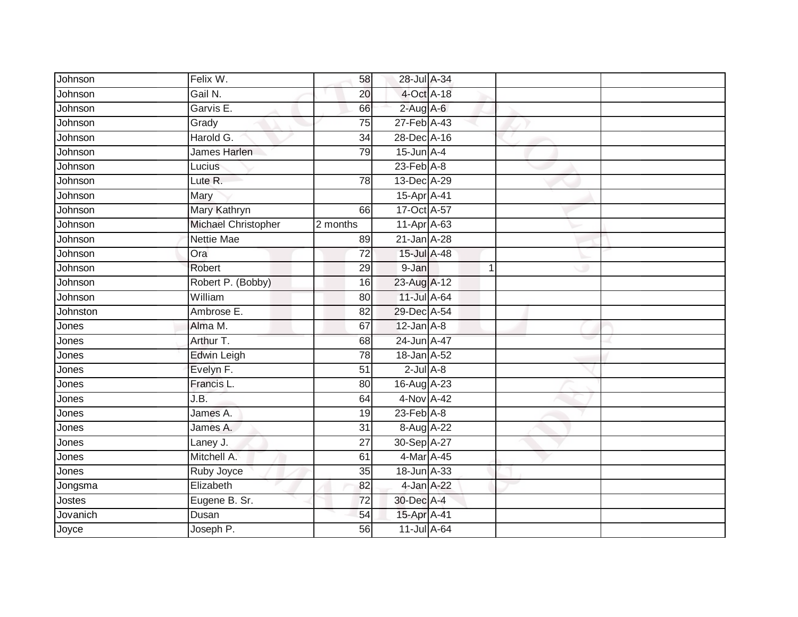| Johnson  | Felix W.            | 58              | 28-Jul A-34     |   |  |
|----------|---------------------|-----------------|-----------------|---|--|
| Johnson  | Gail N.             | 20              | 4-Oct A-18      |   |  |
| Johnson  | Garvis E.           | 66              | $2$ -Aug A-6    |   |  |
| Johnson  | Grady               | 75              | 27-Feb A-43     |   |  |
| Johnson  | Harold G.           | $\overline{34}$ | 28-Dec A-16     |   |  |
| Johnson  | James Harlen        | 79              | $15$ -Jun $A-4$ |   |  |
| Johnson  | Lucius              |                 | $23$ -Feb $A-8$ |   |  |
| Johnson  | Lute R.             | 78              | 13-Dec A-29     |   |  |
| Johnson  | Mary                |                 | 15-Apr A-41     |   |  |
| Johnson  | Mary Kathryn        | 66              | 17-Oct A-57     |   |  |
| Johnson  | Michael Christopher | 2 months        | 11-Apr A-63     |   |  |
| Johnson  | <b>Nettie Mae</b>   | 89              | 21-Jan A-28     |   |  |
| Johnson  | Ora                 | 72              | 15-Jul A-48     |   |  |
| Johnson  | Robert              | 29              | 9-Jan           | 1 |  |
| Johnson  | Robert P. (Bobby)   | 16              | 23-Aug A-12     |   |  |
| Johnson  | William             | 80              | 11-Jul A-64     |   |  |
| Johnston | Ambrose E.          | $\overline{82}$ | 29-Dec A-54     |   |  |
| Jones    | Alma M.             | 67              | $12$ -Jan $A-8$ |   |  |
| Jones    | Arthur T.           | 68              | 24-Jun A-47     |   |  |
| Jones    | <b>Edwin Leigh</b>  | $\overline{78}$ | 18-Jan A-52     |   |  |
| Jones    | Evelyn F.           | 51              | $2$ -Jul $A-8$  |   |  |
| Jones    | Francis L.          | 80              | 16-Aug A-23     |   |  |
| Jones    | J.B.                | 64              | $4-Nov A-42$    |   |  |
| Jones    | James A.            | 19              | $23$ -Feb $A-8$ |   |  |
| Jones    | James A.            | 31              | 8-Aug A-22      |   |  |
| Jones    | Laney J.            | 27              | 30-Sep A-27     |   |  |
| Jones    | Mitchell A.         | 61              | 4-Mar A-45      |   |  |
| Jones    | Ruby Joyce          | 35              | 18-Jun A-33     |   |  |
| Jongsma  | Elizabeth           | 82              | 4-Jan A-22      |   |  |
| Jostes   | Eugene B. Sr.       | 72              | 30-Dec A-4      |   |  |
| Jovanich | Dusan               | 54              | 15-Apr A-41     |   |  |
| Joyce    | Joseph P.           | 56              | 11-Jul A-64     |   |  |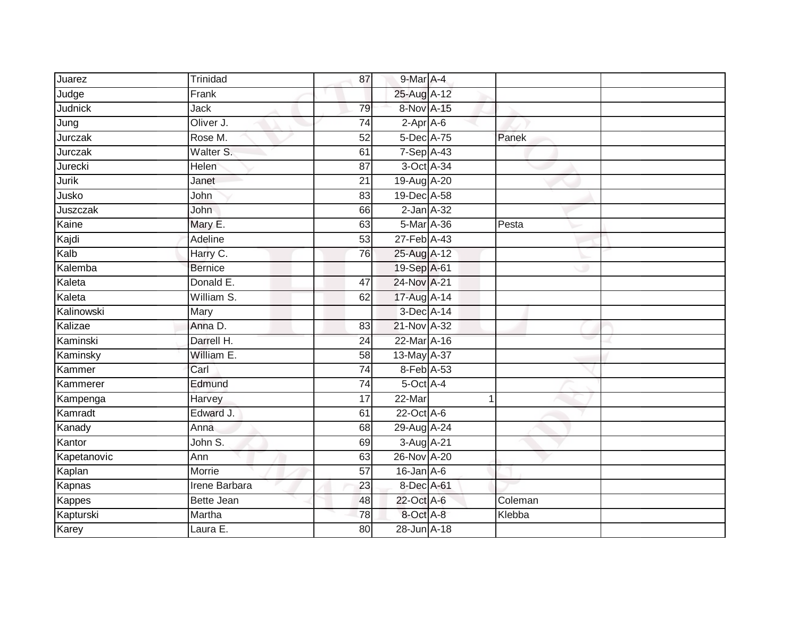| Juarez         | Trinidad          | 87              | 9-Mar A-4              |         |  |
|----------------|-------------------|-----------------|------------------------|---------|--|
| Judge          | Frank             |                 | 25-Aug A-12            |         |  |
| <b>Judnick</b> | Jack              | 79              | 8-Nov A-15             |         |  |
| Jung           | Oliver J.         | 74              | 2-Apr A-6              |         |  |
| Jurczak        | Rose M.           | 52              | 5-Dec A-75             | Panek   |  |
| Jurczak        | Walter S.         | 61              | $7-Sep\overline{A-43}$ |         |  |
| Jurecki        | <b>Helen</b>      | 87              | 3-Oct A-34             |         |  |
| <b>Jurik</b>   | Janet             | 21              | 19-Aug A-20            |         |  |
| Jusko          | John              | 83              | 19-Dec A-58            |         |  |
| Juszczak       | John              | 66              | $2$ -Jan $A-32$        |         |  |
| Kaine          | Mary E.           | 63              | $5-Mar A-36$           | Pesta   |  |
| Kajdi          | Adeline           | 53              | 27-Feb A-43            |         |  |
| Kalb           | Harry C.          | 76              | 25-Aug A-12            |         |  |
| Kalemba        | <b>Bernice</b>    |                 | 19-Sep A-61            |         |  |
| Kaleta         | Donald E.         | 47              | 24-Nov A-21            |         |  |
| Kaleta         | William S.        | 62              | 17-Aug A-14            |         |  |
| Kalinowski     | Mary              |                 | 3-Dec A-14             |         |  |
| Kalizae        | Anna D.           | 83              | 21-Nov A-32            |         |  |
| Kaminski       | Darrell H.        | 24              | 22-Mar A-16            |         |  |
| Kaminsky       | William E.        | $\overline{58}$ | 13-May A-37            |         |  |
| Kammer         | Carl              | $\overline{74}$ | 8-Feb A-53             |         |  |
| Kammerer       | Edmund            | 74              | 5-Oct A-4              |         |  |
| Kampenga       | Harvey            | 17              | $22$ -Mar              | 1       |  |
| Kamradt        | Edward J.         | 61              | 22-Oct A-6             |         |  |
| Kanady         | Anna              | 68              | 29-Aug A-24            |         |  |
| Kantor         | John S.           | 69              | 3-Aug A-21             |         |  |
| Kapetanovic    | Ann               | 63              | 26-Nov A-20            |         |  |
| Kaplan         | Morrie            | 57              | $16$ -Jan $A$ -6       |         |  |
| Kapnas         | Irene Barbara     | 23              | 8-Dec A-61             |         |  |
| Kappes         | <b>Bette Jean</b> | 48              | 22-Oct A-6             | Coleman |  |
| Kapturski      | Martha            | 78              | 8-Oct A-8              | Klebba  |  |
| Karey          | Laura E.          | 80              | 28-Jun A-18            |         |  |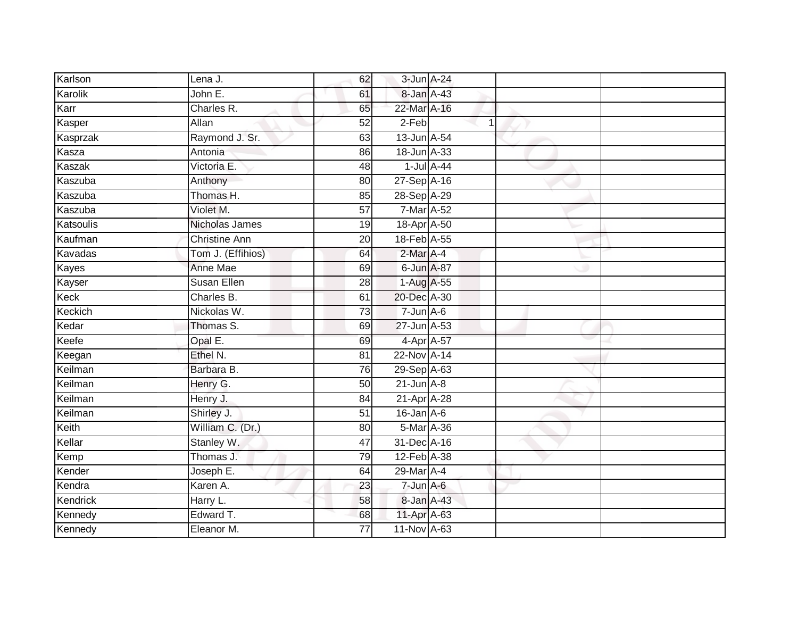| Karlson      | Lena J.              | 62              | 3-Jun A-24       |   |  |
|--------------|----------------------|-----------------|------------------|---|--|
| Karolik      | John E.              | 61              | 8-Jan A-43       |   |  |
| Karr         | Charles R.           | 65              | 22-Mar A-16      |   |  |
| Kasper       | Allan                | 52              | 2-Feb            | 1 |  |
| Kasprzak     | Raymond J. Sr.       | 63              | 13-Jun A-54      |   |  |
| Kasza        | Antonia              | 86              | 18-Jun A-33      |   |  |
| Kaszak       | Victoria E.          | 48              | $1$ -Jul $A$ -44 |   |  |
| Kaszuba      | Anthony              | 80              | 27-Sep A-16      |   |  |
| Kaszuba      | Thomas H.            | 85              | 28-Sep A-29      |   |  |
| Kaszuba      | Violet M.            | 57              | 7-Mar A-52       |   |  |
| Katsoulis    | Nicholas James       | 19              | 18-Apr A-50      |   |  |
| Kaufman      | <b>Christine Ann</b> | 20              | 18-Feb A-55      |   |  |
| Kavadas      | Tom J. (Effihios)    | 64              | $2$ -Mar $A$ -4  |   |  |
| <b>Kayes</b> | Anne Mae             | 69              | 6-Jun A-87       |   |  |
| Kayser       | <b>Susan Ellen</b>   | 28              | 1-Aug A-55       |   |  |
| Keck         | Charles B.           | 61              | 20-Dec A-30      |   |  |
| Keckich      | Nickolas W.          | $\overline{73}$ | $7 - Jun$ A-6    |   |  |
| Kedar        | Thomas S.            | 69              | 27-Jun A-53      |   |  |
| Keefe        | Opal E.              | 69              | 4-Apr A-57       |   |  |
| Keegan       | Ethel N.             | 81              | 22-Nov A-14      |   |  |
| Keilman      | Barbara B.           | 76              | 29-Sep A-63      |   |  |
| Keilman      | Henry G.             | 50              | $21$ -Jun $A-8$  |   |  |
| Keilman      | Henry J.             | 84              | 21-Apr A-28      |   |  |
| Keilman      | Shirley J.           | 51              | $16$ -Jan $A-6$  |   |  |
| Keith        | William C. (Dr.)     | 80              | 5-Mar A-36       |   |  |
| Kellar       | Stanley W.           | 47              | 31-Dec A-16      |   |  |
| Kemp         | Thomas J.            | 79              | 12-Feb A-38      |   |  |
| Kender       | Joseph E.            | 64              | 29-Mar A-4       |   |  |
| Kendra       | Karen A.             | 23              | $7 - Jun$ A-6    |   |  |
| Kendrick     | Harry L.             | 58              | 8-Jan A-43       |   |  |
| Kennedy      | Edward T.            | 68              | 11-Apr A-63      |   |  |
| Kennedy      | Eleanor M.           | $\overline{77}$ | 11-Nov A-63      |   |  |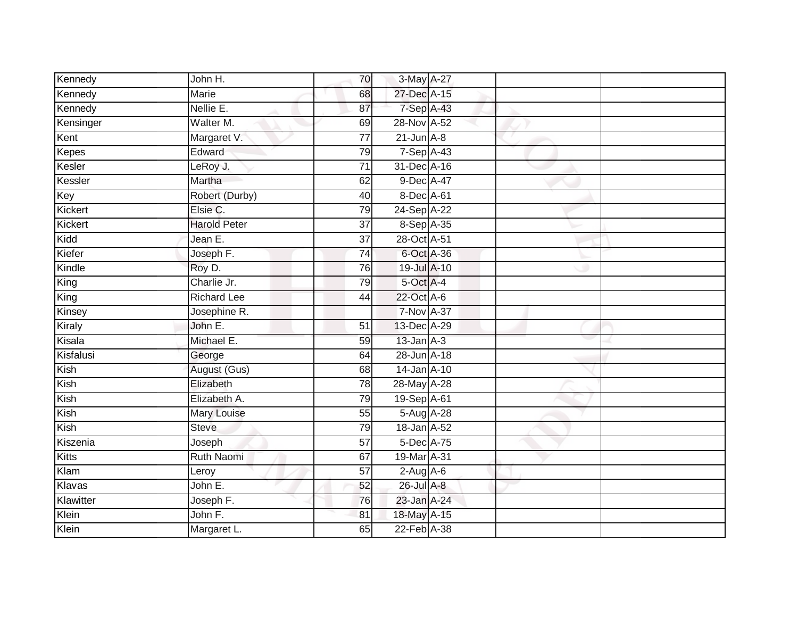| Kennedy      | John H.             | 70              | 3-May A-27      |  |  |
|--------------|---------------------|-----------------|-----------------|--|--|
| Kennedy      | <b>Marie</b>        | 68              | 27-Dec A-15     |  |  |
| Kennedy      | Nellie E.           | 87              | 7-Sep A-43      |  |  |
| Kensinger    | Walter M.           | 69              | 28-Nov A-52     |  |  |
| Kent         | Margaret V.         | $\overline{77}$ | $21$ -Jun $A-8$ |  |  |
| <b>Kepes</b> | Edward              | 79              | 7-Sep A-43      |  |  |
| Kesler       | LeRoy J.            | $\overline{71}$ | 31-Dec A-16     |  |  |
| Kessler      | Martha              | 62              | 9-Dec A-47      |  |  |
| Key          | Robert (Durby)      | 40              | 8-Dec A-61      |  |  |
| Kickert      | Elsie C.            | 79              | 24-Sep A-22     |  |  |
| Kickert      | <b>Harold Peter</b> | $\overline{37}$ | 8-Sep A-35      |  |  |
| Kidd         | Jean E.             | $\overline{37}$ | 28-Oct A-51     |  |  |
| Kiefer       | Joseph F.           | $\overline{74}$ | 6-Oct A-36      |  |  |
| Kindle       | Roy D.              | 76              | 19-Jul A-10     |  |  |
| King         | Charlie Jr.         | 79              | 5-Oct A-4       |  |  |
| King         | <b>Richard Lee</b>  | 44              | 22-Oct A-6      |  |  |
| Kinsey       | Josephine R.        |                 | 7-Nov A-37      |  |  |
| Kiraly       | John E.             | 51              | 13-Dec A-29     |  |  |
| Kisala       | Michael E.          | 59              | $13$ -Jan $A-3$ |  |  |
| Kisfalusi    | George              | 64              | 28-Jun A-18     |  |  |
| Kish         | August (Gus)        | 68              | 14-Jan A-10     |  |  |
| Kish         | Elizabeth           | 78              | 28-May A-28     |  |  |
| Kish         | Elizabeth A.        | 79              | 19-Sep A-61     |  |  |
| Kish         | Mary Louise         | 55              | 5-Aug A-28      |  |  |
| Kish         | <b>Steve</b>        | 79              | 18-Jan A-52     |  |  |
| Kiszenia     | Joseph              | $\overline{57}$ | 5-Dec A-75      |  |  |
| <b>Kitts</b> | <b>Ruth Naomi</b>   | 67              | 19-Mar A-31     |  |  |
| Klam         | Leroy               | 57              | $2-Aug$ $A-6$   |  |  |
| Klavas       | John E.             | 52              | 26-Jul A-8      |  |  |
| Klawitter    | Joseph F.           | 76              | 23-Jan A-24     |  |  |
| Klein        | John F.             | 81              | 18-May A-15     |  |  |
| Klein        | Margaret L.         | 65              | 22-Feb A-38     |  |  |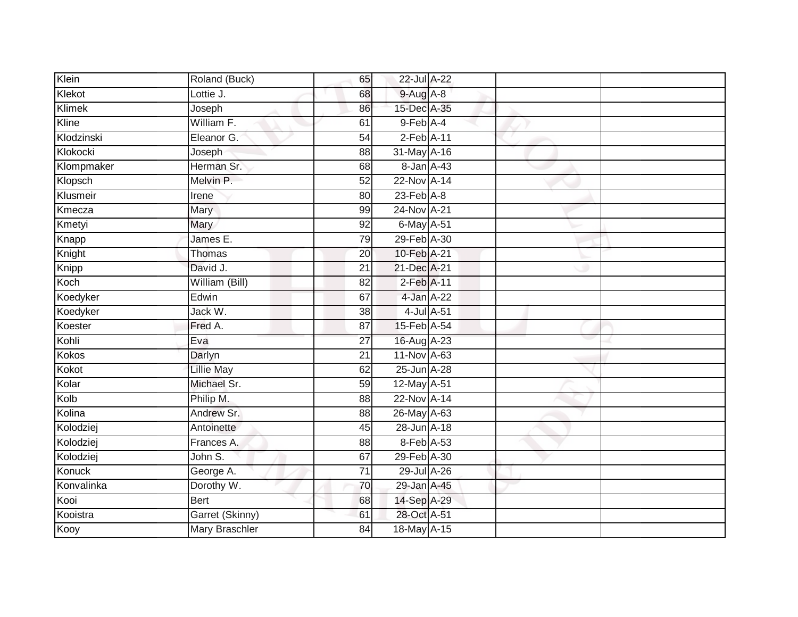| Klein        | Roland (Buck)         | 65              | 22-Jul A-22     |            |  |
|--------------|-----------------------|-----------------|-----------------|------------|--|
| Klekot       | Lottie J.             | 68              | $9-Aug$ $A-8$   |            |  |
| Klimek       | Joseph                | 86              | 15-Dec A-35     |            |  |
| Kline        | William F.            | 61              | 9-Feb A-4       |            |  |
| Klodzinski   | Eleanor G.            | $\overline{54}$ | $2$ -Feb $A-11$ |            |  |
| Klokocki     | Joseph                | 88              | 31-May A-16     |            |  |
| Klompmaker   | Herman Sr.            | 68              | 8-Jan A-43      |            |  |
| Klopsch      | Melvin P.             | $\overline{52}$ | 22-Nov A-14     |            |  |
| Klusmeir     | Irene                 | 80              | $23$ -Feb $A-8$ |            |  |
| Kmecza       | Mary                  | 99              | 24-Nov A-21     |            |  |
| Kmetyi       | Mary                  | $\overline{92}$ | 6-May A-51      |            |  |
| Knapp        | James E.              | 79              | 29-Feb A-30     |            |  |
| Knight       | Thomas                | 20              | 10-Feb A-21     |            |  |
| Knipp        | David J.              | $\overline{21}$ | 21-Dec A-21     |            |  |
| Koch         | William (Bill)        | $\overline{82}$ | $2$ -Feb $A-11$ |            |  |
| Koedyker     | Edwin                 | 67              | 4-Jan A-22      |            |  |
| Koedyker     | Jack W.               | 38              |                 | 4-Jul A-51 |  |
| Koester      | Fred A.               | 87              | 15-Feb A-54     |            |  |
| Kohli        | Eva                   | 27              | 16-Aug A-23     |            |  |
| <b>Kokos</b> | Darlyn                | $\overline{21}$ | 11-Nov A-63     |            |  |
| Kokot        | <b>Lillie May</b>     | 62              | 25-Jun A-28     |            |  |
| Kolar        | Michael Sr.           | 59              | 12-May A-51     |            |  |
| Kolb         | Philip M.             | 88              | 22-Nov A-14     |            |  |
| Kolina       | Andrew Sr.            | 88              | 26-May A-63     |            |  |
| Kolodziej    | Antoinette            | 45              | 28-Jun A-18     |            |  |
| Kolodziej    | Frances A.            | 88              | 8-Feb A-53      |            |  |
| Kolodziej    | John S.               | 67              | 29-Feb A-30     |            |  |
| Konuck       | George A.             | 71              | 29-Jul A-26     |            |  |
| Konvalinka   | Dorothy W.            | 70              | 29-Jan A-45     |            |  |
| Kooi         | <b>Bert</b>           | 68              | 14-Sep A-29     |            |  |
| Kooistra     | Garret (Skinny)       | 61              | 28-Oct A-51     |            |  |
| Kooy         | <b>Mary Braschler</b> | 84              | 18-May A-15     |            |  |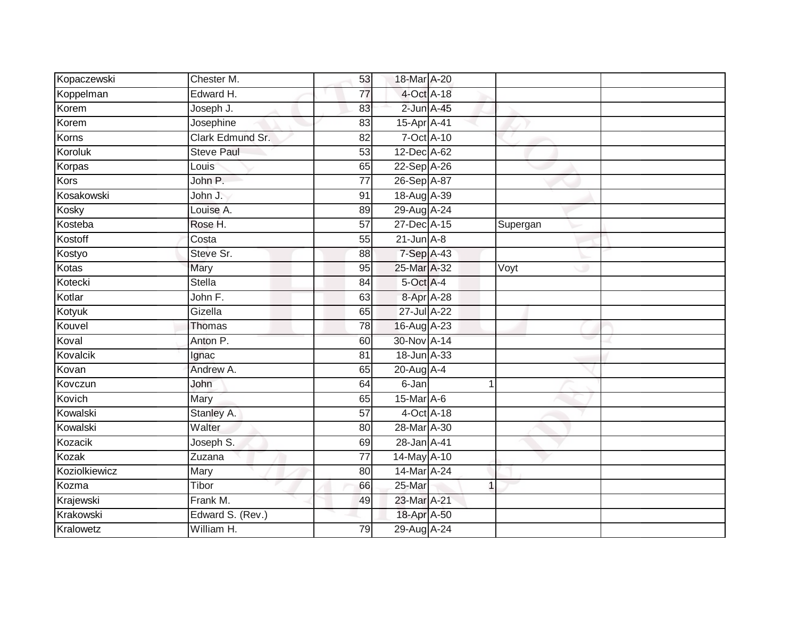| Kopaczewski   | Chester M.            | 53              | 18-Mar A-20     |                |          |  |
|---------------|-----------------------|-----------------|-----------------|----------------|----------|--|
| Koppelman     | Edward H.             | 77              | 4-Oct A-18      |                |          |  |
| Korem         | Joseph J.             | 83              | 2-Jun A-45      |                |          |  |
| Korem         | Josephine             | 83              | 15-Apr A-41     |                |          |  |
| Korns         | Clark Edmund Sr.      | $\overline{82}$ | 7-Oct A-10      |                |          |  |
| Koroluk       | <b>Steve Paul</b>     | 53              | 12-Dec A-62     |                |          |  |
| Korpas        | Louis                 | 65              | 22-Sep A-26     |                |          |  |
| <b>Kors</b>   | John P.               | 77              | 26-Sep A-87     |                |          |  |
| Kosakowski    | John J.               | 91              | 18-Aug A-39     |                |          |  |
| Kosky         | Louise A.             | 89              | 29-Aug A-24     |                |          |  |
| Kosteba       | Rose H.               | 57              | $27 - Dec$ A-15 |                | Supergan |  |
| Kostoff       | Costa                 | 55              | $21$ -Jun $A-8$ |                |          |  |
| Kostyo        | Steve Sr.             | 88              | 7-Sep A-43      |                |          |  |
| Kotas         | Mary                  | 95              | 25-Mar A-32     |                | Voyt     |  |
| Kotecki       | <b>Stella</b>         | $\overline{84}$ | 5-Oct A-4       |                |          |  |
| Kotlar        | John $\overline{F}$ . | 63              | 8-Apr A-28      |                |          |  |
| Kotyuk        | Gizella               | 65              | 27-Jul A-22     |                |          |  |
| Kouvel        | Thomas                | 78              | 16-Aug A-23     |                |          |  |
| Koval         | Anton P.              | 60              | 30-Nov A-14     |                |          |  |
| Kovalcik      | Ignac                 | 81              | 18-Jun A-33     |                |          |  |
| Kovan         | Andrew A.             | 65              | 20-Aug A-4      |                |          |  |
| Kovczun       | John                  | 64              | $6 - Jan$       |                |          |  |
| Kovich        | Mary                  | 65              | 15-Mar A-6      |                |          |  |
| Kowalski      | Stanley A.            | $\overline{57}$ | 4-Oct A-18      |                |          |  |
| Kowalski      | Walter                | 80              | 28-Mar A-30     |                |          |  |
| Kozacik       | Joseph S.             | 69              | 28-Jan A-41     |                |          |  |
| Kozak         | Zuzana                | $\overline{77}$ | 14-May A-10     |                |          |  |
| Koziolkiewicz | Mary                  | 80              | 14-Mar A-24     |                |          |  |
| Kozma         | Tibor                 | 66              | 25-Mar          | $\overline{1}$ |          |  |
| Krajewski     | Frank M.              | 49              | 23-Mar A-21     |                |          |  |
| Krakowski     | Edward S. (Rev.)      |                 | 18-Apr A-50     |                |          |  |
| Kralowetz     | William H.            | 79              | 29-Aug A-24     |                |          |  |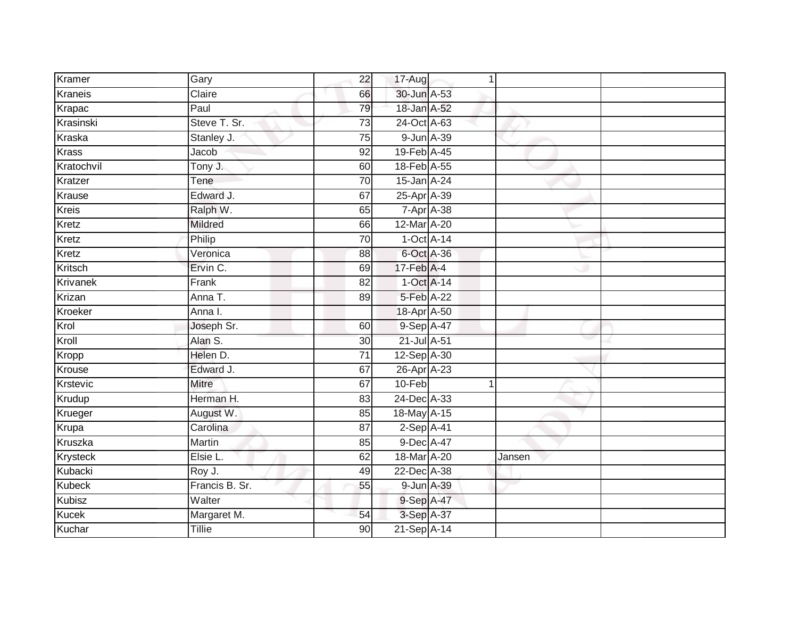| Kramer          | Gary           | 22              | 17-Aug           | 1 |        |  |
|-----------------|----------------|-----------------|------------------|---|--------|--|
| Kraneis         | Claire         | 66              | 30-Jun A-53      |   |        |  |
| Krapac          | Paul           | 79              | 18-Jan A-52      |   |        |  |
| Krasinski       | Steve T. Sr.   | 73              | 24-Oct A-63      |   |        |  |
| Kraska          | Stanley J.     | 75              | 9-Jun A-39       |   |        |  |
| Krass           | Jacob          | $\overline{92}$ | 19-Feb A-45      |   |        |  |
| Kratochvil      | Tony J.        | 60              | 18-Feb A-55      |   |        |  |
| Kratzer         | Tene           | 70              | 15-Jan A-24      |   |        |  |
| Krause          | Edward J.      | 67              | 25-Apr A-39      |   |        |  |
| <b>Kreis</b>    | Ralph W.       | 65              | 7-Apr A-38       |   |        |  |
| Kretz           | Mildred        | 66              | 12-Mar A-20      |   |        |  |
| Kretz           | Philip         | 70              | $1-Oct$ A-14     |   |        |  |
| Kretz           | Veronica       | 88              | 6-Oct A-36       |   |        |  |
| Kritsch         | Ervin C.       | 69              | $17$ -Feb $A$ -4 |   |        |  |
| <b>Krivanek</b> | Frank          | $\overline{82}$ | $1-Oct$ A-14     |   |        |  |
| Krizan          | Anna T.        | 89              | 5-Feb A-22       |   |        |  |
| Kroeker         | Anna I.        |                 | 18-Apr A-50      |   |        |  |
| Krol            | Joseph Sr.     | 60              | 9-Sep A-47       |   |        |  |
| Kroll           | Alan S.        | 30 <sup>°</sup> | 21-Jul A-51      |   |        |  |
| Kropp           | Helen D.       | $\overline{71}$ | 12-Sep A-30      |   |        |  |
| Krouse          | Edward J.      | 67              | 26-Apr A-23      |   |        |  |
| Krstevic        | <b>Mitre</b>   | 67              | 10-Feb           | 1 |        |  |
| Krudup          | Herman H.      | 83              | 24-Dec A-33      |   |        |  |
| Krueger         | August W.      | 85              | 18-May A-15      |   |        |  |
| Krupa           | Carolina       | 87              | $2-Sep$ A-41     |   |        |  |
| Kruszka         | Martin         | 85              | 9-Dec A-47       |   |        |  |
| Krysteck        | Elsie L.       | 62              | 18-Mar A-20      |   | Jansen |  |
| Kubacki         | Roy J.         | 49              | 22-Dec A-38      |   |        |  |
| <b>Kubeck</b>   | Francis B. Sr. | 55              | 9-Jun A-39       |   |        |  |
| Kubisz          | Walter         |                 | 9-Sep A-47       |   |        |  |
| <b>Kucek</b>    | Margaret M.    | 54              | 3-Sep A-37       |   |        |  |
| Kuchar          | <b>Tillie</b>  | 90              | 21-Sep A-14      |   |        |  |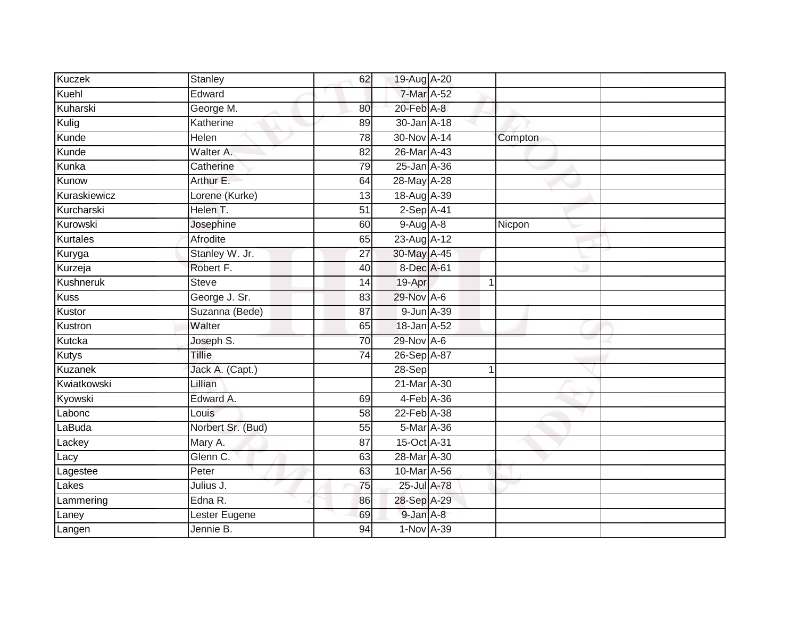| <b>Kuczek</b>  | Stanley           | 62              | 19-Aug A-20     |                |  |
|----------------|-------------------|-----------------|-----------------|----------------|--|
| Kuehl          | Edward            |                 | 7-Mar A-52      |                |  |
| Kuharski       | George M.         | 80              | $20$ -Feb $A-8$ |                |  |
| Kulig          | Katherine         | 89              | 30-Jan A-18     |                |  |
| Kunde          | <b>Helen</b>      | $\overline{78}$ | 30-Nov A-14     | Compton        |  |
| Kunde          | Walter A.         | 82              | 26-Mar A-43     |                |  |
| Kunka          | Catherine         | 79              | 25-Jan A-36     |                |  |
| Kunow          | Arthur E.         | 64              | 28-May A-28     |                |  |
| Kuraskiewicz   | Lorene (Kurke)    | 13              | 18-Aug A-39     |                |  |
| Kurcharski     | Helen T.          | 51              | 2-Sep A-41      |                |  |
| Kurowski       | Josephine         | 60              | $9-AugA-8$      | Nicpon         |  |
| Kurtales       | Afrodite          | 65              | 23-Aug A-12     |                |  |
| Kuryga         | Stanley W. Jr.    | 27              | 30-May A-45     |                |  |
| Kurzeja        | Robert F.         | 40              | 8-Dec A-61      |                |  |
| Kushneruk      | <b>Steve</b>      | 14              | 19-Apr          | $\overline{1}$ |  |
| <b>Kuss</b>    | George J. Sr.     | 83              | 29-Nov A-6      |                |  |
| Kustor         | Suzanna (Bede)    | 87              | 9-Jun A-39      |                |  |
| Kustron        | Walter            | 65              | 18-Jan A-52     |                |  |
| Kutcka         | Joseph S.         | 70              | 29-Nov A-6      |                |  |
| <b>Kutys</b>   | <b>Tillie</b>     | 74              | 26-Sep A-87     |                |  |
| <b>Kuzanek</b> | Jack A. (Capt.)   |                 | $28-Sep$        | 1              |  |
| Kwiatkowski    | Lillian           |                 | 21-Mar A-30     |                |  |
| Kyowski        | Edward A.         | 69              | 4-Feb A-36      |                |  |
| Labonc         | Louis             | $\overline{58}$ | 22-Feb A-38     |                |  |
| LaBuda         | Norbert Sr. (Bud) | 55              | 5-Mar A-36      |                |  |
| Lackey         | Mary A.           | 87              | 15-Oct A-31     |                |  |
| Lacy           | Glenn C.          | 63              | 28-Mar A-30     |                |  |
| Lagestee       | Peter             | 63              | 10-Mar A-56     |                |  |
| Lakes          | Julius J.         | 75              | 25-Jul A-78     |                |  |
| Lammering      | Edna $R$ .        | 86              | 28-Sep A-29     |                |  |
| Laney          | Lester Eugene     | 69              | 9-Jan A-8       |                |  |
| Langen         | Jennie B.         | 94              | $1-Nov A-39$    |                |  |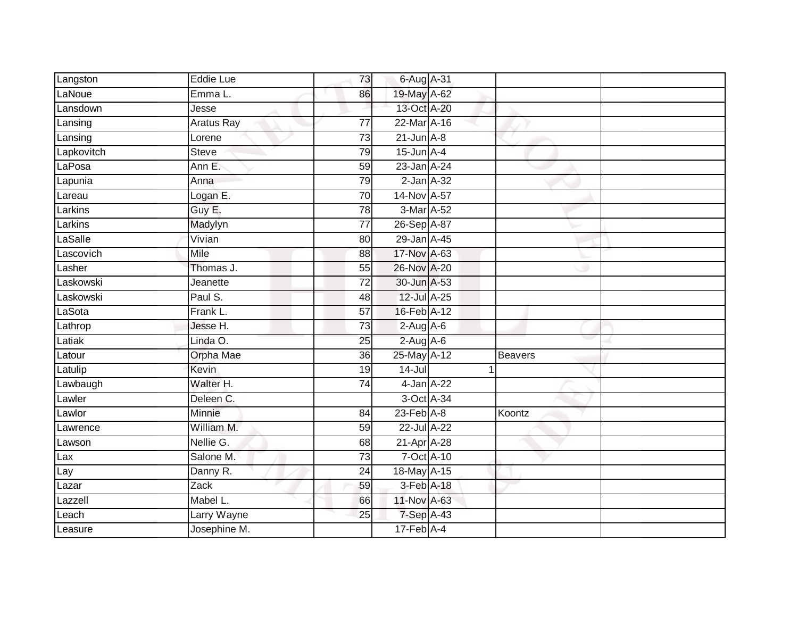| Langston   | Eddie Lue        | 73              | 6-Aug A-31       |                |  |
|------------|------------------|-----------------|------------------|----------------|--|
| LaNoue     | Emma L.          | 86              | 19-May A-62      |                |  |
| Lansdown   | Jesse            |                 | 13-Oct A-20      |                |  |
| Lansing    | Aratus Ray       | 77              | 22-Mar A-16      |                |  |
| Lansing    | Lorene           | 73              | $21$ -Jun $A-8$  |                |  |
| Lapkovitch | <b>Steve</b>     | 79              | $15$ -Jun $A$ -4 |                |  |
| LaPosa     | Ann E.           | 59              | 23-Jan A-24      |                |  |
| Lapunia    | Anna             | 79              | $2$ -Jan $A-32$  |                |  |
| Lareau     | Logan E.         | 70              | 14-Nov A-57      |                |  |
| Larkins    | Guy E.           | $\overline{78}$ | 3-Mar A-52       |                |  |
| Larkins    | Madylyn          | $\overline{77}$ | 26-Sep A-87      |                |  |
| LaSalle    | Vivian           | 80              | 29-Jan A-45      |                |  |
| Lascovich  | Mile             | 88              | 17-Nov A-63      |                |  |
| Lasher     | Thomas J.        | 55              | 26-Nov A-20      |                |  |
| Laskowski  | Jeanette         | $\overline{72}$ | 30-Jun A-53      |                |  |
| Laskowski  | Paul S.          | 48              | 12-Jul A-25      |                |  |
| LaSota     | Frank L.         | 57              | 16-Feb A-12      |                |  |
| Lathrop    | Jesse H.         | 73              | $2-Aug$ A-6      |                |  |
| Latiak     | Linda O.         | 25              | $2-Aug$ A-6      |                |  |
| Latour     | <b>Orpha Mae</b> | 36              | 25-May A-12      | <b>Beavers</b> |  |
| Latulip    | Kevin            | 19              | $14 -$ Jul       |                |  |
| Lawbaugh   | Walter H.        | 74              | 4-Jan A-22       |                |  |
| Lawler     | Deleen C.        |                 | 3-Oct A-34       |                |  |
| Lawlor     | Minnie           | 84              | $23$ -Feb $A-8$  | Koontz         |  |
| Lawrence   | William M.       | 59              | 22-Jul A-22      |                |  |
| Lawson     | Nellie G.        | 68              | 21-Apr A-28      |                |  |
| Lax        | Salone M.        | 73              | 7-Oct A-10       |                |  |
| Lay        | Danny R.         | 24              | 18-May A-15      |                |  |
| Lazar      | Zack             | 59              | 3-Feb A-18       |                |  |
| Lazzell    | Mabel L.         | 66              | 11-Nov A-63      |                |  |
| Leach      | Larry Wayne      | 25              | 7-Sep A-43       |                |  |
| Leasure    | Josephine M.     |                 | $17$ -Feb $A$ -4 |                |  |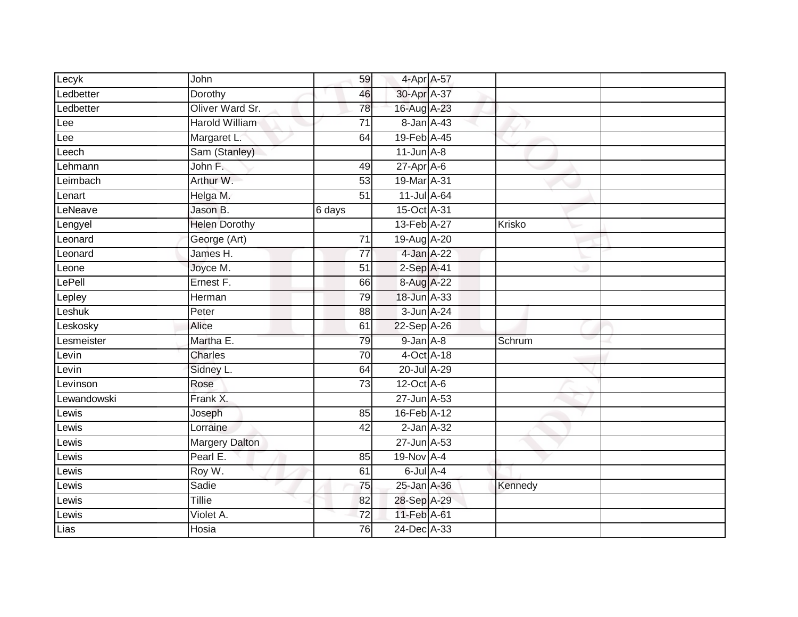| Lecyk       | John                  | 59              | 4-Apr A-57       |         |  |
|-------------|-----------------------|-----------------|------------------|---------|--|
| Ledbetter   | Dorothy               | 46              | 30-Apr A-37      |         |  |
| Ledbetter   | Oliver Ward Sr.       | $\overline{78}$ | 16-Aug A-23      |         |  |
| Lee         | <b>Harold William</b> | $\overline{71}$ | 8-Jan A-43       |         |  |
| Lee         | Margaret L:           | 64              | 19-Feb A-45      |         |  |
| Leech       | Sam (Stanley)         |                 | $11$ -Jun $A-8$  |         |  |
| Lehmann     | John F.               | 49              | $27$ -Apr $A$ -6 |         |  |
| Leimbach    | Arthur W.             | 53              | 19-Mar A-31      |         |  |
| Lenart      | Helga M.              | $\overline{51}$ | 11-Jul A-64      |         |  |
| LeNeave     | Jason B.              | 6 days          | 15-Oct A-31      |         |  |
| Lengyel     | <b>Helen Dorothy</b>  |                 | 13-Feb A-27      | Krisko  |  |
| Leonard     | George (Art)          | 71              | 19-Aug A-20      |         |  |
| Leonard     | James H.              | $\overline{77}$ | 4-Jan A-22       |         |  |
| Leone       | Joyce M.              | 51              | $2-Sep$ A-41     |         |  |
| LePell      | Ernest F.             | 66              | 8-Aug A-22       |         |  |
| Lepley      | Herman                | 79              | 18-Jun A-33      |         |  |
| Leshuk      | Peter                 | 88              | 3-Jun A-24       |         |  |
| Leskosky    | Alice                 | 61              | 22-Sep A-26      |         |  |
| Lesmeister  | Martha E.             | 79              | $9$ -Jan $A-8$   | Schrum  |  |
| Levin       | <b>Charles</b>        | 70              | 4-Oct A-18       |         |  |
| Levin       | Sidney L.             | 64              | 20-Jul A-29      |         |  |
| Levinson    | Rose                  | 73              | 12-Oct A-6       |         |  |
| Lewandowski | Frank X.              |                 | 27-Jun A-53      |         |  |
| Lewis       | Joseph                | 85              | 16-Feb A-12      |         |  |
| Lewis       | Lorraine              | 42              | $2$ -Jan $A-32$  |         |  |
| Lewis       | <b>Margery Dalton</b> |                 | 27-Jun A-53      |         |  |
| Lewis       | Pearl E.              | 85              | 19-Nov A-4       |         |  |
| Lewis       | Roy W.                | 61              | 6-Jul A-4        |         |  |
| Lewis       | Sadie                 | 75              | 25-Jan A-36      | Kennedy |  |
| Lewis       | <b>Tillie</b>         | 82              | 28-Sep A-29      |         |  |
| Lewis       | Violet A.             | 72              | 11-Feb A-61      |         |  |
| Lias        | Hosia                 | 76              | 24-Dec A-33      |         |  |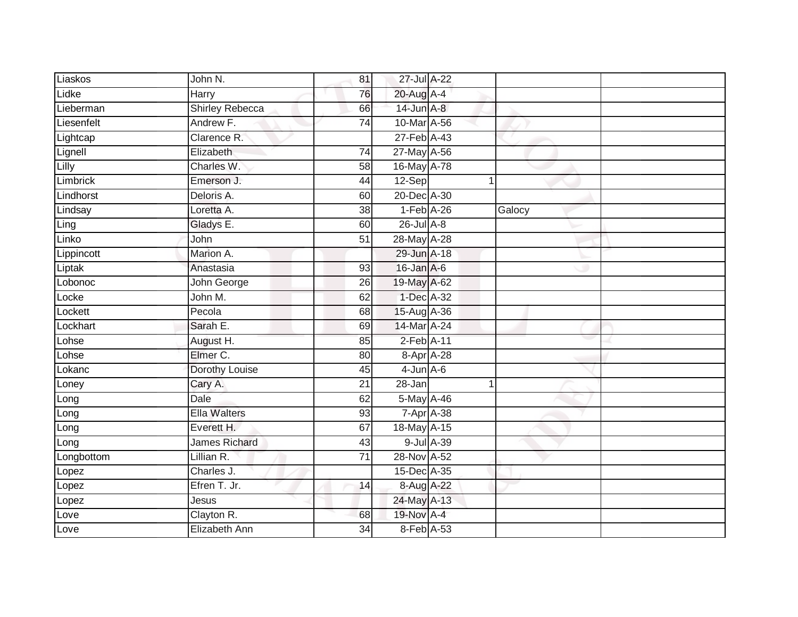| Liaskos    | John N.                | 81              | 27-Jul A-22        |            |        |  |
|------------|------------------------|-----------------|--------------------|------------|--------|--|
| Lidke      | Harry                  | 76              | 20-Aug A-4         |            |        |  |
| Lieberman  | <b>Shirley Rebecca</b> | 66              | 14-Jun A-8         |            |        |  |
| Liesenfelt | Andrew F.              | 74              | 10-Mar A-56        |            |        |  |
| Lightcap   | Clarence R.            |                 | 27-Feb A-43        |            |        |  |
| Lignell    | Elizabeth              | 74              | 27-May A-56        |            |        |  |
| Lilly      | Charles W.             | 58              | 16-May A-78        |            |        |  |
| Limbrick   | Emerson J.             | 44              | 12-Sep             |            |        |  |
| Lindhorst  | Deloris A.             | 60              | 20-Dec A-30        |            |        |  |
| Lindsay    | Loretta A.             | 38              | $1-Feb$ A-26       |            | Galocy |  |
| Ling       | Gladys E.              | 60              | 26-Jul A-8         |            |        |  |
| Linko      | John                   | $\overline{51}$ | 28-May A-28        |            |        |  |
| Lippincott | Marion A.              |                 | 29-Jun A-18        |            |        |  |
| Liptak     | Anastasia              | 93              | 16-Jan A-6         |            |        |  |
| Lobonoc    | John George            | 26              | 19-May A-62        |            |        |  |
| Locke      | John M.                | 62              | 1-Dec A-32         |            |        |  |
| Lockett    | Pecola                 | 68              | 15-Aug A-36        |            |        |  |
| Lockhart   | Sarah E.               | 69              | 14-Mar A-24        |            |        |  |
| Lohse      | August H.              | 85              | $2$ -Feb $A-11$    |            |        |  |
| Lohse      | Elmer C.               | 80              | 8-Apr A-28         |            |        |  |
| Lokanc     | Dorothy Louise         | 45              | $4$ -Jun $A$ -6    |            |        |  |
| Loney      | Cary A.                | $\overline{21}$ | $28 - Jan$         |            | 1      |  |
| Long       | Dale                   | 62              | 5-May A-46         |            |        |  |
| Long       | <b>Ella Walters</b>    | 93              | $7 - Apr$ $A - 38$ |            |        |  |
| Long       | Everett H.             | 67              | 18-May A-15        |            |        |  |
| Long       | <b>James Richard</b>   | 43              |                    | 9-Jul A-39 |        |  |
| Longbottom | Lillian R.             | $\overline{71}$ | 28-Nov A-52        |            |        |  |
| Lopez      | Charles J.             |                 | 15-Dec A-35        |            |        |  |
| Lopez      | Efren T. Jr.           | 14              | 8-Aug A-22         |            |        |  |
| Lopez      | Jesus                  |                 | 24-May A-13        |            |        |  |
| Love       | Clayton R.             | 68              | 19-Nov A-4         |            |        |  |
| Love       | Elizabeth Ann          | 34              | 8-Feb A-53         |            |        |  |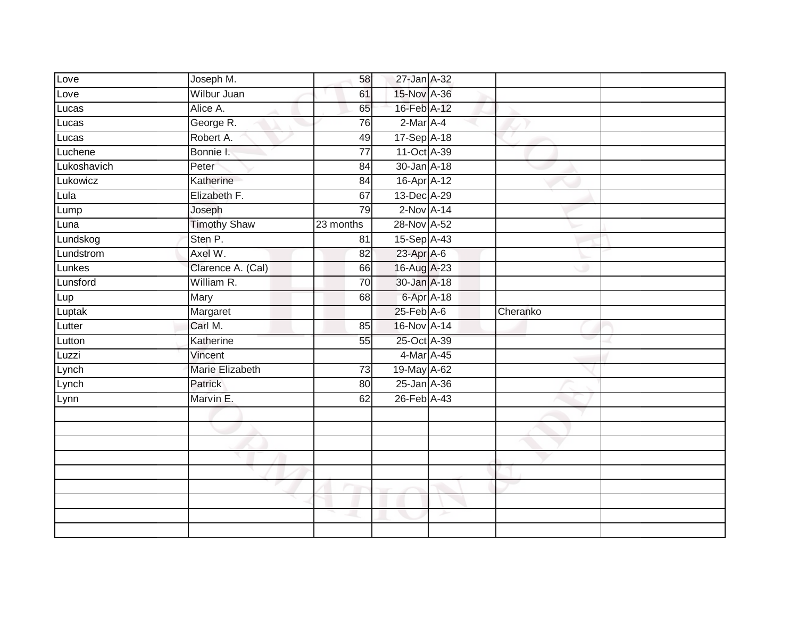| Love            | Joseph M.           | 58              | 27-Jan A-32  |          |  |
|-----------------|---------------------|-----------------|--------------|----------|--|
| Love            | Wilbur Juan         | 61              | 15-Nov A-36  |          |  |
| Lucas           | Alice A.            | 65              | 16-Feb A-12  |          |  |
| Lucas           | George R.           | 76              | 2-Mar A-4    |          |  |
| Lucas           | Robert A.           | 49              | 17-Sep A-18  |          |  |
| Luchene         | Bonnie I.           | $\overline{77}$ | 11-Oct A-39  |          |  |
| Lukoshavich     | Peter               | 84              | 30-Jan A-18  |          |  |
| Lukowicz        | Katherine           | 84              | 16-Apr A-12  |          |  |
| Lula            | Elizabeth F.        | 67              | 13-Dec A-29  |          |  |
| Lump            | Joseph              | 79              | $2-Nov$ A-14 |          |  |
| Luna            | <b>Timothy Shaw</b> | 23 months       | 28-Nov A-52  |          |  |
| Lundskog        | Sten P.             | 81              | 15-Sep A-43  |          |  |
| Lundstrom       | Axel W.             | 82              | 23-Apr A-6   |          |  |
| Lunkes          | Clarence A. (Cal)   | 66              | 16-Aug A-23  |          |  |
| Lunsford        | William R.          | $\overline{70}$ | 30-Jan A-18  |          |  |
| Lup             | Mary                | 68              | 6-Apr A-18   |          |  |
|                 |                     |                 |              |          |  |
|                 | Margaret            |                 | 25-Feb A-6   | Cheranko |  |
| Luptak          | Carl M.             | 85              | 16-Nov A-14  |          |  |
| Lutter          | Katherine           | 55              | 25-Oct A-39  |          |  |
| Lutton<br>Luzzi | Vincent             |                 | 4-Mar A-45   |          |  |
|                 | Marie Elizabeth     | 73              | 19-May A-62  |          |  |
| Lynch<br>Lynch  | Patrick             | $\overline{80}$ | 25-Jan A-36  |          |  |
| Lynn            | Marvin E.           | 62              | 26-Feb A-43  |          |  |
|                 |                     |                 |              |          |  |
|                 |                     |                 |              |          |  |
|                 |                     |                 |              |          |  |
|                 |                     |                 |              |          |  |
|                 |                     |                 |              |          |  |
|                 |                     |                 |              |          |  |
|                 |                     |                 |              |          |  |
|                 |                     |                 |              |          |  |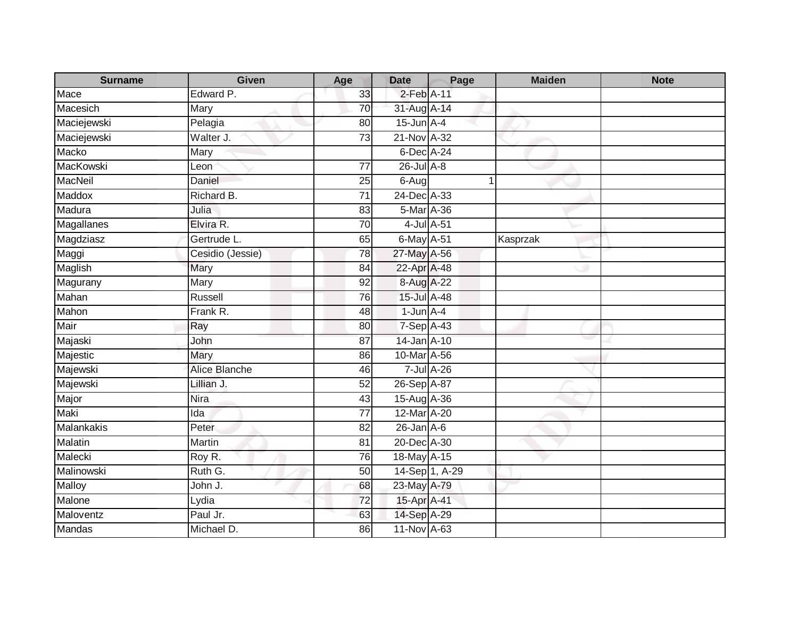| <b>Surname</b> | <b>Given</b>     | Age             | <b>Date</b>      | Page           | <b>Maiden</b> | <b>Note</b> |
|----------------|------------------|-----------------|------------------|----------------|---------------|-------------|
| Mace           | Edward P.        | 33              | 2-Feb A-11       |                |               |             |
| Macesich       | Mary             | 70              | 31-Aug A-14      |                |               |             |
| Maciejewski    | Pelagia          | 80              | $15$ -Jun $A-4$  |                |               |             |
| Maciejewski    | Walter J.        | 73              | 21-Nov A-32      |                |               |             |
| Macko          | Mary             |                 | 6-Dec A-24       |                |               |             |
| MacKowski      | Leon             | 77              | $26$ -Jul $A-8$  |                |               |             |
| MacNeil        | Daniel           | 25              | $6 - Aug$        |                |               |             |
| Maddox         | Richard B.       | $\overline{71}$ | 24-Dec A-33      |                |               |             |
| Madura         | Julia            | 83              | 5-Mar A-36       |                |               |             |
| Magallanes     | Elvira R.        | 70              | 4-Jul A-51       |                |               |             |
| Magdziasz      | Gertrude L.      | 65              | 6-May A-51       |                | Kasprzak      |             |
| Maggi          | Cesidio (Jessie) | 78              | 27-May A-56      |                |               |             |
| Maglish        | Mary             | 84              | 22-Apr A-48      |                |               |             |
| Magurany       | Mary             | 92              | 8-Aug A-22       |                |               |             |
| Mahan          | Russell          | 76              | 15-Jul A-48      |                |               |             |
| Mahon          | Frank R.         | 48              | $1$ -Jun $A-4$   |                |               |             |
| Mair           | Ray              | 80              | $7-Sep$ A-43     |                |               |             |
| Majaski        | John             | 87              | 14-Jan A-10      |                |               |             |
| Majestic       | Mary             | 86              | 10-Mar A-56      |                |               |             |
| Majewski       | Alice Blanche    | 46              |                  | 7-Jul A-26     |               |             |
| Majewski       | Lillian J.       | 52              | 26-Sep A-87      |                |               |             |
| Major          | Nira             | 43              | 15-Aug A-36      |                |               |             |
| Maki           | Ida              | 77              | 12-Mar A-20      |                |               |             |
| Malankakis     | Peter            | 82              | $26$ -Jan $A$ -6 |                |               |             |
| Malatin        | Martin           | 81              | 20-Dec A-30      |                |               |             |
| Malecki        | Roy R.           | 76              | 18-May A-15      |                |               |             |
| Malinowski     | Ruth G.          | 50              |                  | 14-Sep 1, A-29 |               |             |
| <b>Malloy</b>  | John J.          | 68              | 23-May A-79      |                |               |             |
| Malone         | Lydia            | 72              | 15-Apr A-41      |                |               |             |
| Maloventz      | Paul Jr.         | 63              | 14-Sep A-29      |                |               |             |
| Mandas         | Michael D.       | 86              | 11-Nov A-63      |                |               |             |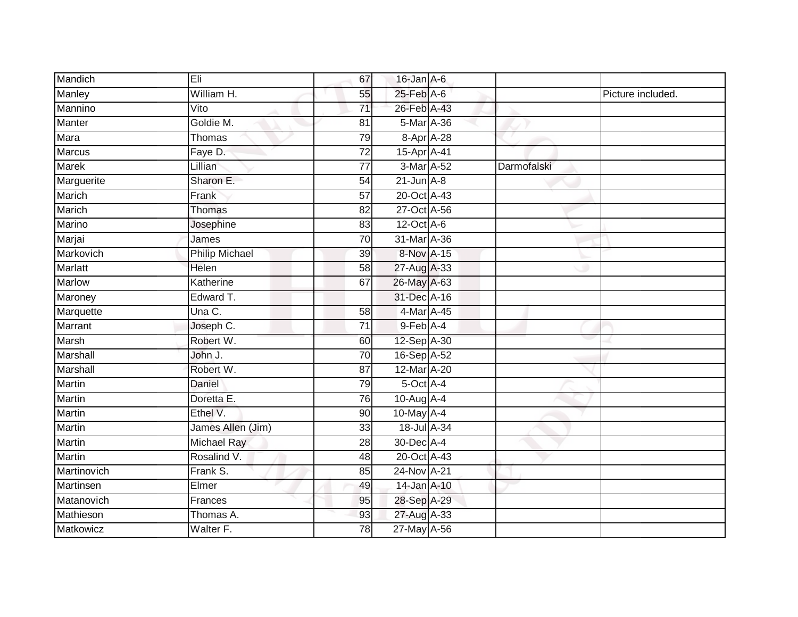| Mandich        | Eli                   | 67              | $16$ -Jan $A$ -6 |             |                   |
|----------------|-----------------------|-----------------|------------------|-------------|-------------------|
| Manley         | William H.            | 55              | $25$ -Feb $A$ -6 |             | Picture included. |
| Mannino        | Vito                  | $\overline{71}$ | 26-Feb A-43      |             |                   |
| Manter         | Goldie M.             | 81              | 5-Mar A-36       |             |                   |
| Mara           | Thomas                | 79              | 8-Apr A-28       |             |                   |
| <b>Marcus</b>  | Faye D.               | 72              | 15-Apr A-41      |             |                   |
| <b>Marek</b>   | Lillian               | 77              | 3-Mar A-52       | Darmofalski |                   |
| Marguerite     | Sharon E.             | 54              | $21$ -Jun $A-8$  |             |                   |
| Marich         | Frank                 | 57              | 20-Oct A-43      |             |                   |
| Marich         | <b>Thomas</b>         | $\overline{82}$ | 27-Oct A-56      |             |                   |
| Marino         | Josephine             | 83              | $12$ -Oct $A-6$  |             |                   |
| Marjai         | James                 | $\overline{70}$ | 31-Mar A-36      |             |                   |
| Markovich      | <b>Philip Michael</b> | 39              | 8-Nov A-15       |             |                   |
| <b>Marlatt</b> | Helen                 | 58              | 27-Aug A-33      |             |                   |
| <b>Marlow</b>  | Katherine             | 67              | 26-May A-63      |             |                   |
| Maroney        | Edward T.             |                 | 31-Dec A-16      |             |                   |
| Marquette      | Una C.                | $\overline{58}$ | 4-Mar A-45       |             |                   |
| Marrant        | Joseph C.             | $\overline{71}$ | 9-Feb A-4        |             |                   |
| Marsh          | Robert W.             | 60              | 12-Sep A-30      |             |                   |
| Marshall       | John J.               | 70              | 16-Sep A-52      |             |                   |
| Marshall       | Robert W.             | 87              | 12-Mar A-20      |             |                   |
| Martin         | Daniel                | 79              | 5-Oct A-4        |             |                   |
| <b>Martin</b>  | Doretta E.            | 76              | 10-Aug A-4       |             |                   |
| Martin         | Ethel V.              | 90              | 10-May A-4       |             |                   |
| Martin         | James Allen (Jim)     | 33              | 18-Jul A-34      |             |                   |
| <b>Martin</b>  | Michael Ray           | 28              | 30-Dec A-4       |             |                   |
| <b>Martin</b>  | Rosalind V.           | 48              | 20-Oct A-43      |             |                   |
| Martinovich    | Frank S.              | 85              | 24-Nov A-21      |             |                   |
| Martinsen      | Elmer                 | 49              | $14$ -Jan $A-10$ |             |                   |
| Matanovich     | Frances               | 95              | 28-Sep A-29      |             |                   |
| Mathieson      | Thomas A.             | 93              | 27-Aug A-33      |             |                   |
| Matkowicz      | Walter F.             | $\overline{78}$ | 27-May A-56      |             |                   |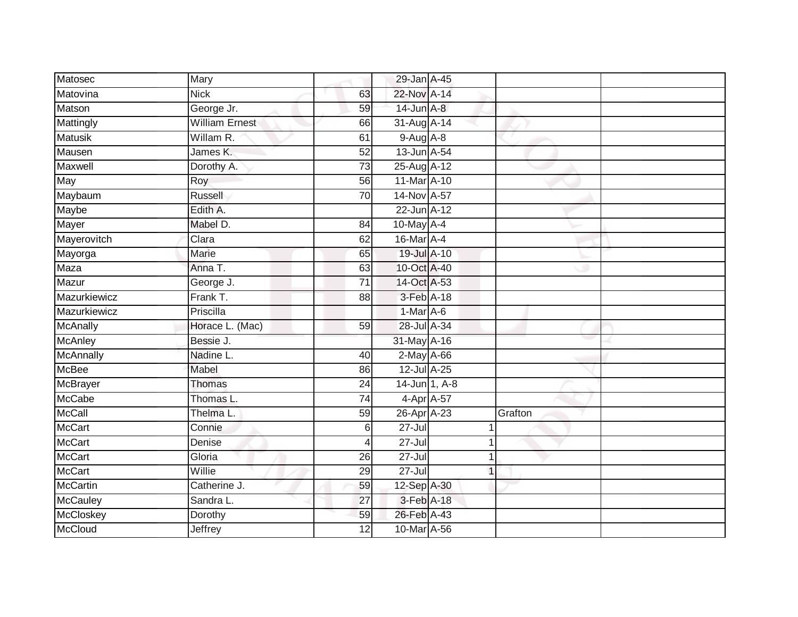| Matosec          | Mary                  |                 | 29-Jan A-45       |   |         |  |
|------------------|-----------------------|-----------------|-------------------|---|---------|--|
| Matovina         | <b>Nick</b>           | 63              | 22-Nov A-14       |   |         |  |
|                  |                       |                 |                   |   |         |  |
| Matson           | George Jr.            | 59              | 14-Jun A-8        |   |         |  |
| Mattingly        | <b>William Ernest</b> | 66              | 31-Aug A-14       |   |         |  |
| <b>Matusik</b>   | Willam R.             | 61              | $9-Aug$ $A-8$     |   |         |  |
| Mausen           | James K.              | 52              | 13-Jun A-54       |   |         |  |
| Maxwell          | Dorothy A.            | 73              | 25-Aug A-12       |   |         |  |
| May              | Roy                   | 56              | 11-Mar A-10       |   |         |  |
| Maybaum          | Russell               | 70              | 14-Nov A-57       |   |         |  |
| Maybe            | Edith A.              |                 | 22-Jun A-12       |   |         |  |
| Mayer            | Mabel D.              | 84              | 10-May A-4        |   |         |  |
| Mayerovitch      | Clara                 | 62              | 16-Mar A-4        |   |         |  |
| Mayorga          | Marie                 | 65              | 19-Jul A-10       |   |         |  |
| Maza             | Anna T.               | 63              | 10-Oct A-40       |   |         |  |
| Mazur            | George J.             | $\overline{71}$ | 14-Oct A-53       |   |         |  |
| Mazurkiewicz     | Frank T.              | 88              | 3-Feb A-18        |   |         |  |
| Mazurkiewicz     | Priscilla             |                 | $1-Mar A-6$       |   |         |  |
| <b>McAnally</b>  | Horace L. (Mac)       | 59              | 28-Jul A-34       |   |         |  |
| <b>McAnley</b>   | Bessie J.             |                 | 31-May A-16       |   |         |  |
| <b>McAnnally</b> | Nadine L.             | 40              | $2$ -May $A$ -66  |   |         |  |
| <b>McBee</b>     | Mabel                 | 86              | 12-Jul A-25       |   |         |  |
| <b>McBrayer</b>  | Thomas                | $\overline{24}$ | $14 - Jun$ 1, A-8 |   |         |  |
| McCabe           | Thomas L.             | 74              | 4-Apr A-57        |   |         |  |
| <b>McCall</b>    | Thelma L.             | 59              | 26-Apr A-23       |   | Grafton |  |
| <b>McCart</b>    | Connie                | 6               | $27 -$ Jul        |   |         |  |
| <b>McCart</b>    | Denise                | 4               | $27 -$ Jul        |   |         |  |
| <b>McCart</b>    | Gloria                | 26              | $27 -$ Jul        | 1 |         |  |
| <b>McCart</b>    | Willie                | 29              | 27-Jul            | 1 |         |  |
| <b>McCartin</b>  | Catherine J.          | 59              | 12-Sep A-30       |   |         |  |
| <b>McCauley</b>  | Sandra L.             | $\overline{27}$ | 3-Feb A-18        |   |         |  |
| <b>McCloskey</b> | Dorothy               | 59              | 26-Feb A-43       |   |         |  |
| <b>McCloud</b>   | <b>Jeffrey</b>        | $\overline{12}$ | 10-Mar A-56       |   |         |  |
|                  |                       |                 |                   |   |         |  |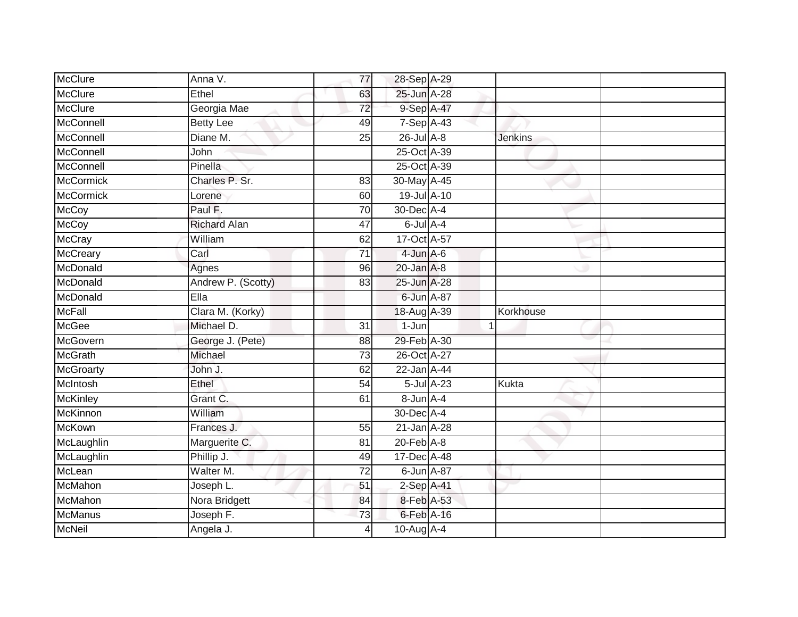| McClure                         | Anna V.                | 77              | 28-Sep A-29              |   |                |
|---------------------------------|------------------------|-----------------|--------------------------|---|----------------|
| <b>McClure</b>                  | Ethel                  | 63              | 25-Jun A-28              |   |                |
| <b>McClure</b>                  | Georgia Mae            | $\overline{72}$ | 9-Sep A-47               |   |                |
| McConnell                       | <b>Betty Lee</b>       | 49              | 7-Sep A-43               |   |                |
| McConnell                       | Diane M.               | $\overline{25}$ | $26$ -Jul $A-8$          |   | <b>Jenkins</b> |
| McConnell                       | John                   |                 | 25-Oct A-39              |   |                |
| McConnell                       | Pinella                |                 | 25-Oct A-39              |   |                |
| <b>McCormick</b>                | Charles P. Sr.         | 83              | 30-May A-45              |   |                |
| <b>McCormick</b>                | Lorene                 | 60              | 19-Jul A-10              |   |                |
| <b>McCoy</b>                    | Paul F.                | 70              | 30-Dec A-4               |   |                |
| <b>McCoy</b>                    | <b>Richard Alan</b>    | 47              | $6$ -Jul $A-4$           |   |                |
| <b>McCray</b>                   | William                | 62              | 17-Oct A-57              |   |                |
| McCreary                        | Carl                   | 71              | $4$ -Jun $A$ -6          |   |                |
| McDonald                        | Agnes                  | 96              | $20$ -Jan $A-8$          |   |                |
| McDonald                        | Andrew P. (Scotty)     | 83              | 25-Jun A-28              |   |                |
| McDonald                        | Ella                   |                 | 6-Jun A-87               |   |                |
| <b>McFall</b>                   | Clara M. (Korky)       |                 | 18-Aug A-39              |   | Korkhouse      |
| <b>McGee</b>                    | Michael D.             | $\overline{31}$ | 1-Jun                    | 1 |                |
| McGovern                        | George J. (Pete)       | 88              | 29-Feb A-30              |   |                |
|                                 |                        |                 |                          |   |                |
| <b>McGrath</b>                  | Michael                | $\overline{73}$ | 26-Oct A-27              |   |                |
| <b>McGroarty</b>                | John J.                | 62              | 22-Jan A-44              |   |                |
| McIntosh                        | Ethel                  | 54              | $5$ -Jul $A-23$          |   | Kukta          |
| McKinley                        | Grant C.               | 61              | 8-Jun A-4                |   |                |
| McKinnon                        | William                |                 | 30-Dec A-4               |   |                |
| McKown                          | Frances J.             | 55              | $21$ -Jan $A-28$         |   |                |
| McLaughlin                      | Marguerite C.          | 81              | $20$ -Feb $A-8$          |   |                |
|                                 | Phillip J.             | 49              | 17-Dec A-48              |   |                |
| McLaughlin<br>McLean            | Walter M.              | $\overline{72}$ | 6-Jun A-87               |   |                |
| McMahon                         | Joseph L.              | 51              | $2-Sep$ A-41             |   |                |
| <b>McMahon</b>                  | Nora Bridgett          | 84              | 8-Feb A-53               |   |                |
| <b>McManus</b><br><b>McNeil</b> | Joseph F.<br>Angela J. | $\overline{73}$ | 6-Feb A-16<br>10-Aug A-4 |   |                |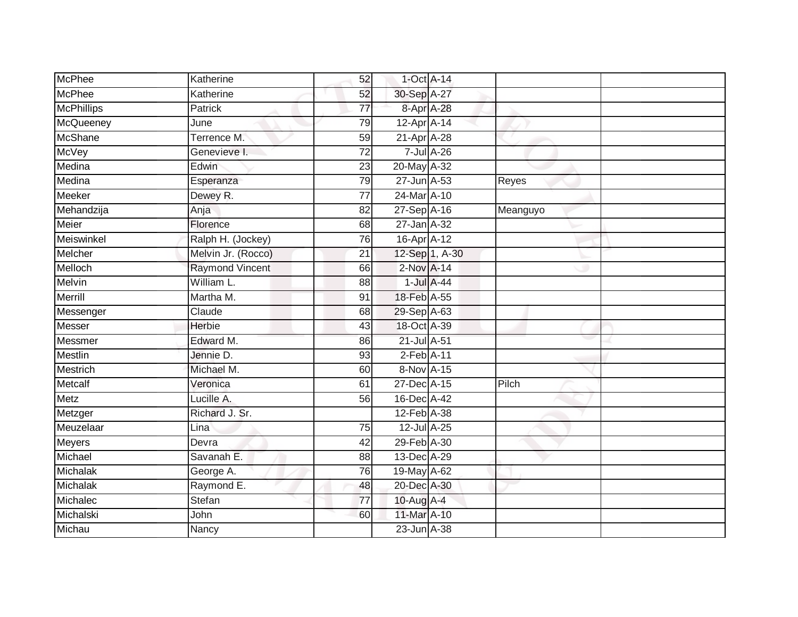| <b>McPhee</b>     | Katherine              | 52              | $1$ -Oct $A$ -14 |                  |          |  |
|-------------------|------------------------|-----------------|------------------|------------------|----------|--|
| <b>McPhee</b>     | Katherine              | 52              | 30-Sep A-27      |                  |          |  |
| <b>McPhillips</b> | <b>Patrick</b>         | $\overline{77}$ | 8-Apr A-28       |                  |          |  |
| McQueeney         | June                   | 79              | 12-Apr A-14      |                  |          |  |
| <b>McShane</b>    | Terrence M.            | 59              | 21-Apr A-28      |                  |          |  |
| <b>McVey</b>      | Genevieve I.           | $\overline{72}$ |                  | 7-Jul A-26       |          |  |
| Medina            | Edwin                  | 23              | 20-May A-32      |                  |          |  |
| Medina            | Esperanza              | 79              | 27-Jun A-53      |                  | Reyes    |  |
| <b>Meeker</b>     | Dewey R.               | $\overline{77}$ | 24-Mar A-10      |                  |          |  |
| Mehandzija        | Anja                   | $\overline{82}$ | 27-Sep A-16      |                  | Meanguyo |  |
| Meier             | Florence               | 68              | 27-Jan A-32      |                  |          |  |
| Meiswinkel        | Ralph H. (Jockey)      | 76              | 16-Apr A-12      |                  |          |  |
| Melcher           | Melvin Jr. (Rocco)     | 21              |                  | 12-Sep 1, A-30   |          |  |
| Melloch           | <b>Raymond Vincent</b> | 66              | 2-Nov A-14       |                  |          |  |
| <b>Melvin</b>     | William L.             | $\overline{88}$ |                  | $1$ -Jul $A$ -44 |          |  |
| Merrill           | Martha M.              | 91              | 18-Feb A-55      |                  |          |  |
| Messenger         | Claude                 | 68              | 29-Sep A-63      |                  |          |  |
| Messer            | Herbie                 | 43              | 18-Oct A-39      |                  |          |  |
| Messmer           | Edward M.              | 86              | 21-Jul A-51      |                  |          |  |
| <b>Mestlin</b>    | Jennie D.              | 93              | $2$ -Feb $A-11$  |                  |          |  |
| Mestrich          | Michael M.             | 60              | 8-Nov A-15       |                  |          |  |
| Metcalf           | Veronica               | 61              | 27-Dec A-15      |                  | Pilch    |  |
| <b>Metz</b>       | Lucille A.             | 56              | 16-Dec A-42      |                  |          |  |
| Metzger           | Richard J. Sr.         |                 | 12-Feb A-38      |                  |          |  |
| Meuzelaar         | Lina                   | 75              | 12-Jul A-25      |                  |          |  |
| Meyers            | Devra                  | 42              | 29-Feb A-30      |                  |          |  |
| Michael           | Savanah E.             | $\overline{88}$ | 13-Dec A-29      |                  |          |  |
| Michalak          | George A.              | 76              | 19-May A-62      |                  |          |  |
| Michalak          | Raymond E.             | 48              | 20-Dec A-30      |                  |          |  |
| Michalec          | Stefan                 | $\overline{77}$ | 10-Aug $A-4$     |                  |          |  |
| Michalski         | John                   | 60              | 11-Mar A-10      |                  |          |  |
| Michau            | Nancy                  |                 | 23-Jun A-38      |                  |          |  |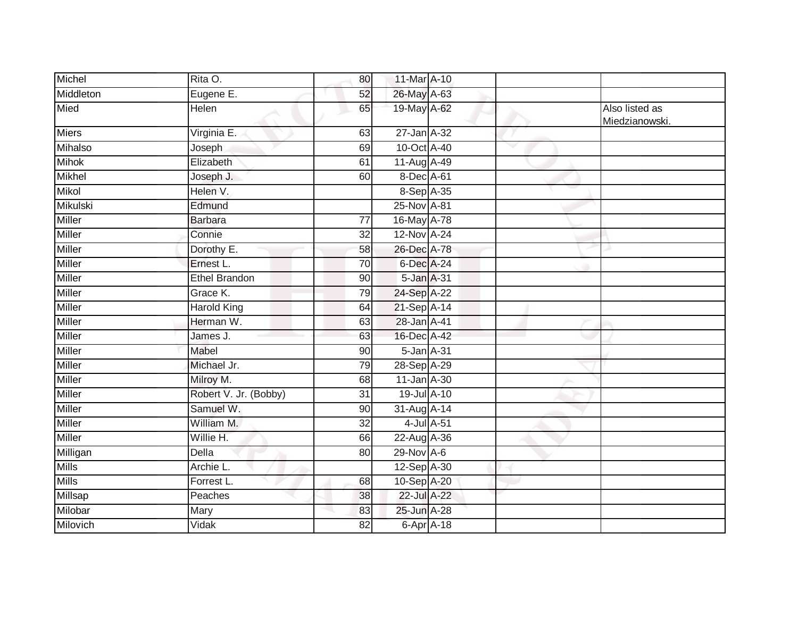| Michel        | Rita O.               | 80              | 11-Mar A-10  |  |                                  |
|---------------|-----------------------|-----------------|--------------|--|----------------------------------|
| Middleton     | Eugene E.             | 52              | 26-May A-63  |  |                                  |
| Mied          | Helen                 | 65              | 19-May A-62  |  | Also listed as<br>Miedzianowski. |
| Miers         | Virginia E.           | 63              | 27-Jan A-32  |  |                                  |
| Mihalso       | Joseph                | 69              | 10-Oct A-40  |  |                                  |
| <b>Mihok</b>  | Elizabeth             | 61              | 11-Aug A-49  |  |                                  |
| Mikhel        | Joseph J.             | 60              | 8-Dec A-61   |  |                                  |
| Mikol         | Helen V.              |                 | 8-Sep A-35   |  |                                  |
| Mikulski      | Edmund                |                 | 25-Nov A-81  |  |                                  |
| <b>Miller</b> | Barbara               | 77              | 16-May A-78  |  |                                  |
| Miller        | Connie                | 32              | 12-Nov A-24  |  |                                  |
| Miller        | Dorothy E.            | 58              | 26-Dec A-78  |  |                                  |
| Miller        | Ernest L.             | $\overline{70}$ | 6-Dec A-24   |  |                                  |
| Miller        | <b>Ethel Brandon</b>  | 90              | 5-Jan A-31   |  |                                  |
| <b>Miller</b> | Grace K.              | 79              | 24-Sep A-22  |  |                                  |
| Miller        | <b>Harold King</b>    | 64              | 21-Sep A-14  |  |                                  |
| Miller        | Herman W.             | 63              | 28-Jan A-41  |  |                                  |
| Miller        | James J.              | 63              | 16-Dec A-42  |  |                                  |
| Miller        | Mabel                 | 90              | 5-Jan A-31   |  |                                  |
| Miller        | Michael Jr.           | 79              | 28-Sep A-29  |  |                                  |
| Miller        | Milroy M.             | 68              | 11-Jan A-30  |  |                                  |
| Miller        | Robert V. Jr. (Bobby) | 31              | 19-Jul A-10  |  |                                  |
| Miller        | Samuel W.             | 90              | 31-Aug A-14  |  |                                  |
| Miller        | William M.            | 32              | 4-Jul A-51   |  |                                  |
| Miller        | Willie H.             | 66              | 22-Aug A-36  |  |                                  |
| Milligan      | <b>Della</b>          | 80              | $29-Nov$ A-6 |  |                                  |
| <b>Mills</b>  | Archie L.             |                 | 12-Sep A-30  |  |                                  |
| <b>Mills</b>  | Forrest L.            | 68              | 10-Sep A-20  |  |                                  |
| Millsap       | Peaches               | 38              | 22-Jul A-22  |  |                                  |
| Milobar       | Mary                  | 83              | 25-Jun A-28  |  |                                  |
| Milovich      | Vidak                 | 82              | 6-Apr A-18   |  |                                  |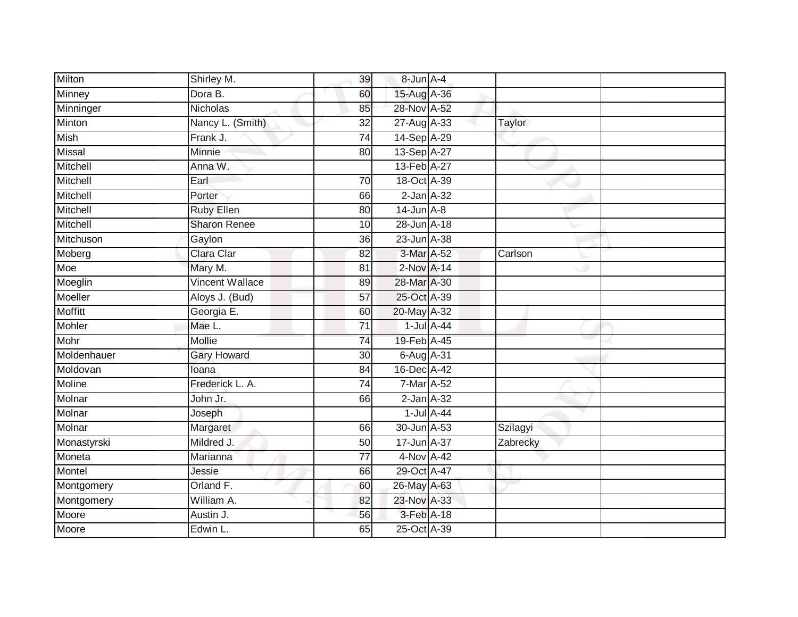| Milton      | Shirley M.             | 39              | 8-Jun A-4       |                  |          |  |
|-------------|------------------------|-----------------|-----------------|------------------|----------|--|
| Minney      | Dora B.                | 60              | 15-Aug A-36     |                  |          |  |
| Minninger   | <b>Nicholas</b>        | 85              | 28-Nov A-52     |                  |          |  |
| Minton      | Nancy L. (Smith)       | 32              | 27-Aug A-33     |                  | Taylor   |  |
| <b>Mish</b> | Frank J.               | 74              | 14-Sep A-29     |                  |          |  |
| Missal      | Minnie                 | 80              | 13-Sep A-27     |                  |          |  |
| Mitchell    | Anna W.                |                 | 13-Feb A-27     |                  |          |  |
| Mitchell    | Earl                   | 70              | 18-Oct A-39     |                  |          |  |
| Mitchell    | Porter                 | 66              | $2$ -Jan $A-32$ |                  |          |  |
| Mitchell    | <b>Ruby Ellen</b>      | 80              | $14$ -Jun $A-8$ |                  |          |  |
| Mitchell    | <b>Sharon Renee</b>    | 10              | 28-Jun A-18     |                  |          |  |
| Mitchuson   | Gaylon                 | 36              | 23-Jun A-38     |                  |          |  |
| Moberg      | Clara Clar             | 82              | 3-Mar A-52      |                  | Carlson  |  |
| Moe         | Mary M.                | 81              | 2-Nov A-14      |                  |          |  |
| Moeglin     | <b>Vincent Wallace</b> | 89              | 28-Mar A-30     |                  |          |  |
| Moeller     | Aloys J. (Bud)         | $\overline{57}$ | 25-Oct A-39     |                  |          |  |
| Moffitt     | Georgia E.             | 60              | 20-May A-32     |                  |          |  |
| Mohler      | Mae L.                 | 71              |                 | $1$ -Jul $A$ -44 |          |  |
| Mohr        | Mollie                 | 74              | 19-Feb A-45     |                  |          |  |
| Moldenhauer | <b>Gary Howard</b>     | 30              | 6-Aug A-31      |                  |          |  |
| Moldovan    | loana                  | 84              | 16-Dec A-42     |                  |          |  |
| Moline      | Frederick L. A.        | 74              | 7-Mar A-52      |                  |          |  |
| Molnar      | John Jr.               | 66              | $2$ -Jan $A-32$ |                  |          |  |
| Molnar      | Joseph                 |                 |                 | $1$ -Jul $A$ -44 |          |  |
| Molnar      | Margaret               | 66              | 30-Jun A-53     |                  | Szilagyi |  |
| Monastyrski | Mildred J.             | 50              | 17-Jun A-37     |                  | Zabrecky |  |
| Moneta      | Marianna               | $\overline{77}$ | 4-Nov A-42      |                  |          |  |
| Montel      | Jessie                 | 66              | 29-Oct A-47     |                  |          |  |
| Montgomery  | Orland F.              | 60              | 26-May A-63     |                  |          |  |
| Montgomery  | William A.             | 82              | 23-Nov A-33     |                  |          |  |
| Moore       | Austin J.              | 56              | 3-Feb A-18      |                  |          |  |
| Moore       | Edwin L.               | 65              | 25-Oct A-39     |                  |          |  |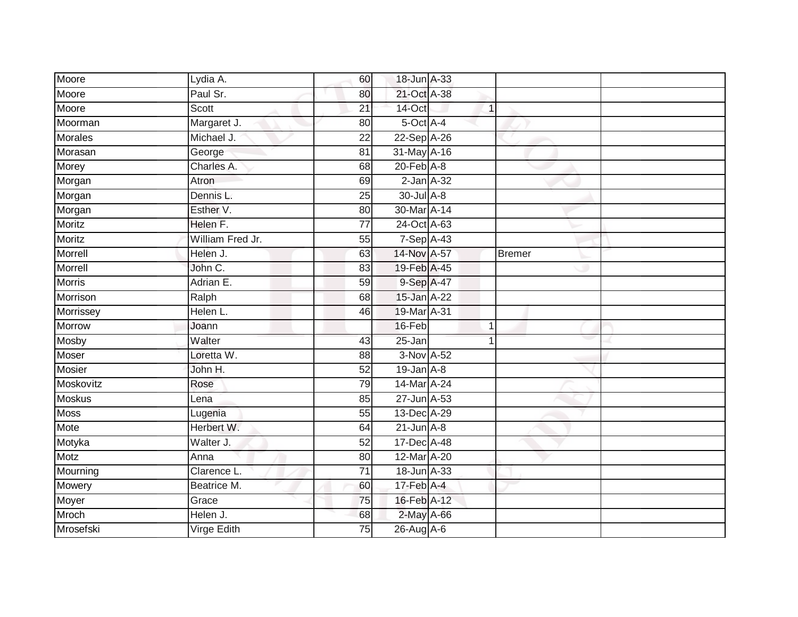| Moore          | Lydia A.         | 60              | 18-Jun A-33                 |                |               |  |
|----------------|------------------|-----------------|-----------------------------|----------------|---------------|--|
| Moore          | Paul Sr.         | 80              | 21-Oct A-38                 |                |               |  |
| Moore          | Scott            | $\overline{21}$ | 14-Oct                      | $\mathbf{1}$   |               |  |
| Moorman        | Margaret J.      | 80              | 5-Oct A-4                   |                |               |  |
| <b>Morales</b> | Michael J.       | $\overline{22}$ | 22-Sep A-26                 |                |               |  |
| Morasan        | George           | 81              | 31-May A-16                 |                |               |  |
| Morey          | Charles A.       | 68              | $20$ -Feb $A-8$             |                |               |  |
| Morgan         | Atron            | 69              | $2$ -Jan $A-32$             |                |               |  |
| Morgan         | Dennis L.        | 25              | 30-Jul A-8                  |                |               |  |
| Morgan         | Esther V.        | 80              | 30-Mar A-14                 |                |               |  |
| <b>Moritz</b>  | Helen F.         | 77              | 24-Oct A-63                 |                |               |  |
| Moritz         | William Fred Jr. | 55              | 7-Sep A-43                  |                |               |  |
| Morrell        | Helen J.         | 63              | 14-Nov A-57                 |                | <b>Bremer</b> |  |
| Morrell        | John C.          | 83              | 19-Feb A-45                 |                |               |  |
| <b>Morris</b>  | Adrian E.        | 59              | 9-Sep A-47                  |                |               |  |
| Morrison       | Ralph            | 68              | 15-Jan A-22                 |                |               |  |
| Morrissey      | Helen L.         | 46              | 19-Mar A-31                 |                |               |  |
| <b>Morrow</b>  | Joann            |                 | 16-Feb                      | $\overline{1}$ |               |  |
| Mosby          | Walter           | 43              | $25 - Jan$                  |                |               |  |
| <b>Moser</b>   | Loretta W.       | 88              | 3-Nov A-52                  |                |               |  |
| <b>Mosier</b>  | John H.          | $\overline{52}$ | $19$ -Jan $A-8$             |                |               |  |
| Moskovitz      | Rose             | 79              | 14-Mar A-24                 |                |               |  |
| <b>Moskus</b>  | Lena             | 85              | 27-Jun A-53                 |                |               |  |
| <b>Moss</b>    | Lugenia          | 55              | 13-Dec A-29                 |                |               |  |
| Mote           | Herbert W.       | 64              | $21$ -Jun $A-8$             |                |               |  |
| Motyka         | Walter J.        | 52              | 17-Dec A-48                 |                |               |  |
| <b>Motz</b>    | Anna             | 80              | 12-Mar A-20                 |                |               |  |
| Mourning       | Clarence L.      | $\overline{71}$ | 18-Jun A-33                 |                |               |  |
| Mowery         | Beatrice M.      | 60              | $17$ -Feb $\overline{A}$ -4 |                |               |  |
| Moyer          | Grace            | 75              | 16-Feb A-12                 |                |               |  |
| Mroch          | Helen J.         | 68              | 2-May A-66                  |                |               |  |
| Mrosefski      | Virge Edith      | $\overline{75}$ | 26-Aug A-6                  |                |               |  |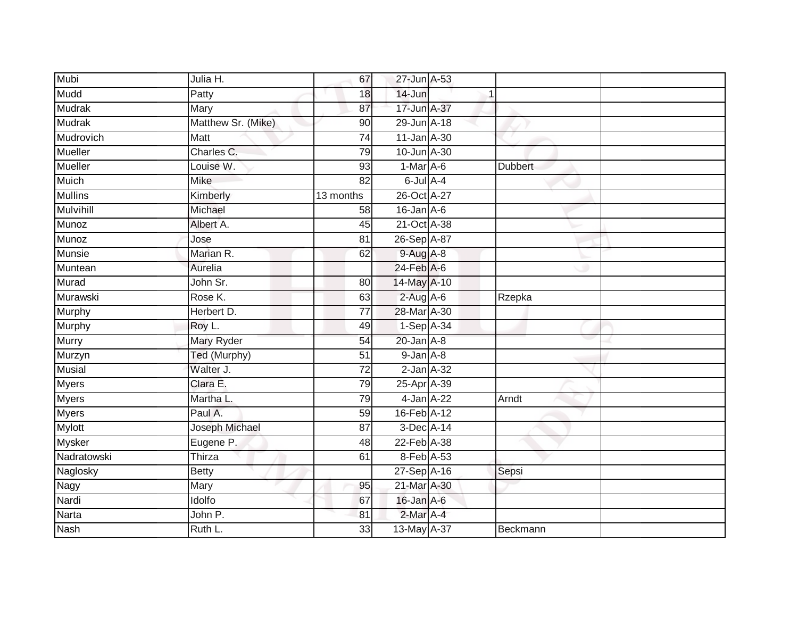| Mubi             | Julia H.           | 67              | 27-Jun A-53      |   |                |  |
|------------------|--------------------|-----------------|------------------|---|----------------|--|
| Mudd             | Patty              | 18              | 14-Jun           | 1 |                |  |
| <b>Mudrak</b>    | Mary               | 87              | 17-Jun A-37      |   |                |  |
| Mudrak           | Matthew Sr. (Mike) | 90              | 29-Jun A-18      |   |                |  |
| Mudrovich        | Matt               | $\overline{74}$ | 11-Jan A-30      |   |                |  |
| <b>Mueller</b>   | Charles C.         | 79              | 10-Jun A-30      |   |                |  |
| Mueller          | Louise W.          | 93              | $1-Mar$ A-6      |   | <b>Dubbert</b> |  |
| <b>Muich</b>     | Mike               | 82              | $6$ -Jul $A$ -4  |   |                |  |
| <b>Mullins</b>   | Kimberly           | 13 months       | 26-Oct A-27      |   |                |  |
| <b>Mulvihill</b> | Michael            | 58              | $16$ -Jan $A$ -6 |   |                |  |
| Munoz            | Albert A.          | 45              | 21-Oct A-38      |   |                |  |
| Munoz            | Jose               | 81              | 26-Sep A-87      |   |                |  |
| Munsie           | Marian R.          | 62              | 9-Aug A-8        |   |                |  |
| Muntean          | Aurelia            |                 | $24$ -Feb $A$ -6 |   |                |  |
| Murad            | John Sr.           | $\overline{80}$ | 14-May A-10      |   |                |  |
| Murawski         | Rose K.            | 63              | $2$ -Aug $A$ -6  |   | Rzepka         |  |
| <b>Murphy</b>    | Herbert D.         | $\overline{77}$ | 28-Mar A-30      |   |                |  |
| Murphy           | Roy L.             | 49              | 1-Sep A-34       |   |                |  |
| Murry            | Mary Ryder         | 54              | $20$ -Jan $A-8$  |   |                |  |
| Murzyn           | Ted (Murphy)       | 51              | $9$ -Jan $A$ -8  |   |                |  |
| <b>Musial</b>    | Walter J.          | 72              | $2$ -Jan $A-32$  |   |                |  |
| <b>Myers</b>     | Clara E.           | 79              | 25-Apr A-39      |   |                |  |
| <b>Myers</b>     | Martha L.          | 79              | 4-Jan A-22       |   | Arndt          |  |
| <b>Myers</b>     | Paul A.            | 59              | 16-Feb A-12      |   |                |  |
| <b>Mylott</b>    | Joseph Michael     | 87              | 3-Dec A-14       |   |                |  |
| <b>Mysker</b>    | Eugene P.          | 48              | 22-Feb A-38      |   |                |  |
| Nadratowski      | Thirza             | 61              | 8-Feb A-53       |   |                |  |
| Naglosky         | <b>Betty</b>       |                 | 27-Sep A-16      |   | Sepsi          |  |
| Nagy             | Mary               | 95              | 21-Mar A-30      |   |                |  |
| Nardi            | Idolfo             | 67              | 16-Jan A-6       |   |                |  |
| Narta            | John P.            | 81              | 2-Mar A-4        |   |                |  |
| <b>Nash</b>      | Ruth L.            | 33              | 13-May A-37      |   | Beckmann       |  |
|                  |                    |                 |                  |   |                |  |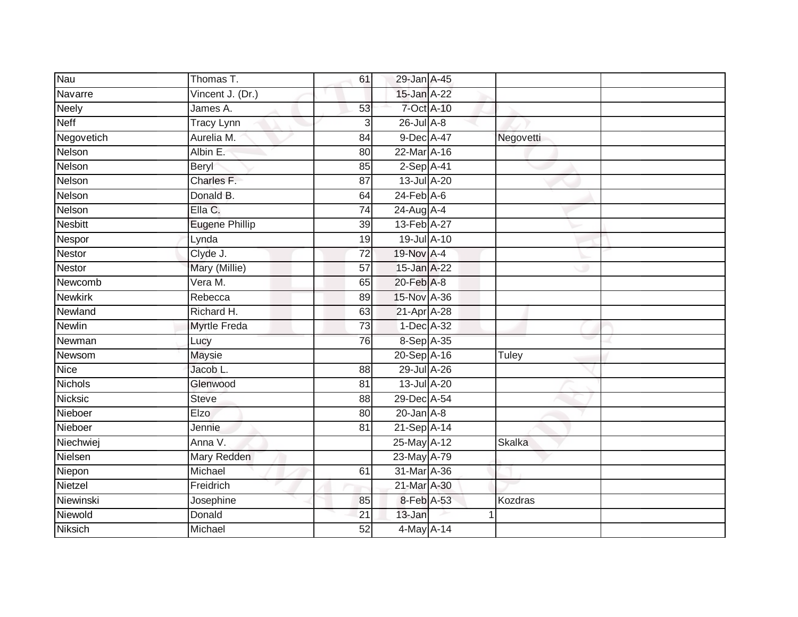| Nau            | Thomas T.             | 61              | 29-Jan A-45                |           |  |
|----------------|-----------------------|-----------------|----------------------------|-----------|--|
| Navarre        | Vincent J. (Dr.)      |                 | 15-Jan A-22                |           |  |
| <b>Neely</b>   | James A.              | 53              | 7-Oct A-10                 |           |  |
| <b>Neff</b>    | <b>Tracy Lynn</b>     | $\overline{3}$  | $26$ -Jul $A-8$            |           |  |
| Negovetich     | Aurelia M.            | $\overline{84}$ | 9-Dec A-47                 | Negovetti |  |
| Nelson         | Albin E.              | 80              | 22-Mar A-16                |           |  |
| Nelson         | Beryl                 | 85              | $2-Sep$ A-41               |           |  |
| Nelson         | Charles F.            | 87              | 13-Jul A-20                |           |  |
| Nelson         | Donald B.             | 64              | $24$ -Feb $A$ -6           |           |  |
| Nelson         | Ella C.               | $\overline{74}$ | 24-Aug A-4                 |           |  |
| <b>Nesbitt</b> | <b>Eugene Phillip</b> | 39              | 13-Feb A-27                |           |  |
| Nespor         | Lynda                 | 19              | 19-Jul A-10                |           |  |
| <b>Nestor</b>  | Clyde J.              | $\overline{72}$ | 19-Nov A-4                 |           |  |
| <b>Nestor</b>  | Mary (Millie)         | 57              | 15-Jan A-22                |           |  |
| Newcomb        | Vera M.               | 65              | 20-Feb A-8                 |           |  |
| <b>Newkirk</b> | Rebecca               | 89              | 15-Nov A-36                |           |  |
| Newland        | Richard H.            | 63              | 21-Apr A-28                |           |  |
| <b>Newlin</b>  | Myrtle Freda          | 73              | 1-Dec A-32                 |           |  |
| Newman         | Lucy                  | 76              | 8-Sep A-35                 |           |  |
| Newsom         | <b>Maysie</b>         |                 | 20-Sep A-16                | Tuley     |  |
| <b>Nice</b>    | Jacob L.              | 88              | 29-Jul A-26                |           |  |
| <b>Nichols</b> | Glenwood              | $\overline{81}$ | 13-Jul A-20                |           |  |
| <b>Nicksic</b> | <b>Steve</b>          | 88              | 29-Dec A-54                |           |  |
| Nieboer        | Elzo                  | 80              | $20$ -Jan $A-8$            |           |  |
| Nieboer        | Jennie                | 81              | $21-Sep \overline{A} - 14$ |           |  |
| Niechwiej      | Anna V.               |                 | 25-May A-12                | Skalka    |  |
| Nielsen        | Mary Redden           |                 | 23-May A-79                |           |  |
| Niepon         | Michael               | 61              | 31-Mar A-36                |           |  |
| Nietzel        | Freidrich             |                 | 21-Mar A-30                |           |  |
| Niewinski      | Josephine             | 85              | 8-Feb A-53                 | Kozdras   |  |
| Niewold        | Donald                | 21              | 13-Jan                     |           |  |
| <b>Niksich</b> | Michael               | 52              | 4-May A-14                 |           |  |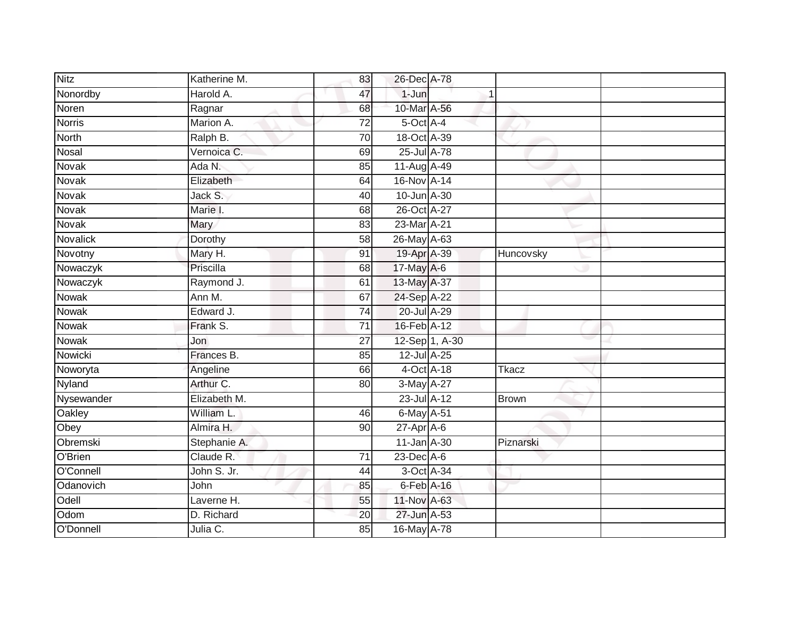| <b>Nitz</b>   | Katherine M. | 83              | 26-Dec A-78      |                |              |  |
|---------------|--------------|-----------------|------------------|----------------|--------------|--|
| Nonordby      | Harold A.    | 47              | $1-Jun$          |                |              |  |
| Noren         | Ragnar       | 68              | 10-Mar A-56      |                |              |  |
| Norris        | Marion A.    | $\overline{72}$ | 5-Oct A-4        |                |              |  |
| <b>North</b>  | Ralph B.     | 70              | 18-Oct A-39      |                |              |  |
| Nosal         | Vernoica C.  | 69              | 25-Jul A-78      |                |              |  |
| <b>Novak</b>  | Ada N.       | 85              | 11-Aug A-49      |                |              |  |
| Novak         | Elizabeth    | 64              | 16-Nov A-14      |                |              |  |
| <b>Novak</b>  | Jack S.      | 40              | 10-Jun A-30      |                |              |  |
| Novak         | Marie I.     | 68              | 26-Oct A-27      |                |              |  |
| Novak         | Mary         | 83              | 23-Mar A-21      |                |              |  |
| Novalick      | Dorothy      | 58              | 26-May A-63      |                |              |  |
| Novotny       | Mary H.      | 91              | 19-Apr A-39      |                | Huncovsky    |  |
| Nowaczyk      | Priscilla    | 68              | 17-May A-6       |                |              |  |
| Nowaczyk      | Raymond J.   | 61              | 13-May A-37      |                |              |  |
| Nowak         | Ann M.       | 67              | 24-Sep A-22      |                |              |  |
| <b>Nowak</b>  | Edward J.    | $\overline{74}$ | 20-Jul A-29      |                |              |  |
| Nowak         | Frank S.     | 71              | 16-Feb A-12      |                |              |  |
| Nowak         | Jon          | 27              |                  | 12-Sep 1, A-30 |              |  |
| Nowicki       | Frances B.   | 85              | $12$ -Jul $A-25$ |                |              |  |
| Noworyta      | Angeline     | 66              | 4-Oct A-18       |                | <b>Tkacz</b> |  |
| <b>Nyland</b> | Arthur C.    | 80              | 3-May A-27       |                |              |  |
| Nysewander    | Elizabeth M. |                 | 23-Jul A-12      |                | <b>Brown</b> |  |
| Oakley        | William L.   | 46              | 6-May A-51       |                |              |  |
| Obey          | Almira H.    | 90              | $27$ -Apr $A$ -6 |                |              |  |
| Obremski      | Stephanie A. |                 | $11$ -Jan $A-30$ |                | Piznarski    |  |
| O'Brien       | Claude R.    | $\overline{71}$ | $23$ -Dec $A-6$  |                |              |  |
| O'Connell     | John S. Jr.  | 44              | 3-Oct A-34       |                |              |  |
| Odanovich     | John         | 85              | 6-Feb A-16       |                |              |  |
| Odell         | Laverne H.   | 55              | 11-Nov A-63      |                |              |  |
| Odom          | D. Richard   | 20              | 27-Jun A-53      |                |              |  |
| O'Donnell     | Julia C.     | 85              | 16-May A-78      |                |              |  |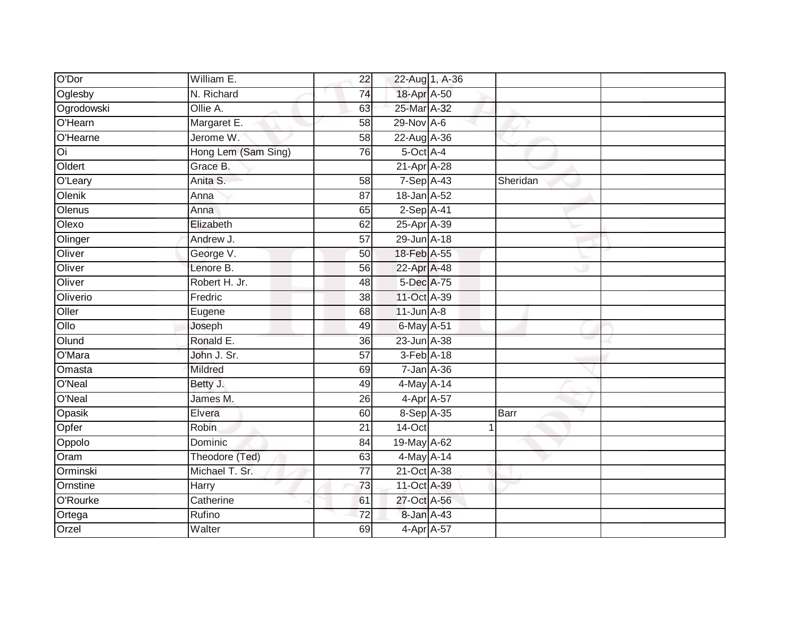| O'Dor      | William E.          | 22              |                  | 22-Aug 1, A-36 |          |
|------------|---------------------|-----------------|------------------|----------------|----------|
| Oglesby    | N. Richard          | 74              | 18-Apr A-50      |                |          |
| Ogrodowski | Ollie A.            | 63              | 25-Mar A-32      |                |          |
| O'Hearn    | Margaret E.         | 58              | 29-Nov A-6       |                |          |
| O'Hearne   | Jerome W.           | $\overline{58}$ | 22-Aug A-36      |                |          |
| Oi         | Hong Lem (Sam Sing) | 76              | 5-Oct A-4        |                |          |
| Oldert     | Grace B.            |                 | 21-Apr A-28      |                |          |
| O'Leary    | Anita S.            | 58              | 7-Sep A-43       |                | Sheridan |
| Olenik     | Anna                | 87              | 18-Jan A-52      |                |          |
| Olenus     | Anna                | 65              | 2-Sep A-41       |                |          |
| Olexo      | Elizabeth           | 62              | 25-Apr A-39      |                |          |
| Olinger    | Andrew J.           | $\overline{57}$ | 29-Jun A-18      |                |          |
| Oliver     | George V.           | 50              | 18-Feb A-55      |                |          |
| Oliver     | Lenore B.           | 56              | 22-Apr A-48      |                |          |
| Oliver     | Robert H. Jr.       | 48              | 5-Dec A-75       |                |          |
| Oliverio   | Fredric             | 38              | 11-Oct A-39      |                |          |
| Oller      | Eugene              | 68              | $11$ -Jun $A-8$  |                |          |
| Ollo       | Joseph              | 49              | 6-May A-51       |                |          |
| Olund      | Ronald E.           | 36              | 23-Jun A-38      |                |          |
| O'Mara     | John J. Sr.         | 57              | 3-Feb A-18       |                |          |
| Omasta     | Mildred             | 69              | $7 - Jan A - 36$ |                |          |
| O'Neal     | Betty J.            | 49              | 4-May A-14       |                |          |
| O'Neal     | James M.            | 26              | 4-Apr A-57       |                |          |
| Opasik     | Elvera              | 60              | 8-Sep A-35       |                | Barr     |
| Opfer      | Robin               | 21              | 14-Oct           |                |          |
| Oppolo     | Dominic             | 84              | 19-May A-62      |                |          |
| Oram       | Theodore (Ted)      | 63              | 4-May A-14       |                |          |
| Orminski   | Michael T. Sr.      | 77              | 21-Oct A-38      |                |          |
| Ornstine   | Harry               | 73              | 11-Oct A-39      |                |          |
| O'Rourke   | Catherine           | 61              | 27-Oct A-56      |                |          |
| Ortega     | Rufino              | 72              | 8-Jan A-43       |                |          |
| Orzel      | Walter              | 69              | 4-Apr A-57       |                |          |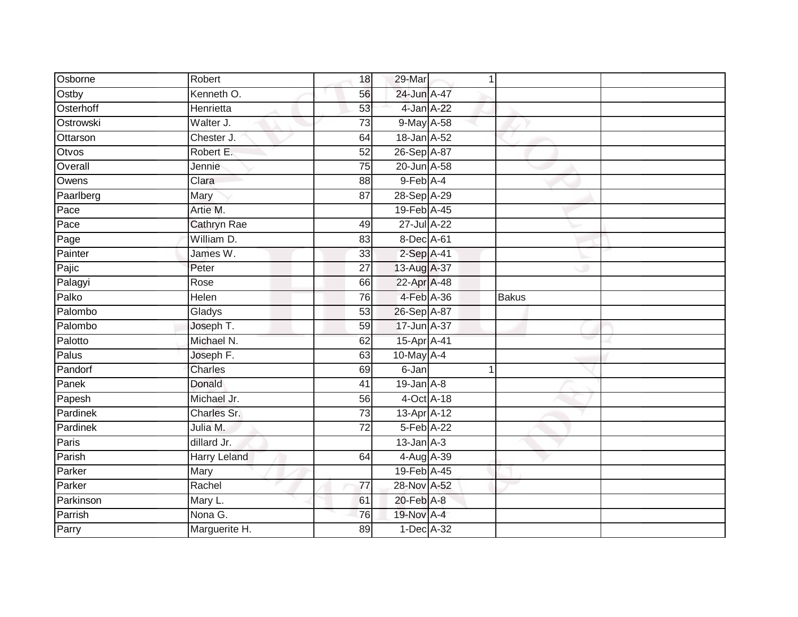| Osborne   | Robert              | 18              | 29-Mar          | 1 |              |  |
|-----------|---------------------|-----------------|-----------------|---|--------------|--|
| Ostby     | Kenneth O.          | 56              | 24-Jun A-47     |   |              |  |
| Osterhoff | Henrietta           | 53              | 4-Jan A-22      |   |              |  |
| Ostrowski | Walter J.           | 73              | 9-May A-58      |   |              |  |
| Ottarson  | Chester J.          | 64              | 18-Jan A-52     |   |              |  |
| Otvos     | Robert E.           | 52              | 26-Sep A-87     |   |              |  |
| Overall   | Jennie              | $\overline{75}$ | 20-Jun A-58     |   |              |  |
| Owens     | Clara               | 88              | $9$ -Feb $A$ -4 |   |              |  |
| Paarlberg | Mary                | 87              | 28-Sep A-29     |   |              |  |
| Pace      | Artie M.            |                 | 19-Feb A-45     |   |              |  |
| Pace      | Cathryn Rae         | 49              | 27-Jul A-22     |   |              |  |
| Page      | William D.          | 83              | 8-Dec A-61      |   |              |  |
| Painter   | James W.            | 33              | $2-Sep$ A-41    |   |              |  |
| Pajic     | Peter               | 27              | 13-Aug A-37     |   |              |  |
| Palagyi   | Rose                | 66              | 22-Apr A-48     |   |              |  |
| Palko     | Helen               | 76              | 4-Feb A-36      |   | <b>Bakus</b> |  |
| Palombo   | Gladys              | $\overline{53}$ | 26-Sep A-87     |   |              |  |
| Palombo   | Joseph T.           | 59              | 17-Jun A-37     |   |              |  |
| Palotto   | Michael N.          | 62              | 15-Apr A-41     |   |              |  |
| Palus     | Joseph F.           | 63              | 10-May A-4      |   |              |  |
| Pandorf   | <b>Charles</b>      | 69              | 6-Jan           | 1 |              |  |
| Panek     | Donald              | 41              | $19$ -Jan $A-8$ |   |              |  |
| Papesh    | Michael Jr.         | 56              | 4-Oct A-18      |   |              |  |
| Pardinek  | Charles Sr.         | 73              | 13-Apr A-12     |   |              |  |
| Pardinek  | Julia M.            | 72              | 5-Feb A-22      |   |              |  |
| Paris     | dillard Jr.         |                 | $13$ -Jan $A-3$ |   |              |  |
| Parish    | <b>Harry Leland</b> | 64              | 4-Aug A-39      |   |              |  |
| Parker    | Mary                |                 | 19-Feb A-45     |   |              |  |
| Parker    | Rachel              | 77              | 28-Nov A-52     |   |              |  |
| Parkinson | Mary L.             | 61              | 20-Feb A-8      |   |              |  |
| Parrish   | Nona G.             | $\overline{76}$ | 19-Nov A-4      |   |              |  |
| Parry     | Marguerite H.       | 89              | 1-Dec A-32      |   |              |  |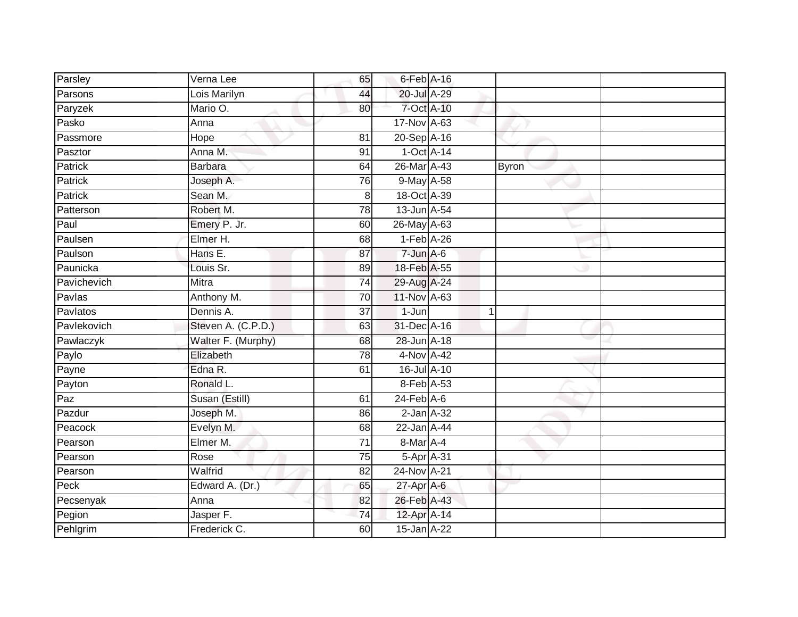| Parsley          | Verna Lee          | 65              | $6$ -Feb $A$ -16 |              |              |  |
|------------------|--------------------|-----------------|------------------|--------------|--------------|--|
| Parsons          | Lois Marilyn       | 44              | 20-Jul A-29      |              |              |  |
| Paryzek          | Mario O.           | 80              | 7-Oct A-10       |              |              |  |
| Pasko            | Anna               |                 | 17-Nov A-63      |              |              |  |
| Passmore         | Hope               | 81              | 20-Sep A-16      |              |              |  |
| Pasztor          | Anna M.            | 91              | $1-Oct$ A-14     |              |              |  |
| Patrick          | <b>Barbara</b>     | 64              | 26-Mar A-43      |              | <b>Byron</b> |  |
| Patrick          | Joseph A.          | 76              | 9-May A-58       |              |              |  |
| Patrick          | Sean M.            | 8               | 18-Oct A-39      |              |              |  |
| Patterson        | Robert M.          | 78              | 13-Jun A-54      |              |              |  |
| Paul             | Emery P. Jr.       | 60              | 26-May A-63      |              |              |  |
| Paulsen          | Elmer H.           | 68              | $1-Feb$ A-26     |              |              |  |
| Paulson          | Hans E.            | 87              | $7$ -Jun $A-6$   |              |              |  |
| Paunicka         | Louis Sr.          | 89              | 18-Feb A-55      |              |              |  |
| Pavichevich      | <b>Mitra</b>       | $\overline{74}$ | 29-Aug A-24      |              |              |  |
| Pavlas           | Anthony M.         | 70              | 11-Nov A-63      |              |              |  |
| Pavlatos         | Dennis A.          | $\overline{37}$ | $1-Jun$          | $\mathbf{1}$ |              |  |
| Pavlekovich      | Steven A. (C.P.D.) | 63              | 31-Dec A-16      |              |              |  |
| Pawlaczyk        | Walter F. (Murphy) | 68              | 28-Jun A-18      |              |              |  |
| Paylo            | Elizabeth          | $\overline{78}$ | 4-Nov A-42       |              |              |  |
| Payne            | Edna R.            | 61              | 16-Jul A-10      |              |              |  |
| Payton           | Ronald L.          |                 | 8-Feb A-53       |              |              |  |
| $\overline{Paz}$ | Susan (Estill)     | 61              | $24$ -Feb $A$ -6 |              |              |  |
| Pazdur           | Joseph M.          | 86              | $2$ -Jan $A-32$  |              |              |  |
| Peacock          | Evelyn M.          | 68              | 22-Jan A-44      |              |              |  |
| Pearson          | Elmer M.           | 71              | 8-Mar A-4        |              |              |  |
| Pearson          | Rose               | 75              | 5-Apr A-31       |              |              |  |
| Pearson          | Walfrid            | 82              | 24-Nov A-21      |              |              |  |
| Peck             | Edward A. (Dr.)    | 65              | $27$ -Apr $A$ -6 |              |              |  |
| Pecsenyak        | Anna               | 82              | 26-Feb A-43      |              |              |  |
| Pegion           | Jasper F.          | $\overline{74}$ | 12-Apr A-14      |              |              |  |
| Pehlgrim         | Frederick C.       | 60              | 15-Jan A-22      |              |              |  |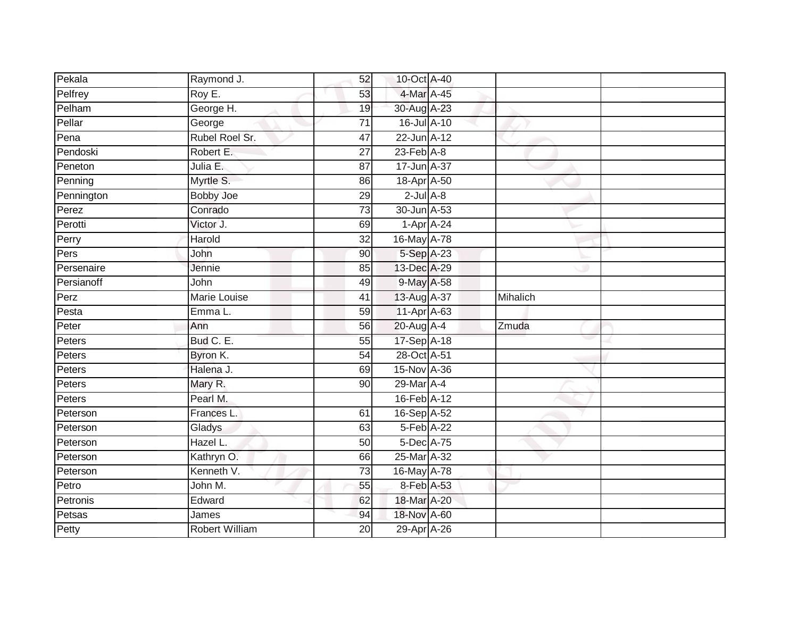| Pekala     | Raymond J.            | 52              | 10-Oct A-40      |          |  |
|------------|-----------------------|-----------------|------------------|----------|--|
| Pelfrey    | Roy E.                | 53              | 4-Mar A-45       |          |  |
| Pelham     | George H.             | 19              | 30-Aug A-23      |          |  |
| Pellar     | George                | 71              | 16-Jul A-10      |          |  |
| Pena       | Rubel Roel Sr.        | 47              | 22-Jun A-12      |          |  |
| Pendoski   | Robert E.             | 27              | $23$ -Feb $A-8$  |          |  |
| Peneton    | Julia E.              | 87              | 17-Jun A-37      |          |  |
| Penning    | Myrtle S.             | 86              | 18-Apr A-50      |          |  |
| Pennington | <b>Bobby Joe</b>      | 29              | $2$ -Jul $A-8$   |          |  |
| Perez      | Conrado               | $\overline{73}$ | 30-Jun A-53      |          |  |
| Perotti    | Victor J.             | 69              | $1-Apr$ A-24     |          |  |
| Perry      | Harold                | 32              | 16-May A-78      |          |  |
| Pers       | John                  | 90              | 5-Sep A-23       |          |  |
| Persenaire | Jennie                | 85              | 13-Dec A-29      |          |  |
| Persianoff | John                  | 49              | 9-May A-58       |          |  |
| Perz       | Marie Louise          | 41              | 13-Aug A-37      | Mihalich |  |
| Pesta      | Emma L.               | 59              | 11-Apr A-63      |          |  |
| Peter      | Ann                   | 56              | 20-Aug A-4       | Zmuda    |  |
| Peters     | Bud C. E.             | 55              | 17-Sep A-18      |          |  |
| Peters     | Byron K.              | 54              | 28-Oct A-51      |          |  |
| Peters     | Halena J.             | 69              | 15-Nov A-36      |          |  |
| Peters     | Mary R.               | $\overline{90}$ | 29-Mar A-4       |          |  |
| Peters     | Pearl M.              |                 | 16-Feb A-12      |          |  |
| Peterson   | Frances L.            | 61              | 16-Sep A-52      |          |  |
| Peterson   | Gladys                | 63              | 5-Feb A-22       |          |  |
| Peterson   | Hazel L.              | 50              | $5$ -Dec $A$ -75 |          |  |
| Peterson   | Kathryn O.            | 66              | 25-Mar A-32      |          |  |
| Peterson   | Kenneth V.            | 73              | 16-May A-78      |          |  |
| Petro      | John M.               | 55              | 8-Feb A-53       |          |  |
| Petronis   | Edward                | 62              | 18-Mar A-20      |          |  |
| Petsas     | James                 | 94              | 18-Nov A-60      |          |  |
| Petty      | <b>Robert William</b> | $\overline{20}$ | 29-Apr A-26      |          |  |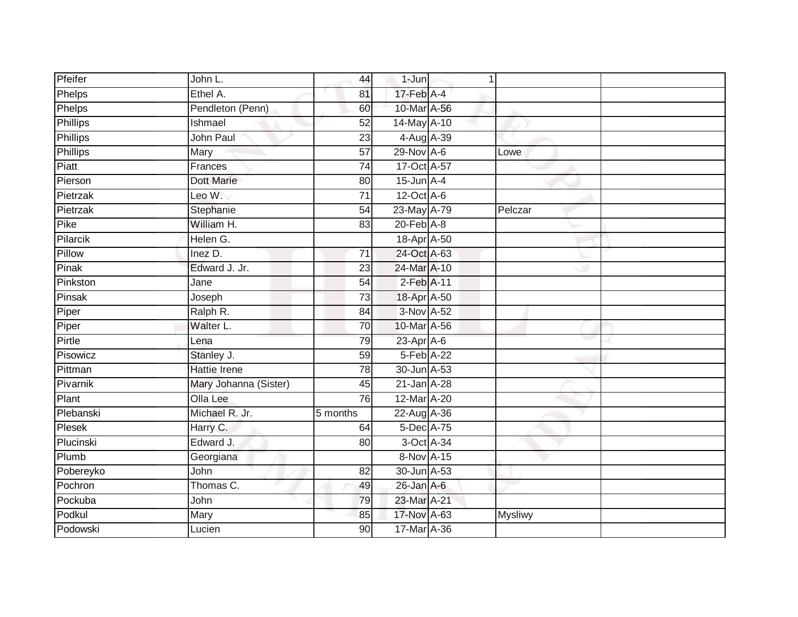| Pfeifer         | John L.               | 44              | $1-Jun$                     | 1 |                |
|-----------------|-----------------------|-----------------|-----------------------------|---|----------------|
| Phelps          | Ethel A.              | 81              | 17-Feb A-4                  |   |                |
| Phelps          | Pendleton (Penn)      | 60              | 10-Mar A-56                 |   |                |
| Phillips        | Ishmael               | 52              | 14-May A-10                 |   |                |
| <b>Phillips</b> | John Paul             | $\overline{23}$ | 4-Aug A-39                  |   |                |
| <b>Phillips</b> | Mary                  | 57              | $29-Nov$ A-6                |   | Lowe           |
| Piatt           | <b>Frances</b>        | $\overline{74}$ | 17-Oct A-57                 |   |                |
| Pierson         | <b>Dott Marie</b>     | 80              | $15$ -Jun $A$ -4            |   |                |
| Pietrzak        | Leo W.                | $\overline{71}$ | $12$ -Oct A-6               |   |                |
| Pietrzak        | Stephanie             | 54              | 23-May A-79                 |   | Pelczar        |
| Pike            | William H.            | 83              | $20$ -Feb $\overline{A}$ -8 |   |                |
| Pilarcik        | Helen G.              |                 | 18-Apr A-50                 |   |                |
| Pillow          | Inez D.               | 71              | 24-Oct A-63                 |   |                |
| Pinak           | Edward J. Jr.         | 23              | 24-Mar A-10                 |   |                |
| Pinkston        | Jane                  | $\overline{54}$ | $2$ -Feb $A-11$             |   |                |
| Pinsak          | Joseph                | 73              | 18-Apr A-50                 |   |                |
| Piper           | Ralph R.              | $\overline{84}$ | 3-Nov A-52                  |   |                |
| Piper           | Walter L.             | 70              | 10-Mar A-56                 |   |                |
| Pirtle          | Lena                  | 79              | $23$ -Apr $A$ -6            |   |                |
| Pisowicz        | Stanley J.            | 59              | $5-Feb$ $A-22$              |   |                |
| Pittman         | <b>Hattie Irene</b>   | 78              | 30-Jun A-53                 |   |                |
| Pivarnik        | Mary Johanna (Sister) | 45              | 21-Jan A-28                 |   |                |
| Plant           | Olla Lee              | 76              | 12-Mar A-20                 |   |                |
| Plebanski       | Michael R. Jr.        | 5 months        | 22-Aug A-36                 |   |                |
| Plesek          | Harry C.              | 64              | 5-Dec A-75                  |   |                |
| Plucinski       | Edward J.             | 80              | 3-Oct A-34                  |   |                |
| Plumb           | Georgiana             |                 | 8-Nov A-15                  |   |                |
| Pobereyko       | John                  | 82              | 30-Jun A-53                 |   |                |
| Pochron         | Thomas C.             | 49              | 26-Jan A-6                  |   |                |
| Pockuba         | John                  | 79              | 23-Mar A-21                 |   |                |
| Podkul          | Mary                  | 85              | 17-Nov A-63                 |   | <b>Mysliwy</b> |
| Podowski        | Lucien                | $\overline{90}$ | 17-Mar A-36                 |   |                |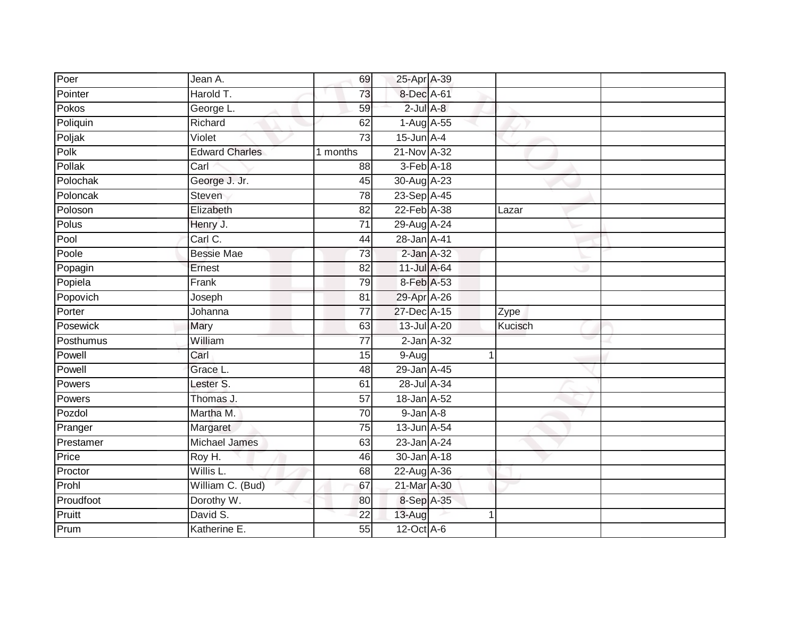| Poer      | Jean A.               | 69              | 25-Apr A-39     |         |  |
|-----------|-----------------------|-----------------|-----------------|---------|--|
| Pointer   | Harold T.             | 73              | 8-Dec A-61      |         |  |
| Pokos     | George L.             | 59              | $2$ -Jul $A-8$  |         |  |
| Poliquin  | Richard               | 62              | 1-Aug A-55      |         |  |
| Poljak    | Violet                | 73              | $15$ -Jun $A-4$ |         |  |
| Polk      | <b>Edward Charles</b> | 1 months        | 21-Nov A-32     |         |  |
| Pollak    | Carl                  | 88              | $3-Feb$ $A-18$  |         |  |
| Polochak  | George J. Jr.         | 45              | 30-Aug A-23     |         |  |
| Poloncak  | Steven                | 78              | 23-Sep A-45     |         |  |
| Poloson   | Elizabeth             | $\overline{82}$ | 22-Feb A-38     | Lazar   |  |
| Polus     | Henry J.              | $\overline{71}$ | 29-Aug A-24     |         |  |
| Pool      | Carl C.               | 44              | 28-Jan A-41     |         |  |
| Poole     | <b>Bessie Mae</b>     | 73              | $2$ -Jan $A-32$ |         |  |
| Popagin   | Ernest                | 82              | 11-Jul A-64     |         |  |
| Popiela   | Frank                 | 79              | 8-Feb A-53      |         |  |
| Popovich  | Joseph                | 81              | 29-Apr A-26     |         |  |
| Porter    | Johanna               | $\overline{77}$ | 27-Dec A-15     | Zype    |  |
| Posewick  | Mary                  | 63              | 13-Jul A-20     | Kucisch |  |
| Posthumus | William               | 77              | $2$ -Jan $A-32$ |         |  |
| Powell    | Carl                  | 15              | 9-Aug           | 1       |  |
| Powell    | Grace L.              | 48              | 29-Jan A-45     |         |  |
| Powers    | Lester S.             | 61              | 28-Jul A-34     |         |  |
| Powers    | Thomas J.             | 57              | 18-Jan A-52     |         |  |
| Pozdol    | Martha M.             | 70              | $9$ -Jan $A$ -8 |         |  |
| Pranger   | Margaret              | 75              | 13-Jun A-54     |         |  |
| Prestamer | <b>Michael James</b>  | 63              | 23-Jan A-24     |         |  |
| Price     | Roy H.                | 46              | 30-Jan A-18     |         |  |
| Proctor   | Willis L.             | 68              | 22-Aug A-36     |         |  |
| Prohl     | William C. (Bud)      | 67              | 21-Mar A-30     |         |  |
| Proudfoot | Dorothy W.            | 80              | 8-Sep A-35      |         |  |
| Pruitt    | David S.              | 22              | 13-Aug          | 1       |  |
| Prum      | Katherine E.          | 55              | 12-Oct A-6      |         |  |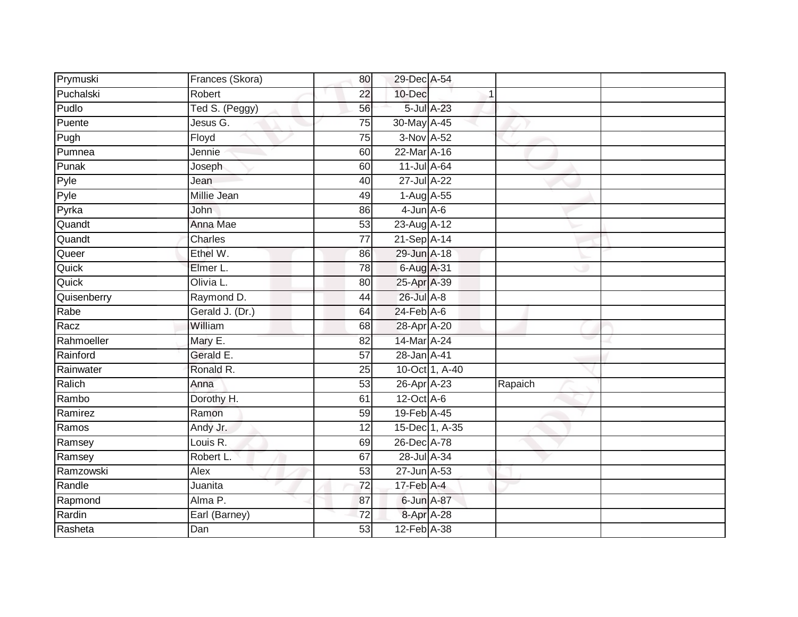| Prymuski    | Frances (Skora) | 80              | 29-Dec A-54      |                |         |  |
|-------------|-----------------|-----------------|------------------|----------------|---------|--|
| Puchalski   | Robert          | 22              | 10-Dec           |                |         |  |
| Pudlo       | Ted S. (Peggy)  | 56              | 5-Jul A-23       |                |         |  |
| Puente      | Jesus G.        | 75              | 30-May A-45      |                |         |  |
| Pugh        | Floyd           | $\overline{75}$ | 3-Nov A-52       |                |         |  |
| Pumnea      | Jennie          | 60              | 22-Mar A-16      |                |         |  |
| Punak       | Joseph          | 60              | 11-Jul A-64      |                |         |  |
| Pyle        | Jean            | 40              | 27-Jul A-22      |                |         |  |
| Pyle        | Millie Jean     | 49              | 1-Aug A-55       |                |         |  |
| Pyrka       | <b>John</b>     | 86              | $4$ -Jun $A$ -6  |                |         |  |
| Quandt      | Anna Mae        | 53              | 23-Aug A-12      |                |         |  |
| Quandt      | Charles         | $\overline{77}$ | 21-Sep A-14      |                |         |  |
| Queer       | Ethel W.        | 86              | 29-Jun A-18      |                |         |  |
| Quick       | Elmer L.        | 78              | 6-Aug A-31       |                |         |  |
| Quick       | Olivia L.       | $\overline{80}$ | 25-Apr A-39      |                |         |  |
| Quisenberry | Raymond D.      | 44              | 26-Jul A-8       |                |         |  |
| Rabe        | Gerald J. (Dr.) | 64              | $24$ -Feb $A$ -6 |                |         |  |
| Racz        | William         | 68              | 28-Apr A-20      |                |         |  |
| Rahmoeller  | Mary E.         | 82              | 14-Mar A-24      |                |         |  |
| Rainford    | Gerald E.       | 57              | 28-Jan A-41      |                |         |  |
| Rainwater   | Ronald R.       | 25              |                  | 10-Oct 1, A-40 |         |  |
| Ralich      | Anna            | 53              | 26-Apr A-23      |                | Rapaich |  |
| Rambo       | Dorothy H.      | 61              | 12-Oct A-6       |                |         |  |
| Ramirez     | Ramon           | 59              | 19-Feb A-45      |                |         |  |
| Ramos       | Andy Jr.        | 12              | 15-Dec 1, A-35   |                |         |  |
| Ramsey      | Louis R.        | 69              | 26-Dec A-78      |                |         |  |
| Ramsey      | Robert L.       | 67              | 28-Jul A-34      |                |         |  |
| Ramzowski   | Alex            | 53              | 27-Jun A-53      |                |         |  |
| Randle      | Juanita         | 72              | 17-Feb A-4       |                |         |  |
| Rapmond     | Alma P.         | 87              | 6-Jun A-87       |                |         |  |
| Rardin      | Earl (Barney)   | 72              | 8-Apr A-28       |                |         |  |
| Rasheta     | Dan             | $\overline{53}$ | 12-Feb A-38      |                |         |  |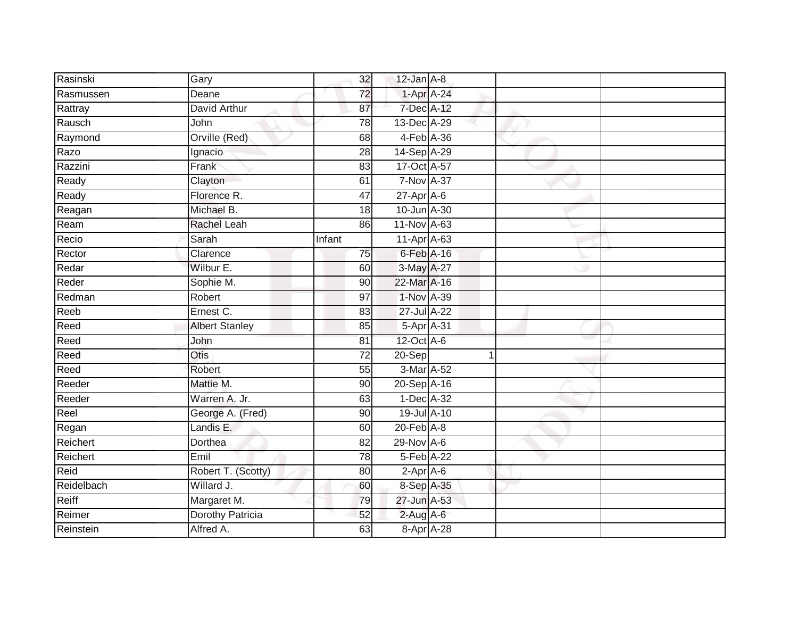| Rasinski   | Gary                    | 32              | $12$ -Jan $A-8$  |            |  |
|------------|-------------------------|-----------------|------------------|------------|--|
| Rasmussen  | Deane                   | 72              |                  | 1-Apr A-24 |  |
| Rattray    | David Arthur            | 87              | 7-Dec A-12       |            |  |
| Rausch     | John                    | 78              | 13-Dec A-29      |            |  |
| Raymond    | Orville (Red)           | 68              |                  | 4-Feb A-36 |  |
| Razo       | Ignacio                 | 28              | 14-Sep A-29      |            |  |
| Razzini    | Frank                   | 83              | 17-Oct A-57      |            |  |
| Ready      | Clayton                 | 61              | 7-Nov A-37       |            |  |
| Ready      | Florence R.             | 47              | 27-Apr A-6       |            |  |
| Reagan     | Michael B.              | 18              | 10-Jun A-30      |            |  |
| Ream       | Rachel Leah             | 86              | 11-Nov A-63      |            |  |
| Recio      | Sarah                   | Infant          | 11-Apr A-63      |            |  |
| Rector     | Clarence                | 75              | $6$ -Feb $A$ -16 |            |  |
| Redar      | Wilbur E.               | 60              | 3-May A-27       |            |  |
| Reder      | Sophie M.               | $\overline{90}$ | 22-Mar A-16      |            |  |
| Redman     | Robert                  | $\overline{97}$ | 1-Nov A-39       |            |  |
| Reeb       | Ernest C.               | 83              | 27-Jul A-22      |            |  |
| Reed       | <b>Albert Stanley</b>   | 85              |                  | 5-Apr A-31 |  |
| Reed       | John                    | 81              | 12-Oct A-6       |            |  |
| Reed       | <b>Otis</b>             | $\overline{72}$ | 20-Sep           | 1          |  |
| Reed       | Robert                  | 55              | 3-Mar A-52       |            |  |
| Reeder     | Mattie M.               | 90              | 20-Sep A-16      |            |  |
| Reeder     | Warren A. Jr.           | 63              | 1-Dec A-32       |            |  |
| Reel       | George A. (Fred)        | 90              | 19-Jul A-10      |            |  |
| Regan      | Landis E.               | 60              | $20$ -Feb $A-8$  |            |  |
| Reichert   | Dorthea                 | $\overline{82}$ | $29-Nov$ A-6     |            |  |
| Reichert   | Emil                    | 78              | 5-Feb A-22       |            |  |
| Reid       | Robert T. (Scotty)      | 80              | $2-AprA-6$       |            |  |
| Reidelbach | Willard J.              | 60              | 8-Sep A-35       |            |  |
| Reiff      | Margaret M.             | 79              | 27-Jun A-53      |            |  |
| Reimer     | <b>Dorothy Patricia</b> | 52              | $2$ -Aug A-6     |            |  |
| Reinstein  | Alfred A.               | 63              |                  | 8-Apr A-28 |  |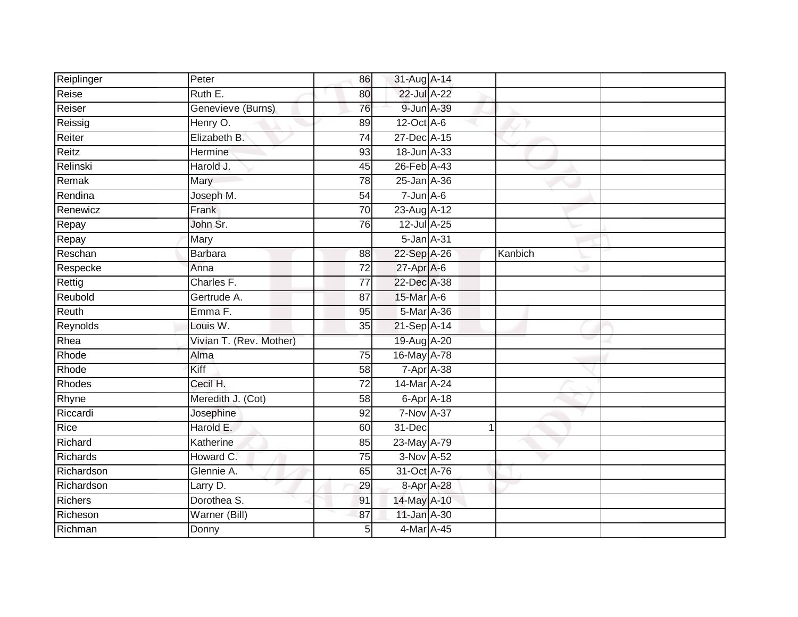| Reiplinger      | $P$ eter                | 86              | 31-Aug A-14        |         |  |
|-----------------|-------------------------|-----------------|--------------------|---------|--|
| Reise           | Ruth E.                 | 80              | 22-Jul A-22        |         |  |
| Reiser          | Genevieve (Burns)       | 76              | 9-Jun A-39         |         |  |
| Reissig         | Henry O.                | 89              | $12$ -Oct $A-6$    |         |  |
| Reiter          | Elizabeth B.            | $\overline{74}$ | 27-Dec A-15        |         |  |
| Reitz           | Hermine                 | 93              | 18-Jun A-33        |         |  |
| Relinski        | Harold J.               | 45              | 26-Feb A-43        |         |  |
| Remak           | Mary                    | 78              | 25-Jan A-36        |         |  |
| Rendina         | Joseph M.               | 54              | $7 - Jun$ A-6      |         |  |
| Renewicz        | Frank                   | 70              | 23-Aug A-12        |         |  |
| Repay           | John Sr.                | 76              | 12-Jul A-25        |         |  |
| Repay           | Mary                    |                 | 5-Jan A-31         |         |  |
| Reschan         | <b>Barbara</b>          | 88              | 22-Sep A-26        | Kanbich |  |
| Respecke        | Anna                    | 72              | 27-Apr A-6         |         |  |
| Rettig          | Charles F.              | $\overline{77}$ | 22-Dec A-38        |         |  |
| Reubold         | Gertrude A.             | 87              | 15-Mar A-6         |         |  |
| Reuth           | Emma <sub>F.</sub>      | 95              | 5-Mar A-36         |         |  |
| Reynolds        | Louis W.                | 35              | 21-Sep A-14        |         |  |
| Rhea            | Vivian T. (Rev. Mother) |                 | 19-Aug A-20        |         |  |
| Rhode           | Alma                    | $\overline{75}$ | 16-May A-78        |         |  |
| Rhode           | Kiff                    | 58              | 7-Apr A-38         |         |  |
| Rhodes          | Cecil H.                | $\overline{72}$ | 14-Mar A-24        |         |  |
| Rhyne           | Meredith J. (Cot)       | 58              | $6 - Apr$ $A - 18$ |         |  |
| Riccardi        | Josephine               | 92              | <b>7-Nov A-37</b>  |         |  |
| Rice            | Harold E.               | 60              | 31-Dec             |         |  |
| Richard         | Katherine               | 85              | 23-May A-79        |         |  |
| <b>Richards</b> | Howard C.               | $\overline{75}$ | 3-Nov A-52         |         |  |
| Richardson      | Glennie A.              | 65              | 31-Oct A-76        |         |  |
| Richardson      | Larry D.                | 29              | 8-Apr A-28         |         |  |
| <b>Richers</b>  | Dorothea S.             | 91              | 14-May A-10        |         |  |
| Richeson        | Warner (Bill)           | 87              | 11-Jan A-30        |         |  |
| Richman         | Donny                   | 5               | 4-Mar A-45         |         |  |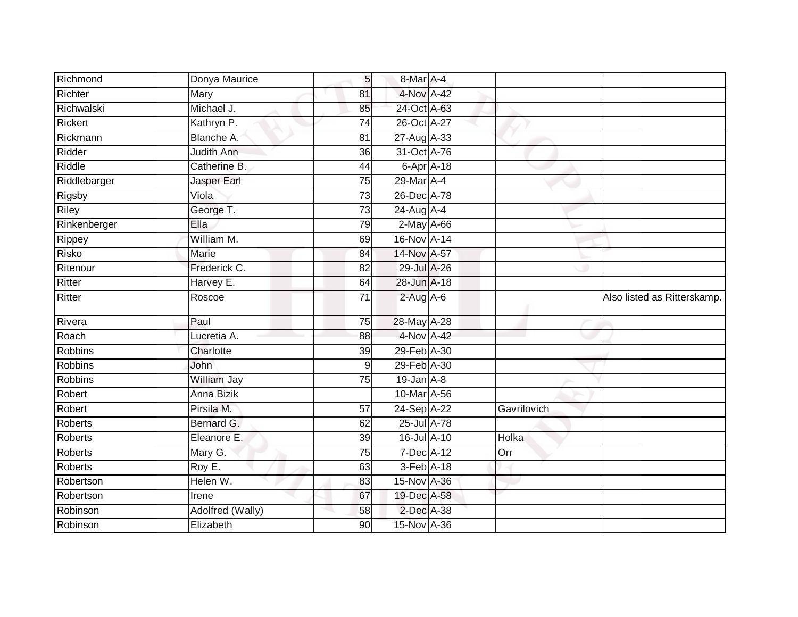| Richmond       | Donya Maurice     | 5 <sup>1</sup>  | 8-Mar A-4         |             |                             |
|----------------|-------------------|-----------------|-------------------|-------------|-----------------------------|
| Richter        | Mary              | 81              | 4-Nov A-42        |             |                             |
| Richwalski     | Michael J.        | 85              | 24-Oct A-63       |             |                             |
| Rickert        | Kathryn P.        | 74              | 26-Oct A-27       |             |                             |
| Rickmann       | Blanche A.        | 81              | 27-Aug A-33       |             |                             |
| Ridder         | <b>Judith Ann</b> | $\overline{36}$ | 31-Oct A-76       |             |                             |
| Riddle         | Catherine B.      | 44              | $6$ -Apr $A$ -18  |             |                             |
| Riddlebarger   | Jasper Earl       | 75              | 29-Mar A-4        |             |                             |
| Rigsby         | Viola             | 73              | 26-Dec A-78       |             |                             |
| <b>Riley</b>   | George T.         | $\overline{73}$ | 24-Aug A-4        |             |                             |
| Rinkenberger   | Ella              | 79              | $2-May$ A-66      |             |                             |
| Rippey         | William M.        | 69              | 16-Nov A-14       |             |                             |
| Risko          | Marie             | 84              | 14-Nov A-57       |             |                             |
| Ritenour       | Frederick C.      | 82              | 29-Jul A-26       |             |                             |
| Ritter         | Harvey E.         | 64              | 28-Jun A-18       |             |                             |
| <b>Ritter</b>  | Roscoe            | 71              | $2-Aug$ A-6       |             | Also listed as Ritterskamp. |
| Rivera         | Paul              | 75              | 28-May A-28       |             |                             |
| Roach          | Lucretia A.       | 88              | 4-Nov A-42        |             |                             |
| <b>Robbins</b> | Charlotte         | 39              | 29-Feb A-30       |             |                             |
| <b>Robbins</b> | John              | 9               | 29-Feb A-30       |             |                             |
| <b>Robbins</b> | William Jay       | 75              | $19$ -Jan $A - 8$ |             |                             |
| Robert         | Anna Bizik        |                 | 10-Mar A-56       |             |                             |
| Robert         | Pirsila M.        | 57              | 24-Sep A-22       | Gavrilovich |                             |
| <b>Roberts</b> | Bernard G.        | 62              | 25-Jul A-78       |             |                             |
| <b>Roberts</b> | Eleanore E.       | 39              | 16-Jul A-10       | Holka       |                             |
| Roberts        | Mary G.           | 75              | 7-Dec A-12        | Orr         |                             |
| <b>Roberts</b> | Roy E.            | 63              | 3-Feb A-18        |             |                             |
| Robertson      | Helen W.          | 83              | 15-Nov A-36       |             |                             |
| Robertson      | Irene             | 67              | 19-Dec A-58       |             |                             |
| Robinson       | Adolfred (Wally)  | 58              | 2-Dec A-38        |             |                             |
| Robinson       | Elizabeth         | 90              | 15-Nov A-36       |             |                             |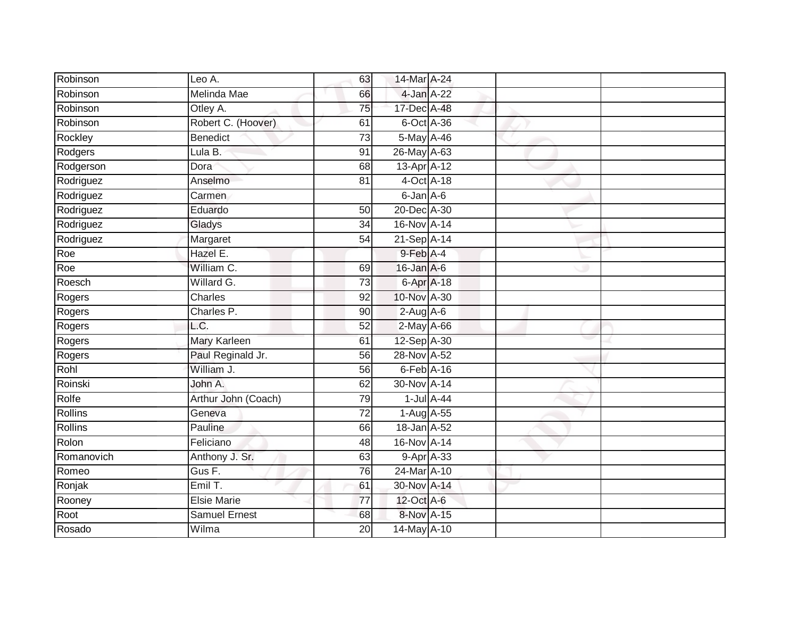| Robinson       | Leo A.               | 63              | 14-Mar A-24                 |  |  |
|----------------|----------------------|-----------------|-----------------------------|--|--|
| Robinson       | Melinda Mae          | 66              | 4-Jan A-22                  |  |  |
| Robinson       | Otley A.             | 75              | 17-Dec A-48                 |  |  |
| Robinson       | Robert C. (Hoover)   | 61              | 6-Oct A-36                  |  |  |
| Rockley        | <b>Benedict</b>      | $\overline{73}$ | 5-May A-46                  |  |  |
| Rodgers        | Lula B.              | 91              | 26-May A-63                 |  |  |
| Rodgerson      | Dora                 | 68              | $13$ -Apr $A$ -12           |  |  |
| Rodriguez      | Anselmo              | 81              | $4$ -Oct $\overline{A}$ -18 |  |  |
| Rodriguez      | Carmen               |                 | 6-Jan A-6                   |  |  |
| Rodriguez      | Eduardo              | 50              | 20-Dec A-30                 |  |  |
| Rodriguez      | Gladys               | 34              | 16-Nov A-14                 |  |  |
| Rodriguez      | Margaret             | 54              | 21-Sep A-14                 |  |  |
| Roe            | Hazel E.             |                 | $9$ -Feb $A$ -4             |  |  |
| Roe            | William C.           | 69              | 16-Jan A-6                  |  |  |
| Roesch         | Willard G.           | $\overline{73}$ | 6-Apr A-18                  |  |  |
| Rogers         | Charles              | 92              | 10-Nov A-30                 |  |  |
| Rogers         | Charles P.           | 90              | $2-Aug$ A-6                 |  |  |
| Rogers         | L.C.                 | 52              | 2-May A-66                  |  |  |
| Rogers         | Mary Karleen         | 61              | 12-Sep A-30                 |  |  |
| Rogers         | Paul Reginald Jr.    | 56              | 28-Nov A-52                 |  |  |
| Rohl           | William J.           | 56              | $6$ -Feb $A$ -16            |  |  |
| Roinski        | John A.              | 62              | 30-Nov A-14                 |  |  |
| Rolfe          | Arthur John (Coach)  | 79              | $1$ -Jul $A$ -44            |  |  |
| Rollins        | Geneva               | 72              | 1-Aug A-55                  |  |  |
| <b>Rollins</b> | Pauline              | 66              | 18-Jan A-52                 |  |  |
| Rolon          | Feliciano            | 48              | 16-Nov A-14                 |  |  |
| Romanovich     | Anthony J. Sr.       | 63              | 9-Apr A-33                  |  |  |
| Romeo          | Gus F.               | 76              | 24-Mar A-10                 |  |  |
| Ronjak         | Emil T.              | 61              | 30-Nov A-14                 |  |  |
| Rooney         | <b>Elsie Marie</b>   | $\overline{77}$ | 12-Oct A-6                  |  |  |
| Root           | <b>Samuel Ernest</b> | 68              | 8-Nov A-15                  |  |  |
| Rosado         | Wilma                | $\overline{20}$ | 14-May A-10                 |  |  |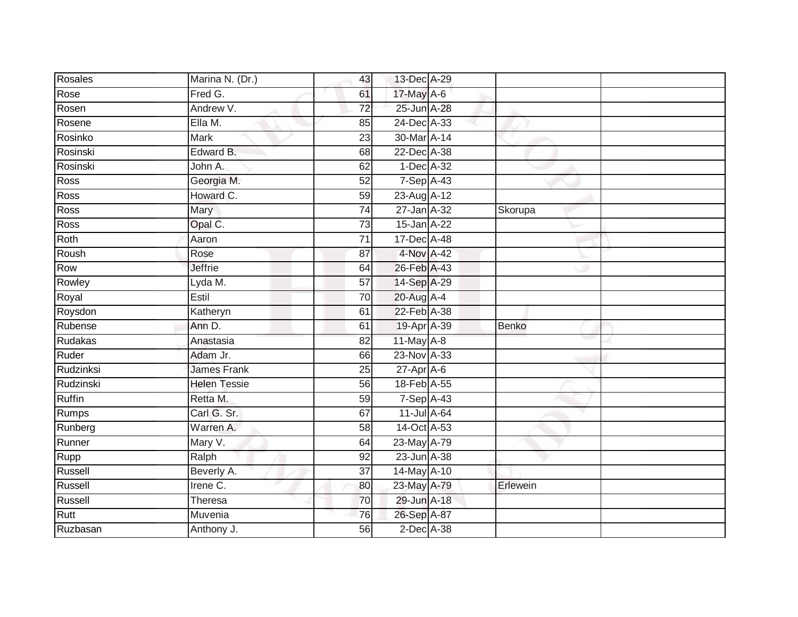| Rosales       | Marina N. (Dr.)        | 43              | 13-Dec A-29      |          |  |
|---------------|------------------------|-----------------|------------------|----------|--|
| Rose          | Fred G.                | 61              | 17-May A-6       |          |  |
| Rosen         | Andrew V.              | $\overline{72}$ | 25-Jun A-28      |          |  |
| Rosene        | Ella M.                | 85              | 24-Dec A-33      |          |  |
| Rosinko       | <b>Mark</b>            | $\overline{23}$ | 30-Mar A-14      |          |  |
| Rosinski      | Edward B.              | 68              | 22-Dec A-38      |          |  |
| Rosinski      | John A.                | 62              | $1$ -Dec $A$ -32 |          |  |
| Ross          | Georgia M.             | 52              | 7-Sep A-43       |          |  |
| Ross          | Howard C.              | 59              | 23-Aug A-12      |          |  |
| <b>Ross</b>   | Mary                   | $\overline{74}$ | 27-Jan A-32      | Skorupa  |  |
| Ross          | Opal C.                | 73              | 15-Jan A-22      |          |  |
| Roth          | Aaron                  | $\overline{71}$ | 17-Dec A-48      |          |  |
| Roush         | Rose                   | 87              | 4-Nov A-42       |          |  |
| Row           | <b>Jeffrie</b>         | 64              | 26-Feb A-43      |          |  |
| Rowley        | Lyda M.                | 57              | 14-Sep A-29      |          |  |
| Royal         | Estil                  | 70              | 20-Aug A-4       |          |  |
| Roysdon       | Katheryn               | 61              | 22-Feb A-38      |          |  |
| Rubense       | Ann D.                 | 61              | 19-Apr A-39      | Benko    |  |
| Rudakas       | Anastasia              | 82              | 11-May $A-8$     |          |  |
| Ruder         | Adam Jr.               | 66              | 23-Nov A-33      |          |  |
| Rudzinksi     | <b>James Frank</b>     | 25              | $27$ -Apr $A$ -6 |          |  |
| Rudzinski     | <b>Helen Tessie</b>    | 56              | 18-Feb A-55      |          |  |
| <b>Ruffin</b> | Retta M.               | 59              | $7-Sep$ A-43     |          |  |
| <b>Rumps</b>  | Carl G. Sr.            | 67              | 11-Jul A-64      |          |  |
| Runberg       | Warren A.              | 58              | 14-Oct A-53      |          |  |
| Runner        | Mary V.                | 64              | 23-May A-79      |          |  |
| Rupp          | Ralph                  | $\overline{92}$ | 23-Jun A-38      |          |  |
| Russell       | Beverly A.             | 37              | 14-May A-10      |          |  |
| Russell       | Irene $\overline{C}$ . | 80              | 23-May A-79      | Erlewein |  |
| Russell       | Theresa                | 70              | 29-Jun A-18      |          |  |
| Rutt          | Muvenia                | 76              | 26-Sep A-87      |          |  |
| Ruzbasan      | Anthony J.             | 56              | $2$ -Dec $A$ -38 |          |  |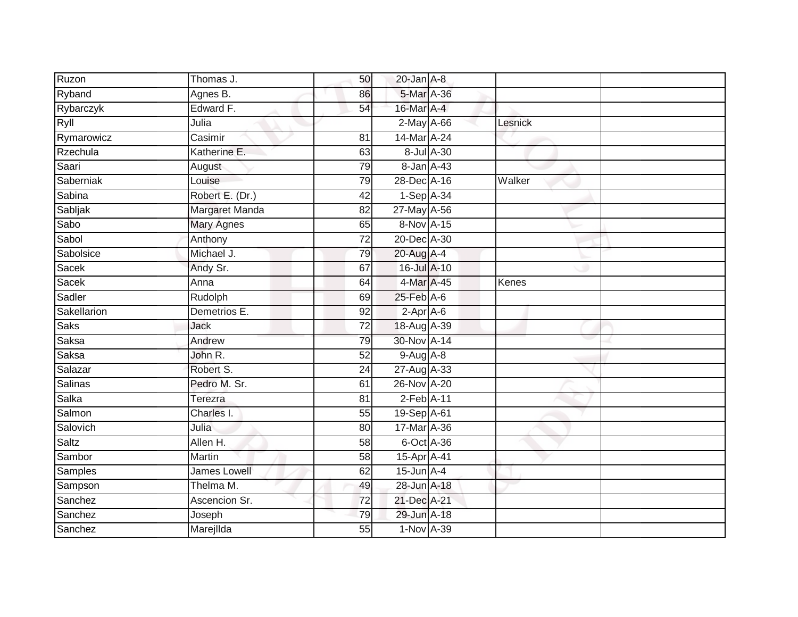| Ruzon          | Thomas J.           | 50              | $20$ -Jan $A-8$  |         |  |
|----------------|---------------------|-----------------|------------------|---------|--|
| Ryband         | Agnes B.            | 86              | 5-Mar A-36       |         |  |
| Rybarczyk      | Edward F.           | 54              | 16-Mar A-4       |         |  |
| Ryll           | Julia               |                 | $2$ -May A-66    | Lesnick |  |
| Rymarowicz     | Casimir             | $\overline{81}$ | 14-Mar A-24      |         |  |
| Rzechula       | Katherine E.        | 63              | 8-Jul A-30       |         |  |
| Saari          | August              | 79              | 8-Jan A-43       |         |  |
| Saberniak      | Louise              | 79              | 28-Dec A-16      | Walker  |  |
| Sabina         | Robert E. (Dr.)     | 42              | $1-Sep$ A-34     |         |  |
| Sabljak        | Margaret Manda      | 82              | 27-May A-56      |         |  |
| Sabo           | <b>Mary Agnes</b>   | 65              | $8-Nov A-15$     |         |  |
| Sabol          | Anthony             | 72              | 20-Dec A-30      |         |  |
| Sabolsice      | Michael J.          | 79              | 20-Aug A-4       |         |  |
| Sacek          | Andy Sr.            | 67              | 16-Jul A-10      |         |  |
| Sacek          | Anna                | 64              | 4-Mar A-45       | Kenes   |  |
| Sadler         | Rudolph             | 69              | 25-Feb A-6       |         |  |
| Sakellarion    | Demetrios E.        | 92              | $2-Apr$ A-6      |         |  |
| <b>Saks</b>    | Jack                | 72              | 18-Aug A-39      |         |  |
| Saksa          | Andrew              | 79              | 30-Nov A-14      |         |  |
| <b>Saksa</b>   | John R.             | $\overline{52}$ | $9-AugA-8$       |         |  |
| Salazar        | Robert S.           | 24              | 27-Aug A-33      |         |  |
| <b>Salinas</b> | Pedro M. Sr.        | 61              | 26-Nov A-20      |         |  |
| Salka          | Terezra             | 81              | $2$ -Feb $A-11$  |         |  |
| Salmon         | Charles I.          | 55              | 19-Sep A-61      |         |  |
| Salovich       | Julia               | 80              | 17-Mar A-36      |         |  |
| Saltz          | Allen H.            | 58              | 6-Oct A-36       |         |  |
| Sambor         | Martin              | 58              | 15-Apr A-41      |         |  |
| Samples        | <b>James Lowell</b> | 62              | $15$ -Jun $A$ -4 |         |  |
| Sampson        | Thelma M.           | 49              | 28-Jun A-18      |         |  |
| Sanchez        | Ascencion Sr.       | 72              | 21-Dec A-21      |         |  |
| Sanchez        | Joseph              | 79              | 29-Jun A-18      |         |  |
| Sanchez        | Marejllda           | $\overline{55}$ | 1-Nov A-39       |         |  |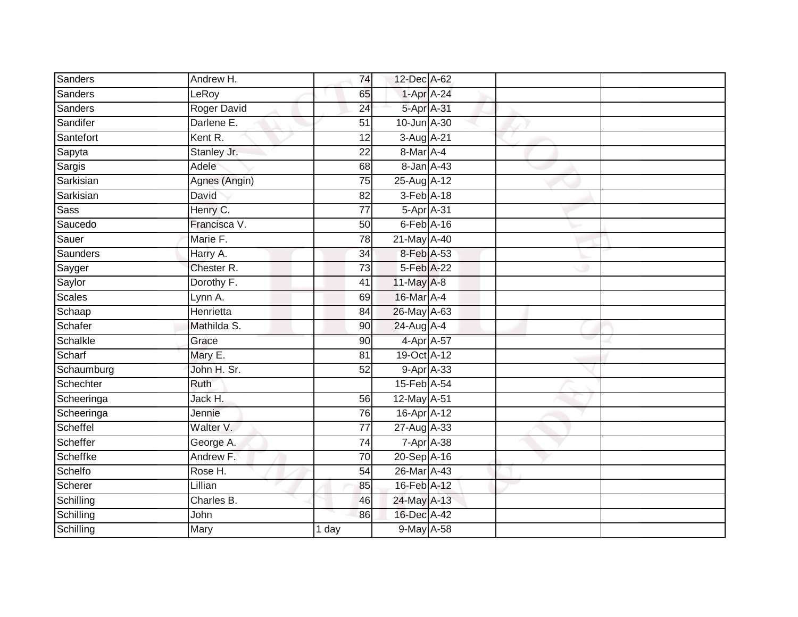| Sanders        | Andrew H.     | 74              | 12-Dec A-62            |                    |  |
|----------------|---------------|-----------------|------------------------|--------------------|--|
| Sanders        | LeRoy         | 65              |                        | 1-Apr A-24         |  |
| <b>Sanders</b> | Roger David   | 24              | 5-Apr A-31             |                    |  |
| Sandifer       | Darlene E.    | 51              | 10-Jun A-30            |                    |  |
| Santefort      | Kent R.       | $\overline{12}$ | 3-Aug A-21             |                    |  |
| Sapyta         | Stanley Jr.   | 22              | 8-Mar A-4              |                    |  |
| Sargis         | Adele         | 68              | $8$ -Jan $A$ -43       |                    |  |
| Sarkisian      | Agnes (Angin) | 75              | 25-Aug A-12            |                    |  |
| Sarkisian      | David         | 82              | $3-Feb$ $A-18$         |                    |  |
| Sass           | Henry C.      | $\overline{77}$ | 5-Apr A-31             |                    |  |
| Saucedo        | Francisca V.  | 50              | $6$ -Feb $A$ -16       |                    |  |
| Sauer          | Marie F.      | $\overline{78}$ | 21-May A-40            |                    |  |
| Saunders       | Harry A.      | 34              | 8-Feb A-53             |                    |  |
| Sayger         | Chester R.    | 73              | 5-Feb A-22             |                    |  |
| Saylor         | Dorothy F.    | 41              | 11-May A-8             |                    |  |
| <b>Scales</b>  | Lynn A.       | 69              | 16-Mar A-4             |                    |  |
| Schaap         | Henrietta     | 84              | 26-May A-63            |                    |  |
| Schafer        | Mathilda S.   | 90              | 24-Aug A-4             |                    |  |
| Schalkle       | Grace         | 90              |                        | 4-Apr A-57         |  |
| Scharf         | Mary E.       | 81              | 19-Oct A-12            |                    |  |
| Schaumburg     | John H. Sr.   | 52              |                        | 9-Apr A-33         |  |
| Schechter      | Ruth          |                 | 15-Feb A-54            |                    |  |
| Scheeringa     | Jack H.       | 56              | 12-May A-51            |                    |  |
| Scheeringa     | Jennie        | 76              | 16-Apr <sup>A-12</sup> |                    |  |
| Scheffel       | Walter V.     | $\overline{77}$ | 27-Aug A-33            |                    |  |
| Scheffer       | George A.     | 74              |                        | $7 - Apr$ $A - 38$ |  |
| Scheffke       | Andrew F.     | 70              | 20-Sep A-16            |                    |  |
| Schelfo        | Rose H.       | 54              | 26-Mar A-43            |                    |  |
| Scherer        | Lillian       | 85              | 16-Feb A-12            |                    |  |
| Schilling      | Charles B.    | 46              | 24-May A-13            |                    |  |
| Schilling      | John          | 86              | 16-Dec A-42            |                    |  |
| Schilling      | Mary          | 1 day           | 9-May A-58             |                    |  |
|                |               |                 |                        |                    |  |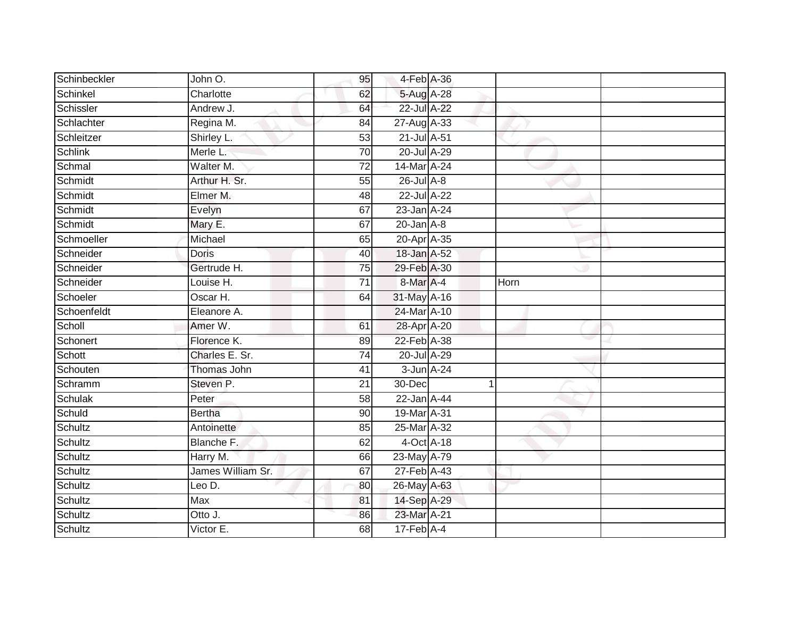| Schinbeckler | John O.           | 95              | 4-Feb A-36                   |      |  |
|--------------|-------------------|-----------------|------------------------------|------|--|
| Schinkel     | Charlotte         | 62              | 5-Aug A-28                   |      |  |
| Schissler    | Andrew J.         | 64              | 22-Jul A-22                  |      |  |
| Schlachter   | Regina M.         | 84              | 27-Aug A-33                  |      |  |
| Schleitzer   | Shirley L.        | 53              | 21-Jul A-51                  |      |  |
| Schlink      | Merle L.          | 70              | 20-Jul A-29                  |      |  |
| Schmal       | Walter M.         | 72              | 14-Mar A-24                  |      |  |
| Schmidt      | Arthur H. Sr.     | 55              | 26-Jul A-8                   |      |  |
| Schmidt      | Elmer M.          | 48              | 22-Jul A-22                  |      |  |
| Schmidt      | Evelyn            | 67              | 23-Jan A-24                  |      |  |
| Schmidt      | Mary E.           | 67              | $20$ -Jan $A-8$              |      |  |
| Schmoeller   | Michael           | 65              | 20-Apr A-35                  |      |  |
| Schneider    | <b>Doris</b>      | 40              | 18-Jan A-52                  |      |  |
| Schneider    | Gertrude H.       | 75              | 29-Feb A-30                  |      |  |
| Schneider    | Louise H.         | $\overline{71}$ | 8-Mar A-4                    | Horn |  |
| Schoeler     | Oscar H.          | 64              | 31-May A-16                  |      |  |
| Schoenfeldt  | Eleanore A.       |                 | 24-Mar A-10                  |      |  |
| Scholl       | Amer W.           | 61              | 28-Apr A-20                  |      |  |
| Schonert     | Florence K.       | 89              | 22-Feb A-38                  |      |  |
| Schott       | Charles E. Sr.    | $\overline{74}$ | 20-Jul A-29                  |      |  |
| Schouten     | Thomas John       | 41              | 3-Jun A-24                   |      |  |
| Schramm      | Steven P.         | $\overline{21}$ | 30-Dec                       |      |  |
| Schulak      | Peter             | 58              | 22-Jan A-44                  |      |  |
| Schuld       | <b>Bertha</b>     | 90              | 19-Mar A-31                  |      |  |
| Schultz      | Antoinette        | 85              | 25-Mar A-32                  |      |  |
| Schultz      | Blanche F.        | 62              | 4-Oct A-18                   |      |  |
| Schultz      | Harry M.          | 66              | 23-May A-79                  |      |  |
| Schultz      | James William Sr. | 67              | $27$ -Feb $\overline{A}$ -43 |      |  |
| Schultz      | Leo D.            | 80              | 26-May A-63                  |      |  |
| Schultz      | Max               | 81              | 14-Sep A-29                  |      |  |
| Schultz      | Otto J.           | 86              | 23-Mar A-21                  |      |  |
| Schultz      | Victor E.         | 68              | $17$ -Feb $A$ -4             |      |  |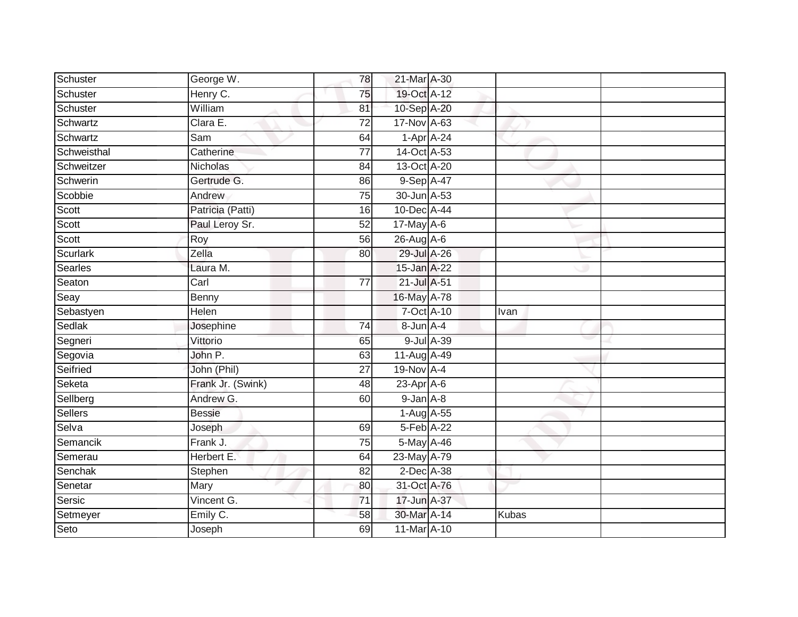| Schuster       | George W.         | 78              | 21-Mar A-30      |            |              |  |
|----------------|-------------------|-----------------|------------------|------------|--------------|--|
| Schuster       | Henry C.          | 75              | 19-Oct A-12      |            |              |  |
| Schuster       | William           | 81              | 10-Sep A-20      |            |              |  |
| Schwartz       | Clara E.          | $\overline{72}$ | 17-Nov A-63      |            |              |  |
| Schwartz       | Sam               | 64              | $1-Apr$ A-24     |            |              |  |
| Schweisthal    | Catherine         | $\overline{77}$ | 14-Oct A-53      |            |              |  |
| Schweitzer     | Nicholas          | 84              | 13-Oct A-20      |            |              |  |
| Schwerin       | Gertrude G.       | 86              | 9-Sep A-47       |            |              |  |
| Scobbie        | Andrew            | 75              | 30-Jun A-53      |            |              |  |
| Scott          | Patricia (Patti)  | 16              | 10-Dec A-44      |            |              |  |
| Scott          | Paul Leroy Sr.    | 52              | 17-May A-6       |            |              |  |
| Scott          | Roy               | 56              | $26$ -Aug $A$ -6 |            |              |  |
| Scurlark       | Zella             | 80              | 29-Jul A-26      |            |              |  |
| <b>Searles</b> | Laura M.          |                 | 15-Jan A-22      |            |              |  |
| Seaton         | Carl              | $\overline{77}$ | 21-Jul A-51      |            |              |  |
| Seay           | Benny             |                 | 16-May A-78      |            |              |  |
| Sebastyen      | Helen             |                 | 7-Oct A-10       |            | Ivan         |  |
| Sedlak         | Josephine         | 74              | 8-Jun A-4        |            |              |  |
| Segneri        | Vittorio          | 65              |                  | 9-Jul A-39 |              |  |
| Segovia        | John P.           | 63              | 11-Aug A-49      |            |              |  |
| Seifried       | John (Phil)       | 27              | 19-Nov A-4       |            |              |  |
| Seketa         | Frank Jr. (Swink) | $\overline{48}$ | $23$ -Apr $A$ -6 |            |              |  |
| Sellberg       | Andrew G.         | 60              | 9-Jan A-8        |            |              |  |
| Sellers        | <b>Bessie</b>     |                 | $1-Aug$ A-55     |            |              |  |
| Selva          | Joseph            | 69              | 5-Feb A-22       |            |              |  |
| Semancik       | Frank J.          | $\overline{75}$ | 5-May A-46       |            |              |  |
| Semerau        | Herbert E.        | 64              | 23-May A-79      |            |              |  |
| Senchak        | Stephen           | 82              | 2-Dec A-38       |            |              |  |
| Senetar        | Mary              | 80              | 31-Oct A-76      |            |              |  |
| Sersic         | Vincent G.        | 71              | 17-Jun A-37      |            |              |  |
| Setmeyer       | Emily C.          | 58              | 30-Mar A-14      |            | <b>Kubas</b> |  |
| Seto           | Joseph            | 69              | 11-Mar A-10      |            |              |  |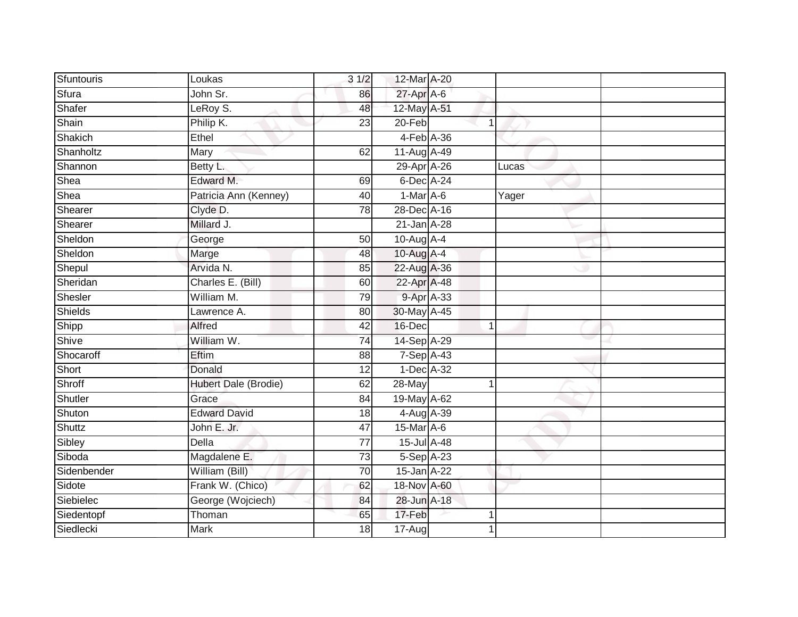| Sfuntouris     | Loukas                | 31/2            | 12-Mar A-20      |              |       |  |
|----------------|-----------------------|-----------------|------------------|--------------|-------|--|
| Sfura          | John Sr.              | 86              | 27-Apr A-6       |              |       |  |
| Shafer         | LeRoy S.              | 48              | 12-May A-51      |              |       |  |
| Shain          | Philip K.             | 23              | 20-Feb           | -1           |       |  |
| Shakich        | Ethel                 |                 | 4-Feb A-36       |              |       |  |
| Shanholtz      | Mary                  | 62              | 11-Aug A-49      |              |       |  |
| Shannon        | Betty L.              |                 | 29-Apr A-26      |              | Lucas |  |
| Shea           | Edward M.             | 69              | 6-Dec A-24       |              |       |  |
| Shea           | Patricia Ann (Kenney) | 40              | $1-Mar$ A-6      |              | Yager |  |
| Shearer        | Clyde D.              | 78              | 28-Dec A-16      |              |       |  |
| Shearer        | Millard J.            |                 | 21-Jan A-28      |              |       |  |
| Sheldon        | George                | 50              | 10-Aug $A-4$     |              |       |  |
| Sheldon        | Marge                 | 48              | 10-Aug A-4       |              |       |  |
| Shepul         | Arvida N.             | 85              | 22-Aug A-36      |              |       |  |
| Sheridan       | Charles E. (Bill)     | 60              | 22-Apr A-48      |              |       |  |
| Shesler        | William M.            | 79              | 9-Apr A-33       |              |       |  |
| <b>Shields</b> | Lawrence A.           | $\overline{80}$ | 30-May A-45      |              |       |  |
| Shipp          | Alfred                | 42              | 16-Dec           | $\mathbf{1}$ |       |  |
| Shive          | William W.            | $\overline{74}$ | 14-Sep A-29      |              |       |  |
| Shocaroff      | Eftim                 | 88              | $7-Sep$ A-43     |              |       |  |
| Short          | Donald                | 12              | 1-Dec A-32       |              |       |  |
| Shroff         | Hubert Dale (Brodie)  | 62              | 28-May           | -1           |       |  |
| Shutler        | Grace                 | 84              | 19-May A-62      |              |       |  |
| Shuton         | <b>Edward David</b>   | 18              | 4-Aug A-39       |              |       |  |
| Shuttz         | John E. Jr.           | 47              | $15$ -Mar $A$ -6 |              |       |  |
| Sibley         | <b>Della</b>          | 77              | 15-Jul A-48      |              |       |  |
| Siboda         | Magdalene E.          | $\overline{73}$ | 5-Sep A-23       |              |       |  |
| Sidenbender    | William (Bill)        | 70              | 15-Jan A-22      |              |       |  |
| Sidote         | Frank W. (Chico)      | 62              | 18-Nov A-60      |              |       |  |
| Siebielec      | George (Wojciech)     | 84              | 28-Jun A-18      |              |       |  |
| Siedentopf     | Thoman                | 65              | 17-Feb           |              |       |  |
| Siedlecki      | <b>Mark</b>           | $\overline{18}$ | $17 - Aug$       |              |       |  |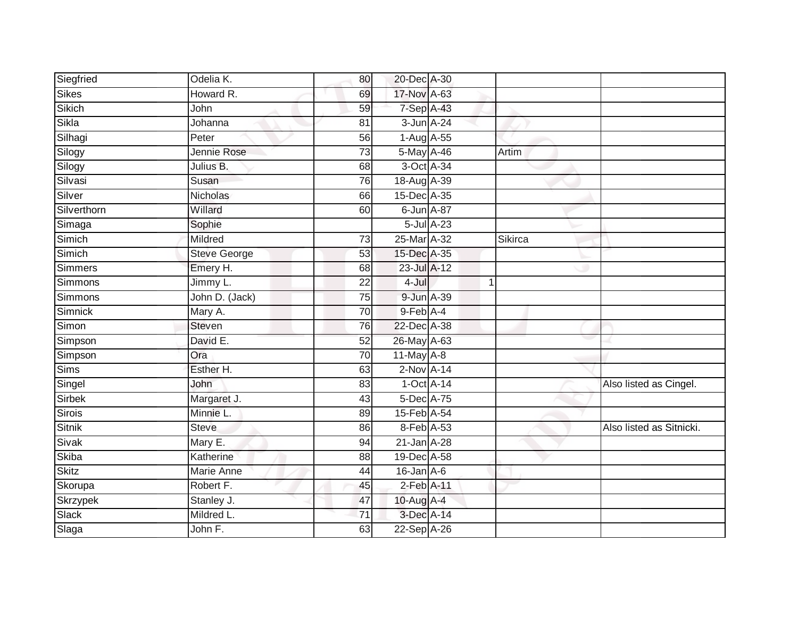| Siegfried      | Odelia K.           | 80              | 20-Dec A-30                |   |         |                          |
|----------------|---------------------|-----------------|----------------------------|---|---------|--------------------------|
| <b>Sikes</b>   | Howard R.           | 69              | 17-Nov A-63                |   |         |                          |
| Sikich         | John                | 59              | 7-Sep A-43                 |   |         |                          |
| Sikla          | Johanna             | 81              | 3-Jun A-24                 |   |         |                          |
| Silhagi        | Peter               | 56              | 1-Aug A-55                 |   |         |                          |
| Silogy         | Jennie Rose         | 73              | 5-May A-46                 |   | Artim   |                          |
| Silogy         | Julius B.           | 68              | 3-Oct A-34                 |   |         |                          |
| Silvasi        | Susan               | 76              | 18-Aug A-39                |   |         |                          |
| Silver         | Nicholas            | 66              | 15-Dec A-35                |   |         |                          |
| Silverthorn    | Willard             | 60              | 6-Jun A-87                 |   |         |                          |
| Simaga         | Sophie              |                 | 5-Jul A-23                 |   |         |                          |
| Simich         | Mildred             | 73              | 25-Mar A-32                |   | Sikirca |                          |
| Simich         | <b>Steve George</b> | 53              | 15-Dec A-35                |   |         |                          |
| Simmers        | Emery H.            | 68              | 23-Jul A-12                |   |         |                          |
| Simmons        | Jimmy L.            | $\overline{22}$ | 4-Jul                      | 1 |         |                          |
| <b>Simmons</b> | John D. (Jack)      | 75              | 9-Jun A-39                 |   |         |                          |
| Simnick        | Mary A.             | $\overline{70}$ | $9$ -Feb $\overline{A}$ -4 |   |         |                          |
| Simon          | Steven              | 76              | 22-Dec A-38                |   |         |                          |
| Simpson        | David E.            | 52              | 26-May A-63                |   |         |                          |
| Simpson        | Ora                 | $\overline{70}$ | $11$ -May $A-8$            |   |         |                          |
| Sims           | Esther H.           | 63              | $2-Nov$ A-14               |   |         |                          |
| Singel         | John                | 83              | 1-Oct A-14                 |   |         | Also listed as Cingel.   |
| Sirbek         | Margaret J.         | 43              | 5-Dec A-75                 |   |         |                          |
| <b>Sirois</b>  | Minnie L.           | 89              | 15-Feb A-54                |   |         |                          |
| <b>Sitnik</b>  | <b>Steve</b>        | 86              | 8-Feb A-53                 |   |         | Also listed as Sitnicki. |
| Sivak          | Mary E.             | 94              | 21-Jan A-28                |   |         |                          |
| Skiba          | Katherine           | 88              | 19-Dec A-58                |   |         |                          |
| <b>Skitz</b>   | Marie Anne          | 44              | $16$ -Jan $A$ -6           |   |         |                          |
| Skorupa        | Robert F.           | 45              | 2-Feb A-11                 |   |         |                          |
| Skrzypek       | Stanley J.          | 47              | 10-Aug A-4                 |   |         |                          |
| Slack          | Mildred L.          | $\overline{71}$ | 3-Dec A-14                 |   |         |                          |
| Slaga          | John F.             | 63              | 22-Sep A-26                |   |         |                          |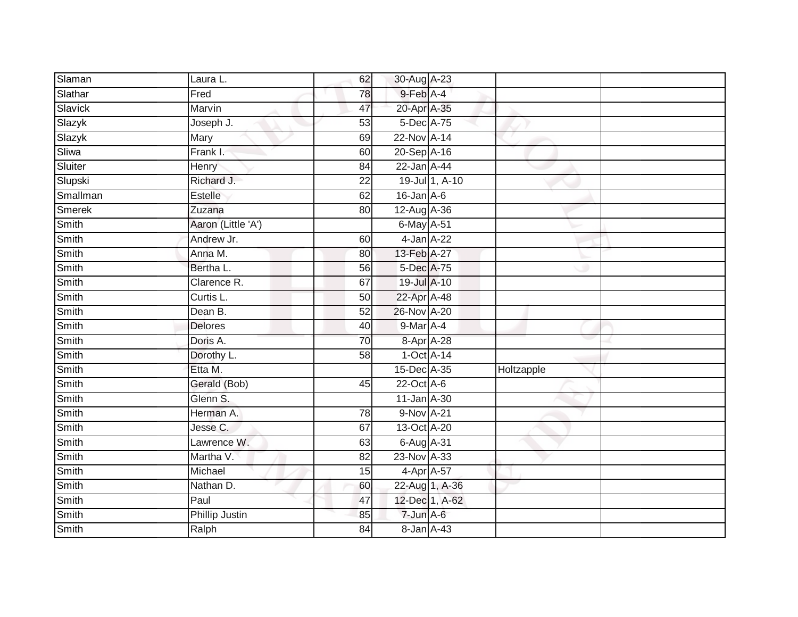| Slaman        | Laura L.           | 62              | 30-Aug A-23      |                |            |  |
|---------------|--------------------|-----------------|------------------|----------------|------------|--|
| Slathar       | Fred               | 78              | 9-Feb A-4        |                |            |  |
| Slavick       | Marvin             | 47              | 20-Apr A-35      |                |            |  |
| Slazyk        | Joseph J.          | 53              | 5-Dec A-75       |                |            |  |
| Slazyk        | Mary               | 69              | 22-Nov A-14      |                |            |  |
| Sliwa         | Frank I.           | 60              | 20-Sep A-16      |                |            |  |
| Sluiter       | Henry              | 84              | 22-Jan A-44      |                |            |  |
| Slupski       | Richard J.         | $\overline{22}$ |                  | 19-Jul 1, A-10 |            |  |
| Smallman      | Estelle            | 62              | $16$ -Jan $A-6$  |                |            |  |
| <b>Smerek</b> | Zuzana             | 80              | 12-Aug A-36      |                |            |  |
| Smith         | Aaron (Little 'A') |                 | $6$ -May $A$ -51 |                |            |  |
| <b>Smith</b>  | Andrew Jr.         | 60              | 4-Jan A-22       |                |            |  |
| Smith         | Anna M.            | 80              | 13-Feb A-27      |                |            |  |
| Smith         | Bertha L.          | 56              | 5-Dec A-75       |                |            |  |
| Smith         | Clarence R.        | 67              | 19-Jul A-10      |                |            |  |
| Smith         | Curtis L.          | 50              | 22-Apr A-48      |                |            |  |
| Smith         | Dean B.            | 52              | 26-Nov A-20      |                |            |  |
| Smith         | <b>Delores</b>     | 40              | 9-Mar A-4        |                |            |  |
| Smith         | Doris A.           | 70              | 8-Apr A-28       |                |            |  |
| Smith         | Dorothy L.         | $\overline{58}$ | $1-Oct$ A-14     |                |            |  |
| Smith         | Etta M.            |                 | 15-Dec A-35      |                | Holtzapple |  |
| Smith         | Gerald (Bob)       | 45              | $22$ -Oct $A-6$  |                |            |  |
| Smith         | Glenn S.           |                 | 11-Jan A-30      |                |            |  |
| Smith         | Herman A.          | 78              | 9-Nov A-21       |                |            |  |
| Smith         | Jesse C.           | 67              | 13-Oct A-20      |                |            |  |
| Smith         | Lawrence W.        | 63              | 6-Aug A-31       |                |            |  |
| Smith         | Martha V.          | $\overline{82}$ | 23-Nov A-33      |                |            |  |
| Smith         | Michael            | 15              | 4-Apr A-57       |                |            |  |
| Smith         | Nathan D.          | 60              | 22-Aug 1, A-36   |                |            |  |
| Smith         | Paul               | 47              |                  | 12-Dec 1, A-62 |            |  |
| Smith         | Phillip Justin     | 85              | 7-Jun A-6        |                |            |  |
| Smith         | Ralph              | $\overline{84}$ | 8-Jan A-43       |                |            |  |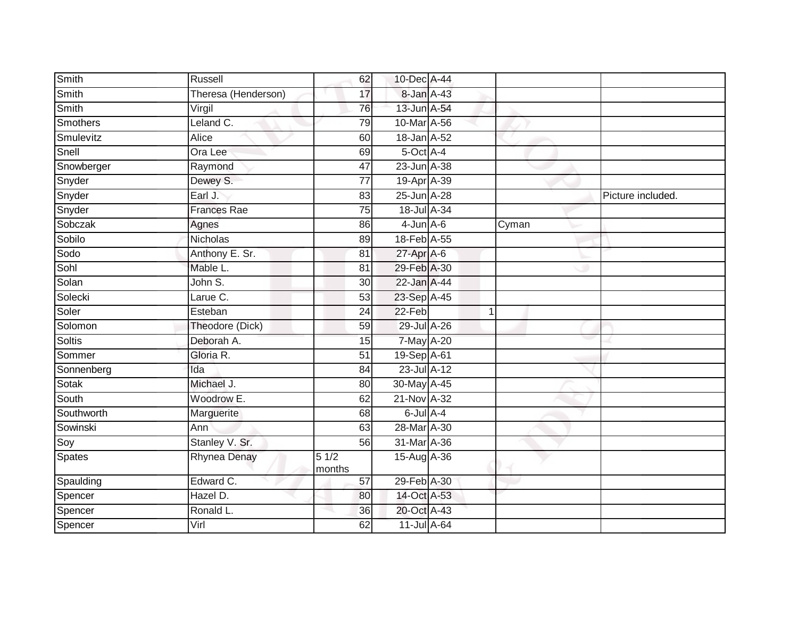| Smith           | Russell             | 62              | 10-Dec A-44      |              |       |                   |
|-----------------|---------------------|-----------------|------------------|--------------|-------|-------------------|
| Smith           | Theresa (Henderson) | 17              | 8-Jan A-43       |              |       |                   |
| Smith           | Virgil              | 76              | 13-Jun A-54      |              |       |                   |
| <b>Smothers</b> | Leland C.           | 79              | 10-Mar A-56      |              |       |                   |
| Smulevitz       | <b>Alice</b>        | 60              | 18-Jan A-52      |              |       |                   |
| Snell           | Ora Lee             | 69              | 5-Oct A-4        |              |       |                   |
| Snowberger      | Raymond             | 47              | 23-Jun A-38      |              |       |                   |
| Snyder          | Dewey S.            | 77              | 19-Apr A-39      |              |       |                   |
| Snyder          | Earl J.             | 83              | 25-Jun A-28      |              |       | Picture included. |
| Snyder          | <b>Frances Rae</b>  | $\overline{75}$ | 18-Jul A-34      |              |       |                   |
| Sobczak         | Agnes               | 86              | $4$ -Jun $A$ -6  |              | Cyman |                   |
| Sobilo          | Nicholas            | 89              | 18-Feb A-55      |              |       |                   |
|                 |                     |                 |                  |              |       |                   |
| Sodo            | Anthony E. Sr.      | 81              | $27$ -Apr $A$ -6 |              |       |                   |
| Sohl            | Mable L.            | 81              | 29-Feb A-30      |              |       |                   |
| Solan           | John S.             | $\overline{30}$ | 22-Jan A-44      |              |       |                   |
| Solecki         | Larue C.            | 53              | 23-Sep A-45      |              |       |                   |
| Soler           | Esteban             | $\overline{24}$ | $22-Feb$         | $\mathbf{1}$ |       |                   |
| Solomon         | Theodore (Dick)     | 59              | 29-Jul A-26      |              |       |                   |
| Soltis          | Deborah A.          | 15              | 7-May A-20       |              |       |                   |
| Sommer          | Gloria R.           | $\overline{51}$ | 19-Sep A-61      |              |       |                   |
| Sonnenberg      | Ida                 | 84              | $23$ -Jul $A-12$ |              |       |                   |
| Sotak           | Michael J.          | 80              | 30-May A-45      |              |       |                   |
| South           | Woodrow E.          | 62              | 21-Nov A-32      |              |       |                   |
| Southworth      | Marguerite          | 68              | $6$ -Jul $A$ -4  |              |       |                   |
| Sowinski        | Ann                 | 63              | 28-Mar A-30      |              |       |                   |
| Soy             | Stanley V. Sr.      | 56              | 31-Mar A-36      |              |       |                   |
| Spates          | <b>Rhynea Denay</b> | 51/2<br>months  | $15-Aug$ A-36    |              |       |                   |
| Spaulding       | Edward C.           | 57              | 29-Feb A-30      |              |       |                   |
| Spencer         | Hazel D.            | 80              | 14-Oct A-53      |              |       |                   |
| Spencer         | Ronald L.           | 36              | 20-Oct A-43      |              |       |                   |
| Spencer         | Virl                | 62              | 11-Jul A-64      |              |       |                   |
|                 |                     |                 |                  |              |       |                   |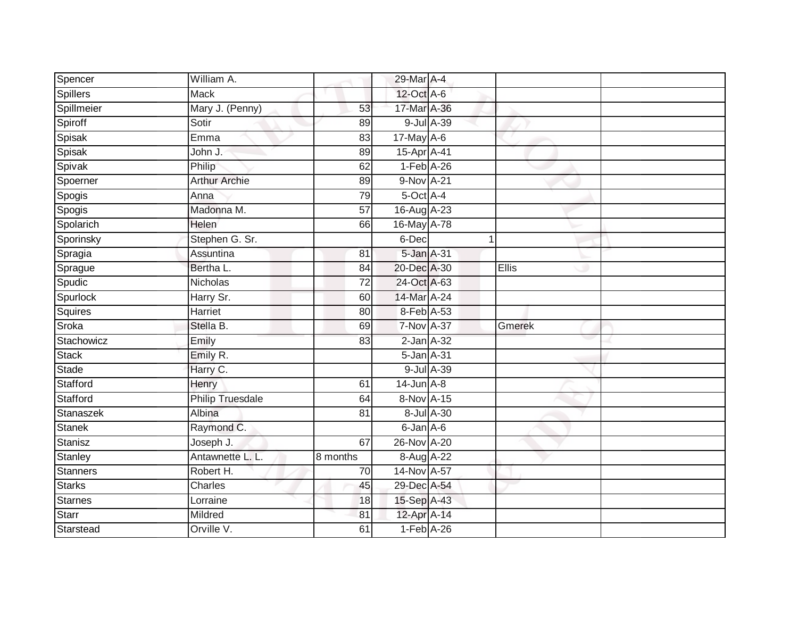| Spencer         | William A.              |                 | 29-Mar A-4        |            |              |        |  |
|-----------------|-------------------------|-----------------|-------------------|------------|--------------|--------|--|
| <b>Spillers</b> | Mack                    |                 | 12-Oct A-6        |            |              |        |  |
| Spillmeier      | Mary J. (Penny)         | 53              | 17-Mar A-36       |            |              |        |  |
| Spiroff         | Sotir                   | 89              |                   | 9-Jul A-39 |              |        |  |
| Spisak          | Emma                    | 83              | 17-May A-6        |            |              |        |  |
| Spisak          | John J.                 | 89              | 15-Apr A-41       |            |              |        |  |
| Spivak          | Philip                  | 62              | $1-Feb$ A-26      |            |              |        |  |
| Spoerner        | <b>Arthur Archie</b>    | 89              | 9-Nov A-21        |            |              |        |  |
| Spogis          | Anna                    | 79              | 5-Oct A-4         |            |              |        |  |
| Spogis          | Madonna M.              | $\overline{57}$ | 16-Aug A-23       |            |              |        |  |
| Spolarich       | Helen                   | 66              | 16-May A-78       |            |              |        |  |
| Sporinsky       | Stephen G. Sr.          |                 | 6-Dec             |            | $\mathbf{1}$ |        |  |
| Spragia         | Assuntina               | 81              | 5-Jan A-31        |            |              |        |  |
| Sprague         | Bertha L.               | 84              | 20-Dec A-30       |            |              | Ellis  |  |
| Spudic          | Nicholas                | $\overline{72}$ | 24-Oct A-63       |            |              |        |  |
| Spurlock        | Harry Sr.               | 60              | 14-Mar A-24       |            |              |        |  |
| Squires         | <b>Harriet</b>          | 80              | 8-Feb A-53        |            |              |        |  |
| Sroka           | Stella B.               | 69              | <b>7-Nov A-37</b> |            |              | Gmerek |  |
| Stachowicz      | Emily                   | 83              | $2$ -Jan $A-32$   |            |              |        |  |
| Stack           | Emily R.                |                 | 5-Jan A-31        |            |              |        |  |
| Stade           | Harry C.                |                 |                   | 9-Jul A-39 |              |        |  |
| Stafford        | Henry                   | 61              | 14-Jun A-8        |            |              |        |  |
| Stafford        | <b>Philip Truesdale</b> | 64              | 8-Nov A-15        |            |              |        |  |
| Stanaszek       | Albina                  | 81              |                   | 8-Jul A-30 |              |        |  |
| <b>Stanek</b>   | Raymond C.              |                 | 6-Jan A-6         |            |              |        |  |
| Stanisz         | Joseph J.               | 67              | 26-Nov A-20       |            |              |        |  |
| Stanley         | Antawnette L. L.        | 8 months        | 8-Aug A-22        |            |              |        |  |
| Stanners        | Robert H.               | 70              | 14-Nov A-57       |            |              |        |  |
| <b>Starks</b>   | Charles                 | 45              | 29-Dec A-54       |            |              |        |  |
| Starnes         | Lorraine                | 18              | 15-Sep A-43       |            |              |        |  |
| Starr           | Mildred                 | 81              | 12-Apr A-14       |            |              |        |  |
| Starstead       | Orville V.              | 61              | $1-Feb$ A-26      |            |              |        |  |
|                 |                         |                 |                   |            |              |        |  |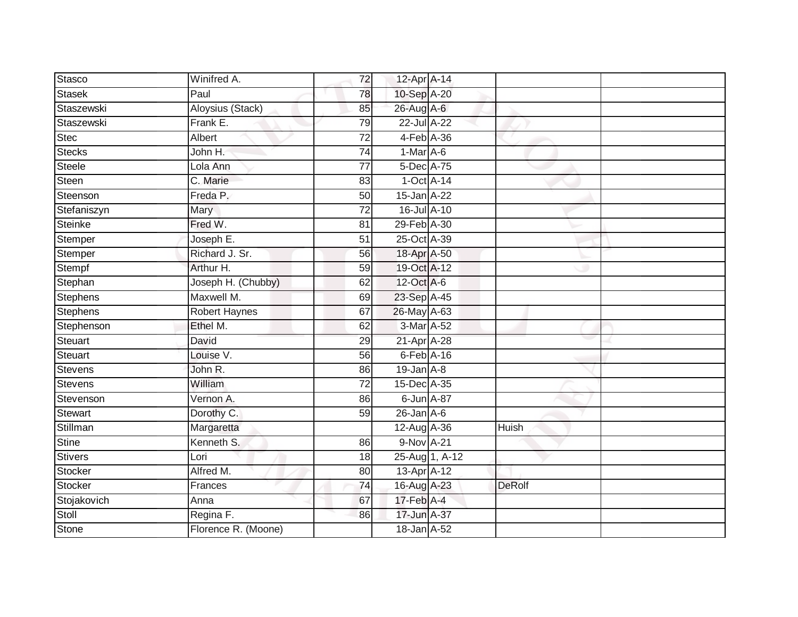| Stasco         | Winifred A.           | 72              | 12-Apr A-14      |                |               |  |
|----------------|-----------------------|-----------------|------------------|----------------|---------------|--|
| Stasek         | Paul                  | 78              | 10-Sep A-20      |                |               |  |
| Staszewski     | Aloysius (Stack)      | 85              | 26-Aug A-6       |                |               |  |
| Staszewski     | Frank E.              | 79              | 22-Jul A-22      |                |               |  |
| <b>Stec</b>    | Albert                | $\overline{72}$ | 4-Feb A-36       |                |               |  |
| <b>Stecks</b>  | John H.               | $\overline{74}$ | $1-Mar$ A-6      |                |               |  |
| Steele         | Lola Ann              | $\overline{77}$ | 5-Dec A-75       |                |               |  |
| Steen          | C. Marie              | 83              | $1-Oct$ A-14     |                |               |  |
| Steenson       | Freda P.              | 50              | 15-Jan A-22      |                |               |  |
| Stefaniszyn    | Mary                  | $\overline{72}$ | 16-Jul A-10      |                |               |  |
| Steinke        | Fred W.               | $\overline{81}$ | 29-Feb A-30      |                |               |  |
| Stemper        | Joseph E.             | 51              | 25-Oct A-39      |                |               |  |
| Stemper        | Richard J. Sr.        | 56              | 18-Apr A-50      |                |               |  |
| Stempf         | Arthur H.             | 59              | 19-Oct A-12      |                |               |  |
| Stephan        | Joseph H. (Chubby)    | 62              | 12-Oct A-6       |                |               |  |
| Stephens       | Maxwell M.            | 69              | 23-Sep A-45      |                |               |  |
| Stephens       | <b>Robert Haynes</b>  | 67              | 26-May A-63      |                |               |  |
| Stephenson     | Ethel M.              | 62              | 3-Mar A-52       |                |               |  |
| Steuart        | David                 | 29              | 21-Apr A-28      |                |               |  |
| Steuart        | Louise V.             | 56              | $6$ -Feb $A$ -16 |                |               |  |
| Stevens        | John R.               | 86              | $19$ -Jan $A-8$  |                |               |  |
| <b>Stevens</b> | William               | $\overline{72}$ | 15-Dec A-35      |                |               |  |
| Stevenson      | Vernon A.             | 86              | 6-Jun A-87       |                |               |  |
| Stewart        | Dorothy C.            | 59              | $26$ -Jan $A$ -6 |                |               |  |
| Stillman       | Margaretta            |                 | 12-Aug A-36      |                | Huish         |  |
| <b>Stine</b>   | Kenneth <sub>S.</sub> | 86              | 9-Nov A-21       |                |               |  |
| Stivers        | Lori                  | 18              |                  | 25-Aug 1, A-12 |               |  |
| Stocker        | Alfred M.             | 80              | 13-Apr A-12      |                |               |  |
| Stocker        | Frances               | 74              | 16-Aug A-23      |                | <b>DeRolf</b> |  |
| Stojakovich    | Anna                  | 67              | $17$ -Feb $A$ -4 |                |               |  |
| Stoll          | Regina F.             | 86              | 17-Jun A-37      |                |               |  |
| <b>Stone</b>   | Florence R. (Moone)   |                 | 18-Jan A-52      |                |               |  |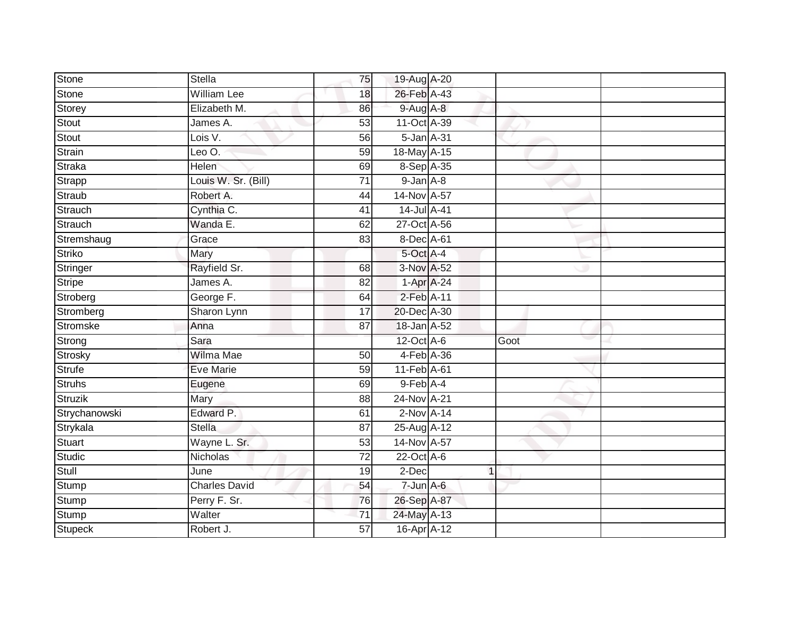| Stone         | <b>Stella</b>        | 75              | 19-Aug A-20     |             |      |  |
|---------------|----------------------|-----------------|-----------------|-------------|------|--|
| Stone         | <b>William Lee</b>   | 18              | 26-Feb A-43     |             |      |  |
| Storey        | Elizabeth M.         | 86              | $9$ -Aug A-8    |             |      |  |
| Stout         | James A.             | 53              | 11-Oct A-39     |             |      |  |
| Stout         | Lois V.              | 56              | 5-Jan A-31      |             |      |  |
| Strain        | Leo O.               | 59              | 18-May A-15     |             |      |  |
| Straka        | <b>Helen</b>         | 69              | 8-Sep A-35      |             |      |  |
| Strapp        | Louis W. Sr. (Bill)  | 71              | $9$ -Jan $A$ -8 |             |      |  |
| Straub        | Robert A.            | 44              | 14-Nov A-57     |             |      |  |
| Strauch       | Cynthia C.           | 41              | 14-Jul A-41     |             |      |  |
| Strauch       | Wanda E.             | 62              | 27-Oct A-56     |             |      |  |
| Stremshaug    | Grace                | 83              | 8-Dec A-61      |             |      |  |
| Striko        | Mary                 |                 | 5-Oct A-4       |             |      |  |
| Stringer      | Rayfield Sr.         | 68              | 3-Nov A-52      |             |      |  |
| Stripe        | James A.             | 82              | 1-Apr A-24      |             |      |  |
| Stroberg      | George F.            | 64              | 2-Feb A-11      |             |      |  |
| Stromberg     | Sharon Lynn          | $\overline{17}$ | 20-Dec A-30     |             |      |  |
| Stromske      | Anna                 | 87              | 18-Jan A-52     |             |      |  |
| Strong        | Sara                 |                 | 12-Oct A-6      |             | Goot |  |
| Strosky       | Wilma Mae            | $\overline{50}$ | 4-Feb A-36      |             |      |  |
| Strufe        | <b>Eve Marie</b>     | 59              | 11-Feb A-61     |             |      |  |
| Struhs        | Eugene               | 69              | $9$ -Feb $A$ -4 |             |      |  |
| Struzik       | Mary                 | 88              | 24-Nov A-21     |             |      |  |
| Strychanowski | Edward P.            | 61              | $2$ -Nov $A-14$ |             |      |  |
| Strykala      | <b>Stella</b>        | 87              | 25-Aug A-12     |             |      |  |
| Stuart        | Wayne L. Sr.         | 53              | 14-Nov A-57     |             |      |  |
| Studic        | Nicholas             | $\overline{72}$ | $22$ -Oct A-6   |             |      |  |
| Stull         | June                 | 19              | 2-Dec           | $\mathbf 1$ |      |  |
| Stump         | <b>Charles David</b> | 54              | $7 - Jun A - 6$ |             |      |  |
| Stump         | Perry F. Sr.         | 76              | 26-Sep A-87     |             |      |  |
| Stump         | Walter               | $\overline{71}$ | 24-May A-13     |             |      |  |
| Stupeck       | Robert J.            | $\overline{57}$ | 16-Apr A-12     |             |      |  |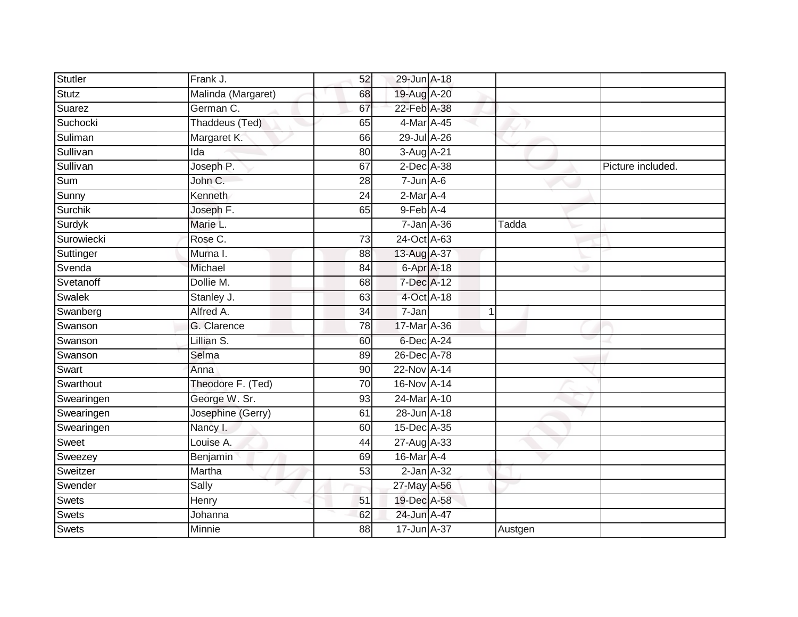| <b>Stutler</b> | Frank J.           | 52              | 29-Jun A-18      |                 |         |                   |
|----------------|--------------------|-----------------|------------------|-----------------|---------|-------------------|
| Stutz          | Malinda (Margaret) | 68              | 19-Aug A-20      |                 |         |                   |
| Suarez         | German C.          | 67              | 22-Feb A-38      |                 |         |                   |
|                |                    |                 |                  |                 |         |                   |
| Suchocki       | Thaddeus (Ted)     | 65              | 4-Mar A-45       |                 |         |                   |
| Suliman        | Margaret K.        | 66              | 29-Jul A-26      |                 |         |                   |
| Sullivan       | Ida                | 80              | 3-Aug A-21       |                 |         |                   |
| Sullivan       | Joseph P.          | 67              | 2-Dec A-38       |                 |         | Picture included. |
| Sum            | John C.            | 28              | $7 - Jun$ A-6    |                 |         |                   |
| Sunny          | Kenneth            | 24              | $2-Mar$ A-4      |                 |         |                   |
| Surchik        | Joseph F.          | 65              | 9-Feb A-4        |                 |         |                   |
| Surdyk         | Marie L.           |                 | $7$ -Jan $A$ -36 |                 | Tadda   |                   |
| Surowiecki     | Rose C.            | 73              | 24-Oct A-63      |                 |         |                   |
| Suttinger      | Murna I.           | 88              | 13-Aug A-37      |                 |         |                   |
| Svenda         | Michael            | 84              | $6-AprA-18$      |                 |         |                   |
| Svetanoff      | Dollie M.          | 68              | 7-Dec A-12       |                 |         |                   |
| Swalek         | Stanley J.         | 63              |                  | 4-Oct A-18      |         |                   |
| Swanberg       | Alfred A.          | $\overline{34}$ | 7-Jan            |                 |         |                   |
| Swanson        | G. Clarence        | 78              | 17-Mar A-36      |                 |         |                   |
| Swanson        | Lillian S.         | 60              | 6-Dec A-24       |                 |         |                   |
| Swanson        | Selma              | 89              | 26-Dec A-78      |                 |         |                   |
| Swart          | Anna               | 90              | 22-Nov A-14      |                 |         |                   |
| Swarthout      | Theodore F. (Ted)  | 70              | 16-Nov A-14      |                 |         |                   |
| Swearingen     | George W. Sr.      | 93              | 24-Mar A-10      |                 |         |                   |
| Swearingen     | Josephine (Gerry)  | 61              | 28-Jun A-18      |                 |         |                   |
| Swearingen     | Nancy I.           | 60              | 15-Dec A-35      |                 |         |                   |
| Sweet          | Louise A.          | 44              | 27-Aug A-33      |                 |         |                   |
| Sweezey        | Benjamin           | 69              | 16-Mar A-4       |                 |         |                   |
| Sweitzer       | Martha             | 53              |                  | $2$ -Jan $A-32$ |         |                   |
| Swender        | Sally              |                 | 27-May A-56      |                 |         |                   |
| Swets          | Henry              | 51              | 19-Dec A-58      |                 |         |                   |
| Swets          | Johanna            | 62              | 24-Jun A-47      |                 |         |                   |
| <b>Swets</b>   | Minnie             | 88              | 17-Jun A-37      |                 | Austgen |                   |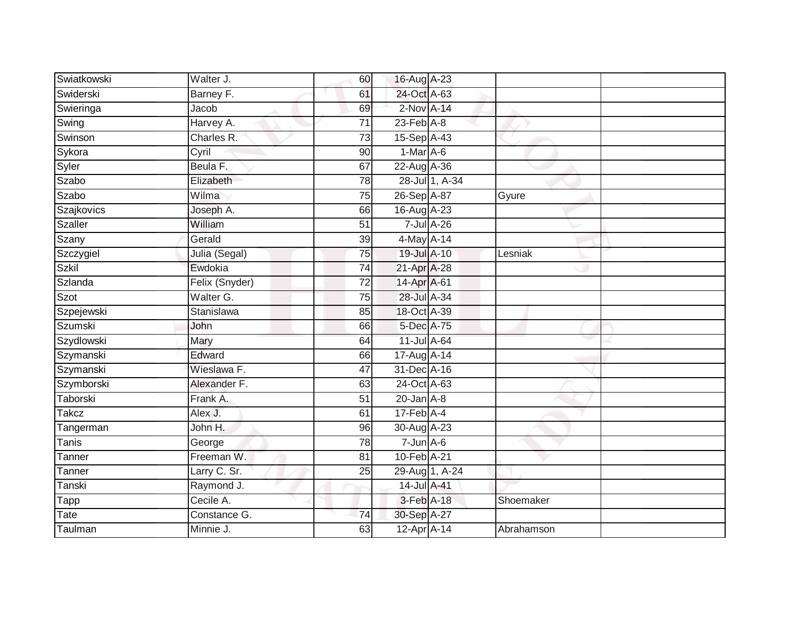| Swiatkowski        | Walter J.      | 60              | 16-Aug A-23      |                |            |  |
|--------------------|----------------|-----------------|------------------|----------------|------------|--|
| Swiderski          | Barney F.      | 61              | 24-Oct A-63      |                |            |  |
| Swieringa          | Jacob          | 69              | 2-Nov A-14       |                |            |  |
| Swing              | Harvey A.      | 71              | $23$ -Feb $A-8$  |                |            |  |
| Swinson            | Charles R.     | 73              | 15-Sep A-43      |                |            |  |
| Sykora             | Cyril          | 90              | $1-Mar A-6$      |                |            |  |
| Syler              | Beula F.       | 67              | 22-Aug A-36      |                |            |  |
| Szabo              | Elizabeth      | 78              |                  | 28-Jul 1, A-34 |            |  |
| Szabo              | Wilma          | $\overline{75}$ | 26-Sep A-87      |                | Gyure      |  |
| Szajkovics         | Joseph A.      | 66              | 16-Aug A-23      |                |            |  |
| <b>Szaller</b>     | William        | $\overline{51}$ |                  | 7-Jul A-26     |            |  |
| Szany              | Gerald         | 39              | 4-May A-14       |                |            |  |
| Szczygiel          | Julia (Segal)  | 75              | 19-Jul A-10      |                | Lesniak    |  |
| Szkil              | Ewdokia        | 74              | 21-Apr A-28      |                |            |  |
| Szlanda            | Felix (Snyder) | $\overline{72}$ | 14-Apr A-61      |                |            |  |
| Szot               | Walter G.      | $\overline{75}$ | 28-Jul A-34      |                |            |  |
| Szpejewski         | Stanislawa     | 85              | 18-Oct A-39      |                |            |  |
| Szumski            | John           | 66              | 5-Dec A-75       |                |            |  |
| Szydlowski         | Mary           | 64              | 11-Jul A-64      |                |            |  |
| Szymanski          | Edward         | 66              | 17-Aug A-14      |                |            |  |
| Szymanski          | Wieslawa F.    | 47              | 31-Dec A-16      |                |            |  |
| Szymborski         | Alexander F.   | 63              | 24-Oct A-63      |                |            |  |
| Taborski           | Frank A.       | 51              | $20$ -Jan $A-8$  |                |            |  |
| <b>Takcz</b>       | Alex J.        | 61              | $17$ -Feb $A$ -4 |                |            |  |
| Tangerman          | John H.        | 96              | 30-Aug A-23      |                |            |  |
| Tanis              | George         | 78              | $7 - Jun A - 6$  |                |            |  |
| Tanner             | Freeman W.     | $\overline{81}$ | 10-Feb A-21      |                |            |  |
| Tanner             | Larry C. Sr.   | 25              |                  | 29-Aug 1, A-24 |            |  |
| Tanski             | Raymond J.     |                 | 14-Jul A-41      |                |            |  |
| $\overline{T}$ app | Cecile A.      |                 | 3-Feb A-18       |                | Shoemaker  |  |
| Tate               | Constance G.   | 74              | 30-Sep A-27      |                |            |  |
| Taulman            | Minnie J.      | 63              | 12-Apr A-14      |                | Abrahamson |  |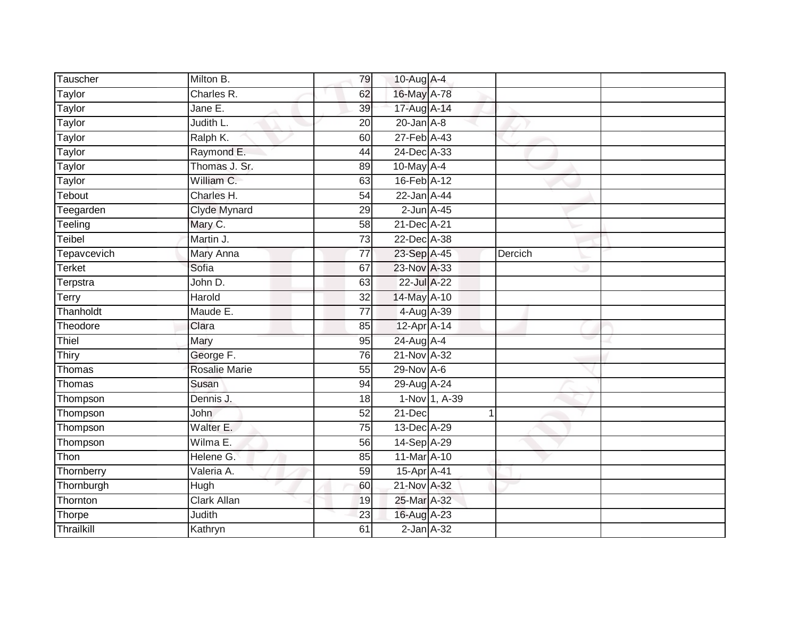| Tauscher      | Milton B.            | 79              | 10-Aug A-4       |                 |         |  |
|---------------|----------------------|-----------------|------------------|-----------------|---------|--|
| Taylor        | Charles R.           | 62              | 16-May A-78      |                 |         |  |
| <b>Taylor</b> | Jane E.              | 39              | 17-Aug A-14      |                 |         |  |
| Taylor        | Judith L.            | 20              | $20$ -Jan $A-8$  |                 |         |  |
| Taylor        | Ralph K.             | 60              | 27-Feb A-43      |                 |         |  |
| Taylor        | Raymond E.           | 44              | 24-Dec A-33      |                 |         |  |
| Taylor        | Thomas J. Sr.        | 89              | 10-May A-4       |                 |         |  |
| Taylor        | William C.           | 63              | 16-Feb A-12      |                 |         |  |
| Tebout        | Charles H.           | 54              | 22-Jan A-44      |                 |         |  |
| Teegarden     | <b>Clyde Mynard</b>  | 29              | $2$ -Jun $A-45$  |                 |         |  |
| Teeling       | Mary C.              | 58              | 21-Dec A-21      |                 |         |  |
| Teibel        | Martin J.            | $\overline{73}$ | 22-Dec A-38      |                 |         |  |
| Tepavcevich   | Mary Anna            | $\overline{77}$ | 23-Sep A-45      |                 | Dercich |  |
| Terket        | Sofia                | 67              | 23-Nov A-33      |                 |         |  |
| Terpstra      | John D.              | 63              | 22-Jul A-22      |                 |         |  |
| Terry         | Harold               | 32              | 14-May A-10      |                 |         |  |
| Thanholdt     | Maude E.             | 77              | 4-Aug A-39       |                 |         |  |
| Theodore      | Clara                | 85              | 12-Apr A-14      |                 |         |  |
| Thiel         | Mary                 | 95              | 24-Aug A-4       |                 |         |  |
| Thiry         | George F.            | 76              | 21-Nov A-32      |                 |         |  |
| Thomas        | <b>Rosalie Marie</b> | 55              | $29-Nov$ A-6     |                 |         |  |
| Thomas        | Susan                | 94              | 29-Aug A-24      |                 |         |  |
| Thompson      | Dennis J.            | 18              |                  | $1-Nov$ 1, A-39 |         |  |
| Thompson      | <b>John</b>          | 52              | 21-Dec           | 1               |         |  |
| Thompson      | Walter E.            | $\overline{75}$ | 13-Dec A-29      |                 |         |  |
| Thompson      | Wilma E.             | 56              | 14-Sep A-29      |                 |         |  |
| Thon          | Helene G.            | $\overline{85}$ | 11-Mar A-10      |                 |         |  |
| Thornberry    | Valeria A.           | 59              | 15-Apr A-41      |                 |         |  |
| Thornburgh    | Hugh                 | 60              | 21-Nov A-32      |                 |         |  |
| Thornton      | <b>Clark Allan</b>   | 19              | 25-Mar A-32      |                 |         |  |
| Thorpe        | Judith               | 23              | 16-Aug A-23      |                 |         |  |
| Thrailkill    | Kathryn              | 61              | $2$ -Jan $A$ -32 |                 |         |  |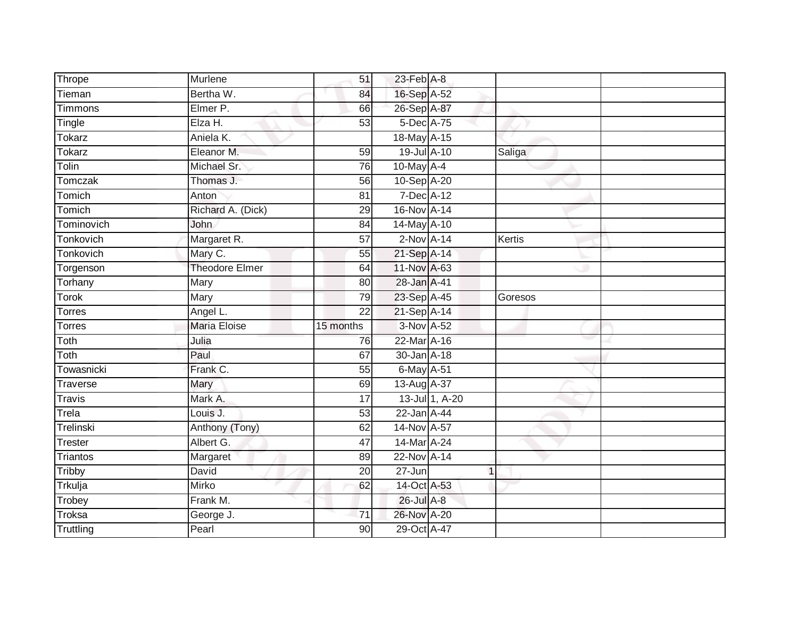| Thrope              | Murlene               | 51                    | 23-Feb A-8                 |                |         |
|---------------------|-----------------------|-----------------------|----------------------------|----------------|---------|
| Tieman              | Bertha W.             | 84                    | 16-Sep A-52                |                |         |
| <b>Timmons</b>      | Elmer P.              | 66                    | 26-Sep A-87                |                |         |
| Tingle              | Elza H.               | 53                    | 5-Dec A-75                 |                |         |
| <b>Tokarz</b>       | Aniela K.             |                       | 18-May A-15                |                |         |
| <b>Tokarz</b>       | Eleanor M.            | 59                    | 19-Jul A-10                |                | Saliga  |
| Tolin               | Michael Sr.           | 76                    | 10-May $A-4$               |                |         |
| <b>Tomczak</b>      | Thomas J.             | 56                    | 10-Sep A-20                |                |         |
| Tomich              | Anton                 | 81                    | 7-Dec A-12                 |                |         |
| Tomich              | Richard A. (Dick)     | 29                    | 16-Nov A-14                |                |         |
| Tominovich          | John                  | 84                    | 14-May A-10                |                |         |
| Tonkovich           | Margaret R.           | $\overline{57}$       | $2-NovA-14$                |                | Kertis  |
| Tonkovich           | Mary C.               | 55                    | 21-Sep A-14                |                |         |
| Torgenson           | <b>Theodore Elmer</b> | 64                    | 11-Nov A-63                |                |         |
| Torhany             | <b>Mary</b>           | 80                    | 28-Jan A-41                |                |         |
| Torok               | Mary                  | 79                    | 23-Sep A-45                |                | Goresos |
| <b>Torres</b>       | Angel L.              | $\overline{22}$       | 21-Sep A-14                |                |         |
| <b>Torres</b>       | <b>Maria Eloise</b>   | 15 months             | 3-Nov A-52                 |                |         |
| Toth                | Julia                 | 76                    | 22-Mar A-16                |                |         |
| Toth                | Paul                  | 67                    | 30-Jan A-18                |                |         |
| Towasnicki          | Frank C.              | 55                    | 6-May A-51                 |                |         |
| Traverse            | Mary                  | 69                    | 13-Aug A-37                |                |         |
| <b>Travis</b>       | Mark A.               | 17                    |                            | 13-Jul 1, A-20 |         |
| Trela               | Louis J.              | 53                    | 22-Jan A-44                |                |         |
| Trelinski           | Anthony (Tony)        | 62                    | 14-Nov A-57                |                |         |
| Trester             | Albert G.             | 47                    | 14-Mar A-24                |                |         |
| <b>Triantos</b>     | Margaret              | 89                    | 22-Nov A-14                |                |         |
| Tribby              | David                 | 20                    | 27-Jun                     | $\overline{1}$ |         |
| Trkulja             | <b>Mirko</b>          | 62                    | 14-Oct A-53                |                |         |
|                     |                       |                       |                            |                |         |
| Trobey              | Frank M.              |                       | 26-Jul A-8                 |                |         |
| Troksa<br>Truttling | George J.<br>Pearl    | 71<br>$\overline{90}$ | 26-Nov A-20<br>29-Oct A-47 |                |         |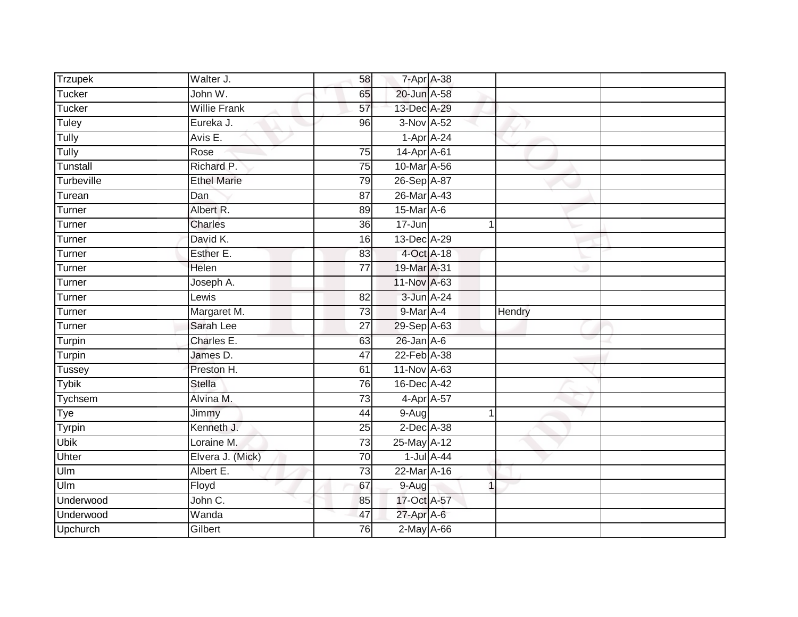| Trzupek               | Walter J.           | 58              | 7-Apr A-38                     |                  |        |  |
|-----------------------|---------------------|-----------------|--------------------------------|------------------|--------|--|
| Tucker                | John W.             | 65              | 20-Jun A-58                    |                  |        |  |
| Tucker                | <b>Willie Frank</b> | $\overline{57}$ | 13-Dec A-29                    |                  |        |  |
| Tuley                 | Eureka J.           | 96              | 3-Nov A-52                     |                  |        |  |
| Tully                 | Avis E.             |                 | $1-Apr$ A-24                   |                  |        |  |
| Tully                 | Rose                | $\overline{75}$ | 14-Apr A-61                    |                  |        |  |
| Tunstall              | Richard P.          | $\overline{75}$ | 10-Mar A-56                    |                  |        |  |
| Turbeville            | <b>Ethel Marie</b>  | 79              | 26-Sep A-87                    |                  |        |  |
| Turean                | Dan                 | 87              | 26-Mar A-43                    |                  |        |  |
| Turner                | Albert R.           | 89              | $15$ -Mar $A$ -6               |                  |        |  |
| Turner                | Charles             | 36              | 17-Jun                         | 1                |        |  |
| Turner                | David K.            | 16              | 13-Dec A-29                    |                  |        |  |
| Turner                | Esther E.           | 83              | 4-Oct A-18                     |                  |        |  |
| Turner                | Helen               | 77              | 19-Mar A-31                    |                  |        |  |
| Turner                | Joseph A.           |                 | 11-Nov A-63                    |                  |        |  |
| Turner                | Lewis               | 82              | 3-Jun A-24                     |                  |        |  |
|                       |                     |                 |                                |                  |        |  |
| Turner                | Margaret M.         | 73              | 9-Mar A-4                      |                  | Hendry |  |
| Turner                | Sarah Lee           | 27              | 29-Sep A-63                    |                  |        |  |
| Turpin                | Charles E.          | 63              | $26$ -Jan $A$ -6               |                  |        |  |
| Turpin                | James D.            | 47              | 22-Feb A-38                    |                  |        |  |
| Tussey                | Preston H.          | 61              | 11-Nov A-63                    |                  |        |  |
| <b>Tybik</b>          | <b>Stella</b>       | $\overline{76}$ | 16-Dec A-42                    |                  |        |  |
| Tychsem               | Alvina M.           | 73              | 4-Apr A-57                     |                  |        |  |
| Tye                   | Jimmy               | 44              | 9-Aug                          | 1                |        |  |
| Tyrpin                | Kenneth J.          | 25              | 2-Dec A-38                     |                  |        |  |
| <b>Ubik</b>           | Loraine M.          | 73              | 25-May A-12                    |                  |        |  |
| Uhter                 | Elvera J. (Mick)    | $\overline{70}$ |                                | $1$ -Jul $A$ -44 |        |  |
| Ulm                   | Albert E.           | 73              | 22-Mar A-16                    |                  |        |  |
| Ulm                   | Floyd               | 67              | $9-Aug$                        | 1                |        |  |
| Underwood             | John C.             | 85              | 17-Oct A-57                    |                  |        |  |
| Underwood<br>Upchurch | Wanda<br>Gilbert    | 47<br>76        | 27-Apr A-6<br>$2$ -May $A$ -66 |                  |        |  |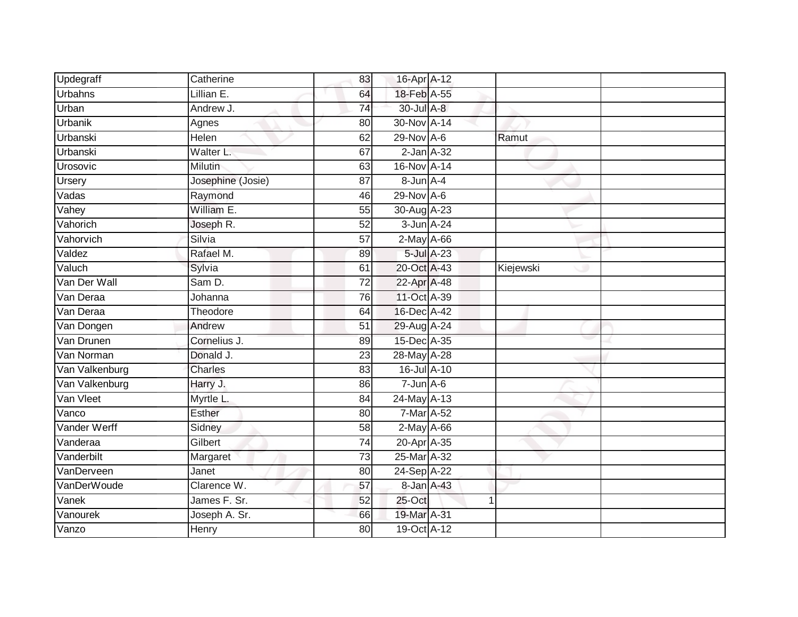| Updegraff      | Catherine         | 83              | 16-Apr A-12      |            |           |  |
|----------------|-------------------|-----------------|------------------|------------|-----------|--|
| <b>Urbahns</b> | Lillian E.        | 64              | 18-Feb A-55      |            |           |  |
| Urban          | Andrew J.         | $\overline{74}$ | 30-Jul A-8       |            |           |  |
| Urbanik        | Agnes             | 80              | 30-Nov A-14      |            |           |  |
| Urbanski       | Helen             | 62              | 29-Nov A-6       |            | Ramut     |  |
| Urbanski       | Walter L.         | 67              | $2$ -Jan $A-32$  |            |           |  |
| Urosovic       | Milutin           | 63              | 16-Nov A-14      |            |           |  |
| <b>Ursery</b>  | Josephine (Josie) | 87              | 8-Jun A-4        |            |           |  |
| Vadas          | Raymond           | 46              | 29-Nov A-6       |            |           |  |
| Vahey          | William E.        | 55              | 30-Aug A-23      |            |           |  |
| Vahorich       | Joseph R.         | 52              | 3-Jun A-24       |            |           |  |
| Vahorvich      | Silvia            | $\overline{57}$ | $2$ -May $A$ -66 |            |           |  |
| Valdez         | Rafael M.         | 89              |                  | 5-Jul A-23 |           |  |
| Valuch         | Sylvia            | 61              | 20-Oct A-43      |            | Kiejewski |  |
| Van Der Wall   | Sam D.            | $\overline{72}$ | 22-Apr A-48      |            |           |  |
| Van Deraa      | Johanna           | 76              | 11-Oct A-39      |            |           |  |
| Van Deraa      | Theodore          | 64              | 16-Dec A-42      |            |           |  |
| Van Dongen     | Andrew            | 51              | 29-Aug A-24      |            |           |  |
| Van Drunen     | Cornelius J.      | 89              | 15-Dec A-35      |            |           |  |
| Van Norman     | Donald J.         | 23              | 28-May A-28      |            |           |  |
| Van Valkenburg | Charles           | 83              | 16-Jul A-10      |            |           |  |
| Van Valkenburg | Harry J.          | 86              | $7 - Jun A - 6$  |            |           |  |
| Van Vleet      | Myrtle L.         | 84              | 24-May A-13      |            |           |  |
| Vanco          | Esther            | 80              | 7-Mar A-52       |            |           |  |
| Vander Werff   | Sidney            | 58              | $2$ -May $A$ -66 |            |           |  |
| Vanderaa       | Gilbert           | $\overline{74}$ | 20-Apr A-35      |            |           |  |
| Vanderbilt     | Margaret          | 73              | 25-Mar A-32      |            |           |  |
| VanDerveen     | Janet             | 80              | 24-Sep A-22      |            |           |  |
| VanDerWoude    | Clarence W.       | 57              | 8-Jan A-43       |            |           |  |
| Vanek          | James F. Sr.      | 52              | 25-Oct           |            | 1         |  |
| Vanourek       | Joseph A. Sr.     | 66              | 19-Mar A-31      |            |           |  |
| Vanzo          | Henry             | 80              | 19-Oct A-12      |            |           |  |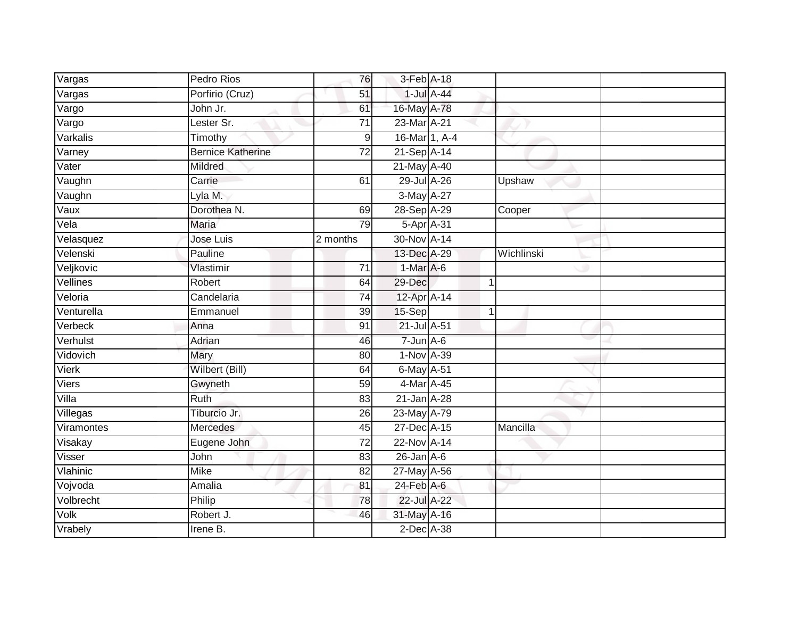| Vargas                      | Pedro Rios               | 76               | 3-Feb A-18       |               |            |
|-----------------------------|--------------------------|------------------|------------------|---------------|------------|
| $\overline{\text{V}}$ argas | Porfirio (Cruz)          | 51               |                  | $1$ -Jul A-44 |            |
| Vargo                       | John Jr.                 | 61               | 16-May A-78      |               |            |
| Vargo                       | Lester Sr.               | 71               | 23-Mar A-21      |               |            |
| Varkalis                    | Timothy                  | $\boldsymbol{9}$ | 16-Mar 1, A-4    |               |            |
| Varney                      | <b>Bernice Katherine</b> | 72               | 21-Sep A-14      |               |            |
| Vater                       | Mildred                  |                  | 21-May A-40      |               |            |
| Vaughn                      | Carrie                   | 61               | 29-Jul A-26      |               | Upshaw     |
| Vaughn                      | Lyla M.                  |                  | 3-May A-27       |               |            |
| Vaux                        | Dorothea N.              | 69               | 28-Sep A-29      |               | Cooper     |
| Vela                        | <b>Maria</b>             | 79               | $5-AprA-31$      |               |            |
| Velasquez                   | Jose Luis                | 2 months         | 30-Nov A-14      |               |            |
| Velenski                    | Pauline                  |                  | 13-Dec A-29      |               | Wichlinski |
| Veljkovic                   | Vlastimir                | 71               | $1-Mar A-6$      |               |            |
| Vellines                    | Robert                   | 64               | 29-Dec           | $\mathbf 1$   |            |
| Veloria                     | Candelaria               | 74               | 12-Apr A-14      |               |            |
| Venturella                  | Emmanuel                 | $\overline{39}$  | 15-Sep           | $\mathbf{1}$  |            |
| Verbeck                     | Anna                     | 91               | 21-Jul A-51      |               |            |
| Verhulst                    | Adrian                   | 46               | $7$ -Jun $A$ -6  |               |            |
| Vidovich                    | Mary                     | 80               | 1-Nov A-39       |               |            |
| Vierk                       | Wilbert (Bill)           | 64               | 6-May A-51       |               |            |
| Viers                       | Gwyneth                  | 59               | 4-Mar A-45       |               |            |
| Villa                       | Ruth                     | 83               | $21$ -Jan $A-28$ |               |            |
| Villegas                    | Tiburcio Jr.             | 26               | 23-May A-79      |               |            |
| Viramontes                  | <b>Mercedes</b>          | 45               | 27-Dec A-15      |               | Mancilla   |
| Visakay                     | Eugene John              | 72               | 22-Nov A-14      |               |            |
| Visser                      | John                     | 83               | $26$ -Jan $A-6$  |               |            |
| Vlahinic                    | <b>Mike</b>              | 82               | 27-May A-56      |               |            |
| Vojvoda                     | Amalia                   | 81               | $24$ -Feb $A$ -6 |               |            |
| Volbrecht                   | Philip                   | 78               | 22-Jul A-22      |               |            |
| Volk                        | Robert J.                | 46               | 31-May A-16      |               |            |
| Vrabely                     | Irene $B$ .              |                  | $2$ -Dec $A$ -38 |               |            |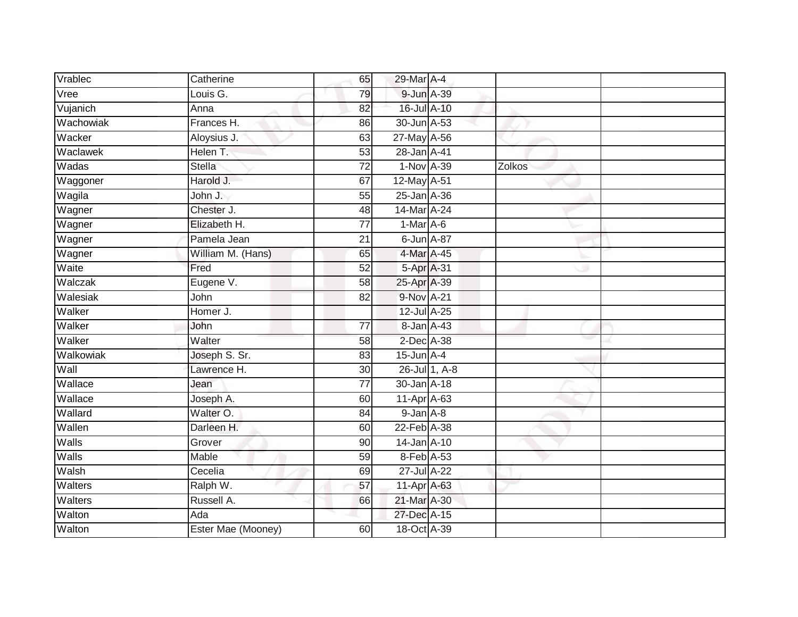| Vrablec   | Catherine          | 65              | 29-Mar A-4      |               |        |  |
|-----------|--------------------|-----------------|-----------------|---------------|--------|--|
| Vree      | Louis G.           | 79              | 9-Jun A-39      |               |        |  |
| Vujanich  | Anna               | 82              | 16-Jul A-10     |               |        |  |
| Wachowiak | Frances H.         | 86              | 30-Jun A-53     |               |        |  |
| Wacker    | Aloysius J.        | 63              | 27-May A-56     |               |        |  |
| Waclawek  | Helen T.           | 53              | 28-Jan A-41     |               |        |  |
| Wadas     | Stella             | 72              | 1-Nov A-39      |               | Zolkos |  |
| Waggoner  | Harold J.          | 67              | 12-May A-51     |               |        |  |
| Wagila    | John J.            | 55              | 25-Jan A-36     |               |        |  |
| Wagner    | Chester J.         | 48              | 14-Mar A-24     |               |        |  |
| Wagner    | Elizabeth H.       | $\overline{77}$ | 1-Mar A-6       |               |        |  |
| Wagner    | Pamela Jean        | $\overline{21}$ | 6-Jun A-87      |               |        |  |
| Wagner    | William M. (Hans)  | 65              | 4-Mar A-45      |               |        |  |
| Waite     | Fred               | $\overline{52}$ | 5-Apr A-31      |               |        |  |
| Walczak   | Eugene V.          | $\overline{58}$ | 25-Apr A-39     |               |        |  |
| Walesiak  | John               | $\overline{82}$ | 9-Nov A-21      |               |        |  |
| Walker    | Homer J.           |                 | 12-Jul A-25     |               |        |  |
| Walker    | John               | 77              | 8-Jan A-43      |               |        |  |
| Walker    | Walter             | 58              | 2-Dec A-38      |               |        |  |
| Walkowiak | Joseph S. Sr.      | 83              | $15$ -Jun $A-4$ |               |        |  |
| Wall      | Lawrence H.        | 30              |                 | 26-Jul 1, A-8 |        |  |
| Wallace   | Jean               | $\overline{77}$ | 30-Jan A-18     |               |        |  |
| Wallace   | Joseph A.          | 60              | 11-Apr A-63     |               |        |  |
| Wallard   | Walter O.          | 84              | $9$ -Jan $A$ -8 |               |        |  |
| Wallen    | Darleen H.         | 60              | 22-Feb A-38     |               |        |  |
| Walls     | Grover             | 90              | 14-Jan A-10     |               |        |  |
| Walls     | Mable              | 59              | 8-Feb A-53      |               |        |  |
| Walsh     | Cecelia            | 69              | 27-Jul A-22     |               |        |  |
| Walters   | Ralph W.           | 57              | 11-Apr A-63     |               |        |  |
| Walters   | Russell A.         | 66              | 21-Mar A-30     |               |        |  |
| Walton    | Ada                |                 | 27-Dec A-15     |               |        |  |
| Walton    | Ester Mae (Mooney) | 60              | 18-Oct A-39     |               |        |  |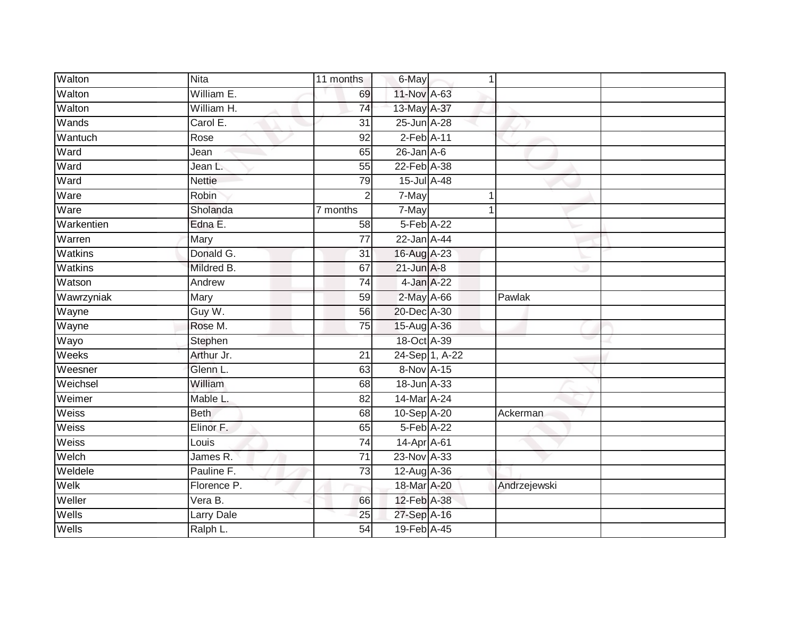| Walton     | <b>Nita</b>   | 11 months       | 6-May           | $\overline{1}$ |              |  |
|------------|---------------|-----------------|-----------------|----------------|--------------|--|
| Walton     | William E.    | 69              | 11-Nov A-63     |                |              |  |
| Walton     | William H.    | 74              | 13-May A-37     |                |              |  |
| Wands      | Carol E.      | $\overline{31}$ | 25-Jun A-28     |                |              |  |
| Wantuch    | Rose          | $\overline{92}$ | $2$ -Feb $A-11$ |                |              |  |
| Ward       | Jean          | 65              | $26$ -Jan $A-6$ |                |              |  |
| Ward       | Jean L.       | 55              | 22-Feb A-38     |                |              |  |
| Ward       | <b>Nettie</b> | 79              | 15-Jul A-48     |                |              |  |
| Ware       | Robin         | $\sqrt{2}$      | 7-May           |                |              |  |
| Ware       | Sholanda      | 7 months        | 7-May           |                |              |  |
| Warkentien | Edna E.       | 58              | 5-Feb A-22      |                |              |  |
| Warren     | Mary          | $\overline{77}$ | 22-Jan A-44     |                |              |  |
| Watkins    | Donald G.     | 31              | 16-Aug A-23     |                |              |  |
| Watkins    | Mildred B.    | 67              | $21$ -Jun $A-8$ |                |              |  |
| Watson     | Andrew        | $\overline{74}$ |                 | 4-Jan A-22     |              |  |
| Wawrzyniak | Mary          | 59              | 2-May A-66      |                | Pawlak       |  |
| Wayne      | Guy W.        | 56              | 20-Dec A-30     |                |              |  |
| Wayne      | Rose M.       | 75              | 15-Aug A-36     |                |              |  |
| Wayo       | Stephen       |                 | 18-Oct A-39     |                |              |  |
| Weeks      | Arthur Jr.    | $\overline{21}$ |                 | 24-Sep 1, A-22 |              |  |
| Weesner    | Glenn L.      | 63              | 8-Nov A-15      |                |              |  |
| Weichsel   | William       | 68              | 18-Jun A-33     |                |              |  |
| Weimer     | Mable L.      | 82              | 14-Mar A-24     |                |              |  |
| Weiss      | <b>Beth</b>   | 68              | 10-Sep A-20     |                | Ackerman     |  |
| Weiss      | Elinor F.     | 65              | 5-Feb A-22      |                |              |  |
| Weiss      | Louis         | $\overline{74}$ | 14-Apr A-61     |                |              |  |
| Welch      | James R.      | $\overline{71}$ | 23-Nov A-33     |                |              |  |
| Weldele    | Pauline F.    | 73              | 12-Aug A-36     |                |              |  |
| Welk       | Florence P.   |                 | 18-Mar A-20     |                | Andrzejewski |  |
| Weller     | Vera B.       | 66              | 12-Feb A-38     |                |              |  |
| Wells      | Larry Dale    | 25              | 27-Sep A-16     |                |              |  |
| Wells      | Ralph L.      | 54              | 19-Feb A-45     |                |              |  |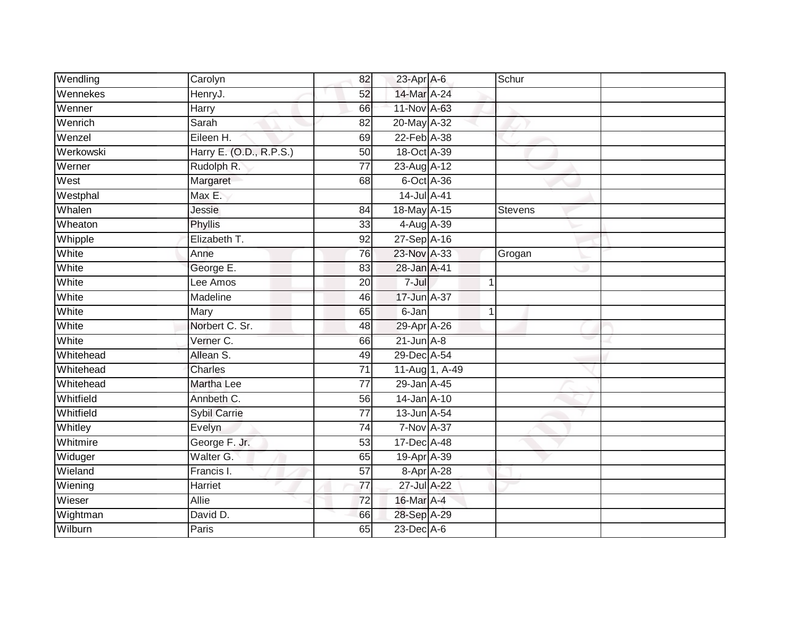| Wendling  | Carolyn                 | 82              | 23-Apr A-6        |                | Schur   |  |
|-----------|-------------------------|-----------------|-------------------|----------------|---------|--|
| Wennekes  | HenryJ.                 | 52              | 14-Mar A-24       |                |         |  |
| Wenner    | Harry                   | 66              | 11-Nov A-63       |                |         |  |
| Wenrich   | Sarah                   | 82              | 20-May A-32       |                |         |  |
| Wenzel    | Eileen H.               | 69              | 22-Feb A-38       |                |         |  |
| Werkowski | Harry E. (O.D., R.P.S.) | 50              | 18-Oct A-39       |                |         |  |
| Werner    | Rudolph R.              | $\overline{77}$ | 23-Aug A-12       |                |         |  |
| West      | Margaret                | 68              | 6-Oct A-36        |                |         |  |
| Westphal  | Max E.                  |                 | 14-Jul A-41       |                |         |  |
| Whalen    | Jessie                  | 84              | 18-May A-15       |                | Stevens |  |
| Wheaton   | Phyllis                 | 33              | $4-Aug$ $A-39$    |                |         |  |
| Whipple   | Elizabeth T.            | 92              | 27-Sep A-16       |                |         |  |
| White     | Anne                    | 76              | 23-Nov A-33       |                | Grogan  |  |
| White     | George E.               | 83              | 28-Jan A-41       |                |         |  |
| White     | Lee Amos                | $\overline{20}$ | $7 -$ Jul         | 1              |         |  |
| White     | Madeline                | 46              | 17-Jun A-37       |                |         |  |
| White     | Mary                    | 65              | 6-Jan             | 1              |         |  |
| White     | Norbert C. Sr.          | 48              | 29-Apr A-26       |                |         |  |
| White     | Verner C.               | 66              | $21$ -Jun $A-8$   |                |         |  |
| Whitehead | Allean S.               | 49              | 29-Dec A-54       |                |         |  |
| Whitehead | Charles                 | 71              |                   | 11-Aug 1, A-49 |         |  |
| Whitehead | <b>Martha Lee</b>       | $\overline{77}$ | 29-Jan A-45       |                |         |  |
| Whitfield | Annbeth C.              | 56              | $14$ -Jan $A-10$  |                |         |  |
| Whitfield | <b>Sybil Carrie</b>     | $\overline{77}$ | 13-Jun A-54       |                |         |  |
| Whitley   | Evelyn                  | 74              | 7-Nov A-37        |                |         |  |
| Whitmire  | George F. Jr.           | 53              | $17$ -Dec $A$ -48 |                |         |  |
| Widuger   | Walter G.               | 65              | 19-Apr A-39       |                |         |  |
| Wieland   | Francis I.              | 57              | 8-Apr A-28        |                |         |  |
| Wiening   | Harriet                 | 77              | $27$ -Jul A-22    |                |         |  |
| Wieser    | <b>Allie</b>            | $\overline{72}$ | 16-Mar A-4        |                |         |  |
| Wightman  | David D.                | 66              | 28-Sep A-29       |                |         |  |
| Wilburn   | <b>Paris</b>            | 65              | $23$ -Dec $A-6$   |                |         |  |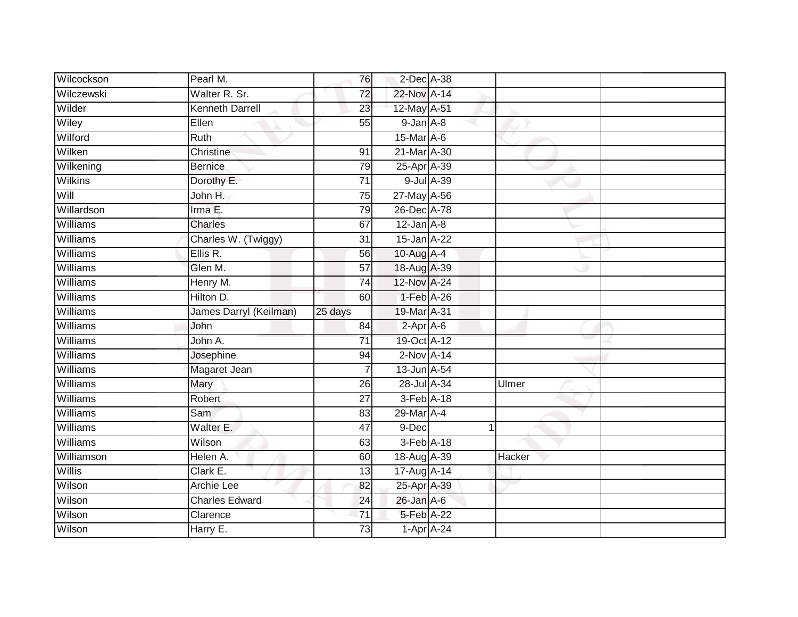| Wilcockson      | Pearl M.               | 76              | 2-Dec A-38      |                           |        |  |
|-----------------|------------------------|-----------------|-----------------|---------------------------|--------|--|
| Wilczewski      | Walter R. Sr.          | $\overline{72}$ | 22-Nov A-14     |                           |        |  |
| Wilder          | <b>Kenneth Darrell</b> | $\overline{23}$ | 12-May A-51     |                           |        |  |
| Wiley           | Ellen                  | 55              | $9$ -Jan $A$ -8 |                           |        |  |
| Wilford         | <b>Ruth</b>            |                 | 15-Mar A-6      |                           |        |  |
| Wilken          | Christine              | 91              | 21-Mar A-30     |                           |        |  |
| Wilkening       | <b>Bernice</b>         | 79              | 25-Apr A-39     |                           |        |  |
| <b>Wilkins</b>  | Dorothy E.             | 71              |                 | 9-Jul A-39                |        |  |
| Will            | John H.                | $\overline{75}$ | 27-May A-56     |                           |        |  |
| Willardson      | Irma E.                | 79              | 26-Dec A-78     |                           |        |  |
| Williams        | <b>Charles</b>         | 67              | $12$ -Jan $A-8$ |                           |        |  |
| Williams        | Charles W. (Twiggy)    | 31              | 15-Jan A-22     |                           |        |  |
| <b>Williams</b> | Ellis R.               | 56              | 10-Aug $A-4$    |                           |        |  |
| Williams        | Glen M.                | 57              | 18-Aug A-39     |                           |        |  |
| <b>Williams</b> | Henry M.               | $\overline{74}$ | 12-Nov A-24     |                           |        |  |
| Williams        | Hilton D.              | 60              | 1-Feb A-26      |                           |        |  |
| Williams        | James Darryl (Keilman) | 25 days         | 19-Mar A-31     |                           |        |  |
| Williams        | John                   | 84              | $2-Apr$ A-6     |                           |        |  |
| Williams        | John A.                | 71              | 19-Oct A-12     |                           |        |  |
| Williams        | Josephine              | $\overline{94}$ | $2-NovA-14$     |                           |        |  |
| Williams        | Magaret Jean           | 7               | 13-Jun A-54     |                           |        |  |
| Williams        | Mary                   | 26              | 28-Jul A-34     |                           | Ulmer  |  |
| Williams        | Robert                 | 27              | 3-Feb A-18      |                           |        |  |
| <b>Williams</b> | Sam                    | 83              | 29-Mar A-4      |                           |        |  |
| Williams        | Walter E.              | 47              | 9-Dec           |                           | 1      |  |
| <b>Williams</b> | Wilson                 | 63              | 3-Feb A-18      |                           |        |  |
| Williamson      | Helen A.               | 60              | 18-Aug A-39     |                           | Hacker |  |
| <b>Willis</b>   | Clark E.               | 13              | 17-Aug A-14     |                           |        |  |
| Wilson          | Archie Lee             | 82              | 25-Apr A-39     |                           |        |  |
| Wilson          | <b>Charles Edward</b>  | 24              | 26-Jan A-6      |                           |        |  |
| Wilson          | Clarence               | 71              | 5-Feb A-22      |                           |        |  |
| Wilson          | Harry E.               | 73              |                 | $1 - \text{Apr}$ $A - 24$ |        |  |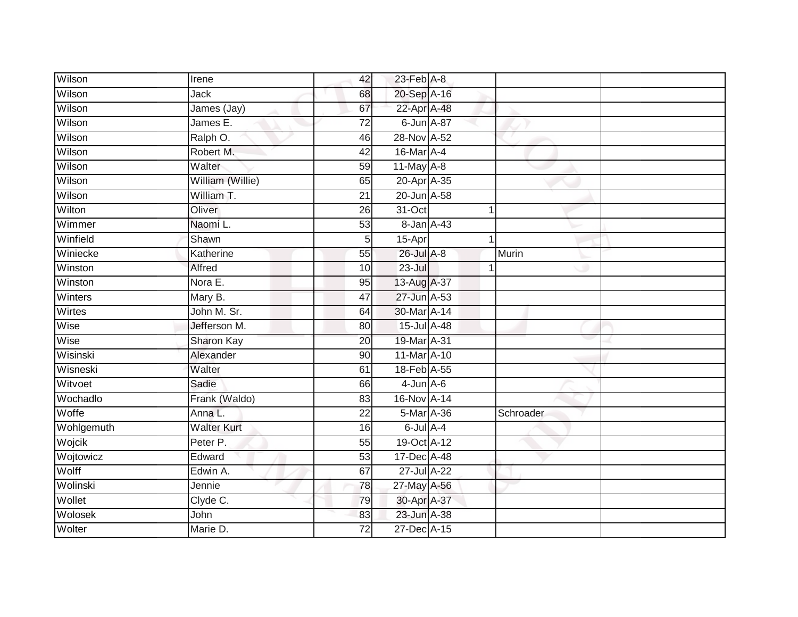| Wilson     | Irene              | 42              | $23$ -Feb $A-8$ |   |           |  |
|------------|--------------------|-----------------|-----------------|---|-----------|--|
| Wilson     | <b>Jack</b>        | 68              | 20-Sep A-16     |   |           |  |
| Wilson     | James (Jay)        | 67              | 22-Apr A-48     |   |           |  |
| Wilson     | James E.           | $\overline{72}$ | 6-Jun A-87      |   |           |  |
| Wilson     | Ralph O.           | 46              | 28-Nov A-52     |   |           |  |
| Wilson     | Robert M.          | 42              | 16-Mar A-4      |   |           |  |
| Wilson     | Walter             | 59              | $11$ -May $A-8$ |   |           |  |
| Wilson     | William (Willie)   | 65              | 20-Apr A-35     |   |           |  |
| Wilson     | William T.         | $\overline{21}$ | 20-Jun A-58     |   |           |  |
| Wilton     | Oliver             | 26              | 31-Oct          | 1 |           |  |
| Wimmer     | Naomi L.           | 53              | 8-Jan A-43      |   |           |  |
| Winfield   | Shawn              | 5 <sub>l</sub>  | 15-Apr          | 1 |           |  |
| Winiecke   | Katherine          | 55              | 26-Jul A-8      |   | Murin     |  |
| Winston    | Alfred             | 10              | 23-Jul          |   |           |  |
| Winston    | Nora E.            | $\overline{95}$ | 13-Aug A-37     |   |           |  |
| Winters    | Mary B.            | 47              | 27-Jun A-53     |   |           |  |
| Wirtes     | John M. Sr.        | 64              | 30-Mar A-14     |   |           |  |
| Wise       | Jefferson M.       | 80              | 15-Jul A-48     |   |           |  |
| Wise       | Sharon Kay         | 20              | 19-Mar A-31     |   |           |  |
| Wisinski   | Alexander          | 90              | 11-Mar A-10     |   |           |  |
| Wisneski   | Walter             | 61              | 18-Feb A-55     |   |           |  |
| Witvoet    | Sadie              | 66              | $4$ -Jun $A$ -6 |   |           |  |
| Wochadlo   | Frank (Waldo)      | 83              | 16-Nov A-14     |   |           |  |
| Woffe      | Anna L.            | $\overline{22}$ | 5-Mar A-36      |   | Schroader |  |
| Wohlgemuth | <b>Walter Kurt</b> | 16              | $6$ -Jul $A$ -4 |   |           |  |
| Wojcik     | Peter P.           | 55              | 19-Oct A-12     |   |           |  |
| Wojtowicz  | Edward             | 53              | 17-Dec A-48     |   |           |  |
| Wolff      | Edwin A.           | 67              | 27-Jul A-22     |   |           |  |
| Wolinski   | Jennie             | 78              | 27-May A-56     |   |           |  |
| Wollet     | Clyde C.           | 79              | 30-Apr A-37     |   |           |  |
| Wolosek    | John               | 83              | 23-Jun A-38     |   |           |  |
| Wolter     | Marie D.           | $\overline{72}$ | 27-Dec A-15     |   |           |  |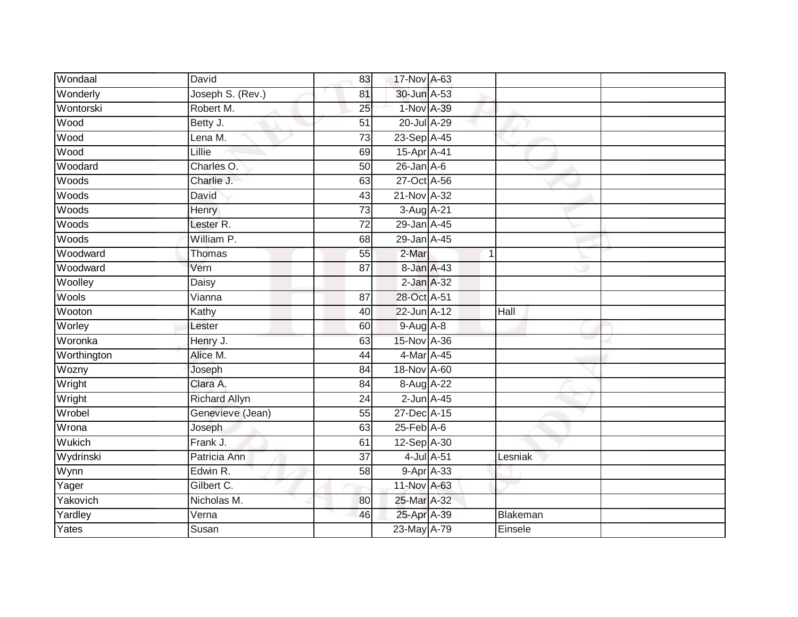| Wondaal     | David                | 83              | 17-Nov A-63      |            |                |  |
|-------------|----------------------|-----------------|------------------|------------|----------------|--|
| Wonderly    | Joseph S. (Rev.)     | 81              | 30-Jun A-53      |            |                |  |
| Wontorski   | Robert M.            | $\overline{25}$ | 1-Nov A-39       |            |                |  |
| Wood        | Betty J.             | 51              | 20-Jul A-29      |            |                |  |
| Wood        | Lena M.              | 73              | 23-Sep A-45      |            |                |  |
| Wood        | Lillie               | 69              | 15-Apr A-41      |            |                |  |
| Woodard     | Charles O.           | 50              | $26$ -Jan $A-6$  |            |                |  |
| Woods       | Charlie J.           | 63              | 27-Oct A-56      |            |                |  |
| Woods       | David                | 43              | 21-Nov A-32      |            |                |  |
| Woods       | Henry                | 73              | 3-Aug A-21       |            |                |  |
| Woods       | Lester <sub>R.</sub> | $\overline{72}$ | 29-Jan A-45      |            |                |  |
| Woods       | William P.           | 68              | 29-Jan A-45      |            |                |  |
| Woodward    | Thomas               | 55              | 2-Mar            |            | $\overline{1}$ |  |
| Woodward    | Vern                 | 87              | 8-Jan A-43       |            |                |  |
| Woolley     | <b>Daisy</b>         |                 | $2$ -Jan $A-32$  |            |                |  |
| Wools       | Vianna               | 87              | 28-Oct A-51      |            |                |  |
| Wooton      | Kathy                | 40              | 22-Jun A-12      |            | Hall           |  |
| Worley      | Lester               | 60              | $9-Aug$ $A-8$    |            |                |  |
| Woronka     | Henry J.             | 63              | 15-Nov A-36      |            |                |  |
| Worthington | Alice M.             | 44              | 4-Mar A-45       |            |                |  |
| Wozny       | Joseph               | 84              | 18-Nov A-60      |            |                |  |
| Wright      | Clara A.             | $\overline{84}$ | 8-Aug A-22       |            |                |  |
| Wright      | <b>Richard Allyn</b> | 24              | $2$ -Jun $A-45$  |            |                |  |
| Wrobel      | Genevieve (Jean)     | 55              | 27-Dec A-15      |            |                |  |
| Wrona       | Joseph               | 63              | $25$ -Feb $A$ -6 |            |                |  |
| Wukich      | Frank J.             | 61              | 12-Sep A-30      |            |                |  |
| Wydrinski   | Patricia Ann         | $\overline{37}$ |                  | 4-Jul A-51 | Lesniak        |  |
| Wynn        | Edwin R.             | 58              |                  | 9-Apr A-33 |                |  |
| Yager       | Gilbert C.           |                 | 11-Nov A-63      |            |                |  |
| Yakovich    | Nicholas M.          | 80              | 25-Mar A-32      |            |                |  |
| Yardley     | Verna                | 46              | 25-Apr A-39      |            | Blakeman       |  |
| Yates       | Susan                |                 | 23-May A-79      |            | Einsele        |  |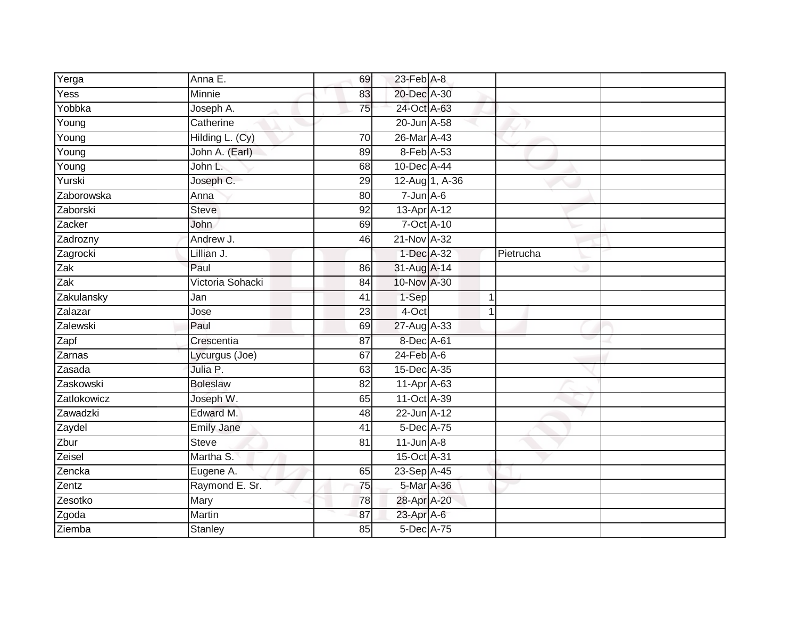| Yerga             | Anna E.           | 69              | 23-Feb A-8       |    |           |  |
|-------------------|-------------------|-----------------|------------------|----|-----------|--|
| Yess              | Minnie            | 83              | 20-Dec A-30      |    |           |  |
| Yobbka            | Joseph A.         | 75              | 24-Oct A-63      |    |           |  |
| Young             | Catherine         |                 | 20-Jun A-58      |    |           |  |
| Young             | Hilding L. (Cy)   | $\overline{70}$ | 26-Mar A-43      |    |           |  |
| Young             | John A. (Earl)    | 89              | 8-Feb A-53       |    |           |  |
| Young             | John L.           | 68              | 10-Dec A-44      |    |           |  |
| Yurski            | Joseph C.         | 29              | 12-Aug 1, A-36   |    |           |  |
| Zaborowska        | Anna              | 80              | $7 - Jun$ A-6    |    |           |  |
| Zaborski          | Steve             | 92              | 13-Apr A-12      |    |           |  |
| Zacker            | John              | 69              | 7-Oct A-10       |    |           |  |
| Zadrozny          | Andrew J.         | 46              | 21-Nov A-32      |    |           |  |
| Zagrocki          | Lillian J.        |                 | 1-Dec A-32       |    | Pietrucha |  |
| $\overline{Z}$ ak | Paul              | 86              | 31-Aug A-14      |    |           |  |
| Zak               | Victoria Sohacki  | $\overline{84}$ | 10-Nov A-30      |    |           |  |
| Zakulansky        | Jan               | 41              | 1-Sep            | -1 |           |  |
| Zalazar           | Jose              | 23              | 4-Oct            | 1  |           |  |
| Zalewski          | Paul              | 69              | 27-Aug A-33      |    |           |  |
| Zapf              | Crescentia        | 87              | 8-Dec A-61       |    |           |  |
| Zarnas            | Lycurgus (Joe)    | 67              | $24$ -Feb $A$ -6 |    |           |  |
| Zasada            | Julia P.          | 63              | 15-Dec A-35      |    |           |  |
| Zaskowski         | <b>Boleslaw</b>   | $\overline{82}$ | 11-Apr A-63      |    |           |  |
| Zatlokowicz       | Joseph W.         | 65              | 11-Oct A-39      |    |           |  |
| Zawadzki          | Edward M.         | 48              | 22-Jun A-12      |    |           |  |
| Zaydel            | <b>Emily Jane</b> | 41              | 5-Dec A-75       |    |           |  |
| Zbur              | <b>Steve</b>      | 81              | $11$ -Jun $A-8$  |    |           |  |
| Zeisel            | Martha S.         |                 | 15-Oct A-31      |    |           |  |
| Zencka            | Eugene A.         | 65              | 23-Sep A-45      |    |           |  |
| Zentz             | Raymond E. Sr.    | 75              | 5-Mar A-36       |    |           |  |
| Zesotko           | Mary              | 78              | 28-Apr A-20      |    |           |  |
| Zgoda             | Martin            | 87              | 23-Apr A-6       |    |           |  |
| Ziemba            | <b>Stanley</b>    | 85              | 5-Dec A-75       |    |           |  |